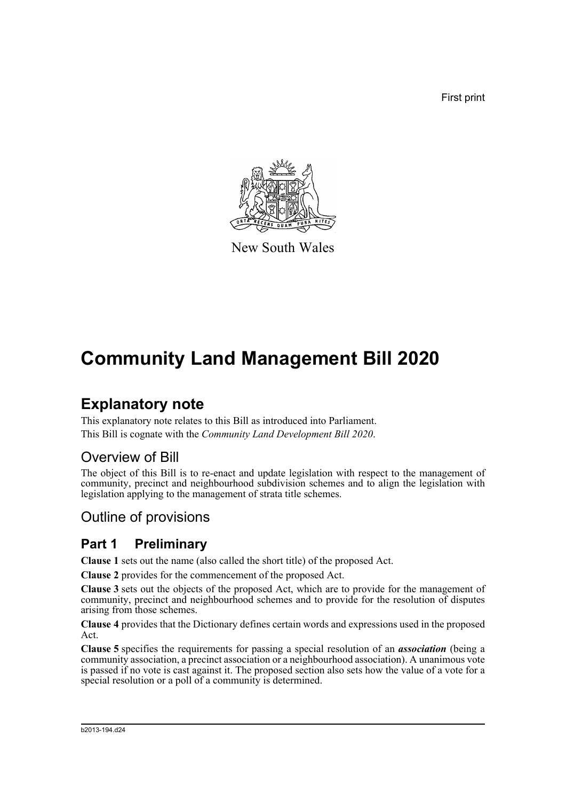First print



New South Wales

# **Community Land Management Bill 2020**

# **Explanatory note**

This explanatory note relates to this Bill as introduced into Parliament. This Bill is cognate with the *Community Land Development Bill 2020*.

# Overview of Bill

The object of this Bill is to re-enact and update legislation with respect to the management of community, precinct and neighbourhood subdivision schemes and to align the legislation with legislation applying to the management of strata title schemes.

# Outline of provisions

# **Part 1 Preliminary**

**Clause 1** sets out the name (also called the short title) of the proposed Act.

**Clause 2** provides for the commencement of the proposed Act.

**Clause 3** sets out the objects of the proposed Act, which are to provide for the management of community, precinct and neighbourhood schemes and to provide for the resolution of disputes arising from those schemes.

**Clause 4** provides that the Dictionary defines certain words and expressions used in the proposed Act.

**Clause 5** specifies the requirements for passing a special resolution of an *association* (being a community association, a precinct association or a neighbourhood association). A unanimous vote is passed if no vote is cast against it. The proposed section also sets how the value of a vote for a special resolution or a poll of a community is determined.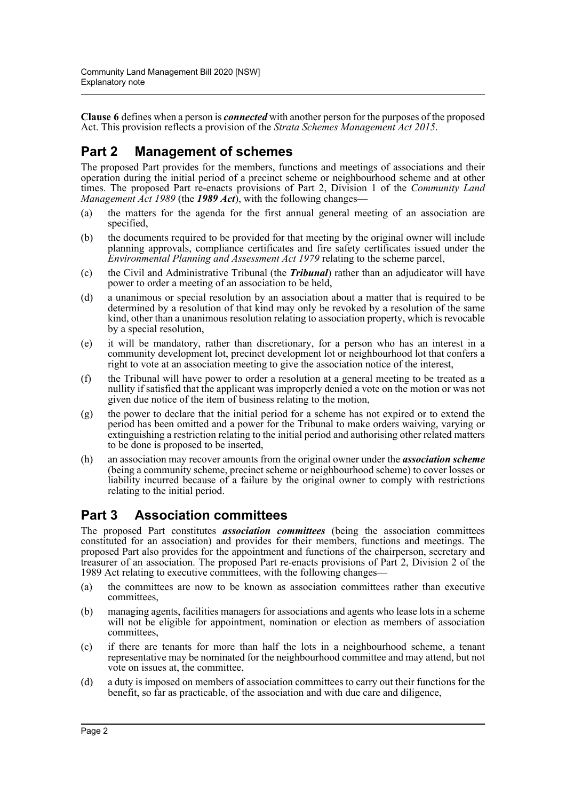**Clause 6** defines when a person is *connected* with another person for the purposes of the proposed Act. This provision reflects a provision of the *Strata Schemes Management Act 2015*.

# **Part 2 Management of schemes**

The proposed Part provides for the members, functions and meetings of associations and their operation during the initial period of a precinct scheme or neighbourhood scheme and at other times. The proposed Part re-enacts provisions of Part 2, Division 1 of the *Community Land Management Act 1989* (the *1989 Act*), with the following changes—

- (a) the matters for the agenda for the first annual general meeting of an association are specified,
- (b) the documents required to be provided for that meeting by the original owner will include planning approvals, compliance certificates and fire safety certificates issued under the *Environmental Planning and Assessment Act 1979* relating to the scheme parcel,
- (c) the Civil and Administrative Tribunal (the *Tribunal*) rather than an adjudicator will have power to order a meeting of an association to be held,
- (d) a unanimous or special resolution by an association about a matter that is required to be determined by a resolution of that kind may only be revoked by a resolution of the same kind, other than a unanimous resolution relating to association property, which is revocable by a special resolution,
- (e) it will be mandatory, rather than discretionary, for a person who has an interest in a community development lot, precinct development lot or neighbourhood lot that confers a right to vote at an association meeting to give the association notice of the interest,
- (f) the Tribunal will have power to order a resolution at a general meeting to be treated as a nullity if satisfied that the applicant was improperly denied a vote on the motion or was not given due notice of the item of business relating to the motion,
- (g) the power to declare that the initial period for a scheme has not expired or to extend the period has been omitted and a power for the Tribunal to make orders waiving, varying or extinguishing a restriction relating to the initial period and authorising other related matters to be done is proposed to be inserted,
- (h) an association may recover amounts from the original owner under the *association scheme* (being a community scheme, precinct scheme or neighbourhood scheme) to cover losses or liability incurred because of a failure by the original owner to comply with restrictions relating to the initial period.

# **Part 3 Association committees**

The proposed Part constitutes *association committees* (being the association committees constituted for an association) and provides for their members, functions and meetings. The proposed Part also provides for the appointment and functions of the chairperson, secretary and treasurer of an association. The proposed Part re-enacts provisions of Part 2, Division 2 of the 1989 Act relating to executive committees, with the following changes—

- (a) the committees are now to be known as association committees rather than executive committees,
- (b) managing agents, facilities managers for associations and agents who lease lots in a scheme will not be eligible for appointment, nomination or election as members of association committees,
- (c) if there are tenants for more than half the lots in a neighbourhood scheme, a tenant representative may be nominated for the neighbourhood committee and may attend, but not vote on issues at, the committee,
- (d) a duty is imposed on members of association committees to carry out their functions for the benefit, so far as practicable, of the association and with due care and diligence,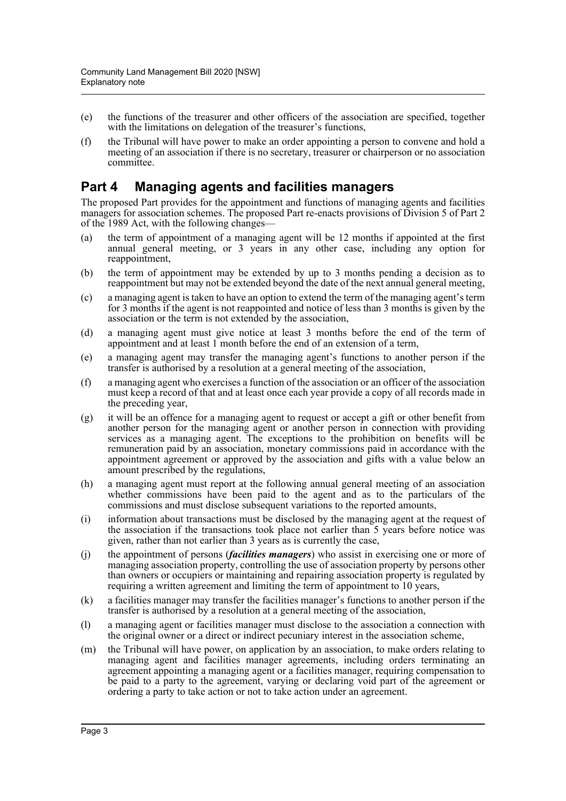- (e) the functions of the treasurer and other officers of the association are specified, together with the limitations on delegation of the treasurer's functions,
- (f) the Tribunal will have power to make an order appointing a person to convene and hold a meeting of an association if there is no secretary, treasurer or chairperson or no association committee.

### **Part 4 Managing agents and facilities managers**

The proposed Part provides for the appointment and functions of managing agents and facilities managers for association schemes. The proposed Part re-enacts provisions of Division 5 of Part 2 of the 1989 Act, with the following changes—

- (a) the term of appointment of a managing agent will be 12 months if appointed at the first annual general meeting, or 3 years in any other case, including any option for reappointment,
- (b) the term of appointment may be extended by up to 3 months pending a decision as to reappointment but may not be extended beyond the date of the next annual general meeting,
- (c) a managing agent is taken to have an option to extend the term of the managing agent's term for 3 months if the agent is not reappointed and notice of less than 3 months is given by the association or the term is not extended by the association,
- (d) a managing agent must give notice at least 3 months before the end of the term of appointment and at least 1 month before the end of an extension of a term,
- (e) a managing agent may transfer the managing agent's functions to another person if the transfer is authorised by a resolution at a general meeting of the association,
- (f) a managing agent who exercises a function of the association or an officer of the association must keep a record of that and at least once each year provide a copy of all records made in the preceding year,
- (g) it will be an offence for a managing agent to request or accept a gift or other benefit from another person for the managing agent or another person in connection with providing services as a managing agent. The exceptions to the prohibition on benefits will be remuneration paid by an association, monetary commissions paid in accordance with the appointment agreement or approved by the association and gifts with a value below an amount prescribed by the regulations,
- (h) a managing agent must report at the following annual general meeting of an association whether commissions have been paid to the agent and as to the particulars of the commissions and must disclose subsequent variations to the reported amounts,
- (i) information about transactions must be disclosed by the managing agent at the request of the association if the transactions took place not earlier than 5 years before notice was given, rather than not earlier than 3 years as is currently the case,
- (j) the appointment of persons (*facilities managers*) who assist in exercising one or more of managing association property, controlling the use of association property by persons other than owners or occupiers or maintaining and repairing association property is regulated by requiring a written agreement and limiting the term of appointment to 10 years,
- (k) a facilities manager may transfer the facilities manager's functions to another person if the transfer is authorised by a resolution at a general meeting of the association,
- (l) a managing agent or facilities manager must disclose to the association a connection with the original owner or a direct or indirect pecuniary interest in the association scheme,
- (m) the Tribunal will have power, on application by an association, to make orders relating to managing agent and facilities manager agreements, including orders terminating an agreement appointing a managing agent or a facilities manager, requiring compensation to be paid to a party to the agreement, varying or declaring void part of the agreement or ordering a party to take action or not to take action under an agreement.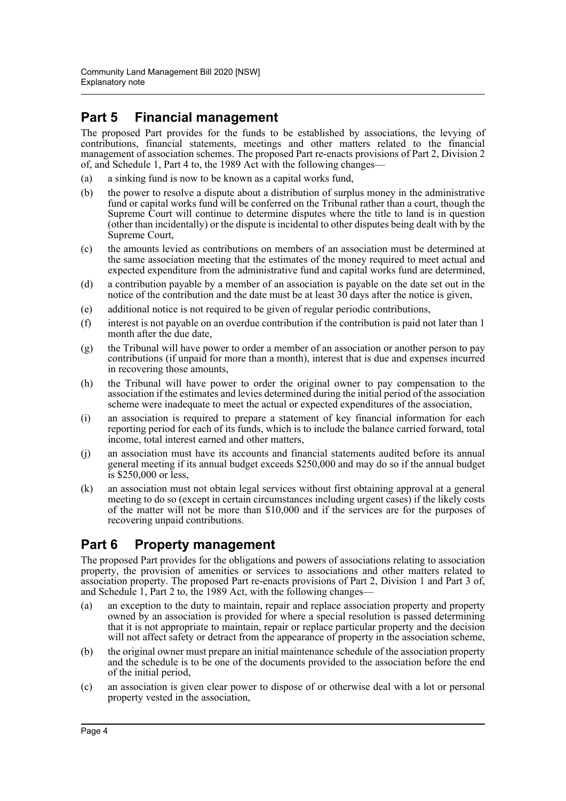# **Part 5 Financial management**

The proposed Part provides for the funds to be established by associations, the levying of contributions, financial statements, meetings and other matters related to the financial management of association schemes. The proposed Part re-enacts provisions of Part 2, Division 2 of, and Schedule 1, Part 4 to, the 1989 Act with the following changes—

- (a) a sinking fund is now to be known as a capital works fund,
- (b) the power to resolve a dispute about a distribution of surplus money in the administrative fund or capital works fund will be conferred on the Tribunal rather than a court, though the Supreme Court will continue to determine disputes where the title to land is in question (other than incidentally) or the dispute is incidental to other disputes being dealt with by the Supreme Court,
- (c) the amounts levied as contributions on members of an association must be determined at the same association meeting that the estimates of the money required to meet actual and expected expenditure from the administrative fund and capital works fund are determined,
- (d) a contribution payable by a member of an association is payable on the date set out in the notice of the contribution and the date must be at least 30 days after the notice is given,
- (e) additional notice is not required to be given of regular periodic contributions,
- (f) interest is not payable on an overdue contribution if the contribution is paid not later than 1 month after the due date,
- (g) the Tribunal will have power to order a member of an association or another person to pay contributions (if unpaid for more than a month), interest that is due and expenses incurred in recovering those amounts,
- (h) the Tribunal will have power to order the original owner to pay compensation to the association if the estimates and levies determined during the initial period of the association scheme were inadequate to meet the actual or expected expenditures of the association,
- (i) an association is required to prepare a statement of key financial information for each reporting period for each of its funds, which is to include the balance carried forward, total income, total interest earned and other matters,
- (j) an association must have its accounts and financial statements audited before its annual general meeting if its annual budget exceeds \$250,000 and may do so if the annual budget is \$250,000 or less,
- (k) an association must not obtain legal services without first obtaining approval at a general meeting to do so (except in certain circumstances including urgent cases) if the likely costs of the matter will not be more than \$10,000 and if the services are for the purposes of recovering unpaid contributions.

# **Part 6 Property management**

The proposed Part provides for the obligations and powers of associations relating to association property, the provision of amenities or services to associations and other matters related to association property. The proposed Part re-enacts provisions of Part 2, Division 1 and Part 3 of, and Schedule 1, Part 2 to, the 1989 Act, with the following changes—

- (a) an exception to the duty to maintain, repair and replace association property and property owned by an association is provided for where a special resolution is passed determining that it is not appropriate to maintain, repair or replace particular property and the decision will not affect safety or detract from the appearance of property in the association scheme,
- (b) the original owner must prepare an initial maintenance schedule of the association property and the schedule is to be one of the documents provided to the association before the end of the initial period,
- (c) an association is given clear power to dispose of or otherwise deal with a lot or personal property vested in the association,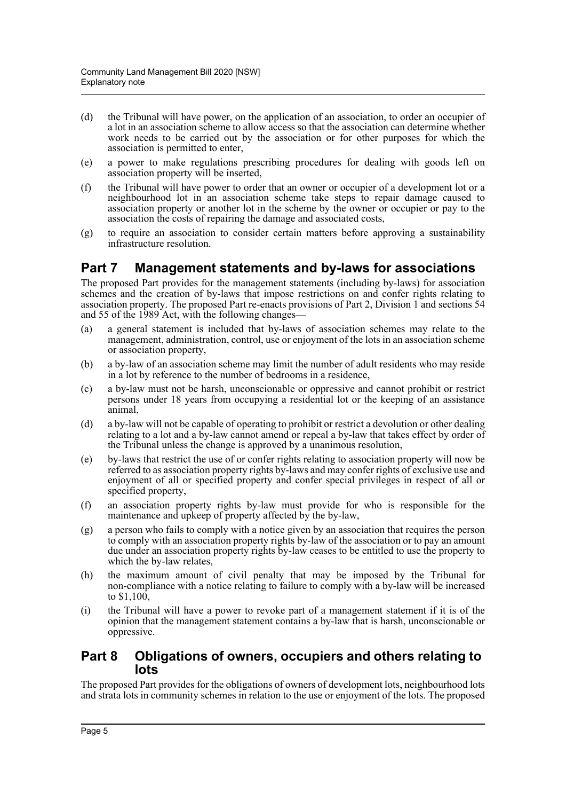- (d) the Tribunal will have power, on the application of an association, to order an occupier of a lot in an association scheme to allow access so that the association can determine whether work needs to be carried out by the association or for other purposes for which the association is permitted to enter,
- (e) a power to make regulations prescribing procedures for dealing with goods left on association property will be inserted,
- (f) the Tribunal will have power to order that an owner or occupier of a development lot or a neighbourhood lot in an association scheme take steps to repair damage caused to association property or another lot in the scheme by the owner or occupier or pay to the association the costs of repairing the damage and associated costs,
- (g) to require an association to consider certain matters before approving a sustainability infrastructure resolution.

### **Part 7 Management statements and by-laws for associations**

The proposed Part provides for the management statements (including by-laws) for association schemes and the creation of by-laws that impose restrictions on and confer rights relating to association property. The proposed Part re-enacts provisions of Part 2, Division 1 and sections 54 and 55 of the 1989 Act, with the following changes—

- (a) a general statement is included that by-laws of association schemes may relate to the management, administration, control, use or enjoyment of the lots in an association scheme or association property,
- (b) a by-law of an association scheme may limit the number of adult residents who may reside in a lot by reference to the number of bedrooms in a residence,
- (c) a by-law must not be harsh, unconscionable or oppressive and cannot prohibit or restrict persons under 18 years from occupying a residential lot or the keeping of an assistance animal,
- (d) a by-law will not be capable of operating to prohibit or restrict a devolution or other dealing relating to a lot and a by-law cannot amend or repeal a by-law that takes effect by order of the Tribunal unless the change is approved by a unanimous resolution,
- (e) by-laws that restrict the use of or confer rights relating to association property will now be referred to as association property rights by-laws and may confer rights of exclusive use and enjoyment of all or specified property and confer special privileges in respect of all or specified property,
- (f) an association property rights by-law must provide for who is responsible for the maintenance and upkeep of property affected by the by-law,
- (g) a person who fails to comply with a notice given by an association that requires the person to comply with an association property rights by-law of the association or to pay an amount due under an association property rights by-law ceases to be entitled to use the property to which the by-law relates,
- (h) the maximum amount of civil penalty that may be imposed by the Tribunal for non-compliance with a notice relating to failure to comply with a by-law will be increased to \$1,100,
- (i) the Tribunal will have a power to revoke part of a management statement if it is of the opinion that the management statement contains a by-law that is harsh, unconscionable or oppressive.

### **Part 8 Obligations of owners, occupiers and others relating to lots**

The proposed Part provides for the obligations of owners of development lots, neighbourhood lots and strata lots in community schemes in relation to the use or enjoyment of the lots. The proposed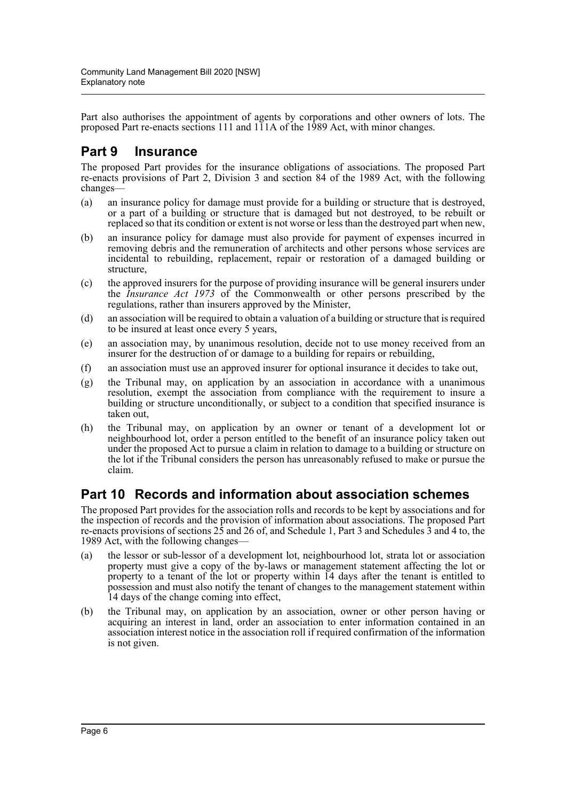Part also authorises the appointment of agents by corporations and other owners of lots. The proposed Part re-enacts sections 111 and 111A of the 1989 Act, with minor changes.

# **Part 9 Insurance**

The proposed Part provides for the insurance obligations of associations. The proposed Part re-enacts provisions of Part 2, Division 3 and section 84 of the 1989 Act, with the following changes—

- (a) an insurance policy for damage must provide for a building or structure that is destroyed, or a part of a building or structure that is damaged but not destroyed, to be rebuilt or replaced so that its condition or extent is not worse or less than the destroyed part when new,
- (b) an insurance policy for damage must also provide for payment of expenses incurred in removing debris and the remuneration of architects and other persons whose services are incidental to rebuilding, replacement, repair or restoration of a damaged building or structure,
- (c) the approved insurers for the purpose of providing insurance will be general insurers under the *Insurance Act 1973* of the Commonwealth or other persons prescribed by the regulations, rather than insurers approved by the Minister,
- (d) an association will be required to obtain a valuation of a building or structure that is required to be insured at least once every 5 years,
- (e) an association may, by unanimous resolution, decide not to use money received from an insurer for the destruction of or damage to a building for repairs or rebuilding,
- (f) an association must use an approved insurer for optional insurance it decides to take out,
- (g) the Tribunal may, on application by an association in accordance with a unanimous resolution, exempt the association from compliance with the requirement to insure a building or structure unconditionally, or subject to a condition that specified insurance is taken out,
- (h) the Tribunal may, on application by an owner or tenant of a development lot or neighbourhood lot, order a person entitled to the benefit of an insurance policy taken out under the proposed Act to pursue a claim in relation to damage to a building or structure on the lot if the Tribunal considers the person has unreasonably refused to make or pursue the claim.

### **Part 10 Records and information about association schemes**

The proposed Part provides for the association rolls and records to be kept by associations and for the inspection of records and the provision of information about associations. The proposed Part re-enacts provisions of sections 25 and 26 of, and Schedule 1, Part 3 and Schedules 3 and 4 to, the 1989 Act, with the following changes—

- (a) the lessor or sub-lessor of a development lot, neighbourhood lot, strata lot or association property must give a copy of the by-laws or management statement affecting the lot or property to a tenant of the lot or property within 14 days after the tenant is entitled to possession and must also notify the tenant of changes to the management statement within 14 days of the change coming into effect,
- (b) the Tribunal may, on application by an association, owner or other person having or acquiring an interest in land, order an association to enter information contained in an association interest notice in the association roll if required confirmation of the information is not given.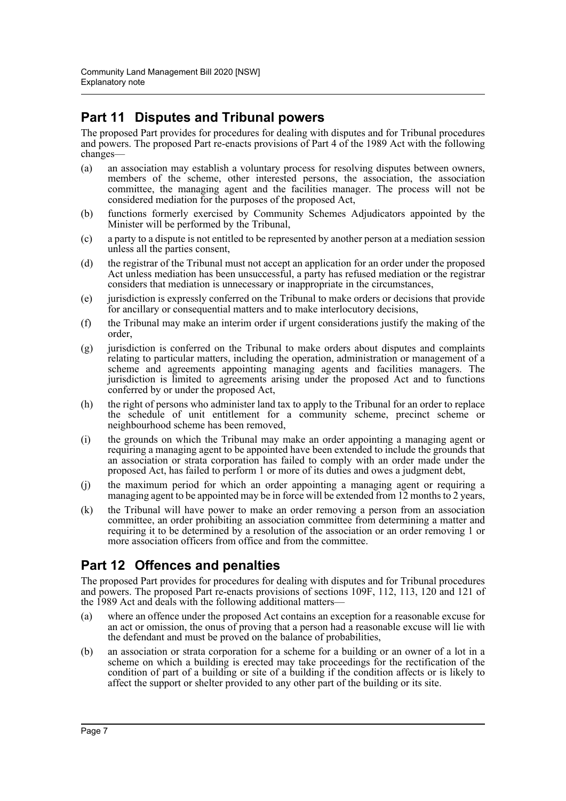# **Part 11 Disputes and Tribunal powers**

The proposed Part provides for procedures for dealing with disputes and for Tribunal procedures and powers. The proposed Part re-enacts provisions of Part 4 of the 1989 Act with the following changes—

- (a) an association may establish a voluntary process for resolving disputes between owners, members of the scheme, other interested persons, the association, the association committee, the managing agent and the facilities manager. The process will not be considered mediation for the purposes of the proposed Act,
- (b) functions formerly exercised by Community Schemes Adjudicators appointed by the Minister will be performed by the Tribunal,
- (c) a party to a dispute is not entitled to be represented by another person at a mediation session unless all the parties consent,
- (d) the registrar of the Tribunal must not accept an application for an order under the proposed Act unless mediation has been unsuccessful, a party has refused mediation or the registrar considers that mediation is unnecessary or inappropriate in the circumstances,
- (e) jurisdiction is expressly conferred on the Tribunal to make orders or decisions that provide for ancillary or consequential matters and to make interlocutory decisions,
- (f) the Tribunal may make an interim order if urgent considerations justify the making of the order,
- (g) jurisdiction is conferred on the Tribunal to make orders about disputes and complaints relating to particular matters, including the operation, administration or management of a scheme and agreements appointing managing agents and facilities managers. The jurisdiction is limited to agreements arising under the proposed Act and to functions conferred by or under the proposed Act,
- (h) the right of persons who administer land tax to apply to the Tribunal for an order to replace the schedule of unit entitlement for a community scheme, precinct scheme or neighbourhood scheme has been removed,
- (i) the grounds on which the Tribunal may make an order appointing a managing agent or requiring a managing agent to be appointed have been extended to include the grounds that an association or strata corporation has failed to comply with an order made under the proposed Act, has failed to perform 1 or more of its duties and owes a judgment debt,
- (j) the maximum period for which an order appointing a managing agent or requiring a managing agent to be appointed may be in force will be extended from  $12$  months to 2 years,
- (k) the Tribunal will have power to make an order removing a person from an association committee, an order prohibiting an association committee from determining a matter and requiring it to be determined by a resolution of the association or an order removing 1 or more association officers from office and from the committee.

# **Part 12 Offences and penalties**

The proposed Part provides for procedures for dealing with disputes and for Tribunal procedures and powers. The proposed Part re-enacts provisions of sections 109F, 112, 113, 120 and 121 of the 1989 Act and deals with the following additional matters—

- (a) where an offence under the proposed Act contains an exception for a reasonable excuse for an act or omission, the onus of proving that a person had a reasonable excuse will lie with the defendant and must be proved on the balance of probabilities,
- (b) an association or strata corporation for a scheme for a building or an owner of a lot in a scheme on which a building is erected may take proceedings for the rectification of the condition of part of a building or site of a building if the condition affects or is likely to affect the support or shelter provided to any other part of the building or its site.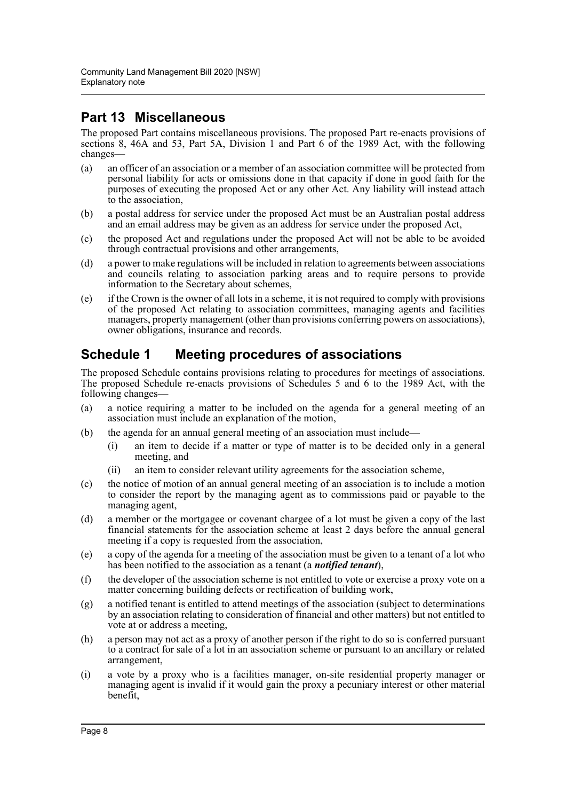## **Part 13 Miscellaneous**

The proposed Part contains miscellaneous provisions. The proposed Part re-enacts provisions of sections 8, 46A and 53, Part 5A, Division 1 and Part 6 of the 1989 Act, with the following changes—

- (a) an officer of an association or a member of an association committee will be protected from personal liability for acts or omissions done in that capacity if done in good faith for the purposes of executing the proposed Act or any other Act. Any liability will instead attach to the association,
- (b) a postal address for service under the proposed Act must be an Australian postal address and an email address may be given as an address for service under the proposed Act,
- (c) the proposed Act and regulations under the proposed Act will not be able to be avoided through contractual provisions and other arrangements,
- (d) a power to make regulations will be included in relation to agreements between associations and councils relating to association parking areas and to require persons to provide information to the Secretary about schemes,
- $(e)$  if the Crown is the owner of all lots in a scheme, it is not required to comply with provisions of the proposed Act relating to association committees, managing agents and facilities managers, property management (other than provisions conferring powers on associations), owner obligations, insurance and records.

## **Schedule 1 Meeting procedures of associations**

The proposed Schedule contains provisions relating to procedures for meetings of associations. The proposed Schedule re-enacts provisions of Schedules 5 and 6 to the 1989 Act, with the following changes—

- (a) a notice requiring a matter to be included on the agenda for a general meeting of an association must include an explanation of the motion,
- (b) the agenda for an annual general meeting of an association must include—
	- (i) an item to decide if a matter or type of matter is to be decided only in a general meeting, and
	- (ii) an item to consider relevant utility agreements for the association scheme,
- (c) the notice of motion of an annual general meeting of an association is to include a motion to consider the report by the managing agent as to commissions paid or payable to the managing agent,
- (d) a member or the mortgagee or covenant chargee of a lot must be given a copy of the last financial statements for the association scheme at least 2 days before the annual general meeting if a copy is requested from the association,
- (e) a copy of the agenda for a meeting of the association must be given to a tenant of a lot who has been notified to the association as a tenant (a *notified tenant*),
- (f) the developer of the association scheme is not entitled to vote or exercise a proxy vote on a matter concerning building defects or rectification of building work,
- (g) a notified tenant is entitled to attend meetings of the association (subject to determinations by an association relating to consideration of financial and other matters) but not entitled to vote at or address a meeting,
- (h) a person may not act as a proxy of another person if the right to do so is conferred pursuant to a contract for sale of a lot in an association scheme or pursuant to an ancillary or related arrangement,
- (i) a vote by a proxy who is a facilities manager, on-site residential property manager or managing agent is invalid if it would gain the proxy a pecuniary interest or other material benefit,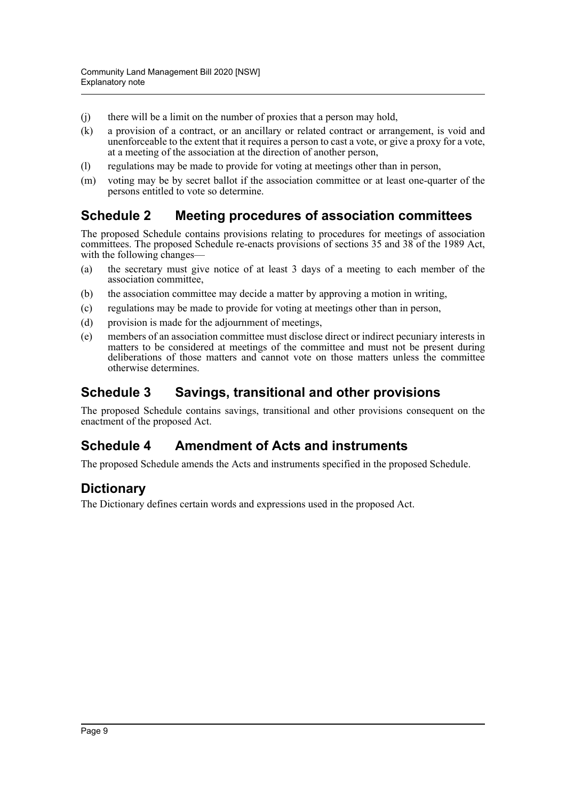- (j) there will be a limit on the number of proxies that a person may hold,
- (k) a provision of a contract, or an ancillary or related contract or arrangement, is void and unenforceable to the extent that it requires a person to cast a vote, or give a proxy for a vote, at a meeting of the association at the direction of another person,
- (l) regulations may be made to provide for voting at meetings other than in person,
- (m) voting may be by secret ballot if the association committee or at least one-quarter of the persons entitled to vote so determine.

### **Schedule 2 Meeting procedures of association committees**

The proposed Schedule contains provisions relating to procedures for meetings of association committees. The proposed Schedule re-enacts provisions of sections 35 and 38 of the 1989 Act, with the following changes-

- (a) the secretary must give notice of at least 3 days of a meeting to each member of the association committee,
- (b) the association committee may decide a matter by approving a motion in writing,
- (c) regulations may be made to provide for voting at meetings other than in person,
- (d) provision is made for the adjournment of meetings,
- (e) members of an association committee must disclose direct or indirect pecuniary interests in matters to be considered at meetings of the committee and must not be present during deliberations of those matters and cannot vote on those matters unless the committee otherwise determines.

### **Schedule 3 Savings, transitional and other provisions**

The proposed Schedule contains savings, transitional and other provisions consequent on the enactment of the proposed Act.

### **Schedule 4 Amendment of Acts and instruments**

The proposed Schedule amends the Acts and instruments specified in the proposed Schedule.

### **Dictionary**

The Dictionary defines certain words and expressions used in the proposed Act.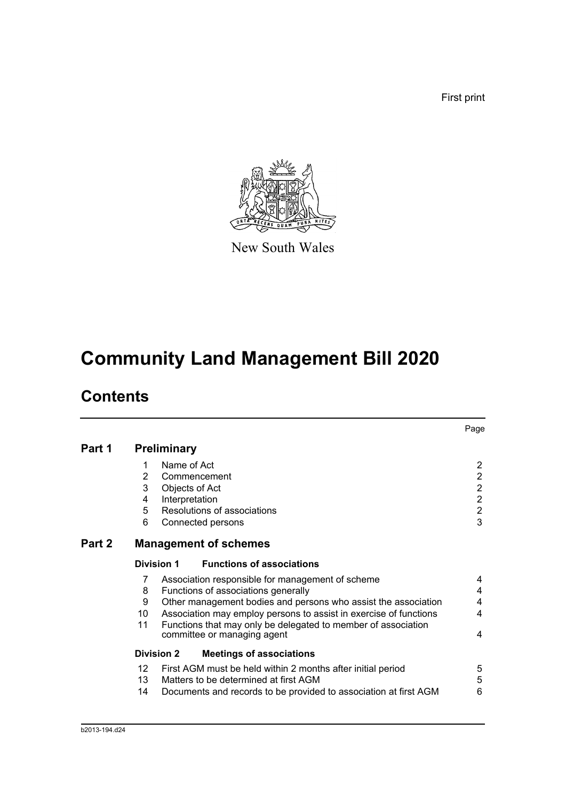First print



New South Wales

# **Community Land Management Bill 2020**

# **Contents**

|        |                                     |                                                                                                      | Page             |
|--------|-------------------------------------|------------------------------------------------------------------------------------------------------|------------------|
| Part 1 |                                     | <b>Preliminary</b>                                                                                   |                  |
|        | 1                                   | Name of Act                                                                                          | $\overline{2}$   |
|        | $\overline{2}$                      | Commencement                                                                                         | $\overline{c}$   |
|        | 3                                   | Objects of Act                                                                                       | $\overline{2}$   |
|        | 4                                   | Interpretation                                                                                       | $\boldsymbol{2}$ |
|        | 5                                   | Resolutions of associations                                                                          | $\overline{c}$   |
|        | 6                                   | Connected persons                                                                                    | $\overline{3}$   |
| Part 2 |                                     | <b>Management of schemes</b>                                                                         |                  |
|        |                                     | <b>Functions of associations</b><br>Division 1                                                       |                  |
|        | 7                                   | Association responsible for management of scheme                                                     | 4                |
|        | 8                                   | Functions of associations generally                                                                  | 4                |
|        | 9                                   | Other management bodies and persons who assist the association                                       | 4                |
|        | 10                                  | Association may employ persons to assist in exercise of functions                                    | 4                |
|        | 11                                  | Functions that may only be delegated to member of association<br>committee or managing agent         | 4                |
|        |                                     | <b>Division 2</b><br><b>Meetings of associations</b>                                                 |                  |
|        | 12 <sup>2</sup><br>13 <sup>13</sup> | First AGM must be held within 2 months after initial period<br>Matters to be determined at first AGM | 5<br>5<br>6      |
|        | 14                                  | Documents and records to be provided to association at first AGM                                     |                  |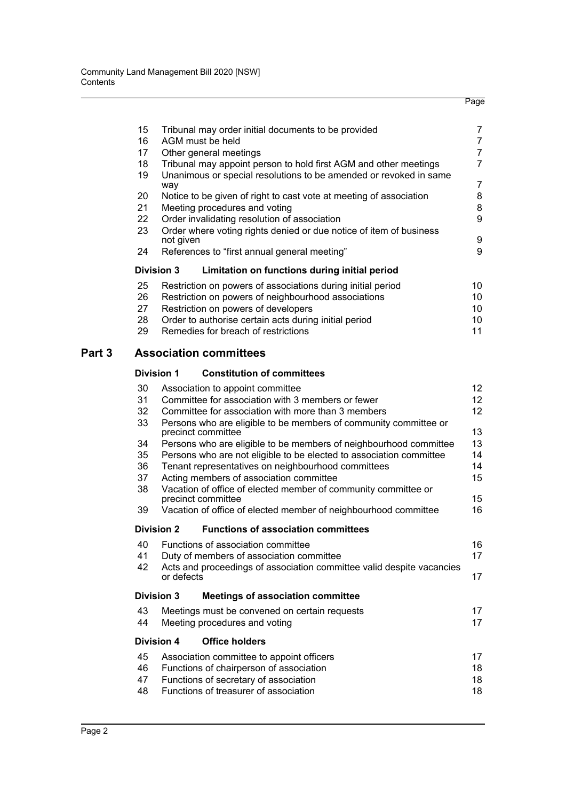| 15 | Tribunal may order initial documents to be provided                | 7  |  |  |  |
|----|--------------------------------------------------------------------|----|--|--|--|
| 16 | AGM must be held                                                   | 7  |  |  |  |
| 17 | Other general meetings                                             | 7  |  |  |  |
| 18 | Tribunal may appoint person to hold first AGM and other meetings   | 7  |  |  |  |
| 19 | Unanimous or special resolutions to be amended or revoked in same  |    |  |  |  |
|    | way                                                                | 7  |  |  |  |
| 20 | Notice to be given of right to cast vote at meeting of association | 8  |  |  |  |
| 21 | Meeting procedures and voting                                      | 8  |  |  |  |
| 22 | Order invalidating resolution of association                       | 9  |  |  |  |
| 23 | Order where voting rights denied or due notice of item of business |    |  |  |  |
|    | not given                                                          | 9  |  |  |  |
| 24 | References to "first annual general meeting"                       | 9  |  |  |  |
|    | <b>Division 3</b><br>Limitation on functions during initial period |    |  |  |  |
| 25 | Restriction on powers of associations during initial period        | 10 |  |  |  |
| 26 | Restriction on powers of neighbourhood associations                | 10 |  |  |  |
| 27 | Restriction on powers of developers                                | 10 |  |  |  |
| 28 | Order to authorise certain acts during initial period              | 10 |  |  |  |
| 29 | Remedies for breach of restrictions                                | 11 |  |  |  |
|    |                                                                    |    |  |  |  |

### **[Part 3 Association committees](#page-29-0)**

### **[Division 1 Constitution of committees](#page-29-1)**

| 30 | Association to appoint committee                                                       | 12 <sup>2</sup> |
|----|----------------------------------------------------------------------------------------|-----------------|
| 31 | Committee for association with 3 members or fewer                                      | 12 <sup>2</sup> |
| 32 | Committee for association with more than 3 members                                     | 12 <sup>2</sup> |
| 33 | Persons who are eligible to be members of community committee or<br>precinct committee | 13              |
| 34 | Persons who are eligible to be members of neighbourhood committee                      | 13              |
| 35 | Persons who are not eligible to be elected to association committee                    | 14              |
| 36 | Tenant representatives on neighbourhood committees                                     | 14              |
| 37 | Acting members of association committee                                                | 15              |
| 38 | Vacation of office of elected member of community committee or<br>precinct committee   | 15              |
| 39 | Vacation of office of elected member of neighbourhood committee                        | 16              |
|    | <b>Division 2</b><br><b>Functions of association committees</b>                        |                 |
| 40 | Functions of association committee                                                     | 16              |
| 41 | Duty of members of association committee                                               | 17              |
| 42 | Acts and proceedings of association committee valid despite vacancies<br>or defects    | 17              |
|    | <b>Division 3</b><br><b>Meetings of association committee</b>                          |                 |
| 43 | Meetings must be convened on certain requests                                          | 17              |
| 44 | Meeting procedures and voting                                                          | 17              |
|    | Division 4<br><b>Office holders</b>                                                    |                 |
| 45 | Association committee to appoint officers                                              | 17              |
| 46 | Functions of chairperson of association                                                | 18              |
| 47 | Functions of secretary of association                                                  | 18              |
| 48 | Functions of treasurer of association                                                  | 18              |
|    |                                                                                        |                 |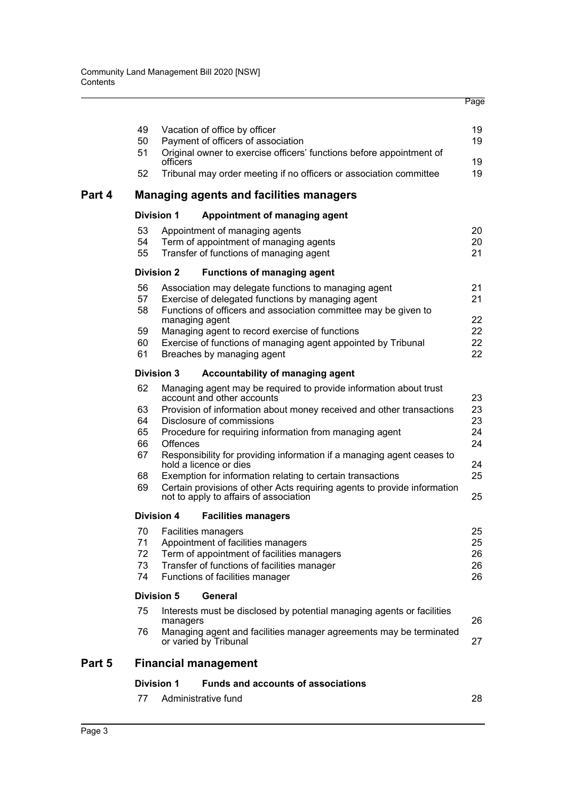|        | 49                | Vacation of office by officer      |                                                                                                                    | 19       |
|--------|-------------------|------------------------------------|--------------------------------------------------------------------------------------------------------------------|----------|
|        | 50                | Payment of officers of association |                                                                                                                    | 19       |
|        | 51                |                                    | Original owner to exercise officers' functions before appointment of                                               |          |
|        | 52                | officers                           | Tribunal may order meeting if no officers or association committee                                                 | 19<br>19 |
| Part 4 |                   |                                    | <b>Managing agents and facilities managers</b>                                                                     |          |
|        | <b>Division 1</b> |                                    | Appointment of managing agent                                                                                      |          |
|        | 53                | Appointment of managing agents     |                                                                                                                    | 20       |
|        | 54                |                                    | Term of appointment of managing agents                                                                             | 20       |
|        | 55                |                                    | Transfer of functions of managing agent                                                                            | 21       |
|        | <b>Division 2</b> |                                    | <b>Functions of managing agent</b>                                                                                 |          |
|        | 56                |                                    | Association may delegate functions to managing agent                                                               | 21       |
|        | 57                |                                    | Exercise of delegated functions by managing agent                                                                  | 21       |
|        | 58                |                                    | Functions of officers and association committee may be given to                                                    |          |
|        |                   | managing agent                     |                                                                                                                    | 22       |
|        | 59                |                                    | Managing agent to record exercise of functions                                                                     | 22       |
|        | 60<br>61          |                                    | Exercise of functions of managing agent appointed by Tribunal                                                      | 22<br>22 |
|        |                   | Breaches by managing agent         |                                                                                                                    |          |
|        | <b>Division 3</b> |                                    | Accountability of managing agent                                                                                   |          |
|        | 62                | account and other accounts         | Managing agent may be required to provide information about trust                                                  | 23       |
|        | 63                |                                    | Provision of information about money received and other transactions                                               | 23       |
|        | 64                | Disclosure of commissions          |                                                                                                                    | 23       |
|        | 65                |                                    | Procedure for requiring information from managing agent                                                            | 24       |
|        | 66                | Offences                           |                                                                                                                    | 24       |
|        | 67                | hold a licence or dies             | Responsibility for providing information if a managing agent ceases to                                             | 24       |
|        | 68                |                                    | Exemption for information relating to certain transactions                                                         | 25       |
|        | 69                |                                    | Certain provisions of other Acts requiring agents to provide information<br>not to apply to affairs of association | 25       |
|        | <b>Division 4</b> |                                    | <b>Facilities managers</b>                                                                                         |          |
|        | 70                | Facilities managers                |                                                                                                                    | 25       |
|        | 71                |                                    | Appointment of facilities managers                                                                                 | 25       |
|        | 72                |                                    | Term of appointment of facilities managers                                                                         | 26       |
|        | 73                |                                    | Transfer of functions of facilities manager                                                                        | 26       |
|        | 74                | Functions of facilities manager    |                                                                                                                    | 26       |
|        | <b>Division 5</b> | General                            |                                                                                                                    |          |
|        | 75                | managers                           | Interests must be disclosed by potential managing agents or facilities                                             | 26       |
|        | 76                | or varied by Tribunal              | Managing agent and facilities manager agreements may be terminated                                                 | 27       |
| Part 5 |                   | <b>Financial management</b>        |                                                                                                                    |          |
|        | <b>Division 1</b> |                                    | <b>Funds and accounts of associations</b>                                                                          |          |
|        | 77                | Administrative fund                |                                                                                                                    | 28       |
|        |                   |                                    |                                                                                                                    |          |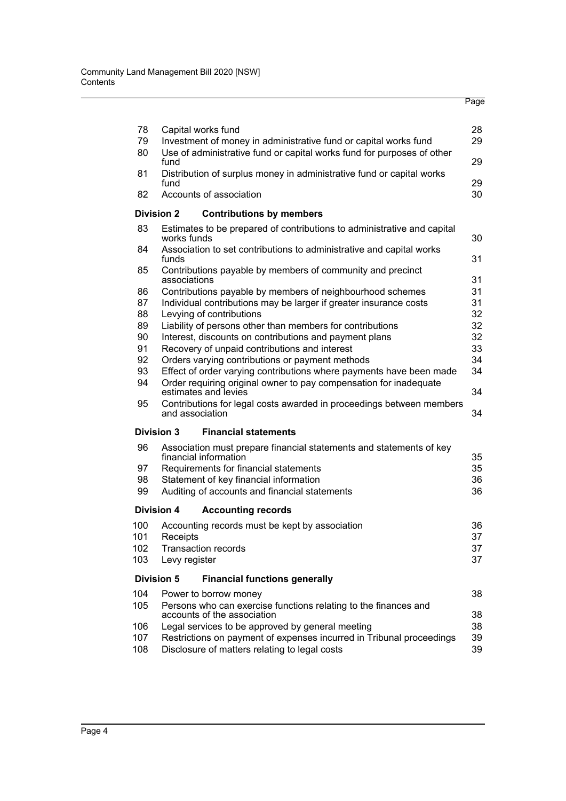| 78       | Capital works fund                                                                      | 28       |
|----------|-----------------------------------------------------------------------------------------|----------|
| 79       | Investment of money in administrative fund or capital works fund                        | 29       |
| 80       | Use of administrative fund or capital works fund for purposes of other<br>fund          | 29       |
| 81       | Distribution of surplus money in administrative fund or capital works                   |          |
|          | fund                                                                                    | 29       |
| 82       | Accounts of association                                                                 | 30       |
|          | <b>Division 2</b><br><b>Contributions by members</b>                                    |          |
| 83       | Estimates to be prepared of contributions to administrative and capital<br>works funds  | 30       |
| 84       | Association to set contributions to administrative and capital works<br>funds           | 31       |
| 85       | Contributions payable by members of community and precinct                              |          |
|          | associations                                                                            | 31       |
| 86       | Contributions payable by members of neighbourhood schemes                               | 31       |
| 87       | Individual contributions may be larger if greater insurance costs                       | 31<br>32 |
| 88<br>89 | Levying of contributions<br>Liability of persons other than members for contributions   | 32       |
| 90       | Interest, discounts on contributions and payment plans                                  | 32       |
| 91       | Recovery of unpaid contributions and interest                                           | 33       |
| 92       | Orders varying contributions or payment methods                                         | 34       |
| 93       | Effect of order varying contributions where payments have been made                     | 34       |
| 94       | Order requiring original owner to pay compensation for inadequate                       |          |
|          | estimates and levies                                                                    | 34       |
| 95       | Contributions for legal costs awarded in proceedings between members<br>and association | 34       |
|          | <b>Division 3</b><br><b>Financial statements</b>                                        |          |
| 96       | Association must prepare financial statements and statements of key                     |          |
|          | financial information                                                                   | 35       |
| 97       | Requirements for financial statements                                                   | 35       |
| 98       | Statement of key financial information                                                  | 36       |
| 99       | Auditing of accounts and financial statements                                           | 36       |
|          | <b>Division 4</b><br><b>Accounting records</b>                                          |          |
| 100      | Accounting records must be kept by association                                          | 36       |
| 101      | Receipts                                                                                | 37       |
| 102      | <b>Transaction records</b>                                                              | 37       |
| 103      | Levy register                                                                           | 37       |
|          | <b>Division 5</b><br><b>Financial functions generally</b>                               |          |
| 104      | Power to borrow money                                                                   | 38       |
| 105      | Persons who can exercise functions relating to the finances and                         |          |
|          | accounts of the association                                                             | 38       |
| 106      | Legal services to be approved by general meeting                                        | 38       |
| 107      | Restrictions on payment of expenses incurred in Tribunal proceedings                    | 39       |
| 108      | Disclosure of matters relating to legal costs                                           | 39       |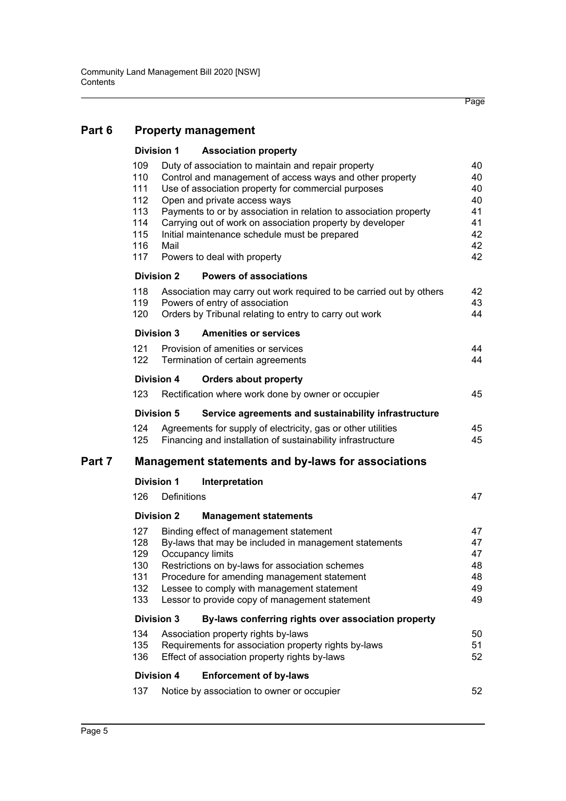| Part 6 | <b>Property management</b>                                                                                                                                                                                                                                                                                                                                                                                                                                                                       |                   |                                                                                                                                                                                                                                                                                                                       |                                        |  |  |
|--------|--------------------------------------------------------------------------------------------------------------------------------------------------------------------------------------------------------------------------------------------------------------------------------------------------------------------------------------------------------------------------------------------------------------------------------------------------------------------------------------------------|-------------------|-----------------------------------------------------------------------------------------------------------------------------------------------------------------------------------------------------------------------------------------------------------------------------------------------------------------------|----------------------------------------|--|--|
|        |                                                                                                                                                                                                                                                                                                                                                                                                                                                                                                  | <b>Division 1</b> | <b>Association property</b>                                                                                                                                                                                                                                                                                           |                                        |  |  |
|        | 109<br>Duty of association to maintain and repair property<br>110<br>Control and management of access ways and other property<br>111<br>Use of association property for commercial purposes<br>112<br>Open and private access ways<br>113<br>Payments to or by association in relation to association property<br>114<br>Carrying out of work on association property by developer<br>115<br>Initial maintenance schedule must be prepared<br>116<br>Mail<br>117<br>Powers to deal with property |                   |                                                                                                                                                                                                                                                                                                                       |                                        |  |  |
|        |                                                                                                                                                                                                                                                                                                                                                                                                                                                                                                  | <b>Division 2</b> | <b>Powers of associations</b>                                                                                                                                                                                                                                                                                         |                                        |  |  |
|        | 118<br>119<br>120                                                                                                                                                                                                                                                                                                                                                                                                                                                                                |                   | Association may carry out work required to be carried out by others<br>Powers of entry of association<br>Orders by Tribunal relating to entry to carry out work                                                                                                                                                       | 42<br>43<br>44                         |  |  |
|        |                                                                                                                                                                                                                                                                                                                                                                                                                                                                                                  | <b>Division 3</b> | <b>Amenities or services</b>                                                                                                                                                                                                                                                                                          |                                        |  |  |
|        | 121<br>122                                                                                                                                                                                                                                                                                                                                                                                                                                                                                       |                   | Provision of amenities or services<br>Termination of certain agreements                                                                                                                                                                                                                                               | 44<br>44                               |  |  |
|        |                                                                                                                                                                                                                                                                                                                                                                                                                                                                                                  | <b>Division 4</b> | <b>Orders about property</b>                                                                                                                                                                                                                                                                                          |                                        |  |  |
|        | 123                                                                                                                                                                                                                                                                                                                                                                                                                                                                                              |                   | Rectification where work done by owner or occupier                                                                                                                                                                                                                                                                    | 45                                     |  |  |
|        |                                                                                                                                                                                                                                                                                                                                                                                                                                                                                                  | <b>Division 5</b> | Service agreements and sustainability infrastructure                                                                                                                                                                                                                                                                  |                                        |  |  |
|        | 124<br>125                                                                                                                                                                                                                                                                                                                                                                                                                                                                                       |                   | Agreements for supply of electricity, gas or other utilities<br>Financing and installation of sustainability infrastructure                                                                                                                                                                                           | 45<br>45                               |  |  |
| Part 7 | <b>Management statements and by-laws for associations</b>                                                                                                                                                                                                                                                                                                                                                                                                                                        |                   |                                                                                                                                                                                                                                                                                                                       |                                        |  |  |
|        |                                                                                                                                                                                                                                                                                                                                                                                                                                                                                                  | <b>Division 1</b> | Interpretation                                                                                                                                                                                                                                                                                                        |                                        |  |  |
|        | 126                                                                                                                                                                                                                                                                                                                                                                                                                                                                                              | Definitions       |                                                                                                                                                                                                                                                                                                                       | 47                                     |  |  |
|        |                                                                                                                                                                                                                                                                                                                                                                                                                                                                                                  | <b>Division 2</b> | <b>Management statements</b>                                                                                                                                                                                                                                                                                          |                                        |  |  |
|        | 127<br>128<br>129<br>130<br>131<br>132<br>133                                                                                                                                                                                                                                                                                                                                                                                                                                                    |                   | Binding effect of management statement<br>By-laws that may be included in management statements<br>Occupancy limits<br>Restrictions on by-laws for association schemes<br>Procedure for amending management statement<br>Lessee to comply with management statement<br>Lessor to provide copy of management statement | 47<br>47<br>47<br>48<br>48<br>49<br>49 |  |  |
|        |                                                                                                                                                                                                                                                                                                                                                                                                                                                                                                  | <b>Division 3</b> | By-laws conferring rights over association property                                                                                                                                                                                                                                                                   |                                        |  |  |
|        | 134<br>135<br>136                                                                                                                                                                                                                                                                                                                                                                                                                                                                                |                   | Association property rights by-laws<br>Requirements for association property rights by-laws<br>Effect of association property rights by-laws                                                                                                                                                                          | 50<br>51<br>52                         |  |  |
|        |                                                                                                                                                                                                                                                                                                                                                                                                                                                                                                  | <b>Division 4</b> | <b>Enforcement of by-laws</b>                                                                                                                                                                                                                                                                                         |                                        |  |  |
|        | 137                                                                                                                                                                                                                                                                                                                                                                                                                                                                                              |                   | Notice by association to owner or occupier                                                                                                                                                                                                                                                                            | 52                                     |  |  |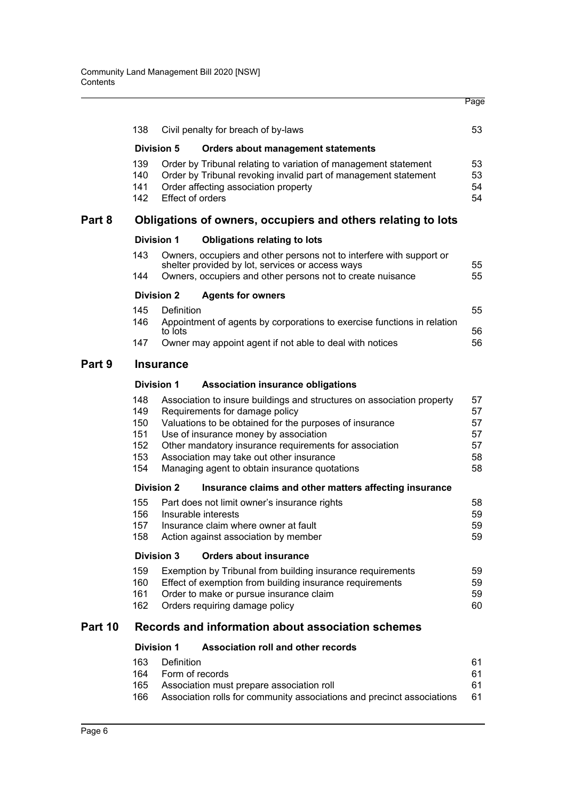|         | 138                                           |                         | Civil penalty for breach of by-laws                                                                                                                                                                                                                                                                                                                                 | 53                                     |  |  |
|---------|-----------------------------------------------|-------------------------|---------------------------------------------------------------------------------------------------------------------------------------------------------------------------------------------------------------------------------------------------------------------------------------------------------------------------------------------------------------------|----------------------------------------|--|--|
|         |                                               | <b>Division 5</b>       | <b>Orders about management statements</b>                                                                                                                                                                                                                                                                                                                           |                                        |  |  |
|         | 139<br>140<br>141<br>142                      | <b>Effect of orders</b> | Order by Tribunal relating to variation of management statement<br>Order by Tribunal revoking invalid part of management statement<br>Order affecting association property                                                                                                                                                                                          | 53<br>53<br>54<br>54                   |  |  |
| Part 8  |                                               |                         | Obligations of owners, occupiers and others relating to lots                                                                                                                                                                                                                                                                                                        |                                        |  |  |
|         |                                               | <b>Division 1</b>       | <b>Obligations relating to lots</b>                                                                                                                                                                                                                                                                                                                                 |                                        |  |  |
|         | 143                                           |                         | Owners, occupiers and other persons not to interfere with support or<br>shelter provided by lot, services or access ways                                                                                                                                                                                                                                            | 55                                     |  |  |
|         | 144                                           |                         | Owners, occupiers and other persons not to create nuisance                                                                                                                                                                                                                                                                                                          | 55                                     |  |  |
|         |                                               | <b>Division 2</b>       | <b>Agents for owners</b>                                                                                                                                                                                                                                                                                                                                            |                                        |  |  |
|         | 145<br>146                                    | Definition<br>to lots   | Appointment of agents by corporations to exercise functions in relation                                                                                                                                                                                                                                                                                             | 55<br>56                               |  |  |
|         | 147                                           |                         | Owner may appoint agent if not able to deal with notices                                                                                                                                                                                                                                                                                                            | 56                                     |  |  |
| Part 9  | <b>Insurance</b>                              |                         |                                                                                                                                                                                                                                                                                                                                                                     |                                        |  |  |
|         |                                               | Division 1              | <b>Association insurance obligations</b>                                                                                                                                                                                                                                                                                                                            |                                        |  |  |
|         | 148<br>149<br>150<br>151<br>152<br>153<br>154 |                         | Association to insure buildings and structures on association property<br>Requirements for damage policy<br>Valuations to be obtained for the purposes of insurance<br>Use of insurance money by association<br>Other mandatory insurance requirements for association<br>Association may take out other insurance<br>Managing agent to obtain insurance quotations | 57<br>57<br>57<br>57<br>57<br>58<br>58 |  |  |
|         |                                               | <b>Division 2</b>       | Insurance claims and other matters affecting insurance                                                                                                                                                                                                                                                                                                              |                                        |  |  |
|         | 155<br>156<br>157<br>158                      |                         | Part does not limit owner's insurance rights<br>Insurable interests<br>Insurance claim where owner at fault<br>Action against association by member                                                                                                                                                                                                                 | 58<br>59<br>59<br>59                   |  |  |
|         |                                               | <b>Division 3</b>       | <b>Orders about insurance</b>                                                                                                                                                                                                                                                                                                                                       |                                        |  |  |
|         | 159<br>160<br>161<br>162                      |                         | Exemption by Tribunal from building insurance requirements<br>Effect of exemption from building insurance requirements<br>Order to make or pursue insurance claim<br>Orders requiring damage policy                                                                                                                                                                 | 59<br>59<br>59<br>60                   |  |  |
| Part 10 |                                               |                         | Records and information about association schemes                                                                                                                                                                                                                                                                                                                   |                                        |  |  |
|         |                                               | <b>Division 1</b>       | <b>Association roll and other records</b>                                                                                                                                                                                                                                                                                                                           |                                        |  |  |
|         | 163<br>164<br>165<br>166                      | Definition              | Form of records<br>Association must prepare association roll<br>Association rolls for community associations and precinct associations                                                                                                                                                                                                                              | 61<br>61<br>61<br>61                   |  |  |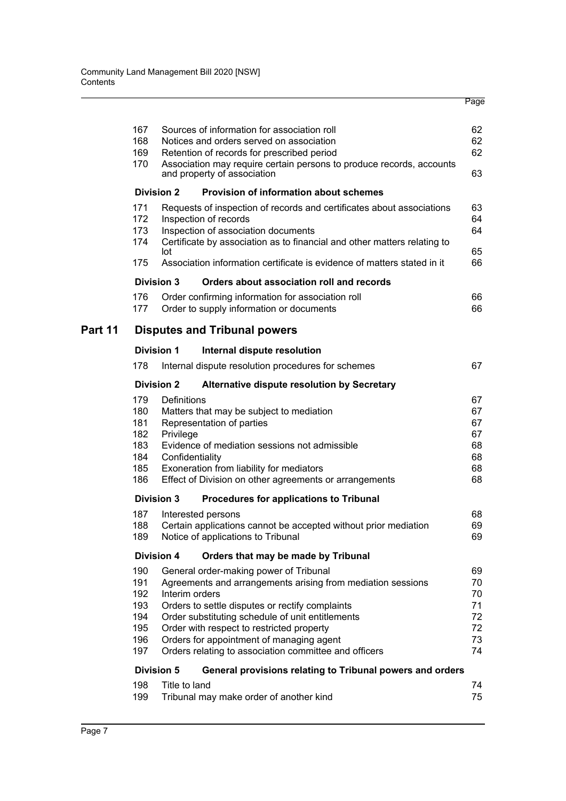|         | 167<br>168<br>169<br>170                             |                                             | Sources of information for association roll<br>Notices and orders served on association<br>Retention of records for prescribed period<br>Association may require certain persons to produce records, accounts<br>and property of association                                                                                                                   | 62<br>62<br>62<br>63                         |
|---------|------------------------------------------------------|---------------------------------------------|----------------------------------------------------------------------------------------------------------------------------------------------------------------------------------------------------------------------------------------------------------------------------------------------------------------------------------------------------------------|----------------------------------------------|
|         |                                                      | <b>Division 2</b>                           | <b>Provision of information about schemes</b>                                                                                                                                                                                                                                                                                                                  |                                              |
|         | 171<br>172<br>173<br>174<br>175                      | lot                                         | Requests of inspection of records and certificates about associations<br>Inspection of records<br>Inspection of association documents<br>Certificate by association as to financial and other matters relating to<br>Association information certificate is evidence of matters stated in it                                                                   | 63<br>64<br>64<br>65<br>66                   |
|         |                                                      | <b>Division 3</b>                           | Orders about association roll and records                                                                                                                                                                                                                                                                                                                      |                                              |
|         | 176<br>177                                           |                                             | Order confirming information for association roll<br>Order to supply information or documents                                                                                                                                                                                                                                                                  | 66<br>66                                     |
| Part 11 |                                                      |                                             | <b>Disputes and Tribunal powers</b>                                                                                                                                                                                                                                                                                                                            |                                              |
|         |                                                      | <b>Division 1</b>                           | Internal dispute resolution                                                                                                                                                                                                                                                                                                                                    |                                              |
|         | 178                                                  |                                             | Internal dispute resolution procedures for schemes                                                                                                                                                                                                                                                                                                             | 67                                           |
|         |                                                      | <b>Division 2</b>                           | Alternative dispute resolution by Secretary                                                                                                                                                                                                                                                                                                                    |                                              |
|         | 179<br>180<br>181<br>182<br>183<br>184<br>185        | Definitions<br>Privilege<br>Confidentiality | Matters that may be subject to mediation<br>Representation of parties<br>Evidence of mediation sessions not admissible<br>Exoneration from liability for mediators                                                                                                                                                                                             | 67<br>67<br>67<br>67<br>68<br>68<br>68       |
|         | 186                                                  |                                             | Effect of Division on other agreements or arrangements                                                                                                                                                                                                                                                                                                         | 68                                           |
|         |                                                      | Division 3                                  | Procedures for applications to Tribunal                                                                                                                                                                                                                                                                                                                        |                                              |
|         | 187<br>188<br>189                                    |                                             | Interested persons<br>Certain applications cannot be accepted without prior mediation<br>Notice of applications to Tribunal                                                                                                                                                                                                                                    | 68<br>69<br>69                               |
|         |                                                      | <b>Division 4</b>                           | Orders that may be made by Tribunal                                                                                                                                                                                                                                                                                                                            |                                              |
|         | 190<br>191<br>192<br>193<br>194<br>195<br>196<br>197 | Interim orders                              | General order-making power of Tribunal<br>Agreements and arrangements arising from mediation sessions<br>Orders to settle disputes or rectify complaints<br>Order substituting schedule of unit entitlements<br>Order with respect to restricted property<br>Orders for appointment of managing agent<br>Orders relating to association committee and officers | 69<br>70<br>70<br>71<br>72<br>72<br>73<br>74 |
|         |                                                      | <b>Division 5</b>                           | General provisions relating to Tribunal powers and orders                                                                                                                                                                                                                                                                                                      |                                              |
|         | 198<br>199                                           | Title to land                               | Tribunal may make order of another kind                                                                                                                                                                                                                                                                                                                        | 74<br>75                                     |
|         |                                                      |                                             |                                                                                                                                                                                                                                                                                                                                                                |                                              |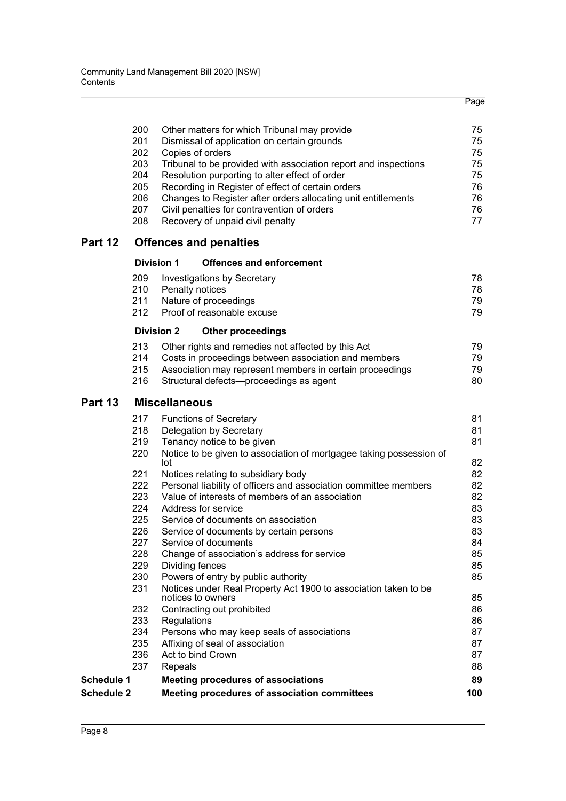|                   |     |                                                                                             | Page |
|-------------------|-----|---------------------------------------------------------------------------------------------|------|
|                   | 200 |                                                                                             | 75   |
|                   | 201 | Other matters for which Tribunal may provide<br>Dismissal of application on certain grounds | 75   |
|                   | 202 | Copies of orders                                                                            | 75   |
|                   | 203 | Tribunal to be provided with association report and inspections                             | 75   |
|                   | 204 | Resolution purporting to alter effect of order                                              | 75   |
|                   | 205 | Recording in Register of effect of certain orders                                           | 76   |
|                   | 206 | Changes to Register after orders allocating unit entitlements                               | 76   |
|                   | 207 | Civil penalties for contravention of orders                                                 | 76   |
|                   | 208 | Recovery of unpaid civil penalty                                                            | 77   |
| Part 12           |     | <b>Offences and penalties</b>                                                               |      |
|                   |     | <b>Division 1</b><br><b>Offences and enforcement</b>                                        |      |
|                   | 209 | Investigations by Secretary                                                                 | 78   |
|                   | 210 | Penalty notices                                                                             | 78   |
|                   | 211 | Nature of proceedings                                                                       | 79   |
|                   | 212 | Proof of reasonable excuse                                                                  | 79   |
|                   |     | <b>Division 2</b><br><b>Other proceedings</b>                                               |      |
|                   | 213 | Other rights and remedies not affected by this Act                                          | 79   |
|                   | 214 | Costs in proceedings between association and members                                        | 79   |
|                   | 215 | Association may represent members in certain proceedings                                    | 79   |
|                   | 216 | Structural defects-proceedings as agent                                                     | 80   |
| Part 13           |     | <b>Miscellaneous</b>                                                                        |      |
|                   | 217 | <b>Functions of Secretary</b>                                                               | 81   |
|                   | 218 | Delegation by Secretary                                                                     | 81   |
|                   | 219 | Tenancy notice to be given                                                                  | 81   |
|                   | 220 | Notice to be given to association of mortgagee taking possession of<br>lot                  | 82   |
|                   | 221 | Notices relating to subsidiary body                                                         | 82   |
|                   | 222 | Personal liability of officers and association committee members                            | 82   |
|                   | 223 | Value of interests of members of an association                                             | 82   |
|                   | 224 | Address for service                                                                         | 83   |
|                   | 225 | Service of documents on association                                                         | 83   |
|                   | 226 | Service of documents by certain persons                                                     | 83   |
|                   | 227 | Service of documents                                                                        | 84   |
|                   | 228 | Change of association's address for service                                                 | 85   |
|                   | 229 | Dividing fences                                                                             | 85   |
|                   | 230 | Powers of entry by public authority                                                         | 85   |
|                   | 231 | Notices under Real Property Act 1900 to association taken to be<br>notices to owners        | 85   |
|                   | 232 | Contracting out prohibited                                                                  | 86   |
|                   | 233 | Regulations                                                                                 | 86   |
|                   | 234 | Persons who may keep seals of associations                                                  | 87   |
|                   | 235 | Affixing of seal of association                                                             | 87   |
|                   | 236 | Act to bind Crown                                                                           | 87   |
|                   | 237 | Repeals                                                                                     | 88   |
| <b>Schedule 1</b> |     | <b>Meeting procedures of associations</b>                                                   | 89   |
| <b>Schedule 2</b> |     | Meeting procedures of association committees                                                | 100  |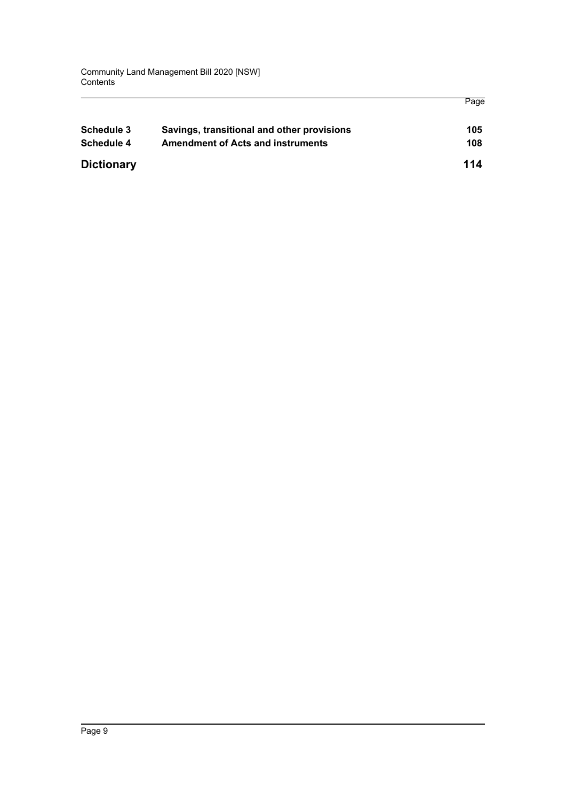| <b>Schedule 3</b> | Savings, transitional and other provisions | 105 |
|-------------------|--------------------------------------------|-----|
| Schedule 4        | <b>Amendment of Acts and instruments</b>   | 108 |
| <b>Dictionary</b> |                                            | 114 |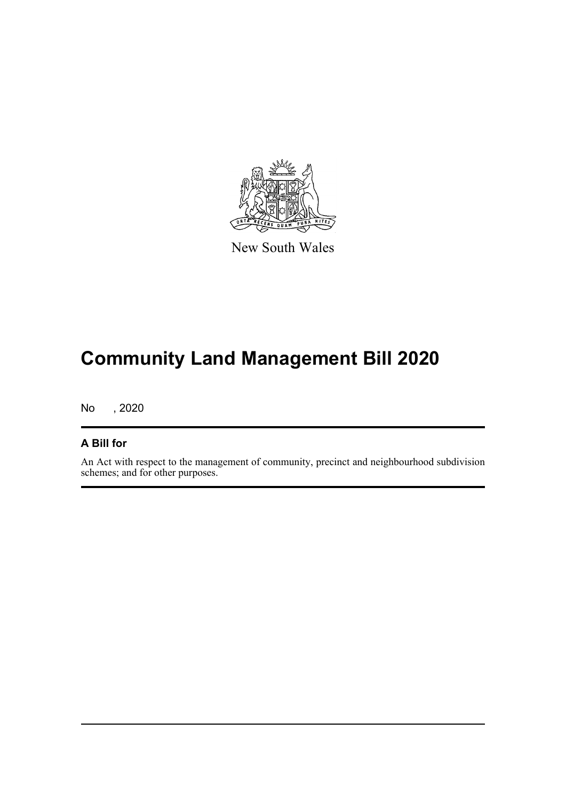

New South Wales

# **Community Land Management Bill 2020**

No , 2020

### **A Bill for**

An Act with respect to the management of community, precinct and neighbourhood subdivision schemes; and for other purposes.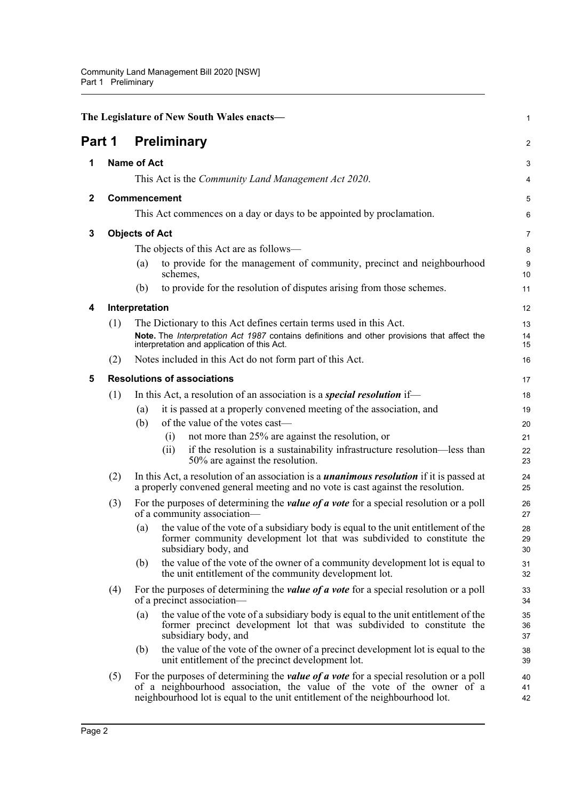<span id="page-19-5"></span><span id="page-19-4"></span><span id="page-19-3"></span><span id="page-19-2"></span><span id="page-19-1"></span><span id="page-19-0"></span>

|              | The Legislature of New South Wales enacts- |                                                                                                                                                                                                                                                          |                |  |  |
|--------------|--------------------------------------------|----------------------------------------------------------------------------------------------------------------------------------------------------------------------------------------------------------------------------------------------------------|----------------|--|--|
| Part 1       |                                            | <b>Preliminary</b>                                                                                                                                                                                                                                       | $\overline{a}$ |  |  |
| 1            |                                            | <b>Name of Act</b>                                                                                                                                                                                                                                       | 3              |  |  |
|              |                                            | This Act is the <i>Community Land Management Act 2020</i> .                                                                                                                                                                                              | 4              |  |  |
| $\mathbf{2}$ |                                            | Commencement                                                                                                                                                                                                                                             | 5              |  |  |
|              |                                            | This Act commences on a day or days to be appointed by proclamation.                                                                                                                                                                                     | 6              |  |  |
| 3            | <b>Objects of Act</b>                      |                                                                                                                                                                                                                                                          |                |  |  |
|              |                                            | The objects of this Act are as follows—                                                                                                                                                                                                                  | 8              |  |  |
|              |                                            | to provide for the management of community, precinct and neighbourhood<br>(a)<br>schemes,                                                                                                                                                                | 9<br>10        |  |  |
|              |                                            | to provide for the resolution of disputes arising from those schemes.<br>(b)                                                                                                                                                                             | 11             |  |  |
| 4            |                                            | Interpretation                                                                                                                                                                                                                                           | 12             |  |  |
|              | (1)                                        | The Dictionary to this Act defines certain terms used in this Act.<br>Note. The Interpretation Act 1987 contains definitions and other provisions that affect the<br>interpretation and application of this Act.                                         | 13<br>14<br>15 |  |  |
|              | (2)                                        | Notes included in this Act do not form part of this Act.                                                                                                                                                                                                 | 16             |  |  |
| 5            |                                            | <b>Resolutions of associations</b>                                                                                                                                                                                                                       | 17             |  |  |
|              | (1)                                        | In this Act, a resolution of an association is a <i>special resolution</i> if—                                                                                                                                                                           | 18             |  |  |
|              |                                            | it is passed at a properly convened meeting of the association, and<br>(a)                                                                                                                                                                               | 19             |  |  |
|              |                                            | of the value of the votes cast-<br>(b)                                                                                                                                                                                                                   | 20             |  |  |
|              |                                            | not more than 25% are against the resolution, or<br>(i)<br>if the resolution is a sustainability infrastructure resolution—less than<br>(ii)                                                                                                             | 21             |  |  |
|              |                                            | 50% are against the resolution.                                                                                                                                                                                                                          | 22<br>23       |  |  |
|              | (2)                                        | In this Act, a resolution of an association is a <i>unanimous resolution</i> if it is passed at<br>a properly convened general meeting and no vote is cast against the resolution.                                                                       | 24<br>25       |  |  |
|              | (3)                                        | For the purposes of determining the <i>value of a vote</i> for a special resolution or a poll<br>of a community association-                                                                                                                             | 26<br>27       |  |  |
|              |                                            | the value of the vote of a subsidiary body is equal to the unit entitlement of the<br>(a)<br>former community development lot that was subdivided to constitute the<br>subsidiary body, and                                                              | 28<br>29<br>30 |  |  |
|              |                                            | the value of the vote of the owner of a community development lot is equal to<br>(b)<br>the unit entitlement of the community development lot.                                                                                                           | 31<br>32       |  |  |
|              | (4)                                        | For the purposes of determining the <i>value of a vote</i> for a special resolution or a poll<br>of a precinct association—                                                                                                                              | 33<br>34       |  |  |
|              |                                            | the value of the vote of a subsidiary body is equal to the unit entitlement of the<br>(a)<br>former precinct development lot that was subdivided to constitute the<br>subsidiary body, and                                                               | 35<br>36<br>37 |  |  |
|              |                                            | the value of the vote of the owner of a precinct development lot is equal to the<br>(b)<br>unit entitlement of the precinct development lot.                                                                                                             | 38<br>39       |  |  |
|              | (5)                                        | For the purposes of determining the <i>value of a vote</i> for a special resolution or a poll<br>of a neighbourhood association, the value of the vote of the owner of a<br>neighbourhood lot is equal to the unit entitlement of the neighbourhood lot. | 40<br>41<br>42 |  |  |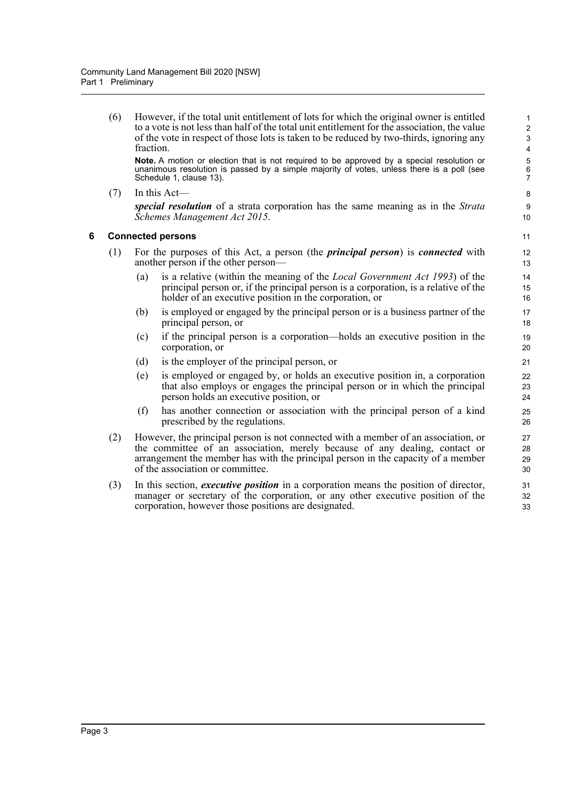(6) However, if the total unit entitlement of lots for which the original owner is entitled to a vote is not less than half of the total unit entitlement for the association, the value of the vote in respect of those lots is taken to be reduced by two-thirds, ignoring any fraction.

**Note.** A motion or election that is not required to be approved by a special resolution or unanimous resolution is passed by a simple majority of votes, unless there is a poll (see Schedule 1, clause 13).

(7) In this Act *special resolution* of a strata corporation has the same meaning as in the *Strata Schemes Management Act 2015*.

#### <span id="page-20-0"></span>**6 Connected persons**

- (1) For the purposes of this Act, a person (the *principal person*) is *connected* with another person if the other person—
	- (a) is a relative (within the meaning of the *Local Government Act 1993*) of the principal person or, if the principal person is a corporation, is a relative of the holder of an executive position in the corporation, or
	- (b) is employed or engaged by the principal person or is a business partner of the principal person, or
	- (c) if the principal person is a corporation—holds an executive position in the corporation, or
	- (d) is the employer of the principal person, or
	- (e) is employed or engaged by, or holds an executive position in, a corporation that also employs or engages the principal person or in which the principal person holds an executive position, or
	- (f) has another connection or association with the principal person of a kind prescribed by the regulations.
- (2) However, the principal person is not connected with a member of an association, or the committee of an association, merely because of any dealing, contact or arrangement the member has with the principal person in the capacity of a member of the association or committee.
- (3) In this section, *executive position* in a corporation means the position of director, manager or secretary of the corporation, or any other executive position of the corporation, however those positions are designated.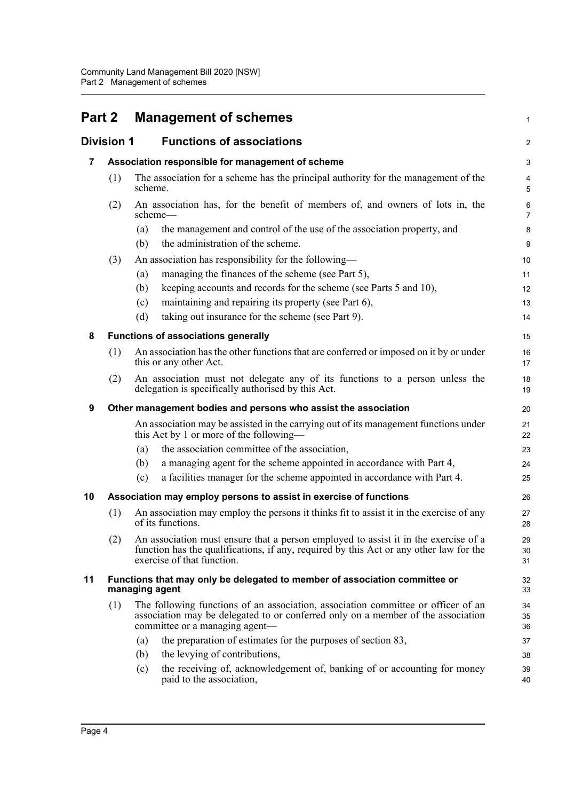<span id="page-21-6"></span><span id="page-21-5"></span><span id="page-21-4"></span><span id="page-21-3"></span><span id="page-21-2"></span><span id="page-21-1"></span><span id="page-21-0"></span>

| <b>Part 2</b> |                   | <b>Management of schemes</b>                                                                                                                                                                                | 1              |
|---------------|-------------------|-------------------------------------------------------------------------------------------------------------------------------------------------------------------------------------------------------------|----------------|
|               | <b>Division 1</b> | <b>Functions of associations</b>                                                                                                                                                                            | $\overline{a}$ |
| 7             |                   | Association responsible for management of scheme                                                                                                                                                            | 3              |
|               | (1)               | The association for a scheme has the principal authority for the management of the<br>scheme.                                                                                                               | 4<br>5         |
|               | (2)               | An association has, for the benefit of members of, and owners of lots in, the<br>scheme—                                                                                                                    | 6<br>7         |
|               |                   | the management and control of the use of the association property, and<br>(a)<br>the administration of the scheme.<br>(b)                                                                                   | 8<br>9         |
|               | (3)               | An association has responsibility for the following-                                                                                                                                                        | 10             |
|               |                   | managing the finances of the scheme (see Part 5),<br>(a)                                                                                                                                                    | 11             |
|               |                   | keeping accounts and records for the scheme (see Parts 5 and 10),<br>(b)                                                                                                                                    | 12             |
|               |                   | maintaining and repairing its property (see Part 6),<br>(c)                                                                                                                                                 | 13             |
|               |                   | taking out insurance for the scheme (see Part 9).<br>(d)                                                                                                                                                    | 14             |
| 8             |                   | <b>Functions of associations generally</b>                                                                                                                                                                  | 15             |
|               | (1)               | An association has the other functions that are conferred or imposed on it by or under<br>this or any other Act.                                                                                            | 16<br>17       |
|               | (2)               | An association must not delegate any of its functions to a person unless the<br>delegation is specifically authorised by this Act.                                                                          | 18<br>19       |
| 9             |                   | Other management bodies and persons who assist the association                                                                                                                                              | 20             |
|               |                   | An association may be assisted in the carrying out of its management functions under<br>this Act by 1 or more of the following—                                                                             | 21<br>22       |
|               |                   | the association committee of the association,<br>(a)                                                                                                                                                        | 23             |
|               |                   | a managing agent for the scheme appointed in accordance with Part 4,<br>(b)                                                                                                                                 | 24             |
|               |                   | a facilities manager for the scheme appointed in accordance with Part 4.<br>(c)                                                                                                                             | 25             |
| 10            |                   | Association may employ persons to assist in exercise of functions                                                                                                                                           | 26             |
|               | (1)               | An association may employ the persons it thinks fit to assist it in the exercise of any<br>of its functions.                                                                                                | 27<br>28       |
|               | (2)               | An association must ensure that a person employed to assist it in the exercise of a<br>function has the qualifications, if any, required by this Act or any other law for the<br>exercise of that function. | 29<br>30<br>31 |
| 11            |                   | Functions that may only be delegated to member of association committee or<br>managing agent                                                                                                                | 32<br>33       |
|               | (1)               | The following functions of an association, association committee or officer of an<br>association may be delegated to or conferred only on a member of the association<br>committee or a managing agent—     | 34<br>35<br>36 |
|               |                   | the preparation of estimates for the purposes of section 83,<br>(a)                                                                                                                                         | 37             |
|               |                   | the levying of contributions,<br>(b)                                                                                                                                                                        | 38             |
|               |                   | the receiving of, acknowledgement of, banking of or accounting for money<br>(c)<br>paid to the association,                                                                                                 | 39<br>40       |
|               |                   |                                                                                                                                                                                                             |                |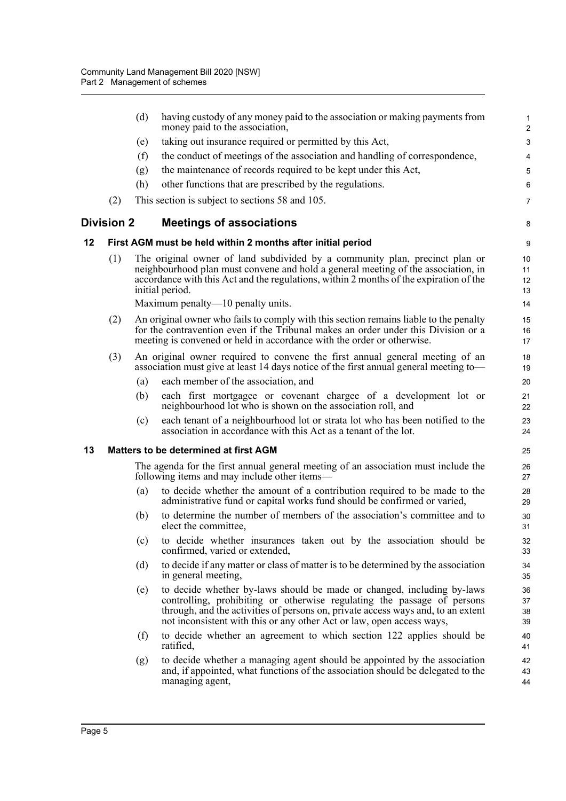<span id="page-22-2"></span><span id="page-22-1"></span><span id="page-22-0"></span>

| taking out insurance required or permitted by this Act,<br>(e)<br>the conduct of meetings of the association and handling of correspondence,<br>(f)<br>the maintenance of records required to be kept under this Act,<br>(g)<br>(h)<br>other functions that are prescribed by the regulations.<br>(2)<br>This section is subject to sections 58 and 105.<br><b>Division 2</b><br><b>Meetings of associations</b><br>12<br>First AGM must be held within 2 months after initial period<br>(1)<br>The original owner of land subdivided by a community plan, precinct plan or<br>neighbourhood plan must convene and hold a general meeting of the association, in<br>accordance with this Act and the regulations, within 2 months of the expiration of the<br>initial period.<br>Maximum penalty—10 penalty units.<br>(2)<br>An original owner who fails to comply with this section remains liable to the penalty<br>15<br>for the contravention even if the Tribunal makes an order under this Division or a<br>16<br>meeting is convened or held in accordance with the order or otherwise.<br>17<br>(3)<br>An original owner required to convene the first annual general meeting of an<br>association must give at least 14 days notice of the first annual general meeting to—<br>each member of the association, and<br>(a)<br>each first mortgagee or covenant chargee of a development lot or<br>(b)<br>neighbourhood lot who is shown on the association roll, and<br>each tenant of a neighbourhood lot or strata lot who has been notified to the<br>(c)<br>association in accordance with this Act as a tenant of the lot.<br>13<br><b>Matters to be determined at first AGM</b><br>25<br>The agenda for the first annual general meeting of an association must include the<br>following items and may include other items—<br>to decide whether the amount of a contribution required to be made to the<br>(a)<br>administrative fund or capital works fund should be confirmed or varied,<br>to determine the number of members of the association's committee and to<br>(b)<br>elect the committee,<br>to decide whether insurances taken out by the association should be<br>(c)<br>confirmed, varied or extended,<br>(d)<br>to decide if any matter or class of matter is to be determined by the association<br>in general meeting,<br>(e)<br>to decide whether by-laws should be made or changed, including by-laws<br>controlling, prohibiting or otherwise regulating the passage of persons<br>through, and the activities of persons on, private access ways and, to an extent<br>not inconsistent with this or any other Act or law, open access ways,<br>to decide whether an agreement to which section 122 applies should be<br>(f)<br>ratified,<br>to decide whether a managing agent should be appointed by the association<br>(g)<br>and, if appointed, what functions of the association should be delegated to the<br>managing agent, |  | (d) | having custody of any money paid to the association or making payments from<br>money paid to the association, | $\mathbf{1}$<br>$\overline{c}$ |  |
|-------------------------------------------------------------------------------------------------------------------------------------------------------------------------------------------------------------------------------------------------------------------------------------------------------------------------------------------------------------------------------------------------------------------------------------------------------------------------------------------------------------------------------------------------------------------------------------------------------------------------------------------------------------------------------------------------------------------------------------------------------------------------------------------------------------------------------------------------------------------------------------------------------------------------------------------------------------------------------------------------------------------------------------------------------------------------------------------------------------------------------------------------------------------------------------------------------------------------------------------------------------------------------------------------------------------------------------------------------------------------------------------------------------------------------------------------------------------------------------------------------------------------------------------------------------------------------------------------------------------------------------------------------------------------------------------------------------------------------------------------------------------------------------------------------------------------------------------------------------------------------------------------------------------------------------------------------------------------------------------------------------------------------------------------------------------------------------------------------------------------------------------------------------------------------------------------------------------------------------------------------------------------------------------------------------------------------------------------------------------------------------------------------------------------------------------------------------------------------------------------------------------------------------------------------------------------------------------------------------------------------------------------------------------------------------------------------------------------------------------------------------------------------------------------------------------------------------------------------------------------------------------------------------------------------------------------------------------------|--|-----|---------------------------------------------------------------------------------------------------------------|--------------------------------|--|
|                                                                                                                                                                                                                                                                                                                                                                                                                                                                                                                                                                                                                                                                                                                                                                                                                                                                                                                                                                                                                                                                                                                                                                                                                                                                                                                                                                                                                                                                                                                                                                                                                                                                                                                                                                                                                                                                                                                                                                                                                                                                                                                                                                                                                                                                                                                                                                                                                                                                                                                                                                                                                                                                                                                                                                                                                                                                                                                                                                         |  |     |                                                                                                               | 3                              |  |
|                                                                                                                                                                                                                                                                                                                                                                                                                                                                                                                                                                                                                                                                                                                                                                                                                                                                                                                                                                                                                                                                                                                                                                                                                                                                                                                                                                                                                                                                                                                                                                                                                                                                                                                                                                                                                                                                                                                                                                                                                                                                                                                                                                                                                                                                                                                                                                                                                                                                                                                                                                                                                                                                                                                                                                                                                                                                                                                                                                         |  |     |                                                                                                               | 4                              |  |
|                                                                                                                                                                                                                                                                                                                                                                                                                                                                                                                                                                                                                                                                                                                                                                                                                                                                                                                                                                                                                                                                                                                                                                                                                                                                                                                                                                                                                                                                                                                                                                                                                                                                                                                                                                                                                                                                                                                                                                                                                                                                                                                                                                                                                                                                                                                                                                                                                                                                                                                                                                                                                                                                                                                                                                                                                                                                                                                                                                         |  |     |                                                                                                               | 5                              |  |
|                                                                                                                                                                                                                                                                                                                                                                                                                                                                                                                                                                                                                                                                                                                                                                                                                                                                                                                                                                                                                                                                                                                                                                                                                                                                                                                                                                                                                                                                                                                                                                                                                                                                                                                                                                                                                                                                                                                                                                                                                                                                                                                                                                                                                                                                                                                                                                                                                                                                                                                                                                                                                                                                                                                                                                                                                                                                                                                                                                         |  |     |                                                                                                               | 6                              |  |
|                                                                                                                                                                                                                                                                                                                                                                                                                                                                                                                                                                                                                                                                                                                                                                                                                                                                                                                                                                                                                                                                                                                                                                                                                                                                                                                                                                                                                                                                                                                                                                                                                                                                                                                                                                                                                                                                                                                                                                                                                                                                                                                                                                                                                                                                                                                                                                                                                                                                                                                                                                                                                                                                                                                                                                                                                                                                                                                                                                         |  |     |                                                                                                               | 7                              |  |
|                                                                                                                                                                                                                                                                                                                                                                                                                                                                                                                                                                                                                                                                                                                                                                                                                                                                                                                                                                                                                                                                                                                                                                                                                                                                                                                                                                                                                                                                                                                                                                                                                                                                                                                                                                                                                                                                                                                                                                                                                                                                                                                                                                                                                                                                                                                                                                                                                                                                                                                                                                                                                                                                                                                                                                                                                                                                                                                                                                         |  |     |                                                                                                               | 8                              |  |
|                                                                                                                                                                                                                                                                                                                                                                                                                                                                                                                                                                                                                                                                                                                                                                                                                                                                                                                                                                                                                                                                                                                                                                                                                                                                                                                                                                                                                                                                                                                                                                                                                                                                                                                                                                                                                                                                                                                                                                                                                                                                                                                                                                                                                                                                                                                                                                                                                                                                                                                                                                                                                                                                                                                                                                                                                                                                                                                                                                         |  |     |                                                                                                               | 9                              |  |
|                                                                                                                                                                                                                                                                                                                                                                                                                                                                                                                                                                                                                                                                                                                                                                                                                                                                                                                                                                                                                                                                                                                                                                                                                                                                                                                                                                                                                                                                                                                                                                                                                                                                                                                                                                                                                                                                                                                                                                                                                                                                                                                                                                                                                                                                                                                                                                                                                                                                                                                                                                                                                                                                                                                                                                                                                                                                                                                                                                         |  |     |                                                                                                               | 10<br>11<br>12<br>13           |  |
|                                                                                                                                                                                                                                                                                                                                                                                                                                                                                                                                                                                                                                                                                                                                                                                                                                                                                                                                                                                                                                                                                                                                                                                                                                                                                                                                                                                                                                                                                                                                                                                                                                                                                                                                                                                                                                                                                                                                                                                                                                                                                                                                                                                                                                                                                                                                                                                                                                                                                                                                                                                                                                                                                                                                                                                                                                                                                                                                                                         |  |     |                                                                                                               | 14                             |  |
|                                                                                                                                                                                                                                                                                                                                                                                                                                                                                                                                                                                                                                                                                                                                                                                                                                                                                                                                                                                                                                                                                                                                                                                                                                                                                                                                                                                                                                                                                                                                                                                                                                                                                                                                                                                                                                                                                                                                                                                                                                                                                                                                                                                                                                                                                                                                                                                                                                                                                                                                                                                                                                                                                                                                                                                                                                                                                                                                                                         |  |     |                                                                                                               |                                |  |
|                                                                                                                                                                                                                                                                                                                                                                                                                                                                                                                                                                                                                                                                                                                                                                                                                                                                                                                                                                                                                                                                                                                                                                                                                                                                                                                                                                                                                                                                                                                                                                                                                                                                                                                                                                                                                                                                                                                                                                                                                                                                                                                                                                                                                                                                                                                                                                                                                                                                                                                                                                                                                                                                                                                                                                                                                                                                                                                                                                         |  |     |                                                                                                               | 18<br>19                       |  |
|                                                                                                                                                                                                                                                                                                                                                                                                                                                                                                                                                                                                                                                                                                                                                                                                                                                                                                                                                                                                                                                                                                                                                                                                                                                                                                                                                                                                                                                                                                                                                                                                                                                                                                                                                                                                                                                                                                                                                                                                                                                                                                                                                                                                                                                                                                                                                                                                                                                                                                                                                                                                                                                                                                                                                                                                                                                                                                                                                                         |  |     |                                                                                                               | 20                             |  |
|                                                                                                                                                                                                                                                                                                                                                                                                                                                                                                                                                                                                                                                                                                                                                                                                                                                                                                                                                                                                                                                                                                                                                                                                                                                                                                                                                                                                                                                                                                                                                                                                                                                                                                                                                                                                                                                                                                                                                                                                                                                                                                                                                                                                                                                                                                                                                                                                                                                                                                                                                                                                                                                                                                                                                                                                                                                                                                                                                                         |  |     |                                                                                                               | 21<br>22                       |  |
|                                                                                                                                                                                                                                                                                                                                                                                                                                                                                                                                                                                                                                                                                                                                                                                                                                                                                                                                                                                                                                                                                                                                                                                                                                                                                                                                                                                                                                                                                                                                                                                                                                                                                                                                                                                                                                                                                                                                                                                                                                                                                                                                                                                                                                                                                                                                                                                                                                                                                                                                                                                                                                                                                                                                                                                                                                                                                                                                                                         |  |     |                                                                                                               | 23<br>24                       |  |
|                                                                                                                                                                                                                                                                                                                                                                                                                                                                                                                                                                                                                                                                                                                                                                                                                                                                                                                                                                                                                                                                                                                                                                                                                                                                                                                                                                                                                                                                                                                                                                                                                                                                                                                                                                                                                                                                                                                                                                                                                                                                                                                                                                                                                                                                                                                                                                                                                                                                                                                                                                                                                                                                                                                                                                                                                                                                                                                                                                         |  |     |                                                                                                               |                                |  |
|                                                                                                                                                                                                                                                                                                                                                                                                                                                                                                                                                                                                                                                                                                                                                                                                                                                                                                                                                                                                                                                                                                                                                                                                                                                                                                                                                                                                                                                                                                                                                                                                                                                                                                                                                                                                                                                                                                                                                                                                                                                                                                                                                                                                                                                                                                                                                                                                                                                                                                                                                                                                                                                                                                                                                                                                                                                                                                                                                                         |  |     |                                                                                                               | 26<br>27                       |  |
|                                                                                                                                                                                                                                                                                                                                                                                                                                                                                                                                                                                                                                                                                                                                                                                                                                                                                                                                                                                                                                                                                                                                                                                                                                                                                                                                                                                                                                                                                                                                                                                                                                                                                                                                                                                                                                                                                                                                                                                                                                                                                                                                                                                                                                                                                                                                                                                                                                                                                                                                                                                                                                                                                                                                                                                                                                                                                                                                                                         |  |     |                                                                                                               | 28<br>29                       |  |
|                                                                                                                                                                                                                                                                                                                                                                                                                                                                                                                                                                                                                                                                                                                                                                                                                                                                                                                                                                                                                                                                                                                                                                                                                                                                                                                                                                                                                                                                                                                                                                                                                                                                                                                                                                                                                                                                                                                                                                                                                                                                                                                                                                                                                                                                                                                                                                                                                                                                                                                                                                                                                                                                                                                                                                                                                                                                                                                                                                         |  |     |                                                                                                               | 30<br>31                       |  |
|                                                                                                                                                                                                                                                                                                                                                                                                                                                                                                                                                                                                                                                                                                                                                                                                                                                                                                                                                                                                                                                                                                                                                                                                                                                                                                                                                                                                                                                                                                                                                                                                                                                                                                                                                                                                                                                                                                                                                                                                                                                                                                                                                                                                                                                                                                                                                                                                                                                                                                                                                                                                                                                                                                                                                                                                                                                                                                                                                                         |  |     |                                                                                                               | 32<br>33                       |  |
|                                                                                                                                                                                                                                                                                                                                                                                                                                                                                                                                                                                                                                                                                                                                                                                                                                                                                                                                                                                                                                                                                                                                                                                                                                                                                                                                                                                                                                                                                                                                                                                                                                                                                                                                                                                                                                                                                                                                                                                                                                                                                                                                                                                                                                                                                                                                                                                                                                                                                                                                                                                                                                                                                                                                                                                                                                                                                                                                                                         |  |     |                                                                                                               | 34<br>35                       |  |
|                                                                                                                                                                                                                                                                                                                                                                                                                                                                                                                                                                                                                                                                                                                                                                                                                                                                                                                                                                                                                                                                                                                                                                                                                                                                                                                                                                                                                                                                                                                                                                                                                                                                                                                                                                                                                                                                                                                                                                                                                                                                                                                                                                                                                                                                                                                                                                                                                                                                                                                                                                                                                                                                                                                                                                                                                                                                                                                                                                         |  |     |                                                                                                               | 36<br>37<br>38<br>39           |  |
|                                                                                                                                                                                                                                                                                                                                                                                                                                                                                                                                                                                                                                                                                                                                                                                                                                                                                                                                                                                                                                                                                                                                                                                                                                                                                                                                                                                                                                                                                                                                                                                                                                                                                                                                                                                                                                                                                                                                                                                                                                                                                                                                                                                                                                                                                                                                                                                                                                                                                                                                                                                                                                                                                                                                                                                                                                                                                                                                                                         |  |     |                                                                                                               | 40<br>41                       |  |
|                                                                                                                                                                                                                                                                                                                                                                                                                                                                                                                                                                                                                                                                                                                                                                                                                                                                                                                                                                                                                                                                                                                                                                                                                                                                                                                                                                                                                                                                                                                                                                                                                                                                                                                                                                                                                                                                                                                                                                                                                                                                                                                                                                                                                                                                                                                                                                                                                                                                                                                                                                                                                                                                                                                                                                                                                                                                                                                                                                         |  |     |                                                                                                               | 42<br>43<br>44                 |  |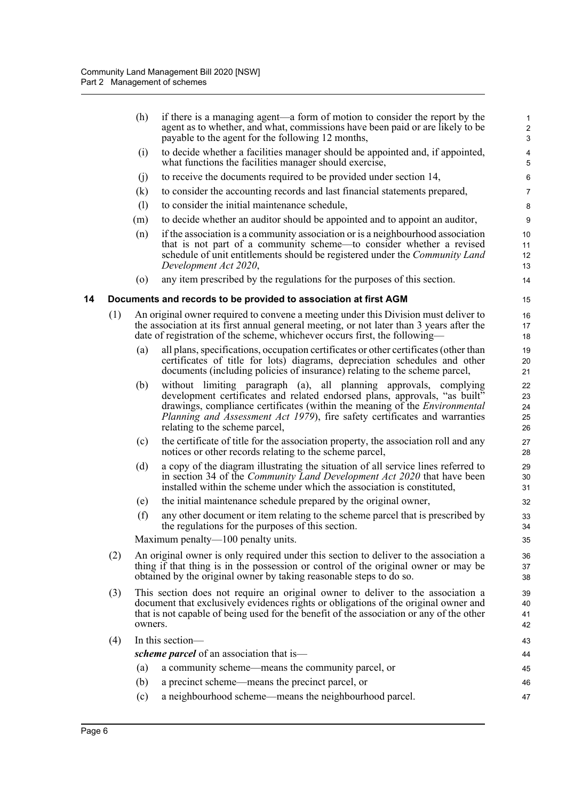<span id="page-23-0"></span>

|    |     | (h)                                                                                                                                                                                                                                                                           | if there is a managing agent—a form of motion to consider the report by the<br>agent as to whether, and what, commissions have been paid or are likely to be<br>payable to the agent for the following 12 months,                                                                                                                                    | $\mathbf 1$<br>$\overline{\mathbf{c}}$<br>3 |
|----|-----|-------------------------------------------------------------------------------------------------------------------------------------------------------------------------------------------------------------------------------------------------------------------------------|------------------------------------------------------------------------------------------------------------------------------------------------------------------------------------------------------------------------------------------------------------------------------------------------------------------------------------------------------|---------------------------------------------|
|    |     | (i)                                                                                                                                                                                                                                                                           | to decide whether a facilities manager should be appointed and, if appointed,<br>what functions the facilities manager should exercise,                                                                                                                                                                                                              | 4<br>5                                      |
|    |     | (j)                                                                                                                                                                                                                                                                           | to receive the documents required to be provided under section 14,                                                                                                                                                                                                                                                                                   | 6                                           |
|    |     | (k)                                                                                                                                                                                                                                                                           | to consider the accounting records and last financial statements prepared,                                                                                                                                                                                                                                                                           | 7                                           |
|    |     | (1)                                                                                                                                                                                                                                                                           | to consider the initial maintenance schedule,                                                                                                                                                                                                                                                                                                        | 8                                           |
|    |     | (m)                                                                                                                                                                                                                                                                           | to decide whether an auditor should be appointed and to appoint an auditor,                                                                                                                                                                                                                                                                          | 9                                           |
|    |     | (n)                                                                                                                                                                                                                                                                           | if the association is a community association or is a neighbourhood association<br>that is not part of a community scheme—to consider whether a revised<br>schedule of unit entitlements should be registered under the Community Land<br>Development Act 2020,                                                                                      | 10<br>11<br>12<br>13                        |
|    |     | $\left( 0\right)$                                                                                                                                                                                                                                                             | any item prescribed by the regulations for the purposes of this section.                                                                                                                                                                                                                                                                             | 14                                          |
| 14 |     |                                                                                                                                                                                                                                                                               | Documents and records to be provided to association at first AGM                                                                                                                                                                                                                                                                                     | 15                                          |
|    | (1) |                                                                                                                                                                                                                                                                               | An original owner required to convene a meeting under this Division must deliver to<br>the association at its first annual general meeting, or not later than 3 years after the<br>date of registration of the scheme, whichever occurs first, the following—                                                                                        | 16<br>17<br>18                              |
|    |     | (a)                                                                                                                                                                                                                                                                           | all plans, specifications, occupation certificates or other certificates (other than<br>certificates of title for lots) diagrams, depreciation schedules and other<br>documents (including policies of insurance) relating to the scheme parcel,                                                                                                     | 19<br>20<br>21                              |
|    |     | (b)                                                                                                                                                                                                                                                                           | without limiting paragraph (a), all planning approvals, complying<br>development certificates and related endorsed plans, approvals, "as built"<br>drawings, compliance certificates (within the meaning of the <i>Environmental</i><br>Planning and Assessment Act 1979), fire safety certificates and warranties<br>relating to the scheme parcel, | 22<br>23<br>24<br>25<br>26                  |
|    |     | (c)                                                                                                                                                                                                                                                                           | the certificate of title for the association property, the association roll and any<br>notices or other records relating to the scheme parcel,                                                                                                                                                                                                       | 27<br>28                                    |
|    |     | (d)                                                                                                                                                                                                                                                                           | a copy of the diagram illustrating the situation of all service lines referred to<br>in section 34 of the <i>Community Land Development Act 2020</i> that have been<br>installed within the scheme under which the association is constituted,                                                                                                       | 29<br>30<br>31                              |
|    |     | (e)                                                                                                                                                                                                                                                                           | the initial maintenance schedule prepared by the original owner,                                                                                                                                                                                                                                                                                     | 32                                          |
|    |     | (f)                                                                                                                                                                                                                                                                           | any other document or item relating to the scheme parcel that is prescribed by<br>the regulations for the purposes of this section.                                                                                                                                                                                                                  | 33<br>34                                    |
|    |     |                                                                                                                                                                                                                                                                               | Maximum penalty— $100$ penalty units.                                                                                                                                                                                                                                                                                                                | 35                                          |
|    | (2) | An original owner is only required under this section to deliver to the association a<br>thing if that thing is in the possession or control of the original owner or may be<br>obtained by the original owner by taking reasonable steps to do so.                           |                                                                                                                                                                                                                                                                                                                                                      |                                             |
|    | (3) | This section does not require an original owner to deliver to the association a<br>document that exclusively evidences rights or obligations of the original owner and<br>that is not capable of being used for the benefit of the association or any of the other<br>owners. |                                                                                                                                                                                                                                                                                                                                                      |                                             |
|    | (4) |                                                                                                                                                                                                                                                                               | In this section-                                                                                                                                                                                                                                                                                                                                     | 43                                          |
|    |     |                                                                                                                                                                                                                                                                               | scheme parcel of an association that is—                                                                                                                                                                                                                                                                                                             | 44                                          |
|    |     | (a)                                                                                                                                                                                                                                                                           | a community scheme—means the community parcel, or                                                                                                                                                                                                                                                                                                    | 45                                          |
|    |     | (b)                                                                                                                                                                                                                                                                           | a precinct scheme—means the precinct parcel, or                                                                                                                                                                                                                                                                                                      | 46                                          |
|    |     | (c)                                                                                                                                                                                                                                                                           | a neighbourhood scheme—means the neighbourhood parcel.                                                                                                                                                                                                                                                                                               | 47                                          |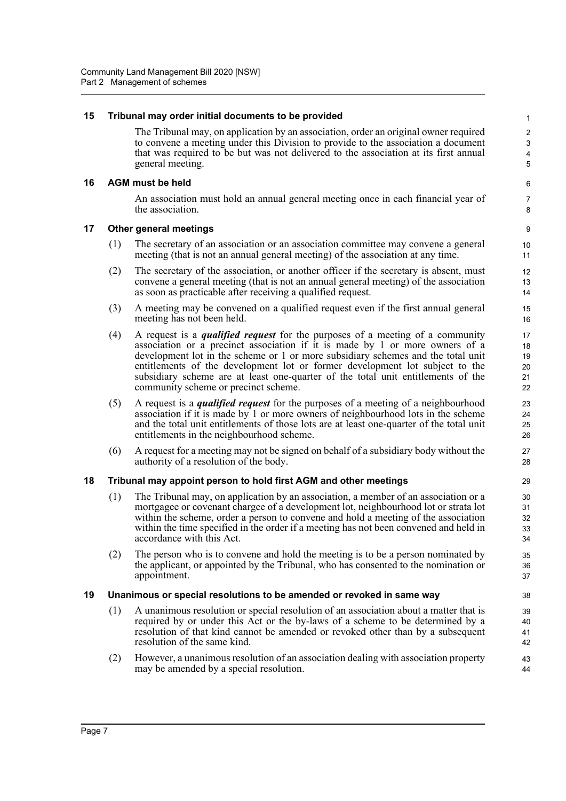#### <span id="page-24-0"></span>**15 Tribunal may order initial documents to be provided**

The Tribunal may, on application by an association, order an original owner required to convene a meeting under this Division to provide to the association a document that was required to be but was not delivered to the association at its first annual general meeting.

#### <span id="page-24-1"></span>**16 AGM must be held**

An association must hold an annual general meeting once in each financial year of the association.

#### <span id="page-24-2"></span>**17 Other general meetings**

- (1) The secretary of an association or an association committee may convene a general meeting (that is not an annual general meeting) of the association at any time.
- (2) The secretary of the association, or another officer if the secretary is absent, must convene a general meeting (that is not an annual general meeting) of the association as soon as practicable after receiving a qualified request.
- (3) A meeting may be convened on a qualified request even if the first annual general meeting has not been held.
- (4) A request is a *qualified request* for the purposes of a meeting of a community association or a precinct association if it is made by 1 or more owners of a development lot in the scheme or 1 or more subsidiary schemes and the total unit entitlements of the development lot or former development lot subject to the subsidiary scheme are at least one-quarter of the total unit entitlements of the community scheme or precinct scheme.
- (5) A request is a *qualified request* for the purposes of a meeting of a neighbourhood association if it is made by 1 or more owners of neighbourhood lots in the scheme and the total unit entitlements of those lots are at least one-quarter of the total unit entitlements in the neighbourhood scheme.
- (6) A request for a meeting may not be signed on behalf of a subsidiary body without the authority of a resolution of the body.

#### <span id="page-24-3"></span>**18 Tribunal may appoint person to hold first AGM and other meetings**

- (1) The Tribunal may, on application by an association, a member of an association or a mortgagee or covenant chargee of a development lot, neighbourhood lot or strata lot within the scheme, order a person to convene and hold a meeting of the association within the time specified in the order if a meeting has not been convened and held in accordance with this Act.
- (2) The person who is to convene and hold the meeting is to be a person nominated by the applicant, or appointed by the Tribunal, who has consented to the nomination or appointment.

#### <span id="page-24-4"></span>**19 Unanimous or special resolutions to be amended or revoked in same way**

- (1) A unanimous resolution or special resolution of an association about a matter that is required by or under this Act or the by-laws of a scheme to be determined by a resolution of that kind cannot be amended or revoked other than by a subsequent resolution of the same kind.
- (2) However, a unanimous resolution of an association dealing with association property may be amended by a special resolution.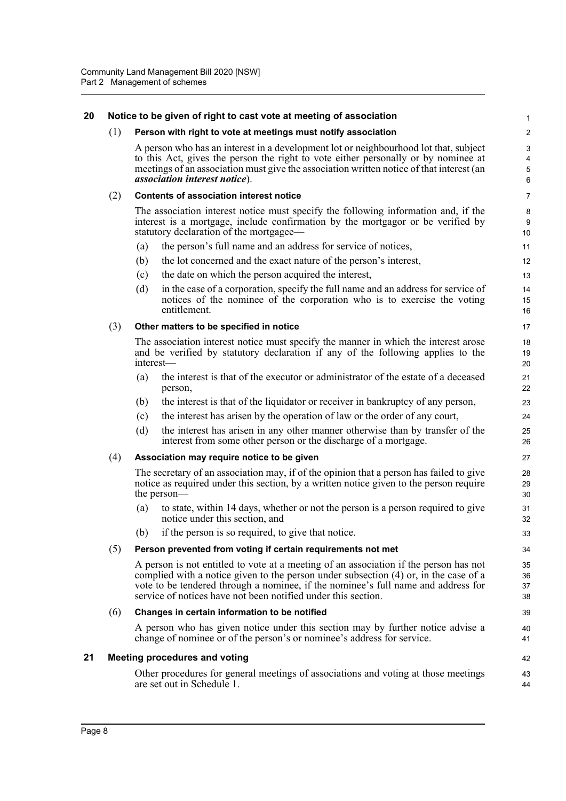#### <span id="page-25-0"></span>**20 Notice to be given of right to cast vote at meeting of association**

#### (1) **Person with right to vote at meetings must notify association**

A person who has an interest in a development lot or neighbourhood lot that, subject to this Act, gives the person the right to vote either personally or by nominee at meetings of an association must give the association written notice of that interest (an *association interest notice*).

42 43  $\overline{A}A$ 

#### (2) **Contents of association interest notice**

The association interest notice must specify the following information and, if the interest is a mortgage, include confirmation by the mortgagor or be verified by statutory declaration of the mortgagee—

- (a) the person's full name and an address for service of notices,
- (b) the lot concerned and the exact nature of the person's interest,
- (c) the date on which the person acquired the interest,
- (d) in the case of a corporation, specify the full name and an address for service of notices of the nominee of the corporation who is to exercise the voting entitlement.

#### (3) **Other matters to be specified in notice**

The association interest notice must specify the manner in which the interest arose and be verified by statutory declaration if any of the following applies to the interest—

- (a) the interest is that of the executor or administrator of the estate of a deceased person,
- (b) the interest is that of the liquidator or receiver in bankruptcy of any person,
- (c) the interest has arisen by the operation of law or the order of any court,
- (d) the interest has arisen in any other manner otherwise than by transfer of the interest from some other person or the discharge of a mortgage.

#### (4) **Association may require notice to be given**

The secretary of an association may, if of the opinion that a person has failed to give notice as required under this section, by a written notice given to the person require the person—

- (a) to state, within 14 days, whether or not the person is a person required to give notice under this section, and
- (b) if the person is so required, to give that notice.

#### (5) **Person prevented from voting if certain requirements not met**

A person is not entitled to vote at a meeting of an association if the person has not complied with a notice given to the person under subsection (4) or, in the case of a vote to be tendered through a nominee, if the nominee's full name and address for service of notices have not been notified under this section.

#### (6) **Changes in certain information to be notified**

A person who has given notice under this section may by further notice advise a change of nominee or of the person's or nominee's address for service.

#### <span id="page-25-1"></span>**21 Meeting procedures and voting**

Other procedures for general meetings of associations and voting at those meetings are set out in Schedule 1.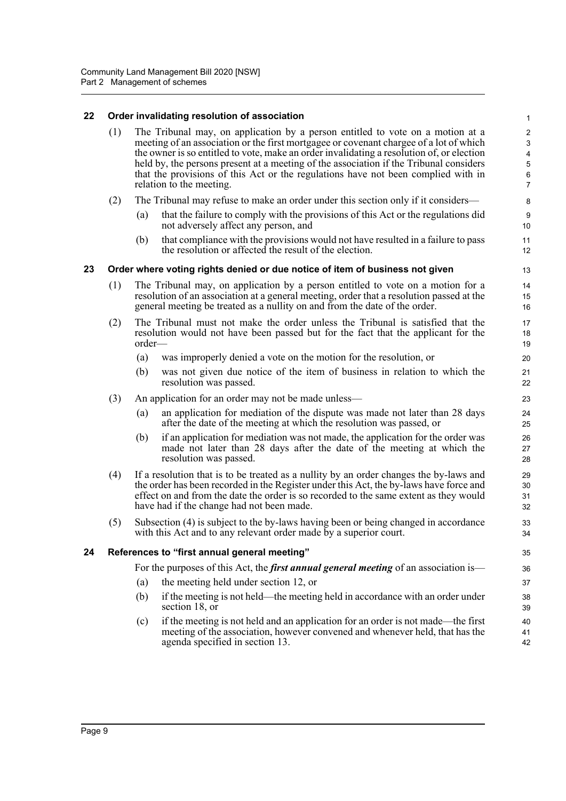#### <span id="page-26-0"></span>**22 Order invalidating resolution of association**

(1) The Tribunal may, on application by a person entitled to vote on a motion at a meeting of an association or the first mortgagee or covenant chargee of a lot of which the owner is so entitled to vote, make an order invalidating a resolution of, or election held by, the persons present at a meeting of the association if the Tribunal considers that the provisions of this Act or the regulations have not been complied with in relation to the meeting.

- (2) The Tribunal may refuse to make an order under this section only if it considers—
	- (a) that the failure to comply with the provisions of this Act or the regulations did not adversely affect any person, and
	- (b) that compliance with the provisions would not have resulted in a failure to pass the resolution or affected the result of the election.

#### <span id="page-26-1"></span>**23 Order where voting rights denied or due notice of item of business not given**

- (1) The Tribunal may, on application by a person entitled to vote on a motion for a resolution of an association at a general meeting, order that a resolution passed at the general meeting be treated as a nullity on and from the date of the order.
- (2) The Tribunal must not make the order unless the Tribunal is satisfied that the resolution would not have been passed but for the fact that the applicant for the order—
	- (a) was improperly denied a vote on the motion for the resolution, or
	- (b) was not given due notice of the item of business in relation to which the resolution was passed.
- (3) An application for an order may not be made unless—
	- (a) an application for mediation of the dispute was made not later than 28 days after the date of the meeting at which the resolution was passed, or
	- (b) if an application for mediation was not made, the application for the order was made not later than 28 days after the date of the meeting at which the resolution was passed.
- (4) If a resolution that is to be treated as a nullity by an order changes the by-laws and the order has been recorded in the Register under this Act, the by-laws have force and effect on and from the date the order is so recorded to the same extent as they would have had if the change had not been made.
- (5) Subsection (4) is subject to the by-laws having been or being changed in accordance with this Act and to any relevant order made by a superior court.

#### <span id="page-26-2"></span>**24 References to "first annual general meeting"**

For the purposes of this Act, the *first annual general meeting* of an association is—

- (a) the meeting held under section 12, or
- (b) if the meeting is not held—the meeting held in accordance with an order under section 18, or
- (c) if the meeting is not held and an application for an order is not made—the first meeting of the association, however convened and whenever held, that has the agenda specified in section 13. 40 41 42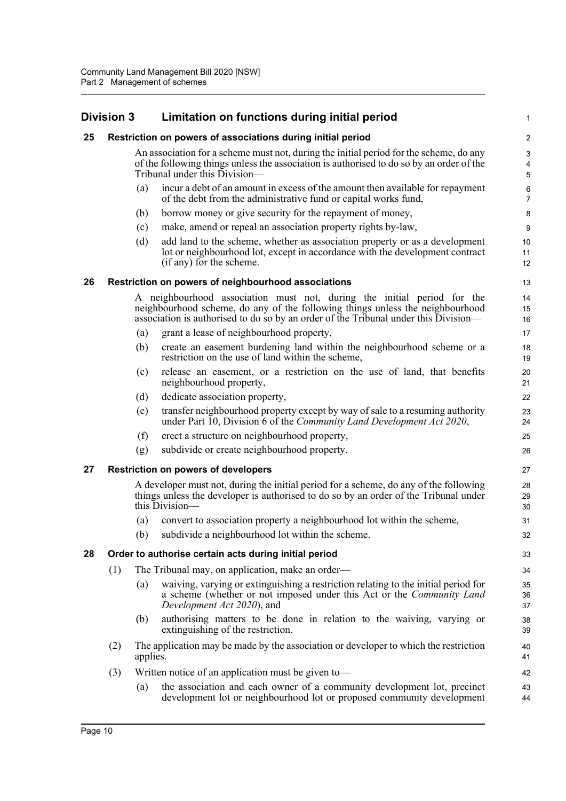### <span id="page-27-1"></span><span id="page-27-0"></span>**Division 3 Limitation on functions during initial period**

<span id="page-27-4"></span><span id="page-27-3"></span><span id="page-27-2"></span>

|    | Division 3                                                                                                                                                                                                                                      |                                                     | Limitation on functions during initial period                                                                                                                                                                       | 1                      |  |  |
|----|-------------------------------------------------------------------------------------------------------------------------------------------------------------------------------------------------------------------------------------------------|-----------------------------------------------------|---------------------------------------------------------------------------------------------------------------------------------------------------------------------------------------------------------------------|------------------------|--|--|
| 25 |                                                                                                                                                                                                                                                 |                                                     | Restriction on powers of associations during initial period                                                                                                                                                         | $\overline{c}$         |  |  |
|    |                                                                                                                                                                                                                                                 |                                                     | An association for a scheme must not, during the initial period for the scheme, do any<br>of the following things unless the association is authorised to do so by an order of the<br>Tribunal under this Division- | $\mathbf{3}$<br>4<br>5 |  |  |
|    |                                                                                                                                                                                                                                                 | (a)                                                 | incur a debt of an amount in excess of the amount then available for repayment<br>of the debt from the administrative fund or capital works fund,                                                                   | 6<br>$\overline{7}$    |  |  |
|    |                                                                                                                                                                                                                                                 | (b)                                                 | borrow money or give security for the repayment of money,                                                                                                                                                           | 8                      |  |  |
|    |                                                                                                                                                                                                                                                 | (c)                                                 | make, amend or repeal an association property rights by-law,                                                                                                                                                        | $\boldsymbol{9}$       |  |  |
|    |                                                                                                                                                                                                                                                 | (d)                                                 | add land to the scheme, whether as association property or as a development<br>lot or neighbourhood lot, except in accordance with the development contract<br>(if any) for the scheme.                             | 10<br>11<br>12         |  |  |
| 26 |                                                                                                                                                                                                                                                 | Restriction on powers of neighbourhood associations |                                                                                                                                                                                                                     |                        |  |  |
|    | A neighbourhood association must not, during the initial period for the<br>neighbourhood scheme, do any of the following things unless the neighbourhood<br>association is authorised to do so by an order of the Tribunal under this Division— |                                                     |                                                                                                                                                                                                                     |                        |  |  |
|    |                                                                                                                                                                                                                                                 | (a)                                                 | grant a lease of neighbourhood property,                                                                                                                                                                            | 17                     |  |  |
|    |                                                                                                                                                                                                                                                 | (b)                                                 | create an easement burdening land within the neighbourhood scheme or a<br>restriction on the use of land within the scheme,                                                                                         | 18<br>19               |  |  |
|    |                                                                                                                                                                                                                                                 | (c)                                                 | release an easement, or a restriction on the use of land, that benefits<br>neighbourhood property,                                                                                                                  | 20<br>21               |  |  |
|    |                                                                                                                                                                                                                                                 | (d)                                                 | dedicate association property,                                                                                                                                                                                      | 22                     |  |  |
|    |                                                                                                                                                                                                                                                 | (e)                                                 | transfer neighbourhood property except by way of sale to a resuming authority<br>under Part 10, Division 6 of the Community Land Development Act 2020,                                                              | 23<br>24               |  |  |
|    |                                                                                                                                                                                                                                                 | (f)                                                 | erect a structure on neighbourhood property,                                                                                                                                                                        | 25                     |  |  |
|    |                                                                                                                                                                                                                                                 | (g)                                                 | subdivide or create neighbourhood property.                                                                                                                                                                         | 26                     |  |  |
| 27 | <b>Restriction on powers of developers</b>                                                                                                                                                                                                      |                                                     |                                                                                                                                                                                                                     |                        |  |  |
|    | A developer must not, during the initial period for a scheme, do any of the following<br>things unless the developer is authorised to do so by an order of the Tribunal under<br>this Division-                                                 |                                                     | 28<br>29<br>30                                                                                                                                                                                                      |                        |  |  |
|    |                                                                                                                                                                                                                                                 | (a)                                                 | convert to association property a neighbourhood lot within the scheme,                                                                                                                                              | 31                     |  |  |
|    |                                                                                                                                                                                                                                                 | (b)                                                 | subdivide a neighbourhood lot within the scheme.                                                                                                                                                                    | 32                     |  |  |
| 28 | Order to authorise certain acts during initial period                                                                                                                                                                                           |                                                     |                                                                                                                                                                                                                     |                        |  |  |
|    | (1)                                                                                                                                                                                                                                             |                                                     | The Tribunal may, on application, make an order—                                                                                                                                                                    | 34                     |  |  |
|    |                                                                                                                                                                                                                                                 | (a)                                                 | waiving, varying or extinguishing a restriction relating to the initial period for<br>a scheme (whether or not imposed under this Act or the Community Land<br>Development Act 2020), and                           | 35<br>36<br>37         |  |  |
|    |                                                                                                                                                                                                                                                 | (b)                                                 | authorising matters to be done in relation to the waiving, varying or<br>extinguishing of the restriction.                                                                                                          | 38<br>39               |  |  |
|    | The application may be made by the association or developer to which the restriction<br>(2)<br>applies.                                                                                                                                         |                                                     |                                                                                                                                                                                                                     | 40<br>41               |  |  |
|    | (3)                                                                                                                                                                                                                                             |                                                     | Written notice of an application must be given to-                                                                                                                                                                  | 42                     |  |  |
|    |                                                                                                                                                                                                                                                 | (a)                                                 | the association and each owner of a community development lot, precinct<br>development lot or neighbourhood lot or proposed community development                                                                   | 43<br>44               |  |  |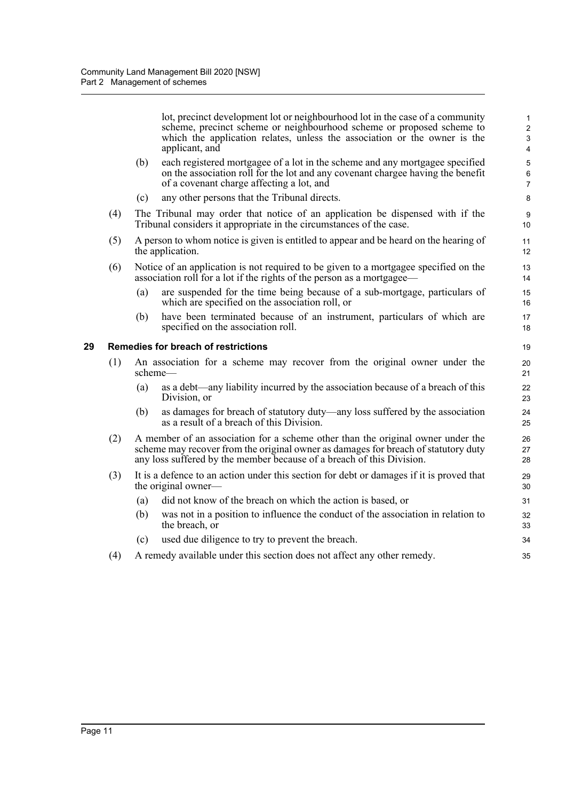lot, precinct development lot or neighbourhood lot in the case of a community scheme, precinct scheme or neighbourhood scheme or proposed scheme to which the application relates, unless the association or the owner is the applicant, and

- (b) each registered mortgagee of a lot in the scheme and any mortgagee specified on the association roll for the lot and any covenant chargee having the benefit of a covenant charge affecting a lot, and
- (c) any other persons that the Tribunal directs.
- (4) The Tribunal may order that notice of an application be dispensed with if the Tribunal considers it appropriate in the circumstances of the case.
- (5) A person to whom notice is given is entitled to appear and be heard on the hearing of the application.
- (6) Notice of an application is not required to be given to a mortgagee specified on the association roll for a lot if the rights of the person as a mortgagee—
	- (a) are suspended for the time being because of a sub-mortgage, particulars of which are specified on the association roll, or
	- (b) have been terminated because of an instrument, particulars of which are specified on the association roll.

#### <span id="page-28-0"></span>**29 Remedies for breach of restrictions**

- (1) An association for a scheme may recover from the original owner under the scheme—
	- (a) as a debt—any liability incurred by the association because of a breach of this Division, or
	- (b) as damages for breach of statutory duty—any loss suffered by the association as a result of a breach of this Division.
- (2) A member of an association for a scheme other than the original owner under the scheme may recover from the original owner as damages for breach of statutory duty any loss suffered by the member because of a breach of this Division.
- (3) It is a defence to an action under this section for debt or damages if it is proved that the original owner—
	- (a) did not know of the breach on which the action is based, or
	- (b) was not in a position to influence the conduct of the association in relation to the breach, or
	- (c) used due diligence to try to prevent the breach.
- (4) A remedy available under this section does not affect any other remedy.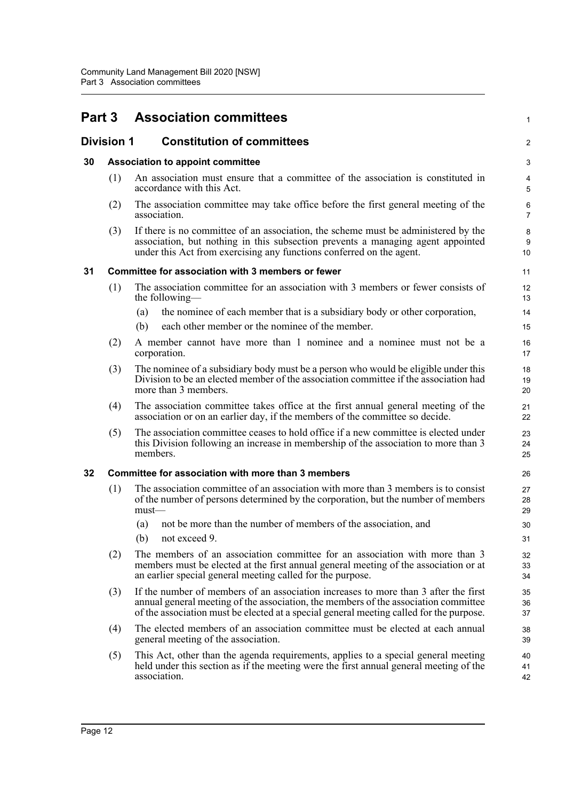### <span id="page-29-0"></span>**Part 3 Association committees**

### <span id="page-29-1"></span>**Division 1 Constitution of committees**

#### <span id="page-29-2"></span>**30 Association to appoint committee**

(1) An association must ensure that a committee of the association is constituted in accordance with this Act.

1

 $\mathfrak{D}$ 

- (2) The association committee may take office before the first general meeting of the association.
- (3) If there is no committee of an association, the scheme must be administered by the association, but nothing in this subsection prevents a managing agent appointed under this Act from exercising any functions conferred on the agent.

#### <span id="page-29-3"></span>**31 Committee for association with 3 members or fewer**

- (1) The association committee for an association with 3 members or fewer consists of the following—
	- (a) the nominee of each member that is a subsidiary body or other corporation,
	- (b) each other member or the nominee of the member.
- (2) A member cannot have more than 1 nominee and a nominee must not be a corporation.
- (3) The nominee of a subsidiary body must be a person who would be eligible under this Division to be an elected member of the association committee if the association had more than 3 members.
- (4) The association committee takes office at the first annual general meeting of the association or on an earlier day, if the members of the committee so decide.
- (5) The association committee ceases to hold office if a new committee is elected under this Division following an increase in membership of the association to more than 3 members.

#### <span id="page-29-4"></span>**32 Committee for association with more than 3 members**

- (1) The association committee of an association with more than 3 members is to consist of the number of persons determined by the corporation, but the number of members must—
	- (a) not be more than the number of members of the association, and
	- (b) not exceed 9.
- (2) The members of an association committee for an association with more than 3 members must be elected at the first annual general meeting of the association or at an earlier special general meeting called for the purpose.
- (3) If the number of members of an association increases to more than 3 after the first annual general meeting of the association, the members of the association committee of the association must be elected at a special general meeting called for the purpose.
- (4) The elected members of an association committee must be elected at each annual general meeting of the association.
- (5) This Act, other than the agenda requirements, applies to a special general meeting held under this section as if the meeting were the first annual general meeting of the association.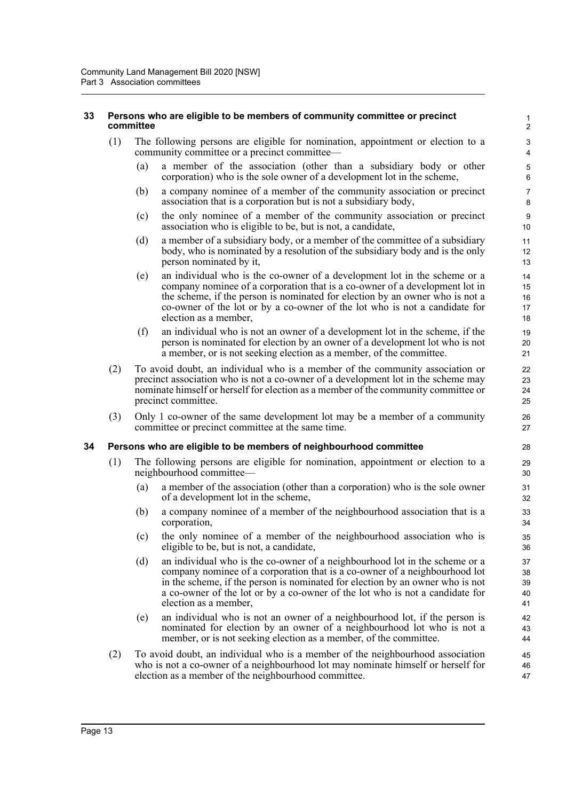#### <span id="page-30-0"></span>**33 Persons who are eligible to be members of community committee or precinct committee**

- (1) The following persons are eligible for nomination, appointment or election to a community committee or a precinct committee—
	- (a) a member of the association (other than a subsidiary body or other corporation) who is the sole owner of a development lot in the scheme,

- (b) a company nominee of a member of the community association or precinct association that is a corporation but is not a subsidiary body,
- (c) the only nominee of a member of the community association or precinct association who is eligible to be, but is not, a candidate,
- (d) a member of a subsidiary body, or a member of the committee of a subsidiary body, who is nominated by a resolution of the subsidiary body and is the only person nominated by it,
- (e) an individual who is the co-owner of a development lot in the scheme or a company nominee of a corporation that is a co-owner of a development lot in the scheme, if the person is nominated for election by an owner who is not a co-owner of the lot or by a co-owner of the lot who is not a candidate for election as a member,
- (f) an individual who is not an owner of a development lot in the scheme, if the person is nominated for election by an owner of a development lot who is not a member, or is not seeking election as a member, of the committee.
- (2) To avoid doubt, an individual who is a member of the community association or precinct association who is not a co-owner of a development lot in the scheme may nominate himself or herself for election as a member of the community committee or precinct committee.
- (3) Only 1 co-owner of the same development lot may be a member of a community committee or precinct committee at the same time.

#### <span id="page-30-1"></span>**34 Persons who are eligible to be members of neighbourhood committee**

- (1) The following persons are eligible for nomination, appointment or election to a neighbourhood committee—
	- (a) a member of the association (other than a corporation) who is the sole owner of a development lot in the scheme,
	- (b) a company nominee of a member of the neighbourhood association that is a corporation,
	- (c) the only nominee of a member of the neighbourhood association who is eligible to be, but is not, a candidate,
	- (d) an individual who is the co-owner of a neighbourhood lot in the scheme or a company nominee of a corporation that is a co-owner of a neighbourhood lot in the scheme, if the person is nominated for election by an owner who is not a co-owner of the lot or by a co-owner of the lot who is not a candidate for election as a member,
	- (e) an individual who is not an owner of a neighbourhood lot, if the person is nominated for election by an owner of a neighbourhood lot who is not a member, or is not seeking election as a member, of the committee.
- (2) To avoid doubt, an individual who is a member of the neighbourhood association who is not a co-owner of a neighbourhood lot may nominate himself or herself for election as a member of the neighbourhood committee.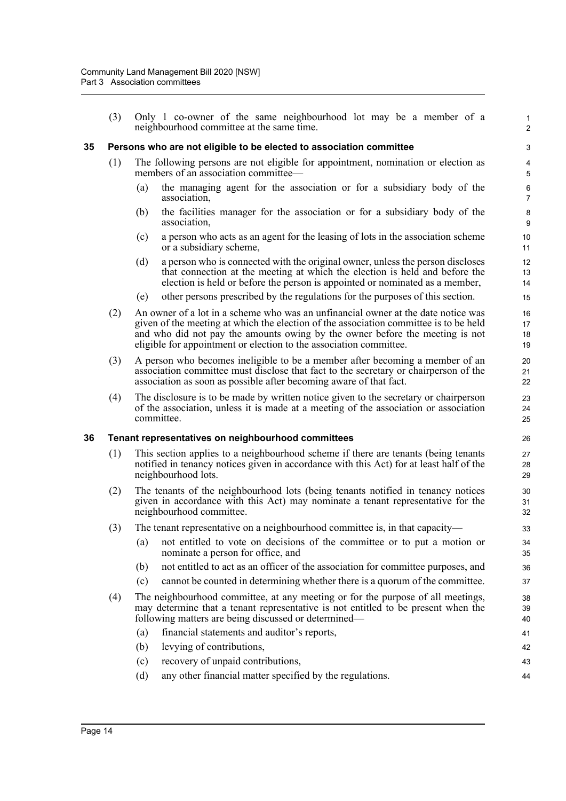(3) Only 1 co-owner of the same neighbourhood lot may be a member of a neighbourhood committee at the same time.

#### <span id="page-31-0"></span>**35 Persons who are not eligible to be elected to association committee**

- (1) The following persons are not eligible for appointment, nomination or election as members of an association committee—
	- (a) the managing agent for the association or for a subsidiary body of the association,

1 2

- (b) the facilities manager for the association or for a subsidiary body of the association,
- (c) a person who acts as an agent for the leasing of lots in the association scheme or a subsidiary scheme,
- (d) a person who is connected with the original owner, unless the person discloses that connection at the meeting at which the election is held and before the election is held or before the person is appointed or nominated as a member,
- (e) other persons prescribed by the regulations for the purposes of this section.
- (2) An owner of a lot in a scheme who was an unfinancial owner at the date notice was given of the meeting at which the election of the association committee is to be held and who did not pay the amounts owing by the owner before the meeting is not eligible for appointment or election to the association committee.
- (3) A person who becomes ineligible to be a member after becoming a member of an association committee must disclose that fact to the secretary or chairperson of the association as soon as possible after becoming aware of that fact.
- (4) The disclosure is to be made by written notice given to the secretary or chairperson of the association, unless it is made at a meeting of the association or association committee.

#### <span id="page-31-1"></span>**36 Tenant representatives on neighbourhood committees**

- (1) This section applies to a neighbourhood scheme if there are tenants (being tenants notified in tenancy notices given in accordance with this Act) for at least half of the neighbourhood lots.
- (2) The tenants of the neighbourhood lots (being tenants notified in tenancy notices given in accordance with this Act) may nominate a tenant representative for the neighbourhood committee.
- (3) The tenant representative on a neighbourhood committee is, in that capacity—
	- (a) not entitled to vote on decisions of the committee or to put a motion or nominate a person for office, and
	- (b) not entitled to act as an officer of the association for committee purposes, and
	- (c) cannot be counted in determining whether there is a quorum of the committee.
- (4) The neighbourhood committee, at any meeting or for the purpose of all meetings, may determine that a tenant representative is not entitled to be present when the following matters are being discussed or determined—
	- (a) financial statements and auditor's reports,
	- (b) levying of contributions,
	- (c) recovery of unpaid contributions,
	- (d) any other financial matter specified by the regulations.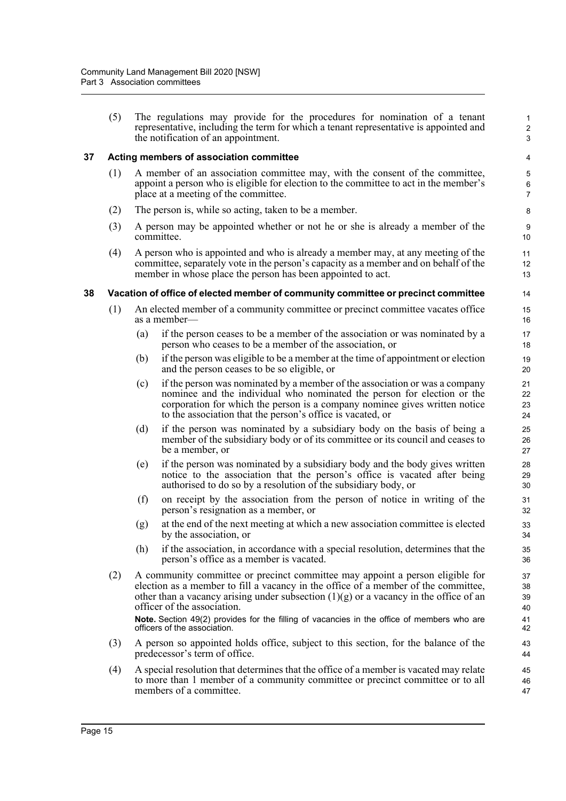(5) The regulations may provide for the procedures for nomination of a tenant representative, including the term for which a tenant representative is appointed and the notification of an appointment.

#### <span id="page-32-0"></span>**37 Acting members of association committee**

- (1) A member of an association committee may, with the consent of the committee, appoint a person who is eligible for election to the committee to act in the member's place at a meeting of the committee.
- (2) The person is, while so acting, taken to be a member.
- (3) A person may be appointed whether or not he or she is already a member of the committee.
- (4) A person who is appointed and who is already a member may, at any meeting of the committee, separately vote in the person's capacity as a member and on behalf of the member in whose place the person has been appointed to act.

#### <span id="page-32-1"></span>**38 Vacation of office of elected member of community committee or precinct committee**

- (1) An elected member of a community committee or precinct committee vacates office as a member—
	- (a) if the person ceases to be a member of the association or was nominated by a person who ceases to be a member of the association, or
	- (b) if the person was eligible to be a member at the time of appointment or election and the person ceases to be so eligible, or
	- (c) if the person was nominated by a member of the association or was a company nominee and the individual who nominated the person for election or the corporation for which the person is a company nominee gives written notice to the association that the person's office is vacated, or
	- (d) if the person was nominated by a subsidiary body on the basis of being a member of the subsidiary body or of its committee or its council and ceases to be a member, or
	- (e) if the person was nominated by a subsidiary body and the body gives written notice to the association that the person's office is vacated after being authorised to do so by a resolution of the subsidiary body, or
	- (f) on receipt by the association from the person of notice in writing of the person's resignation as a member, or
	- (g) at the end of the next meeting at which a new association committee is elected by the association, or
	- (h) if the association, in accordance with a special resolution, determines that the person's office as a member is vacated.
- (2) A community committee or precinct committee may appoint a person eligible for election as a member to fill a vacancy in the office of a member of the committee, other than a vacancy arising under subsection  $(1)(g)$  or a vacancy in the office of an officer of the association. **Note.** Section 49(2) provides for the filling of vacancies in the office of members who are officers of the association.
- (3) A person so appointed holds office, subject to this section, for the balance of the predecessor's term of office.
- (4) A special resolution that determines that the office of a member is vacated may relate to more than 1 member of a community committee or precinct committee or to all members of a committee.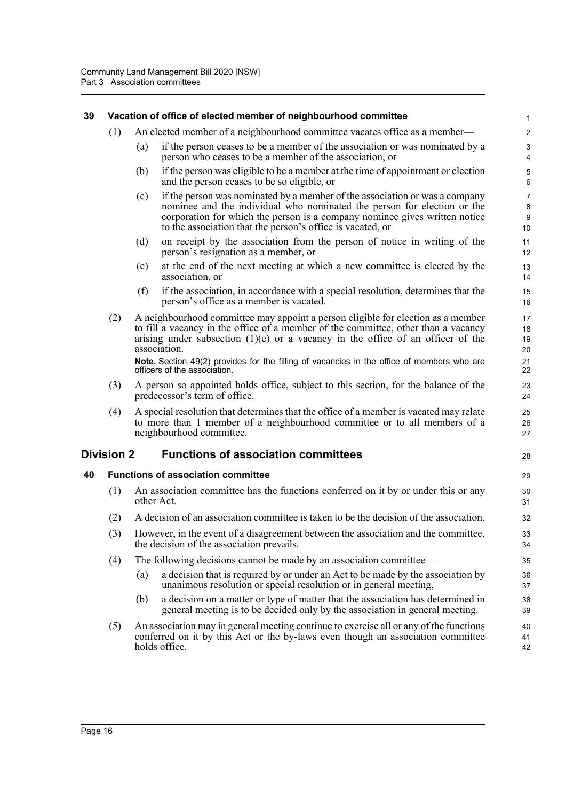#### <span id="page-33-0"></span>**39 Vacation of office of elected member of neighbourhood committee**

- (1) An elected member of a neighbourhood committee vacates office as a member—
	- (a) if the person ceases to be a member of the association or was nominated by a person who ceases to be a member of the association, or

28

- (b) if the person was eligible to be a member at the time of appointment or election and the person ceases to be so eligible, or
- (c) if the person was nominated by a member of the association or was a company nominee and the individual who nominated the person for election or the corporation for which the person is a company nominee gives written notice to the association that the person's office is vacated, or
- (d) on receipt by the association from the person of notice in writing of the person's resignation as a member, or
- (e) at the end of the next meeting at which a new committee is elected by the association, or
- (f) if the association, in accordance with a special resolution, determines that the person's office as a member is vacated.
- (2) A neighbourhood committee may appoint a person eligible for election as a member to fill a vacancy in the office of a member of the committee, other than a vacancy arising under subsection  $(1)(e)$  or a vacancy in the office of an officer of the association.

**Note.** Section 49(2) provides for the filling of vacancies in the office of members who are officers of the association.

- (3) A person so appointed holds office, subject to this section, for the balance of the predecessor's term of office.
- (4) A special resolution that determines that the office of a member is vacated may relate to more than 1 member of a neighbourhood committee or to all members of a neighbourhood committee.

#### <span id="page-33-1"></span>**Division 2 Functions of association committees**

#### <span id="page-33-2"></span>**40 Functions of association committee**

- (1) An association committee has the functions conferred on it by or under this or any other Act.
- (2) A decision of an association committee is taken to be the decision of the association.
- (3) However, in the event of a disagreement between the association and the committee, the decision of the association prevails.
- (4) The following decisions cannot be made by an association committee—
	- (a) a decision that is required by or under an Act to be made by the association by unanimous resolution or special resolution or in general meeting,
	- (b) a decision on a matter or type of matter that the association has determined in general meeting is to be decided only by the association in general meeting.
- (5) An association may in general meeting continue to exercise all or any of the functions conferred on it by this Act or the by-laws even though an association committee holds office.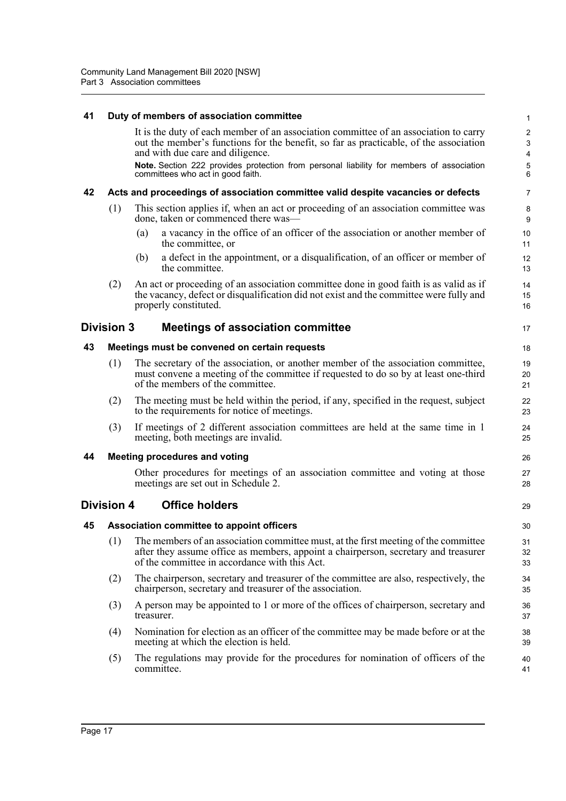#### **41 Duty of members of association committee**

<span id="page-34-6"></span><span id="page-34-5"></span><span id="page-34-4"></span><span id="page-34-3"></span><span id="page-34-2"></span><span id="page-34-1"></span><span id="page-34-0"></span>

| 41 | Duty of members of association committee                                                                                                                                                                                        |                                                                                                                                                                                                                                                                                                                                                    |                                                               |  |  |
|----|---------------------------------------------------------------------------------------------------------------------------------------------------------------------------------------------------------------------------------|----------------------------------------------------------------------------------------------------------------------------------------------------------------------------------------------------------------------------------------------------------------------------------------------------------------------------------------------------|---------------------------------------------------------------|--|--|
|    |                                                                                                                                                                                                                                 | It is the duty of each member of an association committee of an association to carry<br>out the member's functions for the benefit, so far as practicable, of the association<br>and with due care and diligence.<br>Note. Section 222 provides protection from personal liability for members of association<br>committees who act in good faith. | $\sqrt{2}$<br>3<br>$\pmb{4}$<br>$\mathbf 5$<br>$6\phantom{1}$ |  |  |
| 42 |                                                                                                                                                                                                                                 | Acts and proceedings of association committee valid despite vacancies or defects                                                                                                                                                                                                                                                                   | 7                                                             |  |  |
|    | (1)                                                                                                                                                                                                                             | This section applies if, when an act or proceeding of an association committee was<br>done, taken or commenced there was—                                                                                                                                                                                                                          | 8<br>9                                                        |  |  |
|    |                                                                                                                                                                                                                                 | a vacancy in the office of an officer of the association or another member of<br>(a)<br>the committee, or                                                                                                                                                                                                                                          | 10<br>11                                                      |  |  |
|    |                                                                                                                                                                                                                                 | a defect in the appointment, or a disqualification, of an officer or member of<br>(b)<br>the committee.                                                                                                                                                                                                                                            | 12<br>13                                                      |  |  |
|    | (2)                                                                                                                                                                                                                             | An act or proceeding of an association committee done in good faith is as valid as if<br>the vacancy, defect or disqualification did not exist and the committee were fully and<br>properly constituted.                                                                                                                                           | 14<br>15<br>16                                                |  |  |
|    | Division 3                                                                                                                                                                                                                      | <b>Meetings of association committee</b>                                                                                                                                                                                                                                                                                                           | 17                                                            |  |  |
| 43 |                                                                                                                                                                                                                                 | Meetings must be convened on certain requests                                                                                                                                                                                                                                                                                                      | 18                                                            |  |  |
|    | (1)                                                                                                                                                                                                                             | The secretary of the association, or another member of the association committee,<br>must convene a meeting of the committee if requested to do so by at least one-third<br>of the members of the committee.                                                                                                                                       |                                                               |  |  |
|    | (2)                                                                                                                                                                                                                             | The meeting must be held within the period, if any, specified in the request, subject<br>to the requirements for notice of meetings.                                                                                                                                                                                                               | 22<br>23                                                      |  |  |
|    | (3)                                                                                                                                                                                                                             | If meetings of 2 different association committees are held at the same time in 1<br>meeting, both meetings are invalid.                                                                                                                                                                                                                            | 24<br>25                                                      |  |  |
| 44 | <b>Meeting procedures and voting</b>                                                                                                                                                                                            |                                                                                                                                                                                                                                                                                                                                                    |                                                               |  |  |
|    |                                                                                                                                                                                                                                 | Other procedures for meetings of an association committee and voting at those<br>meetings are set out in Schedule 2.                                                                                                                                                                                                                               | 27<br>28                                                      |  |  |
|    | <b>Division 4</b>                                                                                                                                                                                                               | <b>Office holders</b>                                                                                                                                                                                                                                                                                                                              | 29                                                            |  |  |
| 45 |                                                                                                                                                                                                                                 | Association committee to appoint officers                                                                                                                                                                                                                                                                                                          | 30                                                            |  |  |
|    | (1) The members of an association committee must, at the first meeting of the committee<br>after they assume office as members, appoint a chairperson, secretary and treasurer<br>of the committee in accordance with this Act. |                                                                                                                                                                                                                                                                                                                                                    | 31<br>32<br>33                                                |  |  |
|    | (2)                                                                                                                                                                                                                             | The chairperson, secretary and treasurer of the committee are also, respectively, the<br>chairperson, secretary and treasurer of the association.                                                                                                                                                                                                  | 34<br>35                                                      |  |  |
|    | (3)                                                                                                                                                                                                                             | A person may be appointed to 1 or more of the offices of chairperson, secretary and<br>treasurer.                                                                                                                                                                                                                                                  | 36<br>37                                                      |  |  |
|    | (4)                                                                                                                                                                                                                             | Nomination for election as an officer of the committee may be made before or at the<br>meeting at which the election is held.                                                                                                                                                                                                                      | 38<br>39                                                      |  |  |
|    | (5)                                                                                                                                                                                                                             | The regulations may provide for the procedures for nomination of officers of the<br>committee.                                                                                                                                                                                                                                                     | 40<br>41                                                      |  |  |
|    |                                                                                                                                                                                                                                 |                                                                                                                                                                                                                                                                                                                                                    |                                                               |  |  |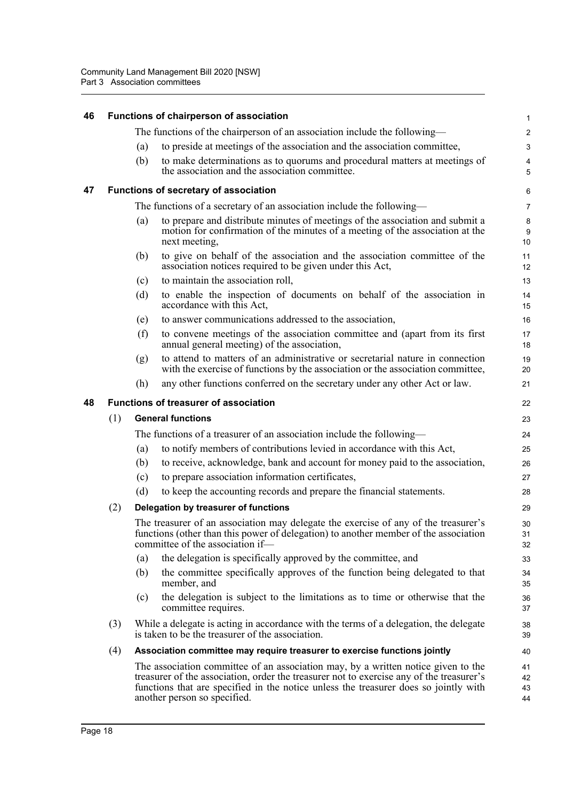<span id="page-35-2"></span><span id="page-35-1"></span><span id="page-35-0"></span>

| 46 |                                              |                                                                                                                                                                                                                 | Functions of chairperson of association                                                                                                                                                                                                                                                               | 1                    |  |  |
|----|----------------------------------------------|-----------------------------------------------------------------------------------------------------------------------------------------------------------------------------------------------------------------|-------------------------------------------------------------------------------------------------------------------------------------------------------------------------------------------------------------------------------------------------------------------------------------------------------|----------------------|--|--|
|    |                                              |                                                                                                                                                                                                                 | The functions of the chairperson of an association include the following-                                                                                                                                                                                                                             | $\overline{a}$       |  |  |
|    |                                              | (a)                                                                                                                                                                                                             | to preside at meetings of the association and the association committee,                                                                                                                                                                                                                              | 3                    |  |  |
|    |                                              | (b)                                                                                                                                                                                                             | to make determinations as to quorums and procedural matters at meetings of<br>the association and the association committee.                                                                                                                                                                          | 4<br>5               |  |  |
| 47 |                                              |                                                                                                                                                                                                                 | Functions of secretary of association                                                                                                                                                                                                                                                                 | 6                    |  |  |
|    |                                              |                                                                                                                                                                                                                 | The functions of a secretary of an association include the following—                                                                                                                                                                                                                                 | 7                    |  |  |
|    |                                              | (a)                                                                                                                                                                                                             | to prepare and distribute minutes of meetings of the association and submit a<br>motion for confirmation of the minutes of a meeting of the association at the<br>next meeting,                                                                                                                       | 8<br>9<br>10         |  |  |
|    |                                              | (b)                                                                                                                                                                                                             | to give on behalf of the association and the association committee of the<br>association notices required to be given under this Act,                                                                                                                                                                 | 11<br>12             |  |  |
|    |                                              | (c)                                                                                                                                                                                                             | to maintain the association roll,                                                                                                                                                                                                                                                                     | 13                   |  |  |
|    |                                              | (d)                                                                                                                                                                                                             | to enable the inspection of documents on behalf of the association in<br>accordance with this Act,                                                                                                                                                                                                    | 14<br>15             |  |  |
|    |                                              | (e)                                                                                                                                                                                                             | to answer communications addressed to the association,                                                                                                                                                                                                                                                | 16                   |  |  |
|    |                                              | (f)                                                                                                                                                                                                             | to convene meetings of the association committee and (apart from its first<br>annual general meeting) of the association,                                                                                                                                                                             | 17<br>18             |  |  |
|    |                                              | (g)                                                                                                                                                                                                             | to attend to matters of an administrative or secretarial nature in connection<br>with the exercise of functions by the association or the association committee,                                                                                                                                      | 19<br>20             |  |  |
|    |                                              | (h)                                                                                                                                                                                                             | any other functions conferred on the secretary under any other Act or law.                                                                                                                                                                                                                            | 21                   |  |  |
| 48 | <b>Functions of treasurer of association</b> |                                                                                                                                                                                                                 |                                                                                                                                                                                                                                                                                                       |                      |  |  |
|    | (1)                                          |                                                                                                                                                                                                                 | <b>General functions</b>                                                                                                                                                                                                                                                                              | 23                   |  |  |
|    |                                              | The functions of a treasurer of an association include the following—                                                                                                                                           |                                                                                                                                                                                                                                                                                                       |                      |  |  |
|    |                                              | (a)                                                                                                                                                                                                             | to notify members of contributions levied in accordance with this Act,                                                                                                                                                                                                                                | 25                   |  |  |
|    |                                              | (b)                                                                                                                                                                                                             | to receive, acknowledge, bank and account for money paid to the association,                                                                                                                                                                                                                          | 26                   |  |  |
|    |                                              | (c)                                                                                                                                                                                                             | to prepare association information certificates,                                                                                                                                                                                                                                                      | 27                   |  |  |
|    |                                              | (d)                                                                                                                                                                                                             | to keep the accounting records and prepare the financial statements.                                                                                                                                                                                                                                  | 28                   |  |  |
|    | (2)                                          |                                                                                                                                                                                                                 | Delegation by treasurer of functions                                                                                                                                                                                                                                                                  | 29                   |  |  |
|    |                                              | The treasurer of an association may delegate the exercise of any of the treasurer's<br>functions (other than this power of delegation) to another member of the association<br>committee of the association if- |                                                                                                                                                                                                                                                                                                       |                      |  |  |
|    |                                              | (a)                                                                                                                                                                                                             | the delegation is specifically approved by the committee, and                                                                                                                                                                                                                                         | 33                   |  |  |
|    |                                              | (b)                                                                                                                                                                                                             | the committee specifically approves of the function being delegated to that<br>member, and                                                                                                                                                                                                            | 34<br>35             |  |  |
|    |                                              | (c)                                                                                                                                                                                                             | the delegation is subject to the limitations as to time or otherwise that the<br>committee requires.                                                                                                                                                                                                  | 36<br>37             |  |  |
|    | (3)                                          |                                                                                                                                                                                                                 | While a delegate is acting in accordance with the terms of a delegation, the delegate<br>is taken to be the treasurer of the association.                                                                                                                                                             | 38<br>39             |  |  |
|    | (4)                                          | Association committee may require treasurer to exercise functions jointly                                                                                                                                       |                                                                                                                                                                                                                                                                                                       |                      |  |  |
|    |                                              |                                                                                                                                                                                                                 | The association committee of an association may, by a written notice given to the<br>treasurer of the association, order the treasurer not to exercise any of the treasurer's<br>functions that are specified in the notice unless the treasurer does so jointly with<br>another person so specified. | 41<br>42<br>43<br>44 |  |  |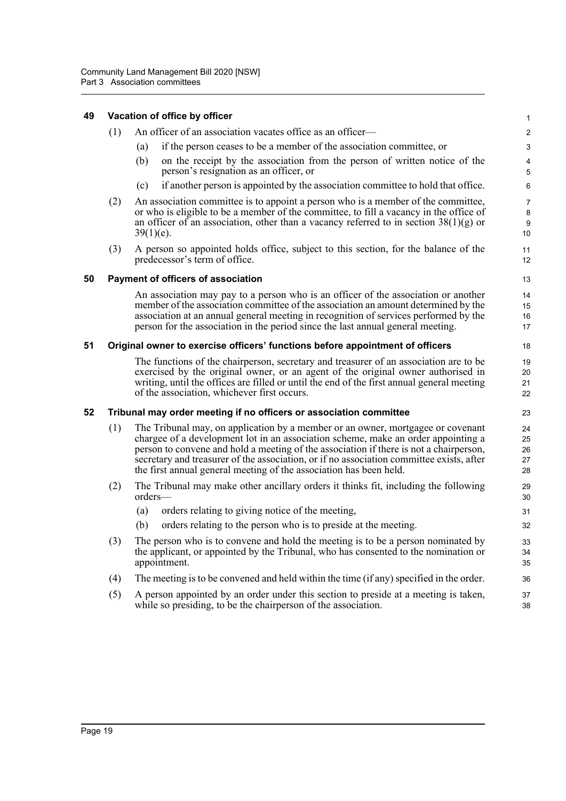| 49 | Vacation of office by officer |                                                                                                                                                                                                                                                                                                                                                                                                                                  |                            |  |  |  |  |  |
|----|-------------------------------|----------------------------------------------------------------------------------------------------------------------------------------------------------------------------------------------------------------------------------------------------------------------------------------------------------------------------------------------------------------------------------------------------------------------------------|----------------------------|--|--|--|--|--|
|    | (1)                           | An officer of an association vacates office as an officer-                                                                                                                                                                                                                                                                                                                                                                       | $\overline{c}$             |  |  |  |  |  |
|    |                               | if the person ceases to be a member of the association committee, or<br>(a)                                                                                                                                                                                                                                                                                                                                                      | 3                          |  |  |  |  |  |
|    |                               | on the receipt by the association from the person of written notice of the<br>(b)<br>person's resignation as an officer, or                                                                                                                                                                                                                                                                                                      | 4<br>5                     |  |  |  |  |  |
|    |                               | if another person is appointed by the association committee to hold that office.<br>(c)                                                                                                                                                                                                                                                                                                                                          | 6                          |  |  |  |  |  |
|    | (2)                           | An association committee is to appoint a person who is a member of the committee,<br>or who is eligible to be a member of the committee, to fill a vacancy in the office of<br>an officer of an association, other than a vacancy referred to in section $38(1)(g)$ or<br>$39(1)(e)$ .                                                                                                                                           | 7<br>8<br>9<br>10          |  |  |  |  |  |
|    | (3)                           | A person so appointed holds office, subject to this section, for the balance of the<br>predecessor's term of office.                                                                                                                                                                                                                                                                                                             | 11<br>12                   |  |  |  |  |  |
| 50 |                               | <b>Payment of officers of association</b>                                                                                                                                                                                                                                                                                                                                                                                        | 13                         |  |  |  |  |  |
|    |                               | An association may pay to a person who is an officer of the association or another<br>member of the association committee of the association an amount determined by the<br>association at an annual general meeting in recognition of services performed by the<br>person for the association in the period since the last annual general meeting.                                                                              | 14<br>15<br>16<br>17       |  |  |  |  |  |
| 51 |                               | Original owner to exercise officers' functions before appointment of officers                                                                                                                                                                                                                                                                                                                                                    | 18                         |  |  |  |  |  |
|    |                               | The functions of the chairperson, secretary and treasurer of an association are to be<br>exercised by the original owner, or an agent of the original owner authorised in<br>writing, until the offices are filled or until the end of the first annual general meeting<br>of the association, whichever first occurs.                                                                                                           | 19<br>20<br>21<br>22       |  |  |  |  |  |
| 52 |                               | Tribunal may order meeting if no officers or association committee                                                                                                                                                                                                                                                                                                                                                               | 23                         |  |  |  |  |  |
|    | (1)                           | The Tribunal may, on application by a member or an owner, mortgagee or covenant<br>chargee of a development lot in an association scheme, make an order appointing a<br>person to convene and hold a meeting of the association if there is not a chairperson,<br>secretary and treasurer of the association, or if no association committee exists, after<br>the first annual general meeting of the association has been held. | 24<br>25<br>26<br>27<br>28 |  |  |  |  |  |
|    | (2)                           | The Tribunal may make other ancillary orders it thinks fit, including the following<br>orders-                                                                                                                                                                                                                                                                                                                                   | 29<br>30                   |  |  |  |  |  |
|    |                               | orders relating to giving notice of the meeting,<br>(a)                                                                                                                                                                                                                                                                                                                                                                          | 31                         |  |  |  |  |  |
|    |                               | (b)<br>orders relating to the person who is to preside at the meeting.                                                                                                                                                                                                                                                                                                                                                           | 32                         |  |  |  |  |  |
|    | (3)                           | The person who is to convene and hold the meeting is to be a person nominated by<br>the applicant, or appointed by the Tribunal, who has consented to the nomination or<br>appointment.                                                                                                                                                                                                                                          | 33<br>34<br>35             |  |  |  |  |  |
|    | (4)                           | The meeting is to be convened and held within the time (if any) specified in the order.                                                                                                                                                                                                                                                                                                                                          | 36                         |  |  |  |  |  |
|    | (5)                           | A person appointed by an order under this section to preside at a meeting is taken,<br>while so presiding, to be the chairperson of the association.                                                                                                                                                                                                                                                                             | 37<br>38                   |  |  |  |  |  |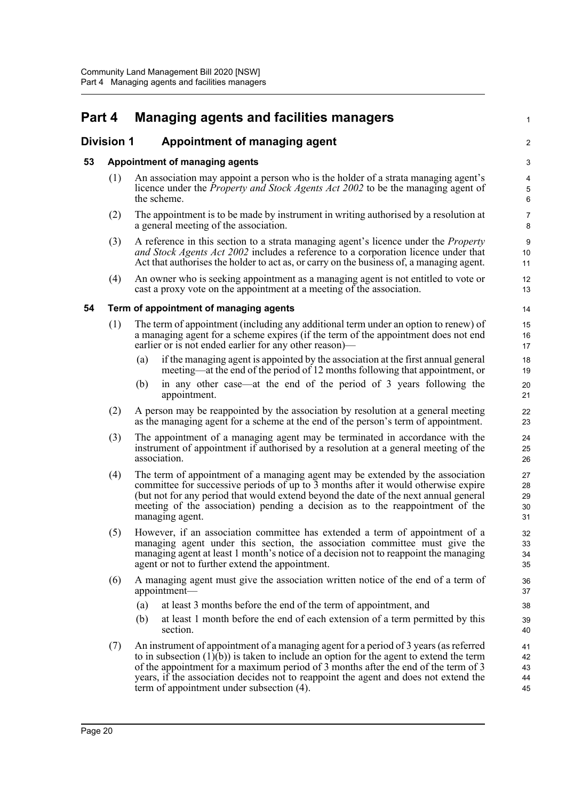# **Part 4 Managing agents and facilities managers**

# **Division 1 Appointment of managing agent**

## **53 Appointment of managing agents**

(1) An association may appoint a person who is the holder of a strata managing agent's licence under the *Property and Stock Agents Act 2002* to be the managing agent of the scheme.

1

 $\mathfrak{D}$ 

- (2) The appointment is to be made by instrument in writing authorised by a resolution at a general meeting of the association.
- (3) A reference in this section to a strata managing agent's licence under the *Property and Stock Agents Act 2002* includes a reference to a corporation licence under that Act that authorises the holder to act as, or carry on the business of, a managing agent.
- (4) An owner who is seeking appointment as a managing agent is not entitled to vote or cast a proxy vote on the appointment at a meeting of the association.

## **54 Term of appointment of managing agents**

- (1) The term of appointment (including any additional term under an option to renew) of a managing agent for a scheme expires (if the term of the appointment does not end earlier or is not ended earlier for any other reason)
	- if the managing agent is appointed by the association at the first annual general meeting—at the end of the period of 12 months following that appointment, or
	- (b) in any other case—at the end of the period of 3 years following the appointment.
- (2) A person may be reappointed by the association by resolution at a general meeting as the managing agent for a scheme at the end of the person's term of appointment.
- (3) The appointment of a managing agent may be terminated in accordance with the instrument of appointment if authorised by a resolution at a general meeting of the association.
- (4) The term of appointment of a managing agent may be extended by the association committee for successive periods of up to 3 months after it would otherwise expire (but not for any period that would extend beyond the date of the next annual general meeting of the association) pending a decision as to the reappointment of the managing agent.
- (5) However, if an association committee has extended a term of appointment of a managing agent under this section, the association committee must give the managing agent at least 1 month's notice of a decision not to reappoint the managing agent or not to further extend the appointment.
- (6) A managing agent must give the association written notice of the end of a term of appointment—
	- (a) at least 3 months before the end of the term of appointment, and
	- (b) at least 1 month before the end of each extension of a term permitted by this section.
- (7) An instrument of appointment of a managing agent for a period of 3 years (as referred to in subsection  $(1)(b)$  is taken to include an option for the agent to extend the term of the appointment for a maximum period of 3 months after the end of the term of 3 years, if the association decides not to reappoint the agent and does not extend the term of appointment under subsection (4). 41 42 43 44 45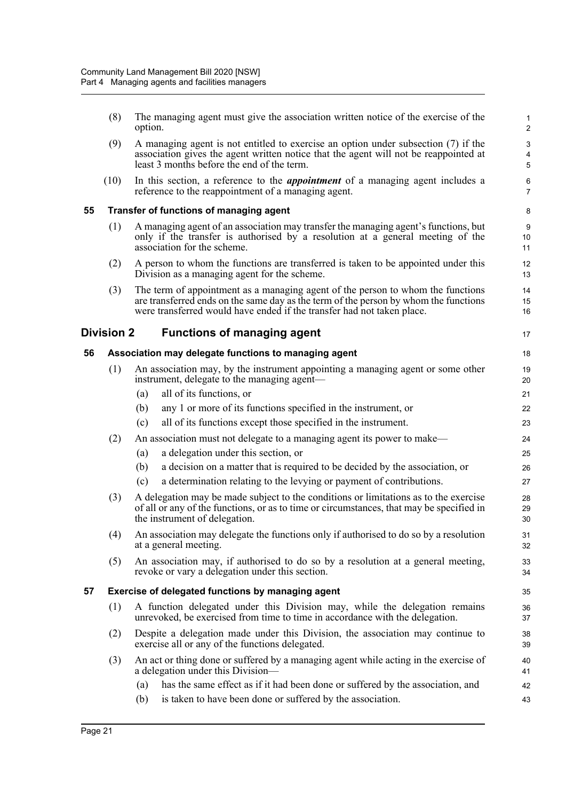|    | (8)        | The managing agent must give the association written notice of the exercise of the<br>option.                                                                                                                                                     | $\mathbf{1}$<br>2   |
|----|------------|---------------------------------------------------------------------------------------------------------------------------------------------------------------------------------------------------------------------------------------------------|---------------------|
|    | (9)        | A managing agent is not entitled to exercise an option under subsection (7) if the<br>association gives the agent written notice that the agent will not be reappointed at<br>least 3 months before the end of the term.                          | 3<br>$\pmb{4}$<br>5 |
|    | (10)       | In this section, a reference to the <i>appointment</i> of a managing agent includes a<br>reference to the reappointment of a managing agent.                                                                                                      | 6<br>7              |
| 55 |            | Transfer of functions of managing agent                                                                                                                                                                                                           | 8                   |
|    | (1)        | A managing agent of an association may transfer the managing agent's functions, but<br>only if the transfer is authorised by a resolution at a general meeting of the<br>association for the scheme.                                              | 9<br>10<br>11       |
|    | (2)        | A person to whom the functions are transferred is taken to be appointed under this<br>Division as a managing agent for the scheme.                                                                                                                | 12<br>13            |
|    | (3)        | The term of appointment as a managing agent of the person to whom the functions<br>are transferred ends on the same day as the term of the person by whom the functions<br>were transferred would have ended if the transfer had not taken place. | 14<br>15<br>16      |
|    | Division 2 | <b>Functions of managing agent</b>                                                                                                                                                                                                                | 17                  |
| 56 |            | Association may delegate functions to managing agent                                                                                                                                                                                              | 18                  |
|    | (1)        | An association may, by the instrument appointing a managing agent or some other<br>instrument, delegate to the managing agent—                                                                                                                    | 19<br>20            |
|    |            | all of its functions, or<br>(a)                                                                                                                                                                                                                   | 21                  |
|    |            | any 1 or more of its functions specified in the instrument, or<br>(b)                                                                                                                                                                             | 22                  |
|    |            | all of its functions except those specified in the instrument.<br>(c)                                                                                                                                                                             | 23                  |
|    | (2)        | An association must not delegate to a managing agent its power to make—                                                                                                                                                                           | 24                  |
|    |            | a delegation under this section, or<br>(a)                                                                                                                                                                                                        | 25                  |
|    |            | (b)<br>a decision on a matter that is required to be decided by the association, or                                                                                                                                                               | 26                  |
|    |            | a determination relating to the levying or payment of contributions.<br>(c)                                                                                                                                                                       | 27                  |
|    | (3)        | A delegation may be made subject to the conditions or limitations as to the exercise<br>of all or any of the functions, or as to time or circumstances, that may be specified in<br>the instrument of delegation.                                 | 28<br>29<br>30      |
|    | (4)        | An association may delegate the functions only if authorised to do so by a resolution<br>at a general meeting.                                                                                                                                    | 31<br>32            |
|    | (5)        | An association may, if authorised to do so by a resolution at a general meeting,<br>revoke or vary a delegation under this section.                                                                                                               | 33<br>34            |
| 57 |            | Exercise of delegated functions by managing agent                                                                                                                                                                                                 | 35                  |
|    | (1)        | A function delegated under this Division may, while the delegation remains<br>unrevoked, be exercised from time to time in accordance with the delegation.                                                                                        | 36<br>37            |
|    | (2)        | Despite a delegation made under this Division, the association may continue to<br>exercise all or any of the functions delegated.                                                                                                                 | 38<br>39            |
|    | (3)        | An act or thing done or suffered by a managing agent while acting in the exercise of<br>a delegation under this Division-                                                                                                                         | 40<br>41            |
|    |            | has the same effect as if it had been done or suffered by the association, and<br>(a)                                                                                                                                                             | 42                  |
|    |            | is taken to have been done or suffered by the association.<br>(b)                                                                                                                                                                                 | 43                  |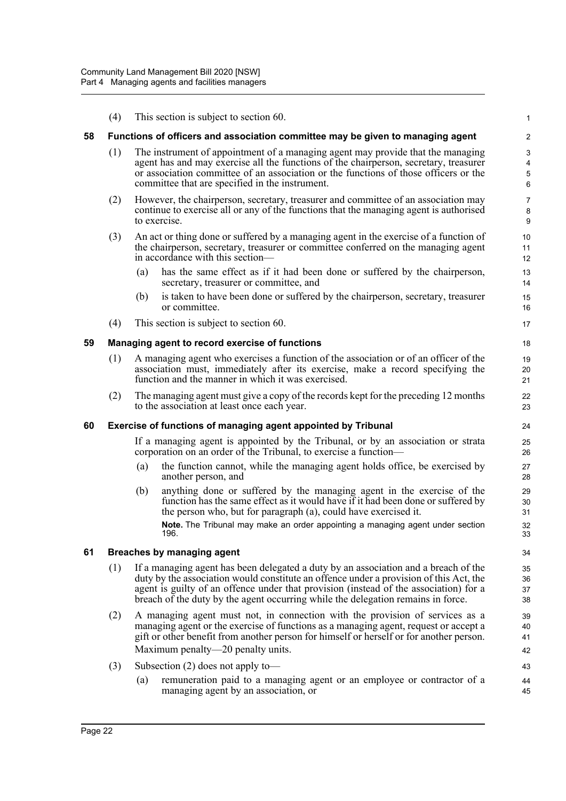|    | (4)                                                           | This section is subject to section 60.                                                                                                                                                                                                                                                                                                                     | 1                       |  |  |  |  |
|----|---------------------------------------------------------------|------------------------------------------------------------------------------------------------------------------------------------------------------------------------------------------------------------------------------------------------------------------------------------------------------------------------------------------------------------|-------------------------|--|--|--|--|
| 58 |                                                               | Functions of officers and association committee may be given to managing agent                                                                                                                                                                                                                                                                             | $\overline{\mathbf{c}}$ |  |  |  |  |
|    | (1)                                                           | The instrument of appointment of a managing agent may provide that the managing<br>agent has and may exercise all the functions of the chairperson, secretary, treasurer<br>or association committee of an association or the functions of those officers or the<br>committee that are specified in the instrument.                                        | 3<br>4<br>5<br>6        |  |  |  |  |
|    | (2)                                                           | However, the chairperson, secretary, treasurer and committee of an association may<br>continue to exercise all or any of the functions that the managing agent is authorised<br>to exercise.                                                                                                                                                               | 7<br>8<br>9             |  |  |  |  |
|    | (3)                                                           | An act or thing done or suffered by a managing agent in the exercise of a function of<br>the chairperson, secretary, treasurer or committee conferred on the managing agent<br>in accordance with this section—                                                                                                                                            | 10<br>11<br>12          |  |  |  |  |
|    |                                                               | has the same effect as if it had been done or suffered by the chairperson,<br>(a)<br>secretary, treasurer or committee, and                                                                                                                                                                                                                                | 13<br>14                |  |  |  |  |
|    |                                                               | is taken to have been done or suffered by the chairperson, secretary, treasurer<br>(b)<br>or committee.                                                                                                                                                                                                                                                    | 15<br>16                |  |  |  |  |
|    | (4)                                                           | This section is subject to section 60.                                                                                                                                                                                                                                                                                                                     | 17                      |  |  |  |  |
| 59 |                                                               | Managing agent to record exercise of functions                                                                                                                                                                                                                                                                                                             | 18                      |  |  |  |  |
|    | (1)                                                           | A managing agent who exercises a function of the association or of an officer of the<br>association must, immediately after its exercise, make a record specifying the<br>function and the manner in which it was exercised.                                                                                                                               | 19<br>20<br>21          |  |  |  |  |
|    | (2)                                                           | The managing agent must give a copy of the records kept for the preceding 12 months<br>to the association at least once each year.                                                                                                                                                                                                                         | 22<br>23                |  |  |  |  |
| 60 | Exercise of functions of managing agent appointed by Tribunal |                                                                                                                                                                                                                                                                                                                                                            |                         |  |  |  |  |
|    |                                                               | If a managing agent is appointed by the Tribunal, or by an association or strata<br>corporation on an order of the Tribunal, to exercise a function—                                                                                                                                                                                                       | 25<br>26                |  |  |  |  |
|    |                                                               | the function cannot, while the managing agent holds office, be exercised by<br>(a)<br>another person, and                                                                                                                                                                                                                                                  | 27<br>28                |  |  |  |  |
|    |                                                               | anything done or suffered by the managing agent in the exercise of the<br>(b)<br>function has the same effect as it would have if it had been done or suffered by<br>the person who, but for paragraph (a), could have exercised it.                                                                                                                       | 29<br>30<br>31          |  |  |  |  |
|    |                                                               | Note. The Tribunal may make an order appointing a managing agent under section<br>196.                                                                                                                                                                                                                                                                     | 32<br>33                |  |  |  |  |
| 61 |                                                               | Breaches by managing agent                                                                                                                                                                                                                                                                                                                                 | 34                      |  |  |  |  |
|    | (1)                                                           | If a managing agent has been delegated a duty by an association and a breach of the<br>duty by the association would constitute an offence under a provision of this Act, the<br>agent is guilty of an offence under that provision (instead of the association) for a<br>breach of the duty by the agent occurring while the delegation remains in force. | 35<br>36<br>37<br>38    |  |  |  |  |
|    | (2)                                                           | A managing agent must not, in connection with the provision of services as a<br>managing agent or the exercise of functions as a managing agent, request or accept a<br>gift or other benefit from another person for himself or herself or for another person.<br>Maximum penalty—20 penalty units.                                                       | 39<br>40<br>41<br>42    |  |  |  |  |
|    | (3)                                                           | Subsection $(2)$ does not apply to —                                                                                                                                                                                                                                                                                                                       | 43                      |  |  |  |  |
|    |                                                               | remuneration paid to a managing agent or an employee or contractor of a<br>(a)<br>managing agent by an association, or                                                                                                                                                                                                                                     | 44<br>45                |  |  |  |  |
|    |                                                               |                                                                                                                                                                                                                                                                                                                                                            |                         |  |  |  |  |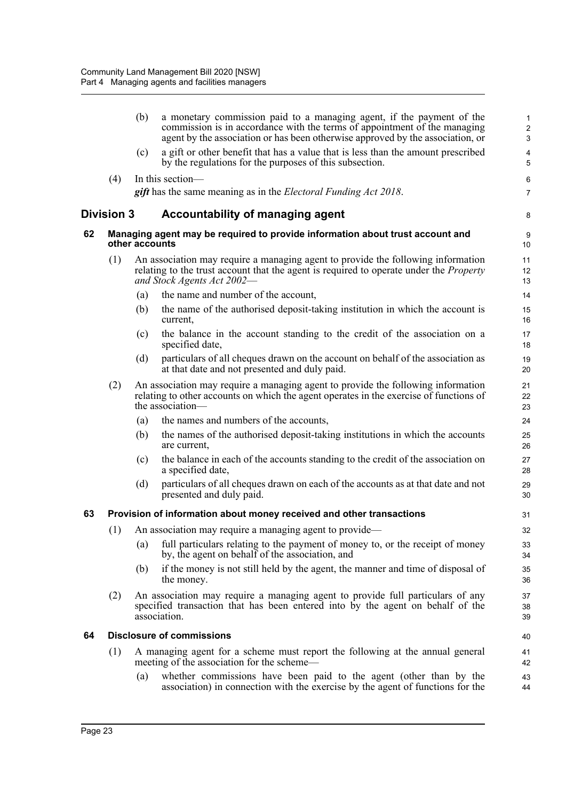|    |            | (b)            | a monetary commission paid to a managing agent, if the payment of the<br>commission is in accordance with the terms of appointment of the managing<br>agent by the association or has been otherwise approved by the association, or | 1<br>$\overline{2}$<br>$\sqrt{3}$ |
|----|------------|----------------|--------------------------------------------------------------------------------------------------------------------------------------------------------------------------------------------------------------------------------------|-----------------------------------|
|    |            | (c)            | a gift or other benefit that has a value that is less than the amount prescribed<br>by the regulations for the purposes of this subsection.                                                                                          | $\pmb{4}$<br>5                    |
|    | (4)        |                | In this section—                                                                                                                                                                                                                     | 6                                 |
|    |            |                | <b>gift</b> has the same meaning as in the <i>Electoral Funding Act 2018</i> .                                                                                                                                                       | $\overline{7}$                    |
|    | Division 3 |                | <b>Accountability of managing agent</b>                                                                                                                                                                                              | 8                                 |
| 62 |            | other accounts | Managing agent may be required to provide information about trust account and                                                                                                                                                        | 9<br>10                           |
|    | (1)        |                | An association may require a managing agent to provide the following information<br>relating to the trust account that the agent is required to operate under the <i>Property</i><br>and Stock Agents Act 2002-                      | 11<br>12<br>13                    |
|    |            | (a)            | the name and number of the account,                                                                                                                                                                                                  | 14                                |
|    |            | (b)            | the name of the authorised deposit-taking institution in which the account is<br>current,                                                                                                                                            | 15<br>16                          |
|    |            | (c)            | the balance in the account standing to the credit of the association on a<br>specified date,                                                                                                                                         | 17<br>18                          |
|    |            | (d)            | particulars of all cheques drawn on the account on behalf of the association as<br>at that date and not presented and duly paid.                                                                                                     | 19<br>20                          |
|    | (2)        |                | An association may require a managing agent to provide the following information<br>relating to other accounts on which the agent operates in the exercise of functions of<br>the association—                                       | 21<br>22<br>23                    |
|    |            | (a)            | the names and numbers of the accounts,                                                                                                                                                                                               | 24                                |
|    |            | (b)            | the names of the authorised deposit-taking institutions in which the accounts<br>are current,                                                                                                                                        | 25<br>26                          |
|    |            | (c)            | the balance in each of the accounts standing to the credit of the association on<br>a specified date,                                                                                                                                | 27<br>28                          |
|    |            | (d)            | particulars of all cheques drawn on each of the accounts as at that date and not<br>presented and duly paid.                                                                                                                         | 29<br>30                          |
| 63 |            |                | Provision of information about money received and other transactions                                                                                                                                                                 | 31                                |
|    | (1)        |                | An association may require a managing agent to provide-                                                                                                                                                                              | 32                                |
|    |            | (a)            | full particulars relating to the payment of money to, or the receipt of money<br>by, the agent on behalf of the association, and                                                                                                     | 33<br>34                          |
|    |            | (b)            | if the money is not still held by the agent, the manner and time of disposal of<br>the money.                                                                                                                                        | 35<br>36                          |
|    | (2)        |                | An association may require a managing agent to provide full particulars of any<br>specified transaction that has been entered into by the agent on behalf of the<br>association.                                                     | 37<br>38<br>39                    |
| 64 |            |                | <b>Disclosure of commissions</b>                                                                                                                                                                                                     | 40                                |
|    | (1)        |                | A managing agent for a scheme must report the following at the annual general<br>meeting of the association for the scheme—                                                                                                          | 41<br>42                          |
|    |            | (a)            | whether commissions have been paid to the agent (other than by the<br>association) in connection with the exercise by the agent of functions for the                                                                                 | 43<br>44                          |
|    |            |                |                                                                                                                                                                                                                                      |                                   |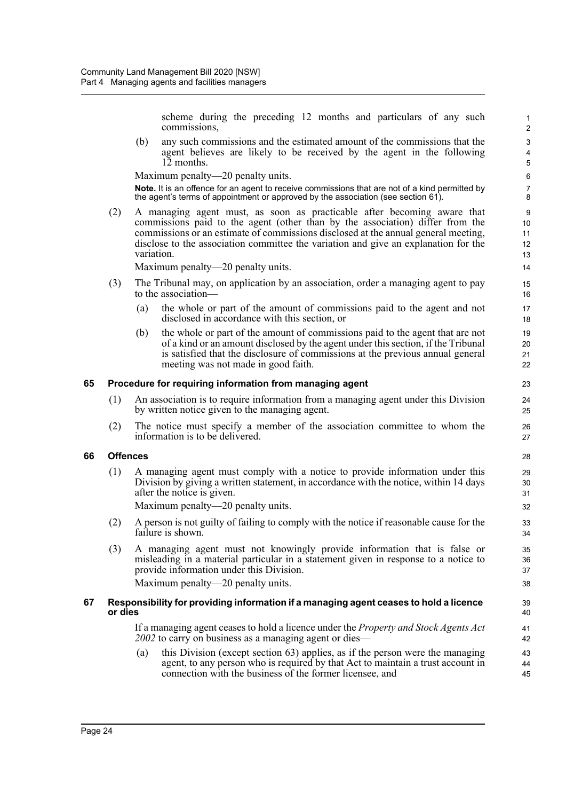scheme during the preceding 12 months and particulars of any such commissions,

(b) any such commissions and the estimated amount of the commissions that the agent believes are likely to be received by the agent in the following 12 months.

Maximum penalty—20 penalty units.

**Note.** It is an offence for an agent to receive commissions that are not of a kind permitted by the agent's terms of appointment or approved by the association (see section 61).

(2) A managing agent must, as soon as practicable after becoming aware that commissions paid to the agent (other than by the association) differ from the commissions or an estimate of commissions disclosed at the annual general meeting, disclose to the association committee the variation and give an explanation for the variation.

Maximum penalty—20 penalty units.

- (3) The Tribunal may, on application by an association, order a managing agent to pay to the association—
	- (a) the whole or part of the amount of commissions paid to the agent and not disclosed in accordance with this section, or
	- (b) the whole or part of the amount of commissions paid to the agent that are not of a kind or an amount disclosed by the agent under this section, if the Tribunal is satisfied that the disclosure of commissions at the previous annual general meeting was not made in good faith.

#### **65 Procedure for requiring information from managing agent**

- (1) An association is to require information from a managing agent under this Division by written notice given to the managing agent.
- (2) The notice must specify a member of the association committee to whom the information is to be delivered.

#### **66 Offences**

(1) A managing agent must comply with a notice to provide information under this Division by giving a written statement, in accordance with the notice, within 14 days after the notice is given.

Maximum penalty—20 penalty units.

- (2) A person is not guilty of failing to comply with the notice if reasonable cause for the failure is shown.
- (3) A managing agent must not knowingly provide information that is false or misleading in a material particular in a statement given in response to a notice to provide information under this Division. Maximum penalty—20 penalty units.

## **67 Responsibility for providing information if a managing agent ceases to hold a licence or dies**

If a managing agent ceases to hold a licence under the *Property and Stock Agents Act 2002* to carry on business as a managing agent or dies—

(a) this Division (except section 63) applies, as if the person were the managing agent, to any person who is required by that Act to maintain a trust account in connection with the business of the former licensee, and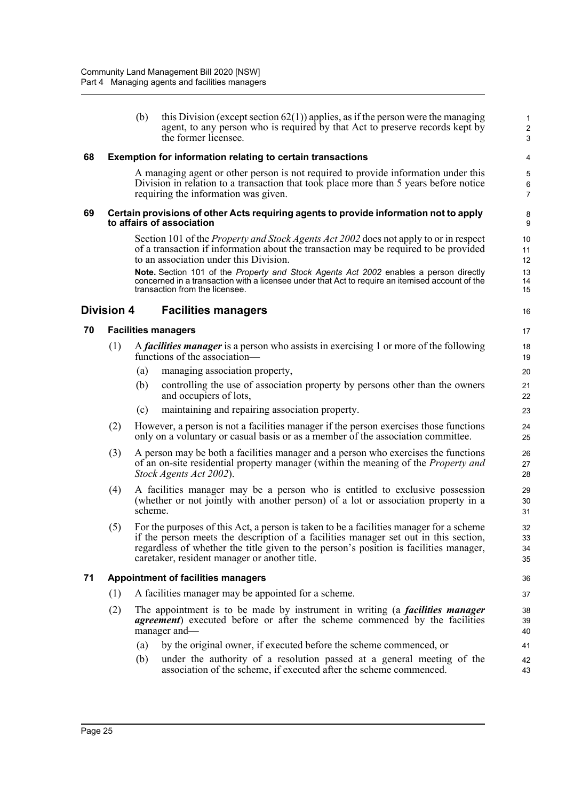|    |                   | (b)     | this Division (except section $62(1)$ ) applies, as if the person were the managing<br>agent, to any person who is required by that Act to preserve records kept by<br>the former licensee.                                                                                                                               | $\mathbf 1$<br>$\sqrt{2}$<br>3 |
|----|-------------------|---------|---------------------------------------------------------------------------------------------------------------------------------------------------------------------------------------------------------------------------------------------------------------------------------------------------------------------------|--------------------------------|
| 68 |                   |         | <b>Exemption for information relating to certain transactions</b>                                                                                                                                                                                                                                                         | 4                              |
|    |                   |         | A managing agent or other person is not required to provide information under this<br>Division in relation to a transaction that took place more than 5 years before notice<br>requiring the information was given.                                                                                                       | 5<br>$\,6\,$<br>$\overline{7}$ |
| 69 |                   |         | Certain provisions of other Acts requiring agents to provide information not to apply<br>to affairs of association                                                                                                                                                                                                        | 8<br>9                         |
|    |                   |         | Section 101 of the <i>Property and Stock Agents Act 2002</i> does not apply to or in respect<br>of a transaction if information about the transaction may be required to be provided<br>to an association under this Division.                                                                                            | 10<br>11<br>12                 |
|    |                   |         | Note. Section 101 of the Property and Stock Agents Act 2002 enables a person directly<br>concerned in a transaction with a licensee under that Act to require an itemised account of the<br>transaction from the licensee.                                                                                                | 13<br>14<br>15                 |
|    | <b>Division 4</b> |         | <b>Facilities managers</b>                                                                                                                                                                                                                                                                                                | 16                             |
| 70 |                   |         | <b>Facilities managers</b>                                                                                                                                                                                                                                                                                                | 17                             |
|    | (1)               |         | A <i>facilities manager</i> is a person who assists in exercising 1 or more of the following<br>functions of the association—                                                                                                                                                                                             | 18<br>19                       |
|    |                   | (a)     | managing association property,                                                                                                                                                                                                                                                                                            | 20                             |
|    |                   | (b)     | controlling the use of association property by persons other than the owners<br>and occupiers of lots,                                                                                                                                                                                                                    | 21<br>22                       |
|    |                   | (c)     | maintaining and repairing association property.                                                                                                                                                                                                                                                                           | 23                             |
|    | (2)               |         | However, a person is not a facilities manager if the person exercises those functions<br>only on a voluntary or casual basis or as a member of the association committee.                                                                                                                                                 | 24<br>25                       |
|    | (3)               |         | A person may be both a facilities manager and a person who exercises the functions<br>of an on-site residential property manager (within the meaning of the <i>Property and</i><br>Stock Agents Act 2002).                                                                                                                | 26<br>27<br>28                 |
|    | (4)               | scheme. | A facilities manager may be a person who is entitled to exclusive possession<br>(whether or not jointly with another person) of a lot or association property in a                                                                                                                                                        | 29<br>30<br>31                 |
|    | (5)               |         | For the purposes of this Act, a person is taken to be a facilities manager for a scheme<br>if the person meets the description of a facilities manager set out in this section,<br>regardless of whether the title given to the person's position is facilities manager,<br>caretaker, resident manager or another title. | 32<br>33<br>34<br>35           |
| 71 |                   |         | <b>Appointment of facilities managers</b>                                                                                                                                                                                                                                                                                 | 36                             |
|    | (1)               |         | A facilities manager may be appointed for a scheme.                                                                                                                                                                                                                                                                       | 37                             |
|    | (2)               |         | The appointment is to be made by instrument in writing (a <i>facilities manager</i><br><i>agreement</i> ) executed before or after the scheme commenced by the facilities<br>manager and—                                                                                                                                 | 38<br>39<br>40                 |
|    |                   | (a)     | by the original owner, if executed before the scheme commenced, or                                                                                                                                                                                                                                                        | 41                             |
|    |                   | (b)     | under the authority of a resolution passed at a general meeting of the<br>association of the scheme, if executed after the scheme commenced.                                                                                                                                                                              | 42<br>43                       |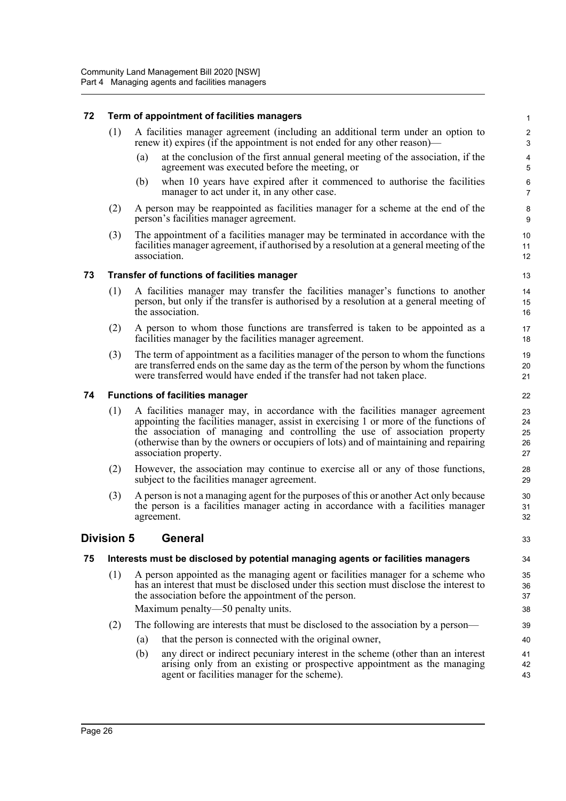## **72 Term of appointment of facilities managers**

- (1) A facilities manager agreement (including an additional term under an option to renew it) expires (if the appointment is not ended for any other reason)—
	- (a) at the conclusion of the first annual general meeting of the association, if the agreement was executed before the meeting, or

33

- (b) when 10 years have expired after it commenced to authorise the facilities manager to act under it, in any other case.
- (2) A person may be reappointed as facilities manager for a scheme at the end of the person's facilities manager agreement.
- (3) The appointment of a facilities manager may be terminated in accordance with the facilities manager agreement, if authorised by a resolution at a general meeting of the association.

## **73 Transfer of functions of facilities manager**

- (1) A facilities manager may transfer the facilities manager's functions to another person, but only if the transfer is authorised by a resolution at a general meeting of the association.
- (2) A person to whom those functions are transferred is taken to be appointed as a facilities manager by the facilities manager agreement.
- (3) The term of appointment as a facilities manager of the person to whom the functions are transferred ends on the same day as the term of the person by whom the functions were transferred would have ended if the transfer had not taken place.

## **74 Functions of facilities manager**

- (1) A facilities manager may, in accordance with the facilities manager agreement appointing the facilities manager, assist in exercising 1 or more of the functions of the association of managing and controlling the use of association property (otherwise than by the owners or occupiers of lots) and of maintaining and repairing association property.
- (2) However, the association may continue to exercise all or any of those functions, subject to the facilities manager agreement.
- (3) A person is not a managing agent for the purposes of this or another Act only because the person is a facilities manager acting in accordance with a facilities manager agreement.

## **Division 5 General**

## **75 Interests must be disclosed by potential managing agents or facilities managers**

- (1) A person appointed as the managing agent or facilities manager for a scheme who has an interest that must be disclosed under this section must disclose the interest to the association before the appointment of the person. Maximum penalty—50 penalty units.
- (2) The following are interests that must be disclosed to the association by a person—
	- (a) that the person is connected with the original owner,
	- (b) any direct or indirect pecuniary interest in the scheme (other than an interest arising only from an existing or prospective appointment as the managing agent or facilities manager for the scheme).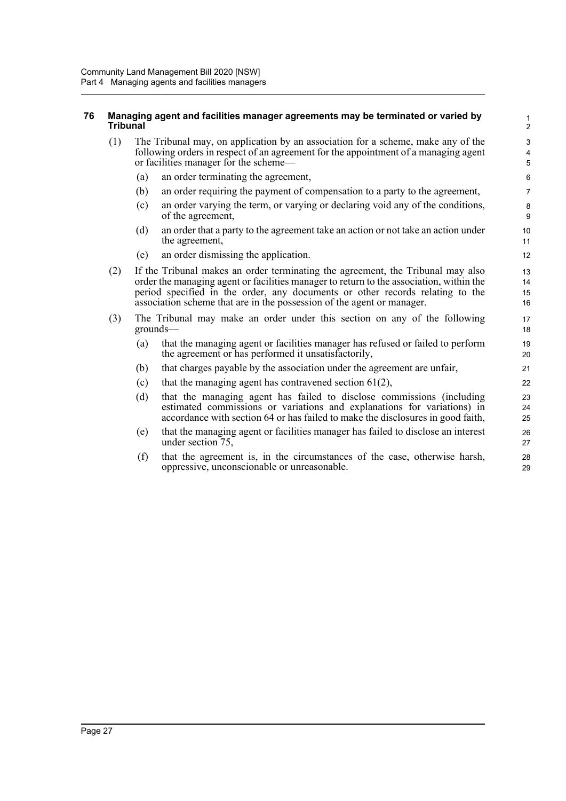## **76 Managing agent and facilities manager agreements may be terminated or varied by Tribunal**

- (1) The Tribunal may, on application by an association for a scheme, make any of the following orders in respect of an agreement for the appointment of a managing agent or facilities manager for the scheme—
	- (a) an order terminating the agreement,
	- (b) an order requiring the payment of compensation to a party to the agreement,
	- (c) an order varying the term, or varying or declaring void any of the conditions, of the agreement,

- (d) an order that a party to the agreement take an action or not take an action under the agreement,
- (e) an order dismissing the application.
- (2) If the Tribunal makes an order terminating the agreement, the Tribunal may also order the managing agent or facilities manager to return to the association, within the period specified in the order, any documents or other records relating to the association scheme that are in the possession of the agent or manager.
- (3) The Tribunal may make an order under this section on any of the following grounds—
	- (a) that the managing agent or facilities manager has refused or failed to perform the agreement or has performed it unsatisfactorily,
	- (b) that charges payable by the association under the agreement are unfair,
	- (c) that the managing agent has contravened section  $61(2)$ ,
	- (d) that the managing agent has failed to disclose commissions (including estimated commissions or variations and explanations for variations) in accordance with section 64 or has failed to make the disclosures in good faith,
	- (e) that the managing agent or facilities manager has failed to disclose an interest under section 75,
	- (f) that the agreement is, in the circumstances of the case, otherwise harsh, oppressive, unconscionable or unreasonable.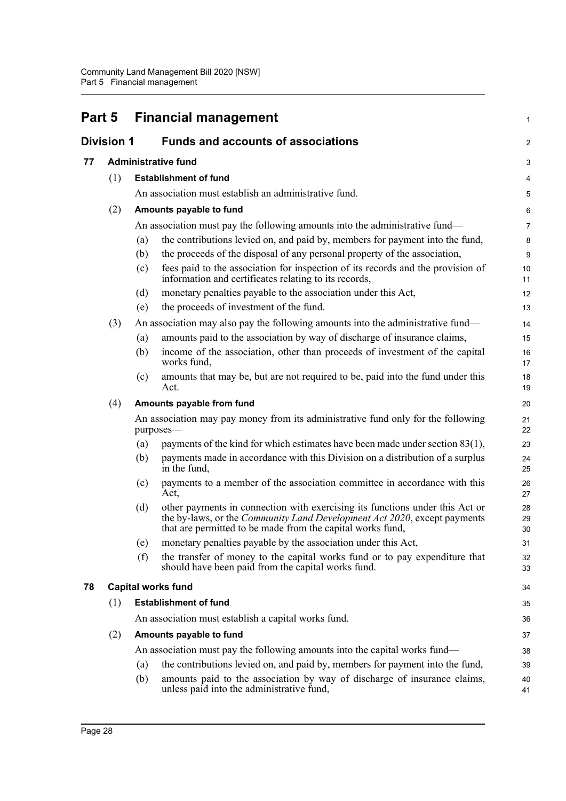| Part 5            |     | <b>Financial management</b>               |                                                                                                                                                                                                                        |                  |
|-------------------|-----|-------------------------------------------|------------------------------------------------------------------------------------------------------------------------------------------------------------------------------------------------------------------------|------------------|
| <b>Division 1</b> |     | <b>Funds and accounts of associations</b> |                                                                                                                                                                                                                        | $\overline{2}$   |
| 77                |     |                                           | <b>Administrative fund</b>                                                                                                                                                                                             | 3                |
|                   | (1) |                                           | <b>Establishment of fund</b>                                                                                                                                                                                           | 4                |
|                   |     |                                           | An association must establish an administrative fund.                                                                                                                                                                  | 5                |
|                   | (2) |                                           | Amounts payable to fund                                                                                                                                                                                                | $\,6$            |
|                   |     |                                           | An association must pay the following amounts into the administrative fund—                                                                                                                                            | $\overline{7}$   |
|                   |     | (a)                                       | the contributions levied on, and paid by, members for payment into the fund,                                                                                                                                           | $\bf 8$          |
|                   |     | (b)                                       | the proceeds of the disposal of any personal property of the association,                                                                                                                                              | $\boldsymbol{9}$ |
|                   |     | (c)                                       | fees paid to the association for inspection of its records and the provision of<br>information and certificates relating to its records,                                                                               | 10<br>11         |
|                   |     | (d)                                       | monetary penalties payable to the association under this Act,                                                                                                                                                          | 12               |
|                   |     | (e)                                       | the proceeds of investment of the fund.                                                                                                                                                                                | 13               |
|                   | (3) |                                           | An association may also pay the following amounts into the administrative fund—                                                                                                                                        | 14               |
|                   |     | (a)                                       | amounts paid to the association by way of discharge of insurance claims,                                                                                                                                               | 15               |
|                   |     | (b)                                       | income of the association, other than proceeds of investment of the capital<br>works fund,                                                                                                                             | 16<br>17         |
|                   |     | (c)                                       | amounts that may be, but are not required to be, paid into the fund under this<br>Act.                                                                                                                                 | 18<br>19         |
|                   | (4) |                                           | Amounts payable from fund                                                                                                                                                                                              | 20               |
|                   |     |                                           | An association may pay money from its administrative fund only for the following<br>purposes-                                                                                                                          | 21<br>22         |
|                   |     | (a)                                       | payments of the kind for which estimates have been made under section 83(1),                                                                                                                                           | 23               |
|                   |     | (b)                                       | payments made in accordance with this Division on a distribution of a surplus<br>in the fund,                                                                                                                          | 24<br>25         |
|                   |     | (c)                                       | payments to a member of the association committee in accordance with this<br>Act,                                                                                                                                      | 26<br>27         |
|                   |     | (d)                                       | other payments in connection with exercising its functions under this Act or<br>the by-laws, or the Community Land Development Act 2020, except payments<br>that are permitted to be made from the capital works fund, | 28<br>29<br>30   |
|                   |     | (e)                                       | monetary penalties payable by the association under this Act,                                                                                                                                                          | 31               |
|                   |     | (f)                                       | the transfer of money to the capital works fund or to pay expenditure that<br>should have been paid from the capital works fund.                                                                                       | 32<br>33         |
| 78                |     |                                           | <b>Capital works fund</b>                                                                                                                                                                                              | 34               |
|                   | (1) |                                           | <b>Establishment of fund</b>                                                                                                                                                                                           | 35               |
|                   |     |                                           | An association must establish a capital works fund.                                                                                                                                                                    | 36               |
|                   | (2) |                                           | Amounts payable to fund                                                                                                                                                                                                | 37               |
|                   |     |                                           | An association must pay the following amounts into the capital works fund—                                                                                                                                             | 38               |
|                   |     | (a)                                       | the contributions levied on, and paid by, members for payment into the fund,                                                                                                                                           | 39               |
|                   |     | (b)                                       | amounts paid to the association by way of discharge of insurance claims,<br>unless paid into the administrative fund,                                                                                                  | 40<br>41         |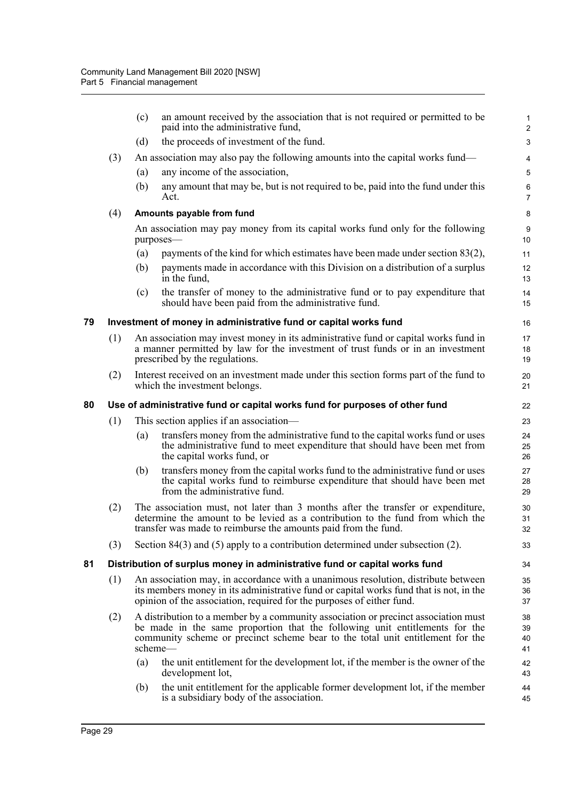|    |                                                                             | (c) | an amount received by the association that is not required or permitted to be<br>paid into the administrative fund,                                                                                                                                            | $\mathbf{1}$<br>$\overline{c}$ |  |  |  |  |
|----|-----------------------------------------------------------------------------|-----|----------------------------------------------------------------------------------------------------------------------------------------------------------------------------------------------------------------------------------------------------------------|--------------------------------|--|--|--|--|
|    |                                                                             | (d) | the proceeds of investment of the fund.                                                                                                                                                                                                                        | 3                              |  |  |  |  |
|    | (3)                                                                         |     | An association may also pay the following amounts into the capital works fund—                                                                                                                                                                                 | 4                              |  |  |  |  |
|    |                                                                             | (a) | any income of the association,                                                                                                                                                                                                                                 | 5                              |  |  |  |  |
|    |                                                                             | (b) | any amount that may be, but is not required to be, paid into the fund under this<br>Act.                                                                                                                                                                       | 6<br>$\overline{7}$            |  |  |  |  |
|    | (4)                                                                         |     | Amounts payable from fund                                                                                                                                                                                                                                      | 8                              |  |  |  |  |
|    |                                                                             |     | An association may pay money from its capital works fund only for the following<br>purposes-                                                                                                                                                                   | 9<br>10                        |  |  |  |  |
|    |                                                                             | (a) | payments of the kind for which estimates have been made under section 83(2),                                                                                                                                                                                   | 11                             |  |  |  |  |
|    |                                                                             | (b) | payments made in accordance with this Division on a distribution of a surplus<br>in the fund,                                                                                                                                                                  | 12<br>13                       |  |  |  |  |
|    |                                                                             | (c) | the transfer of money to the administrative fund or to pay expenditure that<br>should have been paid from the administrative fund.                                                                                                                             | 14<br>15                       |  |  |  |  |
| 79 |                                                                             |     | Investment of money in administrative fund or capital works fund                                                                                                                                                                                               | 16                             |  |  |  |  |
|    | (1)                                                                         |     | An association may invest money in its administrative fund or capital works fund in<br>a manner permitted by law for the investment of trust funds or in an investment<br>prescribed by the regulations.                                                       | 17<br>18<br>19                 |  |  |  |  |
|    | (2)                                                                         |     | Interest received on an investment made under this section forms part of the fund to<br>which the investment belongs.                                                                                                                                          | 20<br>21                       |  |  |  |  |
| 80 | Use of administrative fund or capital works fund for purposes of other fund |     |                                                                                                                                                                                                                                                                |                                |  |  |  |  |
|    | (1)                                                                         |     | This section applies if an association—                                                                                                                                                                                                                        | 23                             |  |  |  |  |
|    |                                                                             | (a) | transfers money from the administrative fund to the capital works fund or uses<br>the administrative fund to meet expenditure that should have been met from<br>the capital works fund, or                                                                     | 24<br>25<br>26                 |  |  |  |  |
|    |                                                                             | (b) | transfers money from the capital works fund to the administrative fund or uses<br>the capital works fund to reimburse expenditure that should have been met<br>from the administrative fund.                                                                   | 27<br>28<br>29                 |  |  |  |  |
|    | (2)                                                                         |     | The association must, not later than 3 months after the transfer or expenditure,<br>determine the amount to be levied as a contribution to the fund from which the<br>transfer was made to reimburse the amounts paid from the fund.                           | 30<br>31<br>32                 |  |  |  |  |
|    | (3)                                                                         |     | Section $84(3)$ and $(5)$ apply to a contribution determined under subsection $(2)$ .                                                                                                                                                                          | 33                             |  |  |  |  |
| 81 |                                                                             |     | Distribution of surplus money in administrative fund or capital works fund                                                                                                                                                                                     | 34                             |  |  |  |  |
|    | (1)                                                                         |     | An association may, in accordance with a unanimous resolution, distribute between<br>its members money in its administrative fund or capital works fund that is not, in the<br>opinion of the association, required for the purposes of either fund.           | 35<br>36<br>37                 |  |  |  |  |
|    | (2)                                                                         |     | A distribution to a member by a community association or precinct association must<br>be made in the same proportion that the following unit entitlements for the<br>community scheme or precinct scheme bear to the total unit entitlement for the<br>scheme— | 38<br>39<br>40<br>41           |  |  |  |  |
|    |                                                                             | (a) | the unit entitlement for the development lot, if the member is the owner of the<br>development lot,                                                                                                                                                            | 42<br>43                       |  |  |  |  |
|    |                                                                             | (b) | the unit entitlement for the applicable former development lot, if the member<br>is a subsidiary body of the association.                                                                                                                                      | 44<br>45                       |  |  |  |  |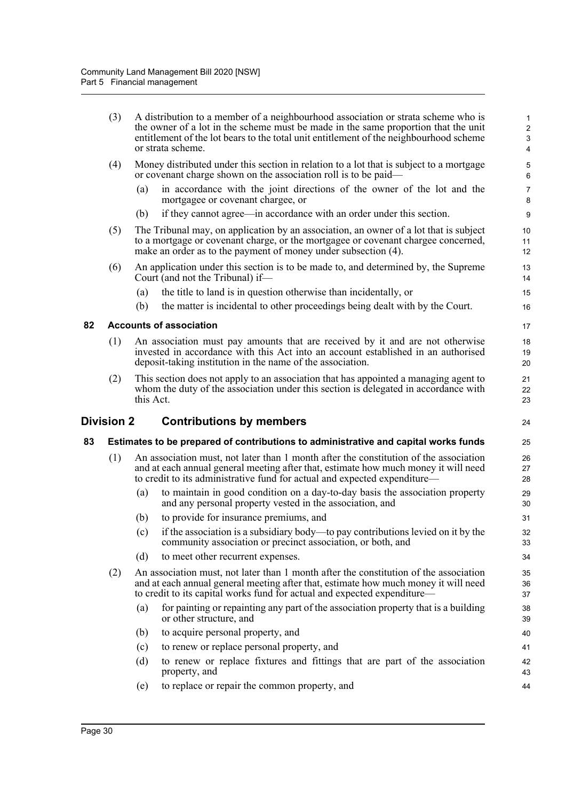|    | (3)        |           | A distribution to a member of a neighbourhood association or strata scheme who is<br>the owner of a lot in the scheme must be made in the same proportion that the unit<br>entitlement of the lot bears to the total unit entitlement of the neighbourhood scheme<br>or strata scheme. | $\mathbf{1}$<br>$\overline{c}$<br>3<br>4 |
|----|------------|-----------|----------------------------------------------------------------------------------------------------------------------------------------------------------------------------------------------------------------------------------------------------------------------------------------|------------------------------------------|
|    | (4)        |           | Money distributed under this section in relation to a lot that is subject to a mortgage<br>or covenant charge shown on the association roll is to be paid—                                                                                                                             | 5<br>6                                   |
|    |            | (a)       | in accordance with the joint directions of the owner of the lot and the<br>mortgagee or covenant chargee, or                                                                                                                                                                           | $\overline{7}$<br>8                      |
|    |            | (b)       | if they cannot agree—in accordance with an order under this section.                                                                                                                                                                                                                   | 9                                        |
|    | (5)        |           | The Tribunal may, on application by an association, an owner of a lot that is subject<br>to a mortgage or covenant charge, or the mortgagee or covenant chargee concerned,<br>make an order as to the payment of money under subsection (4).                                           | 10<br>11<br>12                           |
|    | (6)        |           | An application under this section is to be made to, and determined by, the Supreme<br>Court (and not the Tribunal) if-                                                                                                                                                                 | 13<br>14                                 |
|    |            | (a)       | the title to land is in question otherwise than incidentally, or                                                                                                                                                                                                                       | 15                                       |
|    |            | (b)       | the matter is incidental to other proceedings being dealt with by the Court.                                                                                                                                                                                                           | 16                                       |
| 82 |            |           | <b>Accounts of association</b>                                                                                                                                                                                                                                                         | 17                                       |
|    | (1)        |           | An association must pay amounts that are received by it and are not otherwise<br>invested in accordance with this Act into an account established in an authorised<br>deposit-taking institution in the name of the association.                                                       | 18<br>19<br>20                           |
|    | (2)        | this Act. | This section does not apply to an association that has appointed a managing agent to<br>whom the duty of the association under this section is delegated in accordance with                                                                                                            | 21<br>22<br>23                           |
|    | Division 2 |           | <b>Contributions by members</b>                                                                                                                                                                                                                                                        | 24                                       |
| 83 |            |           | Estimates to be prepared of contributions to administrative and capital works funds                                                                                                                                                                                                    | 25                                       |
|    | (1)        |           | An association must, not later than 1 month after the constitution of the association<br>and at each annual general meeting after that, estimate how much money it will need<br>to credit to its administrative fund for actual and expected expenditure—                              | 26<br>27<br>28                           |
|    |            | (a)       | to maintain in good condition on a day-to-day basis the association property<br>and any personal property vested in the association, and                                                                                                                                               | 29<br>30                                 |
|    |            | (b)       | to provide for insurance premiums, and                                                                                                                                                                                                                                                 | 31                                       |
|    |            |           | (c) if the association is a subsidiary body—to pay contributions levied on it by the<br>community association or precinct association, or both, and                                                                                                                                    | 32<br>33                                 |
|    |            | (d)       | to meet other recurrent expenses.                                                                                                                                                                                                                                                      | 34                                       |
|    | (2)        |           | An association must, not later than 1 month after the constitution of the association<br>and at each annual general meeting after that, estimate how much money it will need<br>to credit to its capital works fund for actual and expected expenditure-                               | 35<br>36<br>37                           |
|    |            | (a)       | for painting or repainting any part of the association property that is a building<br>or other structure, and                                                                                                                                                                          | 38<br>39                                 |
|    |            | (b)       | to acquire personal property, and                                                                                                                                                                                                                                                      | 40                                       |
|    |            | (c)       | to renew or replace personal property, and                                                                                                                                                                                                                                             | 41                                       |
|    |            | (d)       | to renew or replace fixtures and fittings that are part of the association<br>property, and                                                                                                                                                                                            | 42<br>43                                 |
|    |            | (e)       | to replace or repair the common property, and                                                                                                                                                                                                                                          | 44                                       |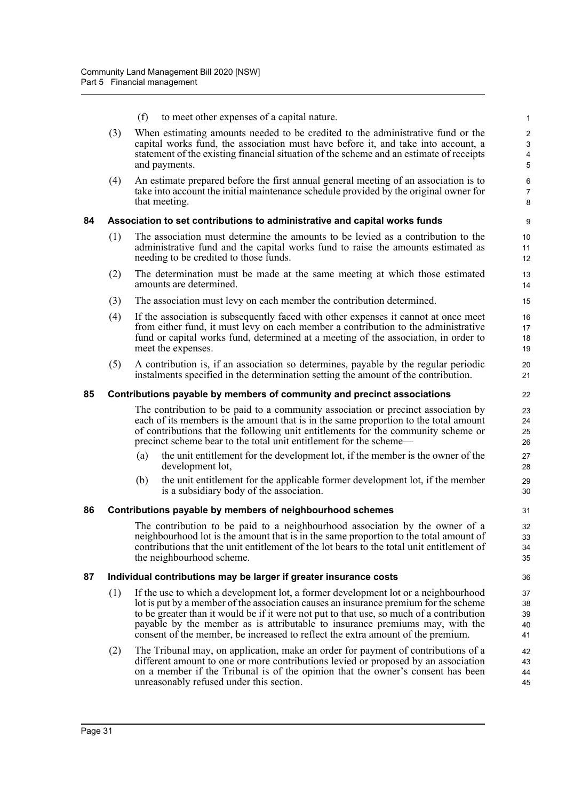- (f) to meet other expenses of a capital nature.
- (3) When estimating amounts needed to be credited to the administrative fund or the capital works fund, the association must have before it, and take into account, a statement of the existing financial situation of the scheme and an estimate of receipts and payments.

45

(4) An estimate prepared before the first annual general meeting of an association is to take into account the initial maintenance schedule provided by the original owner for that meeting.

## **84 Association to set contributions to administrative and capital works funds**

- (1) The association must determine the amounts to be levied as a contribution to the administrative fund and the capital works fund to raise the amounts estimated as needing to be credited to those funds.
- (2) The determination must be made at the same meeting at which those estimated amounts are determined.
- (3) The association must levy on each member the contribution determined.
- (4) If the association is subsequently faced with other expenses it cannot at once meet from either fund, it must levy on each member a contribution to the administrative fund or capital works fund, determined at a meeting of the association, in order to meet the expenses.
- (5) A contribution is, if an association so determines, payable by the regular periodic instalments specified in the determination setting the amount of the contribution.

## **85 Contributions payable by members of community and precinct associations**

The contribution to be paid to a community association or precinct association by each of its members is the amount that is in the same proportion to the total amount of contributions that the following unit entitlements for the community scheme or precinct scheme bear to the total unit entitlement for the scheme—

- (a) the unit entitlement for the development lot, if the member is the owner of the development lot,
- (b) the unit entitlement for the applicable former development lot, if the member is a subsidiary body of the association.

#### **86 Contributions payable by members of neighbourhood schemes**

The contribution to be paid to a neighbourhood association by the owner of a neighbourhood lot is the amount that is in the same proportion to the total amount of contributions that the unit entitlement of the lot bears to the total unit entitlement of the neighbourhood scheme.

#### **87 Individual contributions may be larger if greater insurance costs**

- (1) If the use to which a development lot, a former development lot or a neighbourhood lot is put by a member of the association causes an insurance premium for the scheme to be greater than it would be if it were not put to that use, so much of a contribution payable by the member as is attributable to insurance premiums may, with the consent of the member, be increased to reflect the extra amount of the premium.
- (2) The Tribunal may, on application, make an order for payment of contributions of a different amount to one or more contributions levied or proposed by an association on a member if the Tribunal is of the opinion that the owner's consent has been unreasonably refused under this section. 44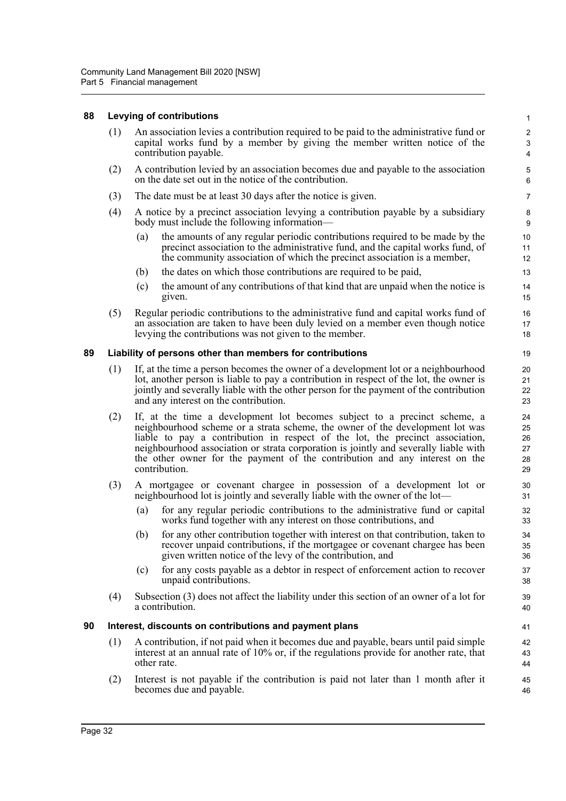#### **88 Levying of contributions**

(1) An association levies a contribution required to be paid to the administrative fund or capital works fund by a member by giving the member written notice of the contribution payable.

- (2) A contribution levied by an association becomes due and payable to the association on the date set out in the notice of the contribution.
- (3) The date must be at least 30 days after the notice is given.
- (4) A notice by a precinct association levying a contribution payable by a subsidiary body must include the following information—
	- (a) the amounts of any regular periodic contributions required to be made by the precinct association to the administrative fund, and the capital works fund, of the community association of which the precinct association is a member,
	- (b) the dates on which those contributions are required to be paid,
	- (c) the amount of any contributions of that kind that are unpaid when the notice is given.
- (5) Regular periodic contributions to the administrative fund and capital works fund of an association are taken to have been duly levied on a member even though notice levying the contributions was not given to the member.

## **89 Liability of persons other than members for contributions**

- (1) If, at the time a person becomes the owner of a development lot or a neighbourhood lot, another person is liable to pay a contribution in respect of the lot, the owner is jointly and severally liable with the other person for the payment of the contribution and any interest on the contribution.
- (2) If, at the time a development lot becomes subject to a precinct scheme, a neighbourhood scheme or a strata scheme, the owner of the development lot was liable to pay a contribution in respect of the lot, the precinct association, neighbourhood association or strata corporation is jointly and severally liable with the other owner for the payment of the contribution and any interest on the contribution.
- (3) A mortgagee or covenant chargee in possession of a development lot or neighbourhood lot is jointly and severally liable with the owner of the lot—
	- (a) for any regular periodic contributions to the administrative fund or capital works fund together with any interest on those contributions, and
	- (b) for any other contribution together with interest on that contribution, taken to recover unpaid contributions, if the mortgagee or covenant chargee has been given written notice of the levy of the contribution, and
	- (c) for any costs payable as a debtor in respect of enforcement action to recover unpaid contributions.
- (4) Subsection (3) does not affect the liability under this section of an owner of a lot for a contribution.

#### **90 Interest, discounts on contributions and payment plans**

- (1) A contribution, if not paid when it becomes due and payable, bears until paid simple interest at an annual rate of 10% or, if the regulations provide for another rate, that other rate.
- (2) Interest is not payable if the contribution is paid not later than 1 month after it becomes due and payable.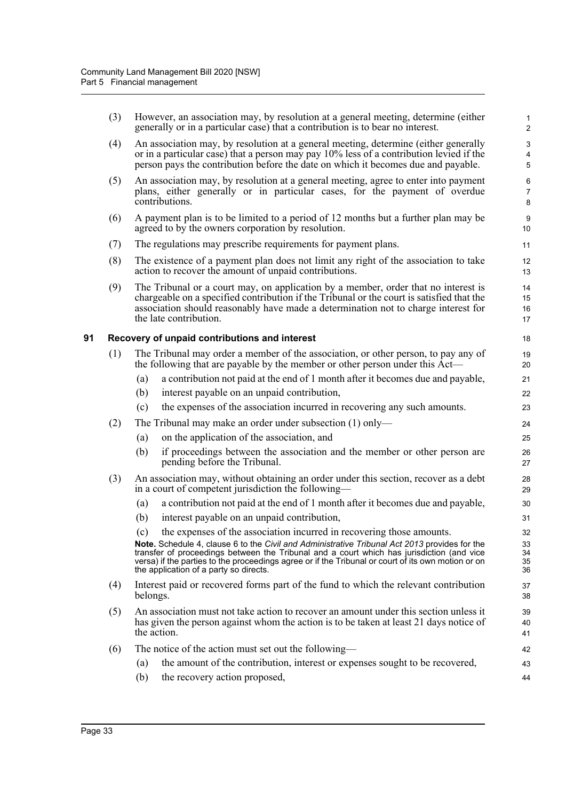|    | (3) | However, an association may, by resolution at a general meeting, determine (either<br>generally or in a particular case) that a contribution is to bear no interest.                                                                                                                                                                       | $\mathbf{1}$<br>$\overline{2}$ |
|----|-----|--------------------------------------------------------------------------------------------------------------------------------------------------------------------------------------------------------------------------------------------------------------------------------------------------------------------------------------------|--------------------------------|
|    | (4) | An association may, by resolution at a general meeting, determine (either generally<br>or in a particular case) that a person may pay $10\%$ less of a contribution levied if the<br>person pays the contribution before the date on which it becomes due and payable.                                                                     | 3<br>4<br>5                    |
|    | (5) | An association may, by resolution at a general meeting, agree to enter into payment<br>plans, either generally or in particular cases, for the payment of overdue<br>contributions.                                                                                                                                                        | 6<br>$\overline{7}$<br>8       |
|    | (6) | A payment plan is to be limited to a period of 12 months but a further plan may be<br>agreed to by the owners corporation by resolution.                                                                                                                                                                                                   | 9<br>10                        |
|    | (7) | The regulations may prescribe requirements for payment plans.                                                                                                                                                                                                                                                                              | 11                             |
|    | (8) | The existence of a payment plan does not limit any right of the association to take<br>action to recover the amount of unpaid contributions.                                                                                                                                                                                               | 12<br>13                       |
|    | (9) | The Tribunal or a court may, on application by a member, order that no interest is<br>chargeable on a specified contribution if the Tribunal or the court is satisfied that the<br>association should reasonably have made a determination not to charge interest for<br>the late contribution.                                            | 14<br>15<br>16<br>17           |
| 91 |     | Recovery of unpaid contributions and interest                                                                                                                                                                                                                                                                                              | 18                             |
|    | (1) | The Tribunal may order a member of the association, or other person, to pay any of<br>the following that are payable by the member or other person under this Act—<br>a contribution not paid at the end of 1 month after it becomes due and payable,<br>(a)                                                                               | 19<br>20<br>21                 |
|    |     | (b)<br>interest payable on an unpaid contribution,                                                                                                                                                                                                                                                                                         | 22                             |
|    |     | the expenses of the association incurred in recovering any such amounts.<br>(c)                                                                                                                                                                                                                                                            | 23                             |
|    | (2) | The Tribunal may make an order under subsection $(1)$ only—                                                                                                                                                                                                                                                                                | 24                             |
|    |     | (a)<br>on the application of the association, and                                                                                                                                                                                                                                                                                          | 25                             |
|    |     | (b)<br>if proceedings between the association and the member or other person are<br>pending before the Tribunal.                                                                                                                                                                                                                           | 26<br>27                       |
|    | (3) | An association may, without obtaining an order under this section, recover as a debt<br>in a court of competent jurisdiction the following—                                                                                                                                                                                                | 28<br>29                       |
|    |     | a contribution not paid at the end of 1 month after it becomes due and payable,<br>(a)                                                                                                                                                                                                                                                     | 30                             |
|    |     | (b)<br>interest payable on an unpaid contribution,                                                                                                                                                                                                                                                                                         | 31                             |
|    |     | the expenses of the association incurred in recovering those amounts.<br>(c)                                                                                                                                                                                                                                                               | 32                             |
|    |     | Note. Schedule 4, clause 6 to the Civil and Administrative Tribunal Act 2013 provides for the<br>transfer of proceedings between the Tribunal and a court which has jurisdiction (and vice<br>versa) if the parties to the proceedings agree or if the Tribunal or court of its own motion or on<br>the application of a party so directs. | 33<br>34<br>35<br>36           |
|    | (4) | Interest paid or recovered forms part of the fund to which the relevant contribution<br>belongs.                                                                                                                                                                                                                                           | 37<br>38                       |
|    | (5) | An association must not take action to recover an amount under this section unless it<br>has given the person against whom the action is to be taken at least 21 days notice of<br>the action.                                                                                                                                             | 39<br>40<br>41                 |
|    | (6) | The notice of the action must set out the following—                                                                                                                                                                                                                                                                                       | 42                             |
|    |     | the amount of the contribution, interest or expenses sought to be recovered,<br>$\left( a\right)$                                                                                                                                                                                                                                          | 43                             |
|    |     | (b)<br>the recovery action proposed,                                                                                                                                                                                                                                                                                                       | 44                             |
|    |     |                                                                                                                                                                                                                                                                                                                                            |                                |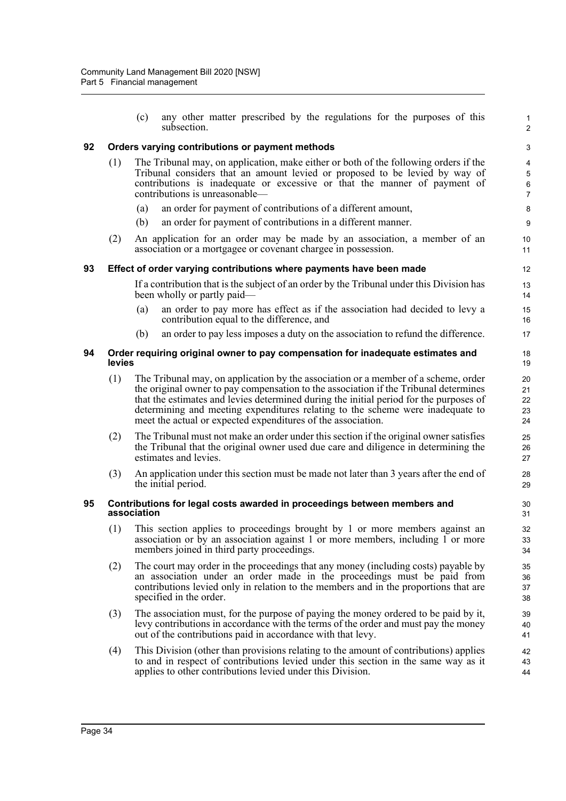|    |                                                                                           | any other matter prescribed by the regulations for the purposes of this<br>(c)<br>subsection.                                                                                                                                                                                                                                                                                                                          | $\mathbf{1}$<br>$\overline{c}$    |  |  |  |  |
|----|-------------------------------------------------------------------------------------------|------------------------------------------------------------------------------------------------------------------------------------------------------------------------------------------------------------------------------------------------------------------------------------------------------------------------------------------------------------------------------------------------------------------------|-----------------------------------|--|--|--|--|
| 92 |                                                                                           | Orders varying contributions or payment methods                                                                                                                                                                                                                                                                                                                                                                        | 3                                 |  |  |  |  |
|    | (1)                                                                                       | The Tribunal may, on application, make either or both of the following orders if the<br>Tribunal considers that an amount levied or proposed to be levied by way of<br>contributions is inadequate or excessive or that the manner of payment of<br>contributions is unreasonable-                                                                                                                                     | 4<br>5<br>$\,6$<br>$\overline{7}$ |  |  |  |  |
|    |                                                                                           | an order for payment of contributions of a different amount,<br>(a)                                                                                                                                                                                                                                                                                                                                                    | 8                                 |  |  |  |  |
|    |                                                                                           | an order for payment of contributions in a different manner.<br>(b)                                                                                                                                                                                                                                                                                                                                                    | 9                                 |  |  |  |  |
|    | (2)                                                                                       | An application for an order may be made by an association, a member of an<br>association or a mortgagee or covenant chargee in possession.                                                                                                                                                                                                                                                                             | 10<br>11                          |  |  |  |  |
| 93 |                                                                                           | Effect of order varying contributions where payments have been made                                                                                                                                                                                                                                                                                                                                                    | 12                                |  |  |  |  |
|    |                                                                                           | If a contribution that is the subject of an order by the Tribunal under this Division has<br>been wholly or partly paid—                                                                                                                                                                                                                                                                                               | 13<br>14                          |  |  |  |  |
|    |                                                                                           | an order to pay more has effect as if the association had decided to levy a<br>(a)<br>contribution equal to the difference, and                                                                                                                                                                                                                                                                                        | 15<br>16                          |  |  |  |  |
|    |                                                                                           | an order to pay less imposes a duty on the association to refund the difference.<br>(b)                                                                                                                                                                                                                                                                                                                                | 17                                |  |  |  |  |
| 94 | Order requiring original owner to pay compensation for inadequate estimates and<br>levies |                                                                                                                                                                                                                                                                                                                                                                                                                        |                                   |  |  |  |  |
|    | (1)                                                                                       | The Tribunal may, on application by the association or a member of a scheme, order<br>the original owner to pay compensation to the association if the Tribunal determines<br>that the estimates and levies determined during the initial period for the purposes of<br>determining and meeting expenditures relating to the scheme were inadequate to<br>meet the actual or expected expenditures of the association. | 20<br>21<br>22<br>23<br>24        |  |  |  |  |
|    | (2)                                                                                       | The Tribunal must not make an order under this section if the original owner satisfies<br>the Tribunal that the original owner used due care and diligence in determining the<br>estimates and levies.                                                                                                                                                                                                                 | 25<br>26<br>27                    |  |  |  |  |
|    | (3)                                                                                       | An application under this section must be made not later than 3 years after the end of<br>the initial period.                                                                                                                                                                                                                                                                                                          | 28<br>29                          |  |  |  |  |
| 95 |                                                                                           | Contributions for legal costs awarded in proceedings between members and<br>association                                                                                                                                                                                                                                                                                                                                | 30<br>31                          |  |  |  |  |
|    | (1)                                                                                       | This section applies to proceedings brought by 1 or more members against an<br>association or by an association against 1 or more members, including 1 or more<br>members joined in third party proceedings.                                                                                                                                                                                                           | 32<br>33<br>34                    |  |  |  |  |
|    | (2)                                                                                       | The court may order in the proceedings that any money (including costs) payable by<br>an association under an order made in the proceedings must be paid from<br>contributions levied only in relation to the members and in the proportions that are<br>specified in the order.                                                                                                                                       | 35<br>36<br>37<br>38              |  |  |  |  |
|    | (3)                                                                                       | The association must, for the purpose of paying the money ordered to be paid by it,<br>levy contributions in accordance with the terms of the order and must pay the money<br>out of the contributions paid in accordance with that levy.                                                                                                                                                                              | 39<br>40<br>41                    |  |  |  |  |
|    | (4)                                                                                       | This Division (other than provisions relating to the amount of contributions) applies<br>to and in respect of contributions levied under this section in the same way as it<br>applies to other contributions levied under this Division.                                                                                                                                                                              | 42<br>43<br>44                    |  |  |  |  |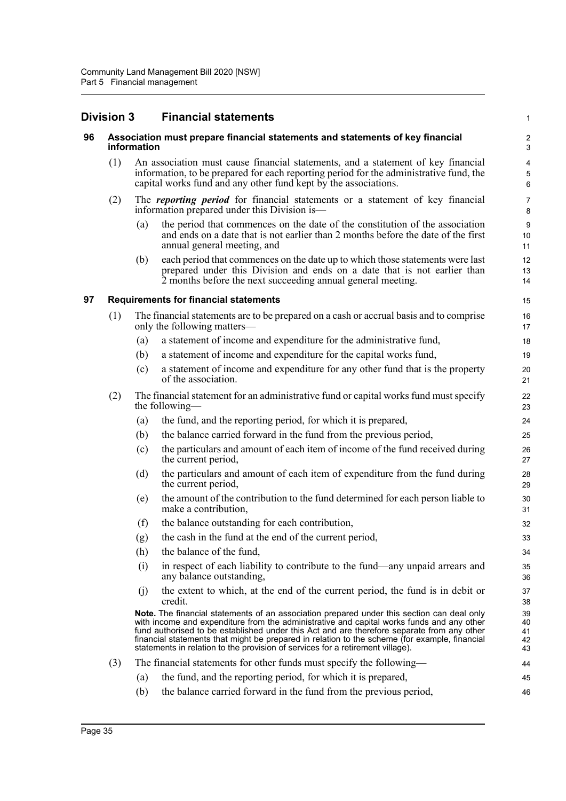# **Division 3 Financial statements**

## **96 Association must prepare financial statements and statements of key financial information**

(1) An association must cause financial statements, and a statement of key financial information, to be prepared for each reporting period for the administrative fund, the capital works fund and any other fund kept by the associations.

1

46

- (2) The *reporting period* for financial statements or a statement of key financial information prepared under this Division is—
	- (a) the period that commences on the date of the constitution of the association and ends on a date that is not earlier than 2 months before the date of the first annual general meeting, and
	- (b) each period that commences on the date up to which those statements were last prepared under this Division and ends on a date that is not earlier than 2 months before the next succeeding annual general meeting.

## **97 Requirements for financial statements**

- (1) The financial statements are to be prepared on a cash or accrual basis and to comprise only the following matters—
	- (a) a statement of income and expenditure for the administrative fund,
	- (b) a statement of income and expenditure for the capital works fund,
	- (c) a statement of income and expenditure for any other fund that is the property of the association.
- (2) The financial statement for an administrative fund or capital works fund must specify the following—
	- (a) the fund, and the reporting period, for which it is prepared,
	- (b) the balance carried forward in the fund from the previous period,
	- (c) the particulars and amount of each item of income of the fund received during the current period,
	- (d) the particulars and amount of each item of expenditure from the fund during the current period,
	- (e) the amount of the contribution to the fund determined for each person liable to make a contribution,
	- (f) the balance outstanding for each contribution,
	- (g) the cash in the fund at the end of the current period,
	- (h) the balance of the fund,
	- (i) in respect of each liability to contribute to the fund—any unpaid arrears and any balance outstanding,
	- (j) the extent to which, at the end of the current period, the fund is in debit or credit.

**Note.** The financial statements of an association prepared under this section can deal only with income and expenditure from the administrative and capital works funds and any other fund authorised to be established under this Act and are therefore separate from any other financial statements that might be prepared in relation to the scheme (for example, financial statements in relation to the provision of services for a retirement village).

- (3) The financial statements for other funds must specify the following—
	- (a) the fund, and the reporting period, for which it is prepared, 45
		- (b) the balance carried forward in the fund from the previous period,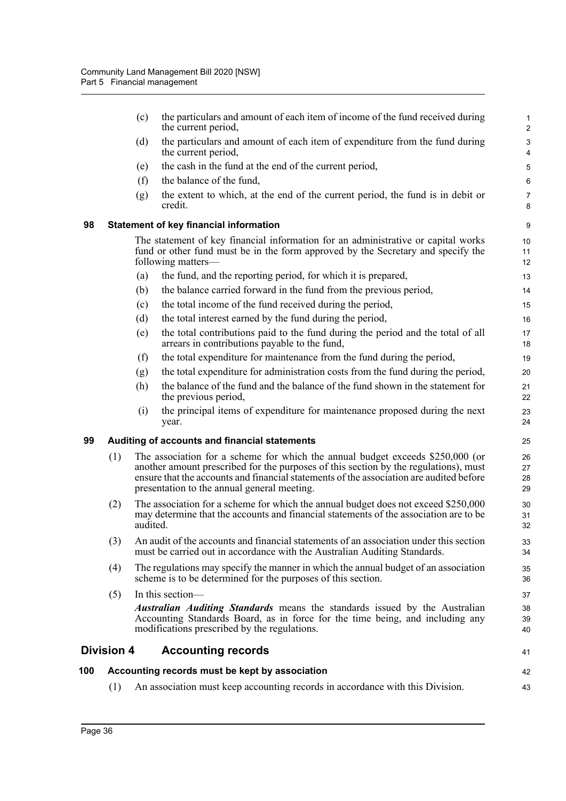|     | (1)               |          | An association must keep accounting records in accordance with this Division.                                                                                                                                                                                                                                    | 43                                          |
|-----|-------------------|----------|------------------------------------------------------------------------------------------------------------------------------------------------------------------------------------------------------------------------------------------------------------------------------------------------------------------|---------------------------------------------|
| 100 |                   |          | Accounting records must be kept by association                                                                                                                                                                                                                                                                   | 42                                          |
|     | <b>Division 4</b> |          | <b>Accounting records</b>                                                                                                                                                                                                                                                                                        | 41                                          |
|     |                   |          | <i>Australian Auditing Standards</i> means the standards issued by the Australian<br>Accounting Standards Board, as in force for the time being, and including any<br>modifications prescribed by the regulations.                                                                                               | 38<br>39<br>40                              |
|     | (5)               |          | In this section-                                                                                                                                                                                                                                                                                                 | 37                                          |
|     | (4)               |          | The regulations may specify the manner in which the annual budget of an association<br>scheme is to be determined for the purposes of this section.                                                                                                                                                              | 35<br>36                                    |
|     | (3)               |          | An audit of the accounts and financial statements of an association under this section<br>must be carried out in accordance with the Australian Auditing Standards.                                                                                                                                              | 33<br>34                                    |
|     | (2)               | audited. | The association for a scheme for which the annual budget does not exceed \$250,000<br>may determine that the accounts and financial statements of the association are to be                                                                                                                                      | 30<br>31<br>32                              |
|     | (1)               |          | The association for a scheme for which the annual budget exceeds \$250,000 (or<br>another amount prescribed for the purposes of this section by the regulations), must<br>ensure that the accounts and financial statements of the association are audited before<br>presentation to the annual general meeting. | 26<br>27<br>28<br>29                        |
| 99  |                   |          | Auditing of accounts and financial statements                                                                                                                                                                                                                                                                    | 25                                          |
|     |                   | (i)      | the principal items of expenditure for maintenance proposed during the next<br>year.                                                                                                                                                                                                                             | 23<br>24                                    |
|     |                   | (h)      | the balance of the fund and the balance of the fund shown in the statement for<br>the previous period,                                                                                                                                                                                                           | 21<br>22                                    |
|     |                   | (g)      | the total expenditure for administration costs from the fund during the period,                                                                                                                                                                                                                                  | 20                                          |
|     |                   | (f)      | the total expenditure for maintenance from the fund during the period,                                                                                                                                                                                                                                           | 19                                          |
|     |                   | (e)      | the total contributions paid to the fund during the period and the total of all<br>arrears in contributions payable to the fund,                                                                                                                                                                                 | 17<br>18                                    |
|     |                   | (d)      | the total interest earned by the fund during the period,                                                                                                                                                                                                                                                         | 16                                          |
|     |                   | (c)      | the total income of the fund received during the period,                                                                                                                                                                                                                                                         | 15                                          |
|     |                   | (b)      | the balance carried forward in the fund from the previous period,                                                                                                                                                                                                                                                | 14                                          |
|     |                   | (a)      | following matters—<br>the fund, and the reporting period, for which it is prepared,                                                                                                                                                                                                                              | 12<br>13                                    |
|     |                   |          | The statement of key financial information for an administrative or capital works<br>fund or other fund must be in the form approved by the Secretary and specify the                                                                                                                                            | 10<br>11                                    |
| 98  |                   |          | <b>Statement of key financial information</b>                                                                                                                                                                                                                                                                    | 9                                           |
|     |                   | (g)      | the extent to which, at the end of the current period, the fund is in debit or<br>credit.                                                                                                                                                                                                                        | $\overline{7}$<br>8                         |
|     |                   | (f)      | the balance of the fund,                                                                                                                                                                                                                                                                                         | 6                                           |
|     |                   | (e)      | the cash in the fund at the end of the current period,                                                                                                                                                                                                                                                           | 5                                           |
|     |                   | (d)      | the particulars and amount of each item of expenditure from the fund during<br>the current period,                                                                                                                                                                                                               | $\ensuremath{\mathsf{3}}$<br>$\overline{4}$ |
|     |                   | (c)      | the particulars and amount of each item of income of the fund received during<br>the current period,                                                                                                                                                                                                             | 1<br>$\overline{2}$                         |
|     |                   |          |                                                                                                                                                                                                                                                                                                                  |                                             |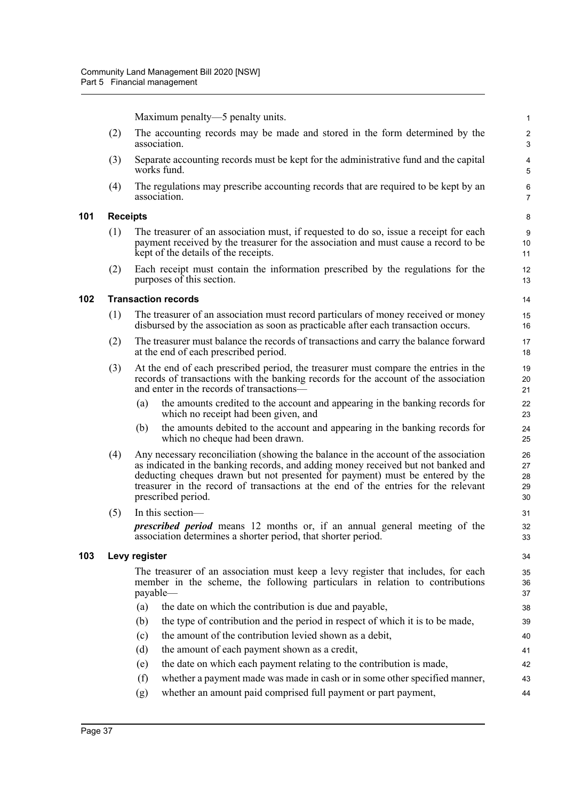Maximum penalty—5 penalty units.

(2) The accounting records may be made and stored in the form determined by the association.

44

- (3) Separate accounting records must be kept for the administrative fund and the capital works fund.
- (4) The regulations may prescribe accounting records that are required to be kept by an association.

#### **101 Receipts**

- (1) The treasurer of an association must, if requested to do so, issue a receipt for each payment received by the treasurer for the association and must cause a record to be kept of the details of the receipts.
- (2) Each receipt must contain the information prescribed by the regulations for the purposes of this section.

## **102 Transaction records**

- (1) The treasurer of an association must record particulars of money received or money disbursed by the association as soon as practicable after each transaction occurs.
- (2) The treasurer must balance the records of transactions and carry the balance forward at the end of each prescribed period.
- (3) At the end of each prescribed period, the treasurer must compare the entries in the records of transactions with the banking records for the account of the association and enter in the records of transactions—
	- (a) the amounts credited to the account and appearing in the banking records for which no receipt had been given, and
	- (b) the amounts debited to the account and appearing in the banking records for which no cheque had been drawn.
- (4) Any necessary reconciliation (showing the balance in the account of the association as indicated in the banking records, and adding money received but not banked and deducting cheques drawn but not presented for payment) must be entered by the treasurer in the record of transactions at the end of the entries for the relevant prescribed period.
- (5) In this section—

*prescribed period* means 12 months or, if an annual general meeting of the association determines a shorter period, that shorter period.

## **103 Levy register**

The treasurer of an association must keep a levy register that includes, for each member in the scheme, the following particulars in relation to contributions payable—

- (a) the date on which the contribution is due and payable,
- (b) the type of contribution and the period in respect of which it is to be made,
- (c) the amount of the contribution levied shown as a debit,
- (d) the amount of each payment shown as a credit,
- (e) the date on which each payment relating to the contribution is made,
- (f) whether a payment made was made in cash or in some other specified manner, 43
- (g) whether an amount paid comprised full payment or part payment,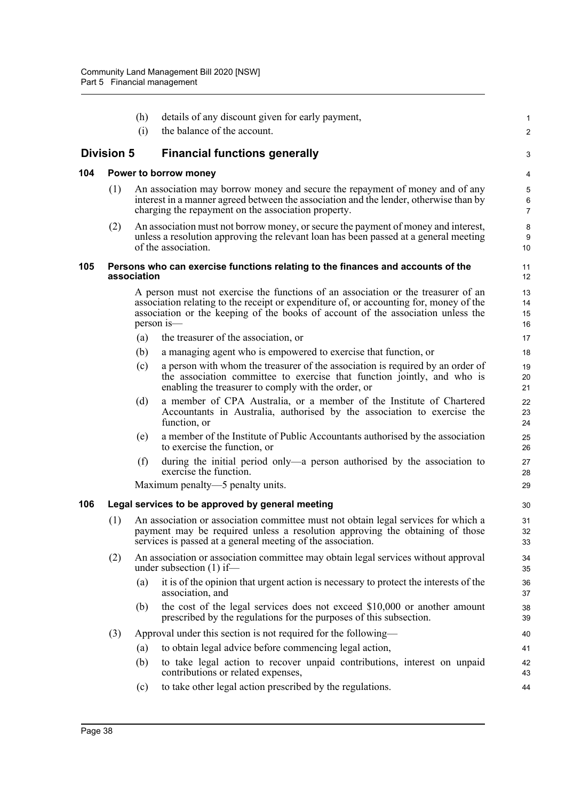|     |                   | (h)         | details of any discount given for early payment,                                                                                                                                                                                                                              | 1                    |
|-----|-------------------|-------------|-------------------------------------------------------------------------------------------------------------------------------------------------------------------------------------------------------------------------------------------------------------------------------|----------------------|
|     |                   | (i)         | the balance of the account.                                                                                                                                                                                                                                                   | $\overline{a}$       |
|     | <b>Division 5</b> |             | <b>Financial functions generally</b>                                                                                                                                                                                                                                          | 3                    |
| 104 |                   |             | Power to borrow money                                                                                                                                                                                                                                                         | 4                    |
|     | (1)               |             | An association may borrow money and secure the repayment of money and of any<br>interest in a manner agreed between the association and the lender, otherwise than by<br>charging the repayment on the association property.                                                  | 5<br>6<br>7          |
|     | (2)               |             | An association must not borrow money, or secure the payment of money and interest,<br>unless a resolution approving the relevant loan has been passed at a general meeting<br>of the association.                                                                             | 8<br>9<br>10         |
| 105 |                   | association | Persons who can exercise functions relating to the finances and accounts of the                                                                                                                                                                                               | 11<br>12             |
|     |                   |             | A person must not exercise the functions of an association or the treasurer of an<br>association relating to the receipt or expenditure of, or accounting for, money of the<br>association or the keeping of the books of account of the association unless the<br>person is— | 13<br>14<br>15<br>16 |
|     |                   | (a)         | the treasurer of the association, or                                                                                                                                                                                                                                          | 17                   |
|     |                   | (b)         | a managing agent who is empowered to exercise that function, or                                                                                                                                                                                                               | 18                   |
|     |                   | (c)         | a person with whom the treasurer of the association is required by an order of<br>the association committee to exercise that function jointly, and who is<br>enabling the treasurer to comply with the order, or                                                              | 19<br>20<br>21       |
|     |                   | (d)         | a member of CPA Australia, or a member of the Institute of Chartered<br>Accountants in Australia, authorised by the association to exercise the<br>function, or                                                                                                               | 22<br>23<br>24       |
|     |                   | (e)         | a member of the Institute of Public Accountants authorised by the association<br>to exercise the function, or                                                                                                                                                                 | 25<br>26             |
|     |                   | (f)         | during the initial period only—a person authorised by the association to<br>exercise the function.                                                                                                                                                                            | 27<br>28             |
|     |                   |             | Maximum penalty—5 penalty units.                                                                                                                                                                                                                                              | 29                   |
| 106 |                   |             | Legal services to be approved by general meeting                                                                                                                                                                                                                              | 30                   |
|     | (1)               |             | An association or association committee must not obtain legal services for which a<br>payment may be required unless a resolution approving the obtaining of those<br>services is passed at a general meeting of the association.                                             | 31<br>32<br>33       |
|     | (2)               |             | An association or association committee may obtain legal services without approval<br>under subsection $(1)$ if—                                                                                                                                                              | 34<br>35             |
|     |                   | (a)         | it is of the opinion that urgent action is necessary to protect the interests of the<br>association, and                                                                                                                                                                      | 36<br>37             |
|     |                   | (b)         | the cost of the legal services does not exceed \$10,000 or another amount<br>prescribed by the regulations for the purposes of this subsection.                                                                                                                               | 38<br>39             |
|     | (3)               |             | Approval under this section is not required for the following—                                                                                                                                                                                                                | 40                   |
|     |                   | (a)         | to obtain legal advice before commencing legal action,                                                                                                                                                                                                                        | 41                   |
|     |                   | (b)         | to take legal action to recover unpaid contributions, interest on unpaid<br>contributions or related expenses,                                                                                                                                                                | 42<br>43             |
|     |                   | (c)         | to take other legal action prescribed by the regulations.                                                                                                                                                                                                                     | 44                   |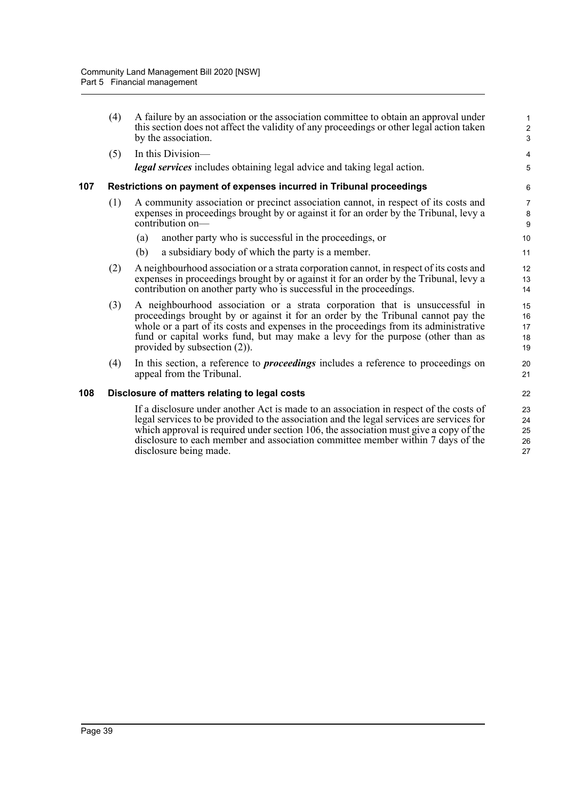|     | (4) | A failure by an association or the association committee to obtain an approval under<br>this section does not affect the validity of any proceedings or other legal action taken<br>by the association.                                                                                                                                                                                  | $\mathbf{1}$<br>$\overline{c}$<br>3 |
|-----|-----|------------------------------------------------------------------------------------------------------------------------------------------------------------------------------------------------------------------------------------------------------------------------------------------------------------------------------------------------------------------------------------------|-------------------------------------|
|     | (5) | In this Division-<br>legal services includes obtaining legal advice and taking legal action.                                                                                                                                                                                                                                                                                             | $\overline{\mathbf{4}}$<br>5        |
| 107 |     | Restrictions on payment of expenses incurred in Tribunal proceedings                                                                                                                                                                                                                                                                                                                     | 6                                   |
|     | (1) | A community association or precinct association cannot, in respect of its costs and<br>expenses in proceedings brought by or against it for an order by the Tribunal, levy a<br>contribution on-                                                                                                                                                                                         | $\overline{7}$<br>8<br>9            |
|     |     | another party who is successful in the proceedings, or<br>(a)                                                                                                                                                                                                                                                                                                                            | 10                                  |
|     |     | (b)<br>a subsidiary body of which the party is a member.                                                                                                                                                                                                                                                                                                                                 | 11                                  |
|     | (2) | A neighbourhood association or a strata corporation cannot, in respect of its costs and<br>expenses in proceedings brought by or against it for an order by the Tribunal, levy a<br>contribution on another party who is successful in the proceedings.                                                                                                                                  | 12<br>13<br>14                      |
|     | (3) | A neighbourhood association or a strata corporation that is unsuccessful in<br>proceedings brought by or against it for an order by the Tribunal cannot pay the<br>whole or a part of its costs and expenses in the proceedings from its administrative<br>fund or capital works fund, but may make a levy for the purpose (other than as<br>provided by subsection $(2)$ ).             | 15<br>16<br>17<br>18<br>19          |
|     | (4) | In this section, a reference to <i>proceedings</i> includes a reference to proceedings on<br>appeal from the Tribunal.                                                                                                                                                                                                                                                                   | 20<br>21                            |
| 108 |     | Disclosure of matters relating to legal costs                                                                                                                                                                                                                                                                                                                                            | 22                                  |
|     |     | If a disclosure under another Act is made to an association in respect of the costs of<br>legal services to be provided to the association and the legal services are services for<br>which approval is required under section 106, the association must give a copy of the<br>disclosure to each member and association committee member within 7 days of the<br>disclosure being made. | 23<br>24<br>25<br>26<br>27          |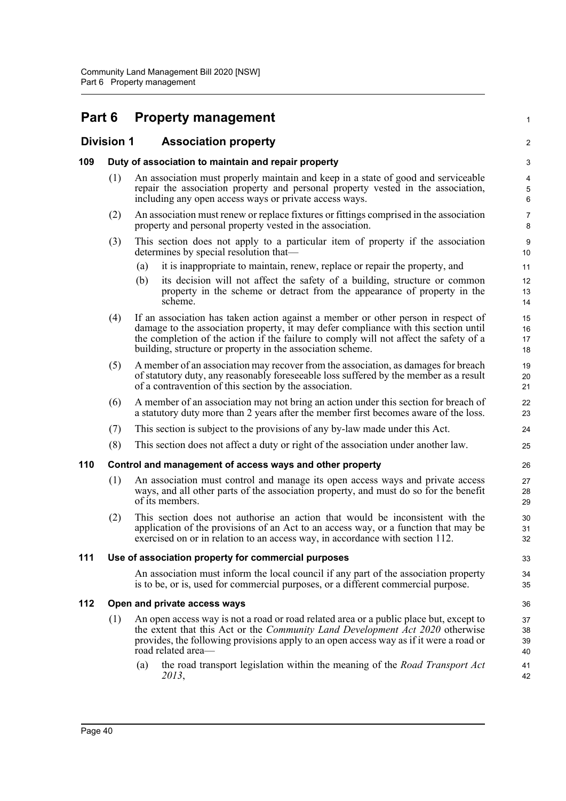# **Part 6 Property management**

# **Division 1 Association property**

## **109 Duty of association to maintain and repair property**

(1) An association must properly maintain and keep in a state of good and serviceable repair the association property and personal property vested in the association, including any open access ways or private access ways.

1

 $\mathfrak{D}$ 

33 34 35

- (2) An association must renew or replace fixtures or fittings comprised in the association property and personal property vested in the association.
- (3) This section does not apply to a particular item of property if the association determines by special resolution that—
	- (a) it is inappropriate to maintain, renew, replace or repair the property, and
	- (b) its decision will not affect the safety of a building, structure or common property in the scheme or detract from the appearance of property in the scheme.
- (4) If an association has taken action against a member or other person in respect of damage to the association property, it may defer compliance with this section until the completion of the action if the failure to comply will not affect the safety of a building, structure or property in the association scheme.
- (5) A member of an association may recover from the association, as damages for breach of statutory duty, any reasonably foreseeable loss suffered by the member as a result of a contravention of this section by the association.
- (6) A member of an association may not bring an action under this section for breach of a statutory duty more than 2 years after the member first becomes aware of the loss.
- (7) This section is subject to the provisions of any by-law made under this Act.
- (8) This section does not affect a duty or right of the association under another law.

#### **110 Control and management of access ways and other property**

- (1) An association must control and manage its open access ways and private access ways, and all other parts of the association property, and must do so for the benefit of its members.
- (2) This section does not authorise an action that would be inconsistent with the application of the provisions of an Act to an access way, or a function that may be exercised on or in relation to an access way, in accordance with section 112.

#### **111 Use of association property for commercial purposes**

An association must inform the local council if any part of the association property is to be, or is, used for commercial purposes, or a different commercial purpose.

#### **112 Open and private access ways**

- (1) An open access way is not a road or road related area or a public place but, except to the extent that this Act or the *Community Land Development Act 2020* otherwise provides, the following provisions apply to an open access way as if it were a road or road related area-
	- (a) the road transport legislation within the meaning of the *Road Transport Act 2013*,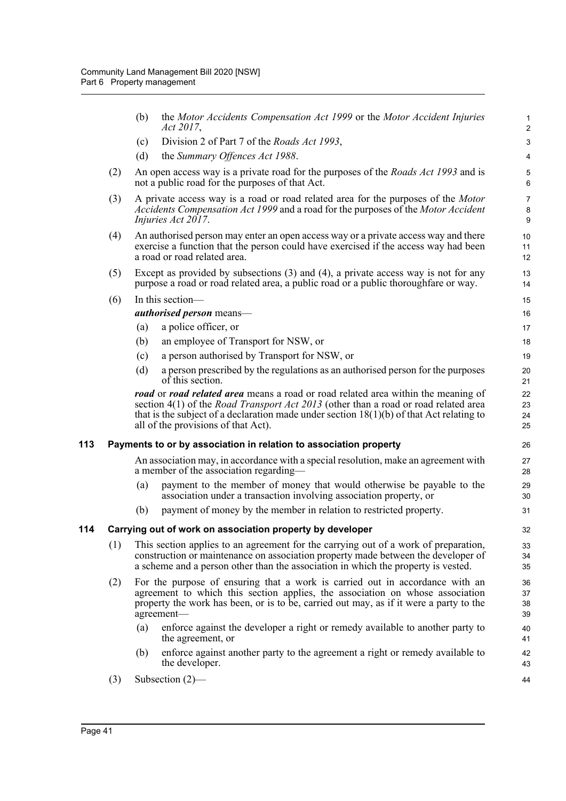|     |     | (b) | the Motor Accidents Compensation Act 1999 or the Motor Accident Injuries<br>Act 2017,                                                                                                                                                                                                                                  | 1<br>$\overline{c}$      |
|-----|-----|-----|------------------------------------------------------------------------------------------------------------------------------------------------------------------------------------------------------------------------------------------------------------------------------------------------------------------------|--------------------------|
|     |     | (c) | Division 2 of Part 7 of the Roads Act 1993,                                                                                                                                                                                                                                                                            | $\mathsf 3$              |
|     |     | (d) | the Summary Offences Act 1988.                                                                                                                                                                                                                                                                                         | $\overline{4}$           |
|     | (2) |     | An open access way is a private road for the purposes of the <i>Roads Act 1993</i> and is<br>not a public road for the purposes of that Act.                                                                                                                                                                           | 5<br>6                   |
|     | (3) |     | A private access way is a road or road related area for the purposes of the <i>Motor</i><br>Accidents Compensation Act 1999 and a road for the purposes of the Motor Accident<br>Injuries Act 2017.                                                                                                                    | $\overline{7}$<br>8<br>9 |
|     | (4) |     | An authorised person may enter an open access way or a private access way and there<br>exercise a function that the person could have exercised if the access way had been<br>a road or road related area.                                                                                                             | 10<br>11<br>12           |
|     | (5) |     | Except as provided by subsections $(3)$ and $(4)$ , a private access way is not for any<br>purpose a road or road related area, a public road or a public thoroughfare or way.                                                                                                                                         | 13<br>14                 |
|     | (6) |     | In this section-                                                                                                                                                                                                                                                                                                       | 15                       |
|     |     |     | authorised person means-                                                                                                                                                                                                                                                                                               | 16                       |
|     |     | (a) | a police officer, or                                                                                                                                                                                                                                                                                                   | 17                       |
|     |     | (b) | an employee of Transport for NSW, or                                                                                                                                                                                                                                                                                   | 18                       |
|     |     | (c) | a person authorised by Transport for NSW, or                                                                                                                                                                                                                                                                           | 19                       |
|     |     | (d) | a person prescribed by the regulations as an authorised person for the purposes<br>of this section.                                                                                                                                                                                                                    | 20<br>21                 |
|     |     |     | road or road related area means a road or road related area within the meaning of<br>section $4(1)$ of the <i>Road Transport Act 2013</i> (other than a road or road related area<br>that is the subject of a declaration made under section $18(1)(b)$ of that Act relating to<br>all of the provisions of that Act). | 22<br>23<br>24<br>25     |
| 113 |     |     | Payments to or by association in relation to association property                                                                                                                                                                                                                                                      | 26                       |
|     |     |     | An association may, in accordance with a special resolution, make an agreement with<br>a member of the association regarding—                                                                                                                                                                                          | 27<br>28                 |
|     |     | (a) | payment to the member of money that would otherwise be payable to the<br>association under a transaction involving association property, or                                                                                                                                                                            | 29<br>30                 |
|     |     | (b) | payment of money by the member in relation to restricted property.                                                                                                                                                                                                                                                     | 31                       |
| 114 |     |     | Carrying out of work on association property by developer                                                                                                                                                                                                                                                              | 32                       |
|     | (1) |     | This section applies to an agreement for the carrying out of a work of preparation,<br>construction or maintenance on association property made between the developer of<br>a scheme and a person other than the association in which the property is vested.                                                          | 33<br>34<br>35           |
|     | (2) |     | For the purpose of ensuring that a work is carried out in accordance with an<br>agreement to which this section applies, the association on whose association<br>property the work has been, or is to be, carried out may, as if it were a party to the<br>agreement-                                                  | 36<br>37<br>38<br>39     |
|     |     | (a) | enforce against the developer a right or remedy available to another party to<br>the agreement, or                                                                                                                                                                                                                     | 40<br>41                 |
|     |     | (b) | enforce against another party to the agreement a right or remedy available to<br>the developer.                                                                                                                                                                                                                        | 42<br>43                 |
|     | (3) |     | Subsection $(2)$ —                                                                                                                                                                                                                                                                                                     | 44                       |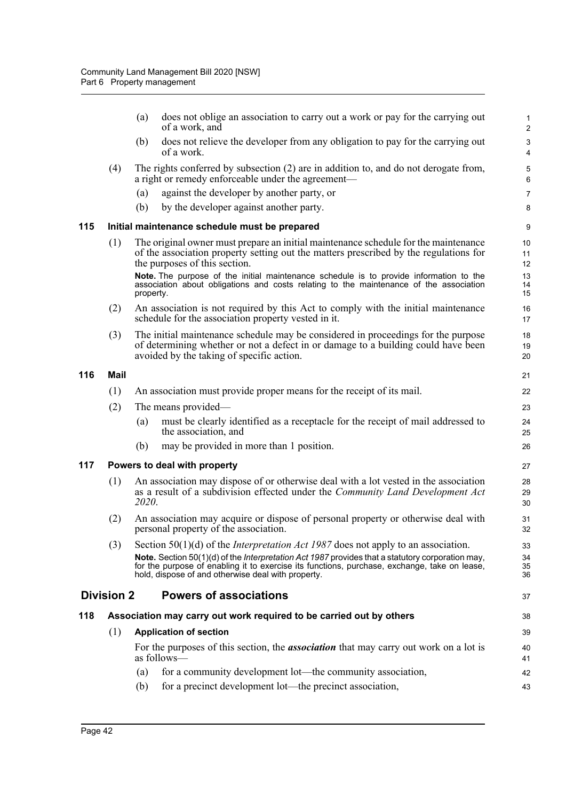|     |                                                                     | (a)       | does not oblige an association to carry out a work or pay for the carrying out<br>of a work, and                                                                                                                                                       | $\mathbf{1}$<br>$\overline{2}$ |
|-----|---------------------------------------------------------------------|-----------|--------------------------------------------------------------------------------------------------------------------------------------------------------------------------------------------------------------------------------------------------------|--------------------------------|
|     |                                                                     | (b)       | does not relieve the developer from any obligation to pay for the carrying out<br>of a work.                                                                                                                                                           | 3<br>4                         |
|     | (4)                                                                 |           | The rights conferred by subsection (2) are in addition to, and do not derogate from,<br>a right or remedy enforceable under the agreement—                                                                                                             | $\mathbf 5$<br>6               |
|     |                                                                     | (a)       | against the developer by another party, or                                                                                                                                                                                                             | $\overline{7}$                 |
|     |                                                                     | (b)       | by the developer against another party.                                                                                                                                                                                                                | 8                              |
| 115 |                                                                     |           | Initial maintenance schedule must be prepared                                                                                                                                                                                                          | $\boldsymbol{9}$               |
|     | (1)                                                                 |           | The original owner must prepare an initial maintenance schedule for the maintenance<br>of the association property setting out the matters prescribed by the regulations for<br>the purposes of this section.                                          | 10<br>11<br>12                 |
|     |                                                                     | property. | Note. The purpose of the initial maintenance schedule is to provide information to the<br>association about obligations and costs relating to the maintenance of the association                                                                       | 13<br>14<br>15                 |
|     | (2)                                                                 |           | An association is not required by this Act to comply with the initial maintenance<br>schedule for the association property vested in it.                                                                                                               | 16<br>17                       |
|     | (3)                                                                 |           | The initial maintenance schedule may be considered in proceedings for the purpose<br>of determining whether or not a defect in or damage to a building could have been<br>avoided by the taking of specific action.                                    | 18<br>19<br>20                 |
| 116 | Mail                                                                |           |                                                                                                                                                                                                                                                        | 21                             |
|     | (1)                                                                 |           | An association must provide proper means for the receipt of its mail.                                                                                                                                                                                  | 22                             |
|     | (2)                                                                 |           | The means provided—                                                                                                                                                                                                                                    | 23                             |
|     |                                                                     | (a)       | must be clearly identified as a receptacle for the receipt of mail addressed to<br>the association, and                                                                                                                                                | 24<br>25                       |
|     |                                                                     | (b)       | may be provided in more than 1 position.                                                                                                                                                                                                               | 26                             |
| 117 |                                                                     |           | Powers to deal with property                                                                                                                                                                                                                           | 27                             |
|     | (1)                                                                 | 2020.     | An association may dispose of or otherwise deal with a lot vested in the association<br>as a result of a subdivision effected under the <i>Community Land Development Act</i>                                                                          | 28<br>29<br>30                 |
|     | (2)                                                                 |           | An association may acquire or dispose of personal property or otherwise deal with<br>personal property of the association.                                                                                                                             | 31<br>32                       |
|     | (3)                                                                 |           | Section 50(1)(d) of the <i>Interpretation Act 1987</i> does not apply to an association.                                                                                                                                                               | 33                             |
|     |                                                                     |           | Note. Section 50(1)(d) of the Interpretation Act 1987 provides that a statutory corporation may,<br>for the purpose of enabling it to exercise its functions, purchase, exchange, take on lease,<br>hold, dispose of and otherwise deal with property. | 34<br>35<br>36                 |
|     | <b>Division 2</b>                                                   |           | <b>Powers of associations</b>                                                                                                                                                                                                                          | 37                             |
| 118 | Association may carry out work required to be carried out by others |           |                                                                                                                                                                                                                                                        |                                |
|     | (1)<br><b>Application of section</b>                                |           |                                                                                                                                                                                                                                                        | 39                             |
|     |                                                                     |           | For the purposes of this section, the <i>association</i> that may carry out work on a lot is<br>as follows—                                                                                                                                            | 40<br>41                       |
|     |                                                                     | (a)       | for a community development lot—the community association,                                                                                                                                                                                             | 42                             |
|     |                                                                     | (b)       | for a precinct development lot—the precinct association,                                                                                                                                                                                               | 43                             |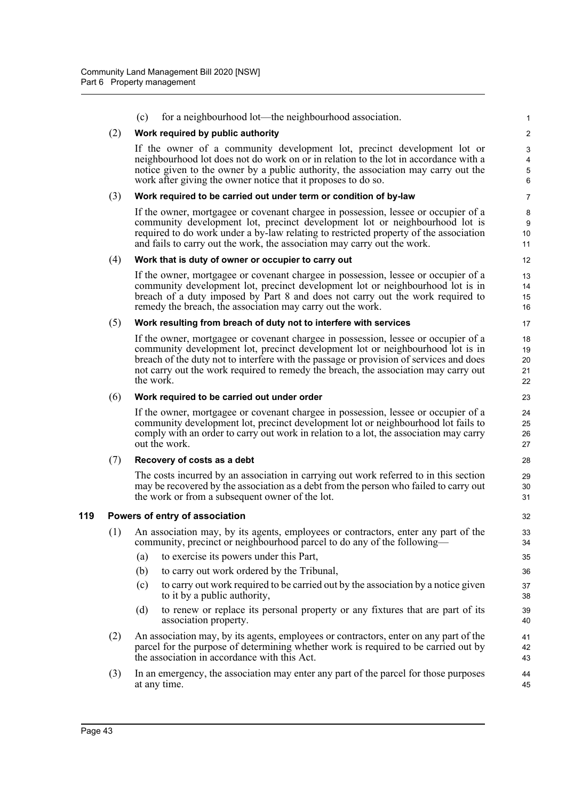|     | (c)       | for a neighbourhood lot—the neighbourhood association.                                                                                                                                                                                                                                                                                                | $\mathbf{1}$                                     |
|-----|-----------|-------------------------------------------------------------------------------------------------------------------------------------------------------------------------------------------------------------------------------------------------------------------------------------------------------------------------------------------------------|--------------------------------------------------|
| (2) |           | Work required by public authority                                                                                                                                                                                                                                                                                                                     | $\overline{c}$                                   |
|     |           | If the owner of a community development lot, precinct development lot or<br>neighbourhood lot does not do work on or in relation to the lot in accordance with a<br>notice given to the owner by a public authority, the association may carry out the<br>work after giving the owner notice that it proposes to do so.                               | $\sqrt{3}$<br>$\overline{4}$<br>$\mathbf 5$<br>6 |
| (3) |           | Work required to be carried out under term or condition of by-law                                                                                                                                                                                                                                                                                     | 7                                                |
|     |           | If the owner, mortgagee or covenant chargee in possession, lessee or occupier of a<br>community development lot, precinct development lot or neighbourhood lot is<br>required to do work under a by-law relating to restricted property of the association<br>and fails to carry out the work, the association may carry out the work.                | 8<br>9<br>10<br>11                               |
| (4) |           | Work that is duty of owner or occupier to carry out                                                                                                                                                                                                                                                                                                   | 12                                               |
|     |           | If the owner, mortgagee or covenant chargee in possession, lessee or occupier of a<br>community development lot, precinct development lot or neighbourhood lot is in<br>breach of a duty imposed by Part 8 and does not carry out the work required to<br>remedy the breach, the association may carry out the work.                                  | 13<br>14<br>15<br>16                             |
| (5) |           | Work resulting from breach of duty not to interfere with services                                                                                                                                                                                                                                                                                     | 17                                               |
|     | the work. | If the owner, mortgagee or covenant chargee in possession, lessee or occupier of a<br>community development lot, precinct development lot or neighbourhood lot is in<br>breach of the duty not to interfere with the passage or provision of services and does<br>not carry out the work required to remedy the breach, the association may carry out | 18<br>19<br>20<br>21<br>22                       |
| (6) |           | Work required to be carried out under order                                                                                                                                                                                                                                                                                                           | 23                                               |
|     |           | If the owner, mortgagee or covenant chargee in possession, lessee or occupier of a<br>community development lot, precinct development lot or neighbourhood lot fails to<br>comply with an order to carry out work in relation to a lot, the association may carry<br>out the work.                                                                    | 24<br>25<br>26<br>27                             |
| (7) |           | Recovery of costs as a debt                                                                                                                                                                                                                                                                                                                           | 28                                               |
|     |           | The costs incurred by an association in carrying out work referred to in this section<br>may be recovered by the association as a debt from the person who failed to carry out<br>the work or from a subsequent owner of the lot.                                                                                                                     | 29<br>30<br>31                                   |
|     |           | Powers of entry of association                                                                                                                                                                                                                                                                                                                        | 32                                               |
| (1) |           | An association may, by its agents, employees or contractors, enter any part of the<br>community, precinct or neighbourhood parcel to do any of the following—                                                                                                                                                                                         | 33<br>34                                         |
|     | (a)       | to exercise its powers under this Part,                                                                                                                                                                                                                                                                                                               | 35                                               |
|     | (b)       | to carry out work ordered by the Tribunal,                                                                                                                                                                                                                                                                                                            | 36                                               |
|     | (c)       | to carry out work required to be carried out by the association by a notice given<br>to it by a public authority,                                                                                                                                                                                                                                     | 37<br>38                                         |
|     | (d)       | to renew or replace its personal property or any fixtures that are part of its<br>association property.                                                                                                                                                                                                                                               | 39<br>40                                         |
| (2) |           | An association may, by its agents, employees or contractors, enter on any part of the<br>parcel for the purpose of determining whether work is required to be carried out by<br>the association in accordance with this Act.                                                                                                                          | 41<br>42<br>43                                   |
| (3) |           | In an emergency, the association may enter any part of the parcel for those purposes<br>at any time.                                                                                                                                                                                                                                                  | 44<br>45                                         |

**119**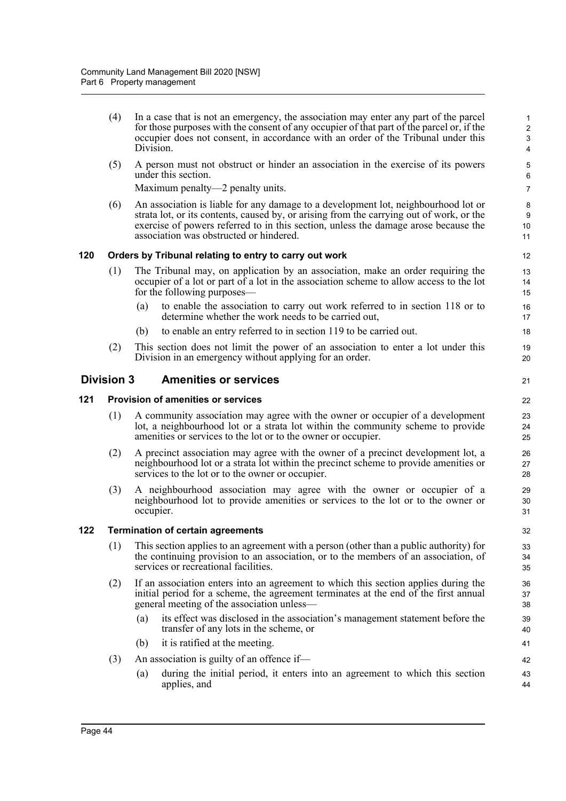(4) In a case that is not an emergency, the association may enter any part of the parcel for those purposes with the consent of any occupier of that part of the parcel or, if the occupier does not consent, in accordance with an order of the Tribunal under this Division.

21

(5) A person must not obstruct or hinder an association in the exercise of its powers under this section.

Maximum penalty—2 penalty units.

(6) An association is liable for any damage to a development lot, neighbourhood lot or strata lot, or its contents, caused by, or arising from the carrying out of work, or the exercise of powers referred to in this section, unless the damage arose because the association was obstructed or hindered.

## **120 Orders by Tribunal relating to entry to carry out work**

- (1) The Tribunal may, on application by an association, make an order requiring the occupier of a lot or part of a lot in the association scheme to allow access to the lot for the following purposes—
	- (a) to enable the association to carry out work referred to in section 118 or to determine whether the work needs to be carried out,
	- (b) to enable an entry referred to in section 119 to be carried out.
- (2) This section does not limit the power of an association to enter a lot under this Division in an emergency without applying for an order.

## **Division 3 Amenities or services**

## **121 Provision of amenities or services**

- (1) A community association may agree with the owner or occupier of a development lot, a neighbourhood lot or a strata lot within the community scheme to provide amenities or services to the lot or to the owner or occupier.
- (2) A precinct association may agree with the owner of a precinct development lot, a neighbourhood lot or a strata lot within the precinct scheme to provide amenities or services to the lot or to the owner or occupier.
- (3) A neighbourhood association may agree with the owner or occupier of a neighbourhood lot to provide amenities or services to the lot or to the owner or occupier.

## **122 Termination of certain agreements**

- (1) This section applies to an agreement with a person (other than a public authority) for the continuing provision to an association, or to the members of an association, of services or recreational facilities.
- (2) If an association enters into an agreement to which this section applies during the initial period for a scheme, the agreement terminates at the end of the first annual general meeting of the association unless—
	- (a) its effect was disclosed in the association's management statement before the transfer of any lots in the scheme, or
	- (b) it is ratified at the meeting.
- (3) An association is guilty of an offence if—
	- (a) during the initial period, it enters into an agreement to which this section applies, and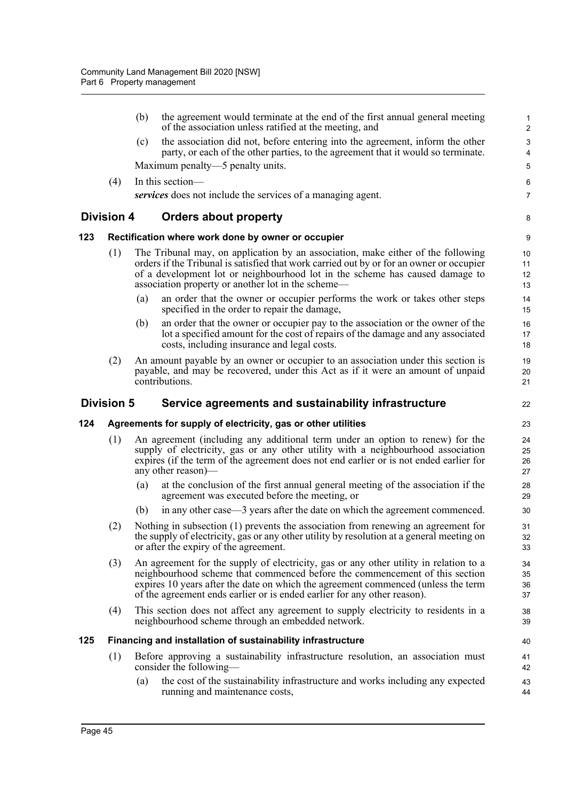|     |                                                    | (b) | the agreement would terminate at the end of the first annual general meeting<br>of the association unless ratified at the meeting, and                                                                                                                                                                                                | $\mathbf{1}$<br>$\overline{c}$         |  |  |
|-----|----------------------------------------------------|-----|---------------------------------------------------------------------------------------------------------------------------------------------------------------------------------------------------------------------------------------------------------------------------------------------------------------------------------------|----------------------------------------|--|--|
|     |                                                    | (c) | the association did not, before entering into the agreement, inform the other<br>party, or each of the other parties, to the agreement that it would so terminate.                                                                                                                                                                    | $\mathsf 3$<br>$\overline{\mathbf{4}}$ |  |  |
|     |                                                    |     | Maximum penalty—5 penalty units.                                                                                                                                                                                                                                                                                                      | 5                                      |  |  |
|     | (4)                                                |     | In this section-                                                                                                                                                                                                                                                                                                                      | 6                                      |  |  |
|     |                                                    |     | services does not include the services of a managing agent.                                                                                                                                                                                                                                                                           | $\overline{7}$                         |  |  |
|     | <b>Division 4</b>                                  |     | <b>Orders about property</b>                                                                                                                                                                                                                                                                                                          | 8                                      |  |  |
| 123 | Rectification where work done by owner or occupier |     |                                                                                                                                                                                                                                                                                                                                       |                                        |  |  |
|     | (1)                                                |     | The Tribunal may, on application by an association, make either of the following<br>orders if the Tribunal is satisfied that work carried out by or for an owner or occupier<br>of a development lot or neighbourhood lot in the scheme has caused damage to<br>association property or another lot in the scheme—                    | 10<br>11<br>12<br>13                   |  |  |
|     |                                                    | (a) | an order that the owner or occupier performs the work or takes other steps<br>specified in the order to repair the damage,                                                                                                                                                                                                            | 14<br>15                               |  |  |
|     |                                                    | (b) | an order that the owner or occupier pay to the association or the owner of the<br>lot a specified amount for the cost of repairs of the damage and any associated<br>costs, including insurance and legal costs.                                                                                                                      | 16<br>17<br>18                         |  |  |
|     | (2)                                                |     | An amount payable by an owner or occupier to an association under this section is<br>payable, and may be recovered, under this Act as if it were an amount of unpaid<br>contributions.                                                                                                                                                | 19<br>20<br>21                         |  |  |
|     | <b>Division 5</b>                                  |     | Service agreements and sustainability infrastructure                                                                                                                                                                                                                                                                                  | 22                                     |  |  |
| 124 |                                                    |     | Agreements for supply of electricity, gas or other utilities                                                                                                                                                                                                                                                                          | 23                                     |  |  |
|     | (1)                                                |     | An agreement (including any additional term under an option to renew) for the<br>supply of electricity, gas or any other utility with a neighbourhood association<br>expires (if the term of the agreement does not end earlier or is not ended earlier for<br>any other reason)—                                                     | 24<br>25<br>26<br>27                   |  |  |
|     |                                                    | (a) | at the conclusion of the first annual general meeting of the association if the<br>agreement was executed before the meeting, or                                                                                                                                                                                                      | 28<br>29                               |  |  |
|     |                                                    | (b) | in any other case—3 years after the date on which the agreement commenced.                                                                                                                                                                                                                                                            | 30                                     |  |  |
|     | (2)                                                |     | Nothing in subsection (1) prevents the association from renewing an agreement for<br>the supply of electricity, gas or any other utility by resolution at a general meeting on<br>or after the expiry of the agreement.                                                                                                               | 31<br>32<br>33                         |  |  |
|     | (3)                                                |     | An agreement for the supply of electricity, gas or any other utility in relation to a<br>neighbourhood scheme that commenced before the commencement of this section<br>expires 10 years after the date on which the agreement commenced (unless the term<br>of the agreement ends earlier or is ended earlier for any other reason). | 34<br>35<br>36<br>37                   |  |  |
|     | (4)                                                |     | This section does not affect any agreement to supply electricity to residents in a<br>neighbourhood scheme through an embedded network.                                                                                                                                                                                               | 38<br>39                               |  |  |
| 125 |                                                    |     | Financing and installation of sustainability infrastructure                                                                                                                                                                                                                                                                           | 40                                     |  |  |
|     | (1)                                                |     | Before approving a sustainability infrastructure resolution, an association must<br>consider the following—                                                                                                                                                                                                                           | 41<br>42                               |  |  |
|     |                                                    | (a) | the cost of the sustainability infrastructure and works including any expected<br>running and maintenance costs,                                                                                                                                                                                                                      | 43<br>44                               |  |  |
|     |                                                    |     |                                                                                                                                                                                                                                                                                                                                       |                                        |  |  |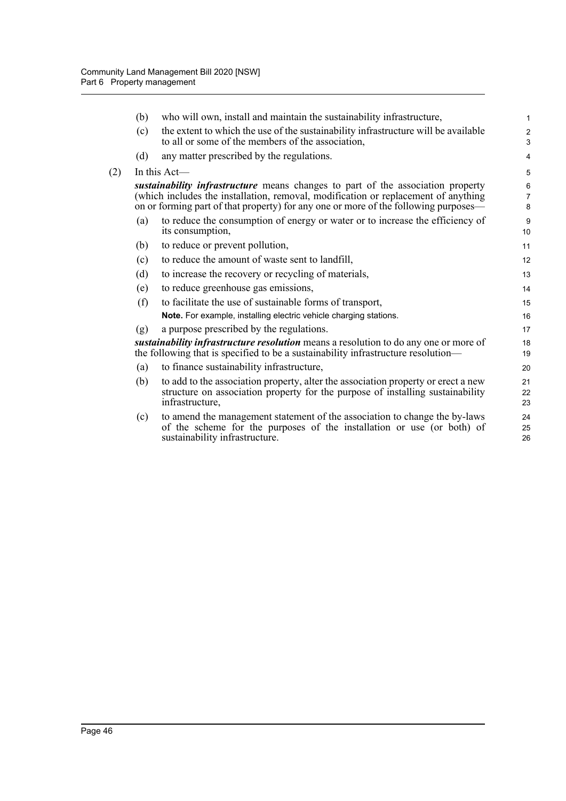$(2)$ 

| (b) | who will own, install and maintain the sustainability infrastructure,                                                                                                                                                                                        | $\mathbf{1}$             |
|-----|--------------------------------------------------------------------------------------------------------------------------------------------------------------------------------------------------------------------------------------------------------------|--------------------------|
| (c) | the extent to which the use of the sustainability infrastructure will be available<br>to all or some of the members of the association,                                                                                                                      | $\overline{2}$<br>3      |
| (d) | any matter prescribed by the regulations.                                                                                                                                                                                                                    | 4                        |
|     | In this $Act$ —                                                                                                                                                                                                                                              | 5                        |
|     | sustainability infrastructure means changes to part of the association property<br>(which includes the installation, removal, modification or replacement of anything<br>on or forming part of that property) for any one or more of the following purposes— | 6<br>$\overline{7}$<br>8 |
| (a) | to reduce the consumption of energy or water or to increase the efficiency of<br>its consumption,                                                                                                                                                            | 9<br>10 <sup>1</sup>     |
| (b) | to reduce or prevent pollution,                                                                                                                                                                                                                              | 11                       |
| (c) | to reduce the amount of waste sent to landfill,                                                                                                                                                                                                              | 12                       |
| (d) | to increase the recovery or recycling of materials,                                                                                                                                                                                                          | 13                       |
| (e) | to reduce greenhouse gas emissions,                                                                                                                                                                                                                          | 14                       |
| (f) | to facilitate the use of sustainable forms of transport,                                                                                                                                                                                                     | 15                       |
|     | Note. For example, installing electric vehicle charging stations.                                                                                                                                                                                            | 16                       |
| (g) | a purpose prescribed by the regulations.                                                                                                                                                                                                                     | 17                       |
|     | sustainability infrastructure resolution means a resolution to do any one or more of<br>the following that is specified to be a sustainability infrastructure resolution-                                                                                    | 18<br>19                 |
| (a) | to finance sustainability infrastructure,                                                                                                                                                                                                                    | 20                       |
| (b) | to add to the association property, alter the association property or erect a new<br>structure on association property for the purpose of installing sustainability<br>infrastructure,                                                                       | 21<br>22<br>23           |
| (c) | to amend the management statement of the association to change the by-laws<br>of the scheme for the purposes of the installation or use (or both) of<br>sustainability infrastructure.                                                                       | 24<br>25<br>26           |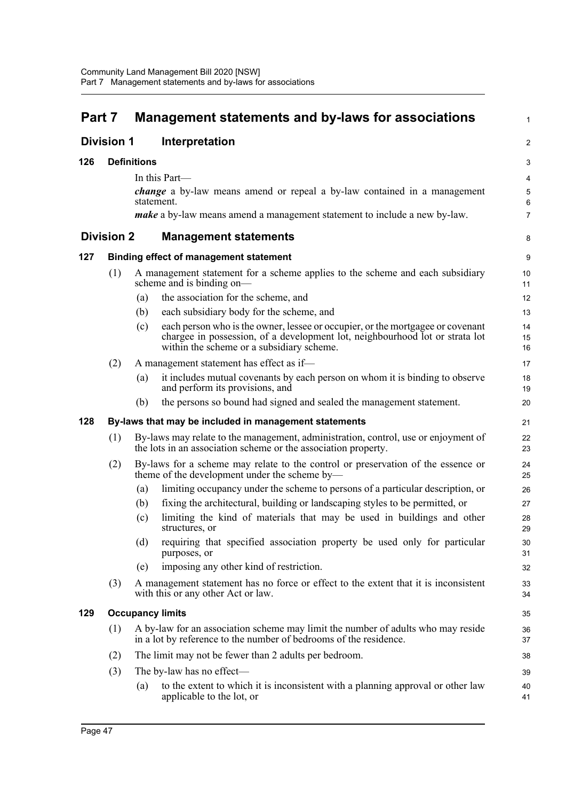| Part 7            |                   |                    | Management statements and by-laws for associations                                                                                                                                                          | $\mathbf{1}$   |
|-------------------|-------------------|--------------------|-------------------------------------------------------------------------------------------------------------------------------------------------------------------------------------------------------------|----------------|
| <b>Division 1</b> |                   |                    | Interpretation                                                                                                                                                                                              | $\overline{2}$ |
| 126               |                   | <b>Definitions</b> |                                                                                                                                                                                                             | 3              |
|                   |                   |                    | In this Part-                                                                                                                                                                                               | 4              |
|                   |                   |                    | <i>change</i> a by-law means amend or repeal a by-law contained in a management<br>statement.                                                                                                               | 5<br>6         |
|                   |                   |                    | <i>make</i> a by-law means amend a management statement to include a new by-law.                                                                                                                            | $\overline{7}$ |
|                   | <b>Division 2</b> |                    | <b>Management statements</b>                                                                                                                                                                                | 8              |
| 127               |                   |                    | <b>Binding effect of management statement</b>                                                                                                                                                               | 9              |
|                   | (1)               |                    | A management statement for a scheme applies to the scheme and each subsidiary<br>scheme and is binding on-                                                                                                  | 10<br>11       |
|                   |                   | (a)                | the association for the scheme, and                                                                                                                                                                         | 12             |
|                   |                   | (b)                | each subsidiary body for the scheme, and                                                                                                                                                                    | 13             |
|                   |                   | (c)                | each person who is the owner, lessee or occupier, or the mortgagee or covenant<br>chargee in possession, of a development lot, neighbourhood lot or strata lot<br>within the scheme or a subsidiary scheme. | 14<br>15<br>16 |
|                   | (2)               |                    | A management statement has effect as if-                                                                                                                                                                    | 17             |
|                   |                   | (a)                | it includes mutual covenants by each person on whom it is binding to observe<br>and perform its provisions, and                                                                                             | 18<br>19       |
|                   |                   | (b)                | the persons so bound had signed and sealed the management statement.                                                                                                                                        | 20             |
| 128               |                   |                    | By-laws that may be included in management statements                                                                                                                                                       | 21             |
|                   | (1)               |                    | By-laws may relate to the management, administration, control, use or enjoyment of<br>the lots in an association scheme or the association property.                                                        | 22<br>23       |
|                   | (2)               |                    | By-laws for a scheme may relate to the control or preservation of the essence or<br>theme of the development under the scheme by-                                                                           | 24<br>25       |
|                   |                   | (a)                | limiting occupancy under the scheme to persons of a particular description, or                                                                                                                              | 26             |
|                   |                   | (b)                | fixing the architectural, building or landscaping styles to be permitted, or                                                                                                                                | 27             |
|                   |                   | (c)                | limiting the kind of materials that may be used in buildings and other<br>structures, or                                                                                                                    | 28<br>29       |
|                   |                   | (d)                | requiring that specified association property be used only for particular<br>purposes, or                                                                                                                   | 30<br>31       |
|                   |                   | (e)                | imposing any other kind of restriction.                                                                                                                                                                     | 32             |
|                   | (3)               |                    | A management statement has no force or effect to the extent that it is inconsistent<br>with this or any other Act or law.                                                                                   | 33<br>34       |
| 129               |                   |                    | <b>Occupancy limits</b>                                                                                                                                                                                     | 35             |
|                   | (1)               |                    | A by-law for an association scheme may limit the number of adults who may reside<br>in a lot by reference to the number of bedrooms of the residence.                                                       | 36<br>37       |
|                   | (2)               |                    | The limit may not be fewer than 2 adults per bedroom.                                                                                                                                                       | 38             |
|                   | (3)               |                    | The by-law has no effect-                                                                                                                                                                                   | 39             |
|                   |                   | (a)                | to the extent to which it is inconsistent with a planning approval or other law<br>applicable to the lot, or                                                                                                | 40<br>41       |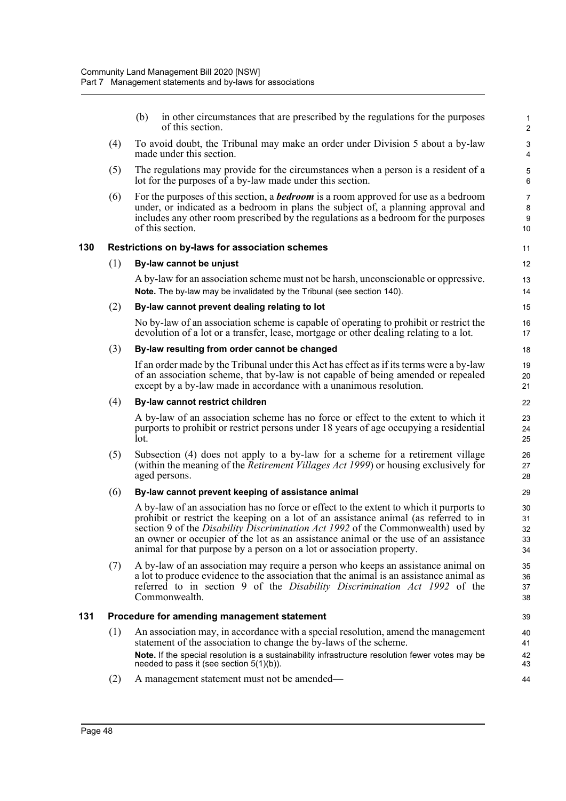(b) in other circumstances that are prescribed by the regulations for the purposes of this section.

- (4) To avoid doubt, the Tribunal may make an order under Division 5 about a by-law made under this section.
- (5) The regulations may provide for the circumstances when a person is a resident of a lot for the purposes of a by-law made under this section.
- (6) For the purposes of this section, a *bedroom* is a room approved for use as a bedroom under, or indicated as a bedroom in plans the subject of, a planning approval and includes any other room prescribed by the regulations as a bedroom for the purposes of this section.

#### **130 Restrictions on by-laws for association schemes**

#### (1) **By-law cannot be unjust**

A by-law for an association scheme must not be harsh, unconscionable or oppressive. **Note.** The by-law may be invalidated by the Tribunal (see section 140).

#### (2) **By-law cannot prevent dealing relating to lot**

No by-law of an association scheme is capable of operating to prohibit or restrict the devolution of a lot or a transfer, lease, mortgage or other dealing relating to a lot.

#### (3) **By-law resulting from order cannot be changed**

If an order made by the Tribunal under this Act has effect as if its terms were a by-law of an association scheme, that by-law is not capable of being amended or repealed except by a by-law made in accordance with a unanimous resolution.

#### (4) **By-law cannot restrict children**

A by-law of an association scheme has no force or effect to the extent to which it purports to prohibit or restrict persons under 18 years of age occupying a residential lot.

(5) Subsection (4) does not apply to a by-law for a scheme for a retirement village (within the meaning of the *Retirement Villages Act 1999*) or housing exclusively for aged persons.

#### (6) **By-law cannot prevent keeping of assistance animal**

A by-law of an association has no force or effect to the extent to which it purports to prohibit or restrict the keeping on a lot of an assistance animal (as referred to in section 9 of the *Disability Discrimination Act 1992* of the Commonwealth) used by an owner or occupier of the lot as an assistance animal or the use of an assistance animal for that purpose by a person on a lot or association property.

(7) A by-law of an association may require a person who keeps an assistance animal on a lot to produce evidence to the association that the animal is an assistance animal as referred to in section 9 of the *Disability Discrimination Act 1992* of the Commonwealth.

#### **131 Procedure for amending management statement**

- (1) An association may, in accordance with a special resolution, amend the management statement of the association to change the by-laws of the scheme. **Note.** If the special resolution is a sustainability infrastructure resolution fewer votes may be needed to pass it (see section 5(1)(b)).
- (2) A management statement must not be amended—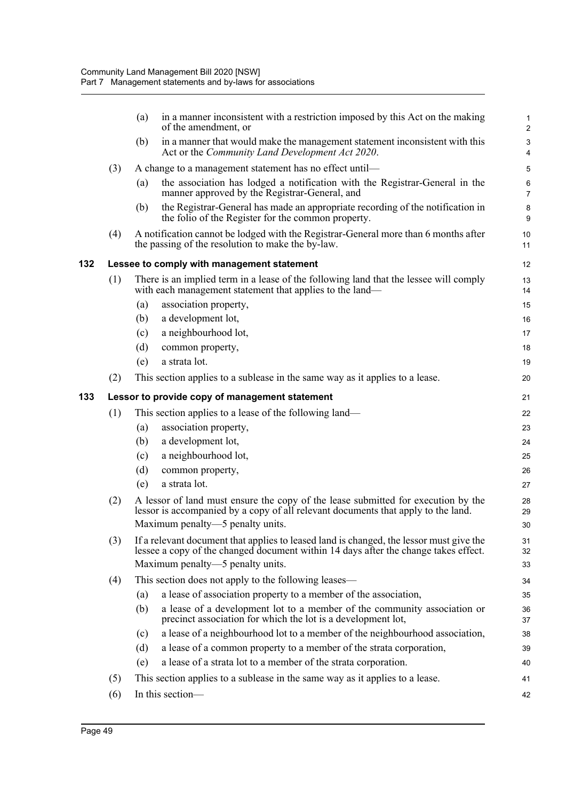|     |     | (a) | in a manner inconsistent with a restriction imposed by this Act on the making<br>of the amendment, or                                                                                                      | 1<br>$\overline{2}$       |
|-----|-----|-----|------------------------------------------------------------------------------------------------------------------------------------------------------------------------------------------------------------|---------------------------|
|     |     | (b) | in a manner that would make the management statement inconsistent with this<br>Act or the Community Land Development Act 2020.                                                                             | 3<br>4                    |
|     | (3) |     | A change to a management statement has no effect until-                                                                                                                                                    | 5                         |
|     |     | (a) | the association has lodged a notification with the Registrar-General in the<br>manner approved by the Registrar-General, and                                                                               | $\,6\,$<br>$\overline{7}$ |
|     |     | (b) | the Registrar-General has made an appropriate recording of the notification in<br>the folio of the Register for the common property.                                                                       | $\bf 8$<br>9              |
|     | (4) |     | A notification cannot be lodged with the Registrar-General more than 6 months after<br>the passing of the resolution to make the by-law.                                                                   | 10<br>11                  |
| 132 |     |     | Lessee to comply with management statement                                                                                                                                                                 | 12                        |
|     | (1) |     | There is an implied term in a lease of the following land that the lessee will comply<br>with each management statement that applies to the land-                                                          | 13<br>14                  |
|     |     | (a) | association property,                                                                                                                                                                                      | 15                        |
|     |     | (b) | a development lot,                                                                                                                                                                                         | 16                        |
|     |     | (c) | a neighbourhood lot,                                                                                                                                                                                       | 17                        |
|     |     | (d) | common property,                                                                                                                                                                                           | 18                        |
|     |     | (e) | a strata lot.                                                                                                                                                                                              | 19                        |
|     | (2) |     | This section applies to a sublease in the same way as it applies to a lease.                                                                                                                               | 20                        |
| 133 |     |     | Lessor to provide copy of management statement                                                                                                                                                             | 21                        |
|     | (1) |     | This section applies to a lease of the following land—                                                                                                                                                     | 22                        |
|     |     | (a) | association property,                                                                                                                                                                                      | 23                        |
|     |     | (b) | a development lot,                                                                                                                                                                                         | 24                        |
|     |     | (c) | a neighbourhood lot,                                                                                                                                                                                       | 25                        |
|     |     | (d) | common property,                                                                                                                                                                                           | 26                        |
|     |     | (e) | a strata lot.                                                                                                                                                                                              | 27                        |
|     | (2) |     | A lessor of land must ensure the copy of the lease submitted for execution by the<br>lessor is accompanied by a copy of all relevant documents that apply to the land.<br>Maximum penalty—5 penalty units. | 28<br>29<br>30            |
|     | (3) |     | If a relevant document that applies to leased land is changed, the lessor must give the                                                                                                                    | 31                        |
|     |     |     | lessee a copy of the changed document within 14 days after the change takes effect.                                                                                                                        | 32                        |
|     |     |     | Maximum penalty—5 penalty units.                                                                                                                                                                           | 33                        |
|     | (4) |     | This section does not apply to the following leases—                                                                                                                                                       | 34                        |
|     |     | (a) | a lease of association property to a member of the association,                                                                                                                                            | 35                        |
|     |     | (b) | a lease of a development lot to a member of the community association or<br>precinct association for which the lot is a development lot,                                                                   | 36<br>37                  |
|     |     | (c) | a lease of a neighbourhood lot to a member of the neighbourhood association,                                                                                                                               | 38                        |
|     |     | (d) | a lease of a common property to a member of the strata corporation,                                                                                                                                        | 39                        |
|     |     | (e) | a lease of a strata lot to a member of the strata corporation.                                                                                                                                             | 40                        |
|     | (5) |     | This section applies to a sublease in the same way as it applies to a lease.                                                                                                                               | 41                        |
|     | (6) |     | In this section-                                                                                                                                                                                           | 42                        |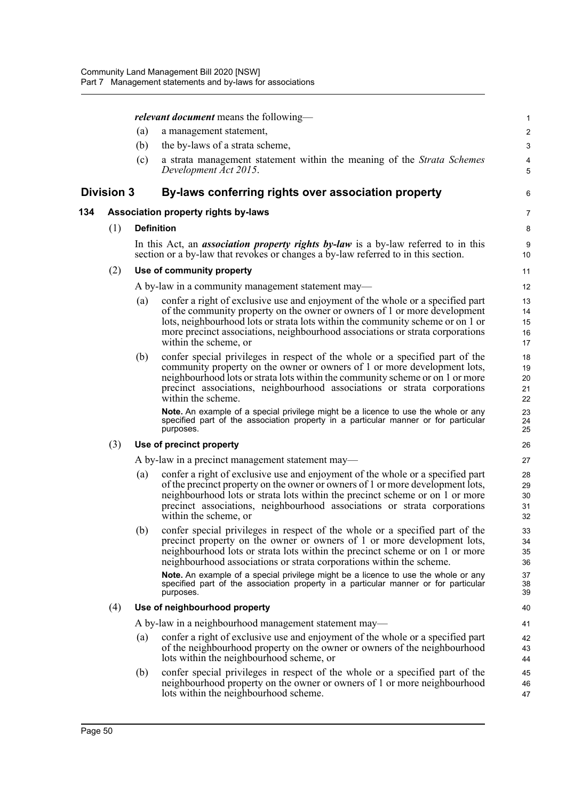|                   |     |                   | <i>relevant document</i> means the following—                                                                                                                                                                                                                                                                                                                                                                                     | $\mathbf{1}$                     |
|-------------------|-----|-------------------|-----------------------------------------------------------------------------------------------------------------------------------------------------------------------------------------------------------------------------------------------------------------------------------------------------------------------------------------------------------------------------------------------------------------------------------|----------------------------------|
|                   |     | (a)               | a management statement,                                                                                                                                                                                                                                                                                                                                                                                                           | $\overline{c}$                   |
|                   |     | (b)               | the by-laws of a strata scheme,                                                                                                                                                                                                                                                                                                                                                                                                   | $\sqrt{3}$                       |
|                   |     | (c)               | a strata management statement within the meaning of the Strata Schemes<br>Development Act 2015.                                                                                                                                                                                                                                                                                                                                   | 4<br>5                           |
| <b>Division 3</b> |     |                   | By-laws conferring rights over association property                                                                                                                                                                                                                                                                                                                                                                               | 6                                |
| 134               |     |                   | Association property rights by-laws                                                                                                                                                                                                                                                                                                                                                                                               | 7                                |
|                   | (1) | <b>Definition</b> |                                                                                                                                                                                                                                                                                                                                                                                                                                   | 8                                |
|                   |     |                   | In this Act, an <i>association property rights by-law</i> is a by-law referred to in this<br>section or a by-law that revokes or changes a by-law referred to in this section.                                                                                                                                                                                                                                                    | 9<br>10                          |
|                   | (2) |                   | Use of community property                                                                                                                                                                                                                                                                                                                                                                                                         | 11                               |
|                   |     |                   | A by-law in a community management statement may—                                                                                                                                                                                                                                                                                                                                                                                 | 12                               |
|                   |     | (a)               | confer a right of exclusive use and enjoyment of the whole or a specified part<br>of the community property on the owner or owners of 1 or more development<br>lots, neighbourhood lots or strata lots within the community scheme or on 1 or<br>more precinct associations, neighbourhood associations or strata corporations<br>within the scheme, or                                                                           | 13<br>14<br>15<br>16<br>17       |
|                   |     | (b)               | confer special privileges in respect of the whole or a specified part of the<br>community property on the owner or owners of 1 or more development lots,<br>neighbourhood lots or strata lots within the community scheme or on 1 or more<br>precinct associations, neighbourhood associations or strata corporations<br>within the scheme.<br>Note. An example of a special privilege might be a licence to use the whole or any | 18<br>19<br>20<br>21<br>22<br>23 |
|                   |     |                   | specified part of the association property in a particular manner or for particular<br>purposes.                                                                                                                                                                                                                                                                                                                                  | 24<br>25                         |
|                   | (3) |                   | Use of precinct property                                                                                                                                                                                                                                                                                                                                                                                                          | 26                               |
|                   |     |                   | A by-law in a precinct management statement may—                                                                                                                                                                                                                                                                                                                                                                                  | 27                               |
|                   |     | (a)               | confer a right of exclusive use and enjoyment of the whole or a specified part<br>of the precinct property on the owner or owners of 1 or more development lots,<br>neighbourhood lots or strata lots within the precinct scheme or on 1 or more<br>precinct associations, neighbourhood associations or strata corporations<br>within the scheme, or                                                                             | 28<br>29<br>30<br>31<br>32       |
|                   |     | (b)               | confer special privileges in respect of the whole or a specified part of the<br>precinct property on the owner or owners of 1 or more development lots,<br>neighbourhood lots or strata lots within the precinct scheme or on 1 or more<br>neighbourhood associations or strata corporations within the scheme.                                                                                                                   | 33<br>34<br>35<br>36             |
|                   |     |                   | Note. An example of a special privilege might be a licence to use the whole or any<br>specified part of the association property in a particular manner or for particular<br>purposes.                                                                                                                                                                                                                                            | 37<br>38<br>39                   |
|                   | (4) |                   | Use of neighbourhood property                                                                                                                                                                                                                                                                                                                                                                                                     | 40                               |
|                   |     |                   | A by-law in a neighbourhood management statement may-                                                                                                                                                                                                                                                                                                                                                                             | 41                               |
|                   |     | (a)               | confer a right of exclusive use and enjoyment of the whole or a specified part<br>of the neighbourhood property on the owner or owners of the neighbourhood<br>lots within the neighbourhood scheme, or                                                                                                                                                                                                                           | 42<br>43<br>44                   |
|                   |     | (b)               | confer special privileges in respect of the whole or a specified part of the<br>neighbourhood property on the owner or owners of 1 or more neighbourhood<br>lots within the neighbourhood scheme.                                                                                                                                                                                                                                 | 45<br>46<br>47                   |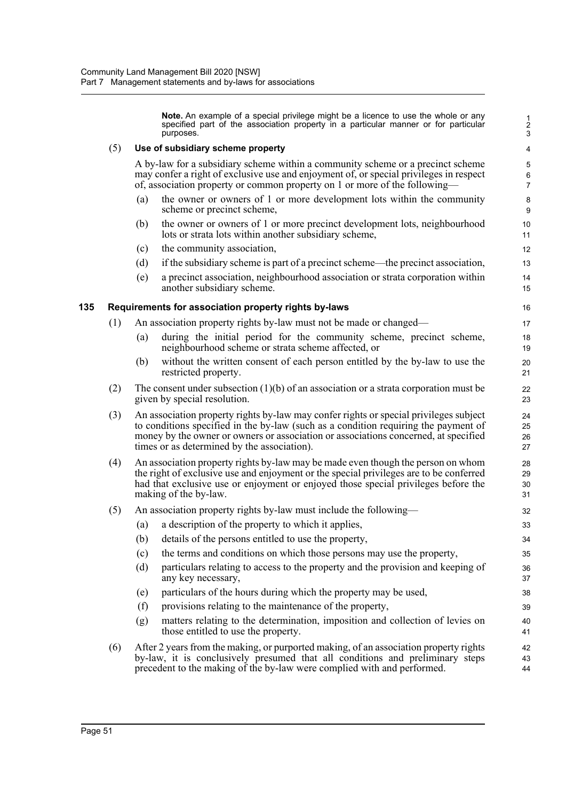**Note.** An example of a special privilege might be a licence to use the whole or any specified part of the association property in a particular manner or for particular purposes.

## (5) **Use of subsidiary scheme property**

A by-law for a subsidiary scheme within a community scheme or a precinct scheme may confer a right of exclusive use and enjoyment of, or special privileges in respect of, association property or common property on 1 or more of the following—

- (a) the owner or owners of 1 or more development lots within the community scheme or precinct scheme,
- (b) the owner or owners of 1 or more precinct development lots, neighbourhood lots or strata lots within another subsidiary scheme,
- (c) the community association,
- (d) if the subsidiary scheme is part of a precinct scheme—the precinct association,
- (e) a precinct association, neighbourhood association or strata corporation within another subsidiary scheme.

## **135 Requirements for association property rights by-laws**

- (1) An association property rights by-law must not be made or changed—
	- (a) during the initial period for the community scheme, precinct scheme, neighbourhood scheme or strata scheme affected, or
	- (b) without the written consent of each person entitled by the by-law to use the restricted property.
- (2) The consent under subsection  $(1)(b)$  of an association or a strata corporation must be given by special resolution.
- (3) An association property rights by-law may confer rights or special privileges subject to conditions specified in the by-law (such as a condition requiring the payment of money by the owner or owners or association or associations concerned, at specified times or as determined by the association).
- (4) An association property rights by-law may be made even though the person on whom the right of exclusive use and enjoyment or the special privileges are to be conferred had that exclusive use or enjoyment or enjoyed those special privileges before the making of the by-law.
- (5) An association property rights by-law must include the following—
	- (a) a description of the property to which it applies,
	- (b) details of the persons entitled to use the property,
	- (c) the terms and conditions on which those persons may use the property,
	- (d) particulars relating to access to the property and the provision and keeping of any key necessary,
	- (e) particulars of the hours during which the property may be used,
	- (f) provisions relating to the maintenance of the property,
	- (g) matters relating to the determination, imposition and collection of levies on those entitled to use the property.
- (6) After 2 years from the making, or purported making, of an association property rights by-law, it is conclusively presumed that all conditions and preliminary steps precedent to the making of the by-law were complied with and performed.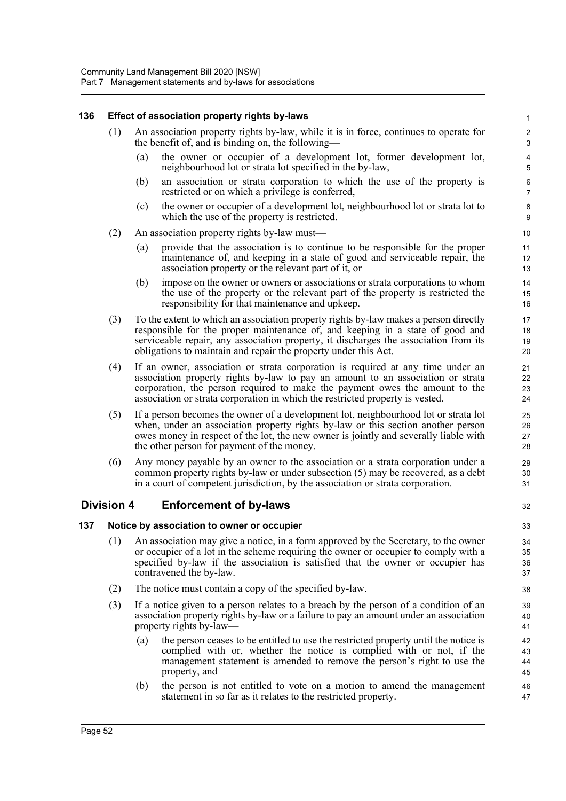## **136 Effect of association property rights by-laws**

- (1) An association property rights by-law, while it is in force, continues to operate for the benefit of, and is binding on, the following—
	- (a) the owner or occupier of a development lot, former development lot, neighbourhood lot or strata lot specified in the by-law,

32

- (b) an association or strata corporation to which the use of the property is restricted or on which a privilege is conferred,
- (c) the owner or occupier of a development lot, neighbourhood lot or strata lot to which the use of the property is restricted.
- (2) An association property rights by-law must—
	- (a) provide that the association is to continue to be responsible for the proper maintenance of, and keeping in a state of good and serviceable repair, the association property or the relevant part of it, or
	- (b) impose on the owner or owners or associations or strata corporations to whom the use of the property or the relevant part of the property is restricted the responsibility for that maintenance and upkeep.
- (3) To the extent to which an association property rights by-law makes a person directly responsible for the proper maintenance of, and keeping in a state of good and serviceable repair, any association property, it discharges the association from its obligations to maintain and repair the property under this Act.
- (4) If an owner, association or strata corporation is required at any time under an association property rights by-law to pay an amount to an association or strata corporation, the person required to make the payment owes the amount to the association or strata corporation in which the restricted property is vested.
- (5) If a person becomes the owner of a development lot, neighbourhood lot or strata lot when, under an association property rights by-law or this section another person owes money in respect of the lot, the new owner is jointly and severally liable with the other person for payment of the money.
- (6) Any money payable by an owner to the association or a strata corporation under a common property rights by-law or under subsection (5) may be recovered, as a debt in a court of competent jurisdiction, by the association or strata corporation.

# **Division 4 Enforcement of by-laws**

## **137 Notice by association to owner or occupier**

- (1) An association may give a notice, in a form approved by the Secretary, to the owner or occupier of a lot in the scheme requiring the owner or occupier to comply with a specified by-law if the association is satisfied that the owner or occupier has contravened the by-law.
- (2) The notice must contain a copy of the specified by-law.
- (3) If a notice given to a person relates to a breach by the person of a condition of an association property rights by-law or a failure to pay an amount under an association property rights by-law—
	- (a) the person ceases to be entitled to use the restricted property until the notice is complied with or, whether the notice is complied with or not, if the management statement is amended to remove the person's right to use the property, and
	- (b) the person is not entitled to vote on a motion to amend the management statement in so far as it relates to the restricted property.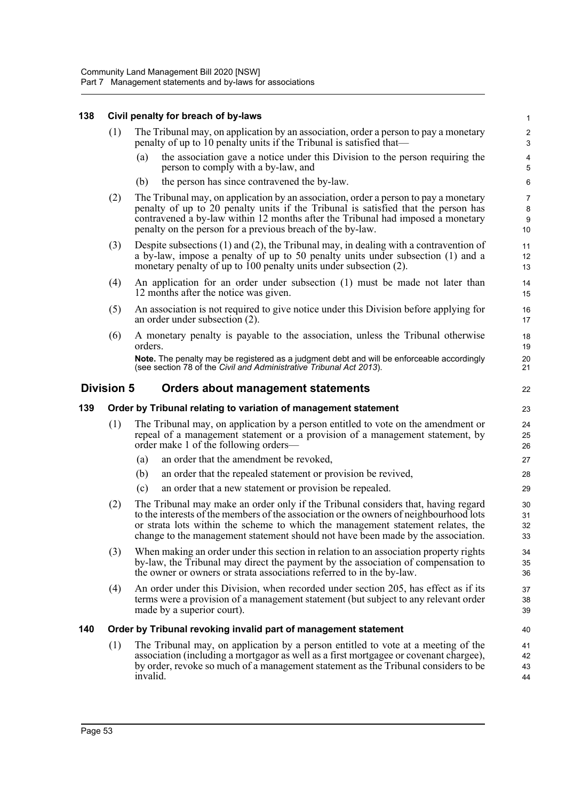## **138 Civil penalty for breach of by-laws**

| 138 | <b>Civil penalty for preach of by-laws</b>                      |                                                                                                                                                                                                                                                                                                                             |                     |
|-----|-----------------------------------------------------------------|-----------------------------------------------------------------------------------------------------------------------------------------------------------------------------------------------------------------------------------------------------------------------------------------------------------------------------|---------------------|
|     | (1)                                                             | The Tribunal may, on application by an association, order a person to pay a monetary<br>penalty of up to 10 penalty units if the Tribunal is satisfied that—                                                                                                                                                                |                     |
|     |                                                                 | the association gave a notice under this Division to the person requiring the<br>(a)<br>person to comply with a by-law, and                                                                                                                                                                                                 | $\overline{4}$<br>5 |
|     |                                                                 | the person has since contravened the by-law.<br>(b)                                                                                                                                                                                                                                                                         | 6                   |
|     | (2)                                                             | The Tribunal may, on application by an association, order a person to pay a monetary<br>penalty of up to 20 penalty units if the Tribunal is satisfied that the person has<br>contravened a by-law within 12 months after the Tribunal had imposed a monetary<br>penalty on the person for a previous breach of the by-law. |                     |
|     | (3)                                                             | Despite subsections $(1)$ and $(2)$ , the Tribunal may, in dealing with a contravention of<br>a by-law, impose a penalty of up to 50 penalty units under subsection (1) and a<br>monetary penalty of up to 100 penalty units under subsection (2).                                                                          | 11<br>12<br>13      |
|     | (4)                                                             | An application for an order under subsection (1) must be made not later than<br>12 months after the notice was given.                                                                                                                                                                                                       | 14<br>15            |
|     | (5)                                                             | An association is not required to give notice under this Division before applying for<br>an order under subsection (2).                                                                                                                                                                                                     | 16<br>17            |
|     | (6)                                                             | A monetary penalty is payable to the association, unless the Tribunal otherwise<br>orders.                                                                                                                                                                                                                                  | 18<br>19            |
|     |                                                                 | Note. The penalty may be registered as a judgment debt and will be enforceable accordingly<br>(see section 78 of the Civil and Administrative Tribunal Act 2013).                                                                                                                                                           | 20<br>21            |
|     | <b>Division 5</b>                                               | Orders about management statements                                                                                                                                                                                                                                                                                          | 22                  |
| 139 | Order by Tribunal relating to variation of management statement |                                                                                                                                                                                                                                                                                                                             |                     |
|     | (1)                                                             | The Tribunal may, on application by a person entitled to vote on the amendment or<br>repeal of a management statement or a provision of a management statement, by<br>order make 1 of the following orders—                                                                                                                 | 24<br>25<br>26      |

- (a) an order that the amendment be revoked,
- (b) an order that the repealed statement or provision be revived,
- (c) an order that a new statement or provision be repealed.
- (2) The Tribunal may make an order only if the Tribunal considers that, having regard to the interests of the members of the association or the owners of neighbourhood lots or strata lots within the scheme to which the management statement relates, the change to the management statement should not have been made by the association.

- (3) When making an order under this section in relation to an association property rights by-law, the Tribunal may direct the payment by the association of compensation to the owner or owners or strata associations referred to in the by-law.
- (4) An order under this Division, when recorded under section 205, has effect as if its terms were a provision of a management statement (but subject to any relevant order made by a superior court).

#### **140 Order by Tribunal revoking invalid part of management statement**

(1) The Tribunal may, on application by a person entitled to vote at a meeting of the association (including a mortgagor as well as a first mortgagee or covenant chargee), by order, revoke so much of a management statement as the Tribunal considers to be invalid.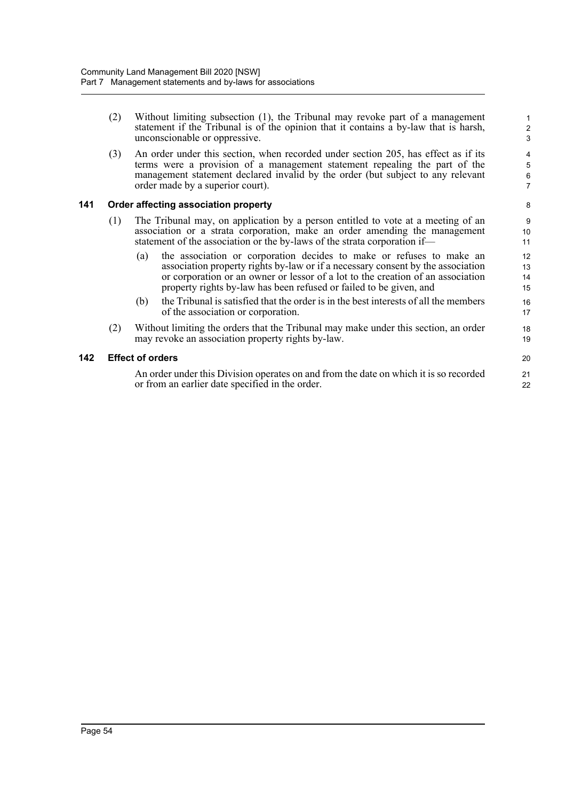- (2) Without limiting subsection (1), the Tribunal may revoke part of a management statement if the Tribunal is of the opinion that it contains a by-law that is harsh, unconscionable or oppressive.
- (3) An order under this section, when recorded under section 205, has effect as if its terms were a provision of a management statement repealing the part of the management statement declared invalid by the order (but subject to any relevant order made by a superior court).

## **141 Order affecting association property**

- (1) The Tribunal may, on application by a person entitled to vote at a meeting of an association or a strata corporation, make an order amending the management statement of the association or the by-laws of the strata corporation if—
	- (a) the association or corporation decides to make or refuses to make an association property rights by-law or if a necessary consent by the association or corporation or an owner or lessor of a lot to the creation of an association property rights by-law has been refused or failed to be given, and
	- (b) the Tribunal is satisfied that the order is in the best interests of all the members of the association or corporation.
- (2) Without limiting the orders that the Tribunal may make under this section, an order may revoke an association property rights by-law.

## **142 Effect of orders**

An order under this Division operates on and from the date on which it is so recorded or from an earlier date specified in the order.

19 20 21

22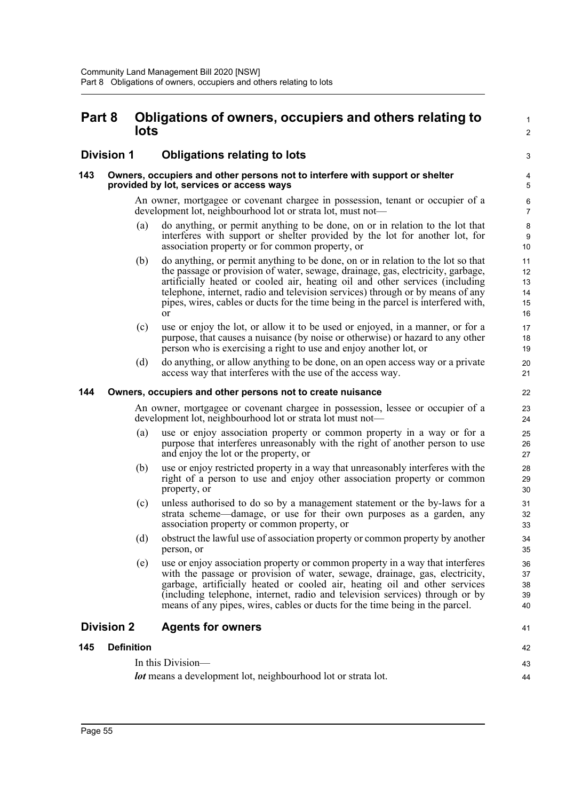# **Part 8 Obligations of owners, occupiers and others relating to lots**

## **Division 1 Obligations relating to lots**

#### **143 Owners, occupiers and other persons not to interfere with support or shelter provided by lot, services or access ways**

An owner, mortgagee or covenant chargee in possession, tenant or occupier of a development lot, neighbourhood lot or strata lot, must not1  $\mathcal{L}$ 

3

41

42 43 44

- (a) do anything, or permit anything to be done, on or in relation to the lot that interferes with support or shelter provided by the lot for another lot, for association property or for common property, or
- (b) do anything, or permit anything to be done, on or in relation to the lot so that the passage or provision of water, sewage, drainage, gas, electricity, garbage, artificially heated or cooled air, heating oil and other services (including telephone, internet, radio and television services) through or by means of any pipes, wires, cables or ducts for the time being in the parcel is interfered with, or
- (c) use or enjoy the lot, or allow it to be used or enjoyed, in a manner, or for a purpose, that causes a nuisance (by noise or otherwise) or hazard to any other person who is exercising a right to use and enjoy another lot, or
- (d) do anything, or allow anything to be done, on an open access way or a private access way that interferes with the use of the access way.

#### **144 Owners, occupiers and other persons not to create nuisance**

An owner, mortgagee or covenant chargee in possession, lessee or occupier of a development lot, neighbourhood lot or strata lot must not—

- (a) use or enjoy association property or common property in a way or for a purpose that interferes unreasonably with the right of another person to use and enjoy the lot or the property, or
- (b) use or enjoy restricted property in a way that unreasonably interferes with the right of a person to use and enjoy other association property or common property, or
- (c) unless authorised to do so by a management statement or the by-laws for a strata scheme—damage, or use for their own purposes as a garden, any association property or common property, or
- (d) obstruct the lawful use of association property or common property by another person, or
- (e) use or enjoy association property or common property in a way that interferes with the passage or provision of water, sewage, drainage, gas, electricity, garbage, artificially heated or cooled air, heating oil and other services (including telephone, internet, radio and television services) through or by means of any pipes, wires, cables or ducts for the time being in the parcel.

## **Division 2 Agents for owners**

#### **145 Definition**

In this Division *lot* means a development lot, neighbourhood lot or strata lot.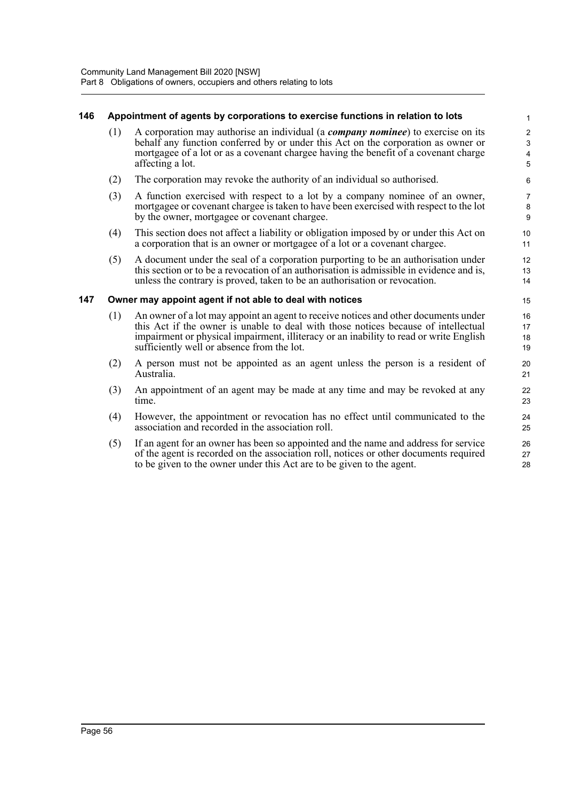## **146 Appointment of agents by corporations to exercise functions in relation to lots**

(1) A corporation may authorise an individual (a *company nominee*) to exercise on its behalf any function conferred by or under this Act on the corporation as owner or mortgagee of a lot or as a covenant chargee having the benefit of a covenant charge affecting a lot.

- (2) The corporation may revoke the authority of an individual so authorised.
- (3) A function exercised with respect to a lot by a company nominee of an owner, mortgagee or covenant chargee is taken to have been exercised with respect to the lot by the owner, mortgagee or covenant chargee.
- (4) This section does not affect a liability or obligation imposed by or under this Act on a corporation that is an owner or mortgagee of a lot or a covenant chargee.
- (5) A document under the seal of a corporation purporting to be an authorisation under this section or to be a revocation of an authorisation is admissible in evidence and is, unless the contrary is proved, taken to be an authorisation or revocation.

## **147 Owner may appoint agent if not able to deal with notices**

- (1) An owner of a lot may appoint an agent to receive notices and other documents under this Act if the owner is unable to deal with those notices because of intellectual impairment or physical impairment, illiteracy or an inability to read or write English sufficiently well or absence from the lot.
- (2) A person must not be appointed as an agent unless the person is a resident of Australia.
- (3) An appointment of an agent may be made at any time and may be revoked at any time.
- (4) However, the appointment or revocation has no effect until communicated to the association and recorded in the association roll.
- (5) If an agent for an owner has been so appointed and the name and address for service of the agent is recorded on the association roll, notices or other documents required to be given to the owner under this Act are to be given to the agent.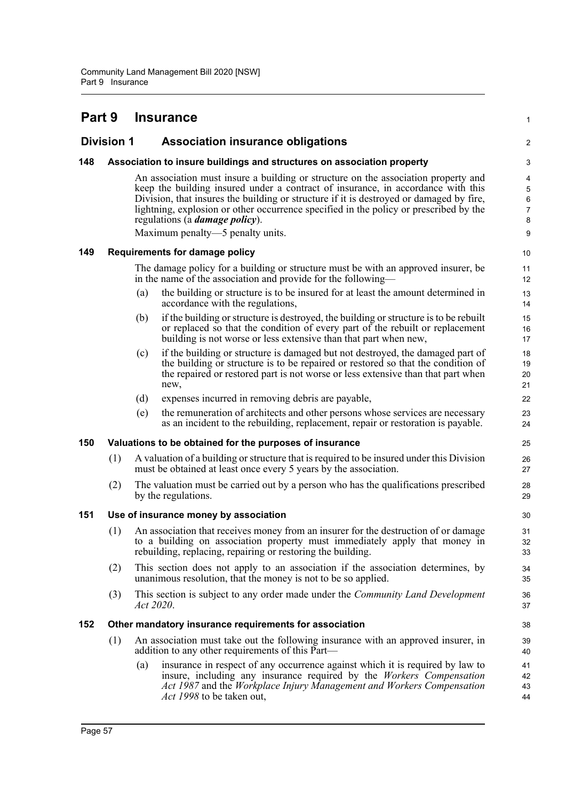| Part 9 |                   |           | <b>Insurance</b>                                                                                                                                                                                                                                                                                                                                                                                                                         | 1                                       |
|--------|-------------------|-----------|------------------------------------------------------------------------------------------------------------------------------------------------------------------------------------------------------------------------------------------------------------------------------------------------------------------------------------------------------------------------------------------------------------------------------------------|-----------------------------------------|
|        | <b>Division 1</b> |           | <b>Association insurance obligations</b>                                                                                                                                                                                                                                                                                                                                                                                                 | 2                                       |
| 148    |                   |           | Association to insure buildings and structures on association property                                                                                                                                                                                                                                                                                                                                                                   | 3                                       |
|        |                   |           | An association must insure a building or structure on the association property and<br>keep the building insured under a contract of insurance, in accordance with this<br>Division, that insures the building or structure if it is destroyed or damaged by fire,<br>lightning, explosion or other occurrence specified in the policy or prescribed by the<br>regulations (a <i>damage policy</i> ).<br>Maximum penalty—5 penalty units. | 4<br>5<br>6<br>$\overline{7}$<br>8<br>9 |
| 149    |                   |           | <b>Requirements for damage policy</b>                                                                                                                                                                                                                                                                                                                                                                                                    | 10                                      |
|        |                   |           | The damage policy for a building or structure must be with an approved insurer, be<br>in the name of the association and provide for the following—                                                                                                                                                                                                                                                                                      | 11<br>12                                |
|        |                   | (a)       | the building or structure is to be insured for at least the amount determined in<br>accordance with the regulations,                                                                                                                                                                                                                                                                                                                     | 13<br>14                                |
|        |                   | (b)       | if the building or structure is destroyed, the building or structure is to be rebuilt<br>or replaced so that the condition of every part of the rebuilt or replacement<br>building is not worse or less extensive than that part when new,                                                                                                                                                                                               | 15<br>16<br>17                          |
|        |                   | (c)       | if the building or structure is damaged but not destroyed, the damaged part of<br>the building or structure is to be repaired or restored so that the condition of<br>the repaired or restored part is not worse or less extensive than that part when<br>new,                                                                                                                                                                           | 18<br>19<br>20<br>21                    |
|        |                   | (d)       | expenses incurred in removing debris are payable,                                                                                                                                                                                                                                                                                                                                                                                        | 22                                      |
|        |                   | (e)       | the remuneration of architects and other persons whose services are necessary<br>as an incident to the rebuilding, replacement, repair or restoration is payable.                                                                                                                                                                                                                                                                        | 23<br>24                                |
| 150    |                   |           | Valuations to be obtained for the purposes of insurance                                                                                                                                                                                                                                                                                                                                                                                  | 25                                      |
|        | (1)               |           | A valuation of a building or structure that is required to be insured under this Division<br>must be obtained at least once every 5 years by the association.                                                                                                                                                                                                                                                                            | 26<br>27                                |
|        | (2)               |           | The valuation must be carried out by a person who has the qualifications prescribed<br>by the regulations.                                                                                                                                                                                                                                                                                                                               | 28<br>29                                |
| 151    |                   |           | Use of insurance money by association                                                                                                                                                                                                                                                                                                                                                                                                    | 30                                      |
|        |                   |           | (1) An association that receives money from an insurer for the destruction of or damage<br>to a building on association property must immediately apply that money in<br>rebuilding, replacing, repairing or restoring the building.                                                                                                                                                                                                     | 31<br>32<br>33                          |
|        | (2)               |           | This section does not apply to an association if the association determines, by<br>unanimous resolution, that the money is not to be so applied.                                                                                                                                                                                                                                                                                         | 34<br>35                                |
|        | (3)               | Act 2020. | This section is subject to any order made under the Community Land Development                                                                                                                                                                                                                                                                                                                                                           | 36<br>37                                |
| 152    |                   |           | Other mandatory insurance requirements for association                                                                                                                                                                                                                                                                                                                                                                                   | 38                                      |
|        | (1)               |           | An association must take out the following insurance with an approved insurer, in<br>addition to any other requirements of this Part—                                                                                                                                                                                                                                                                                                    | 39<br>40                                |
|        |                   | (a)       | insurance in respect of any occurrence against which it is required by law to<br>insure, including any insurance required by the Workers Compensation<br>Act 1987 and the Workplace Injury Management and Workers Compensation<br>Act 1998 to be taken out,                                                                                                                                                                              | 41<br>42<br>43<br>44                    |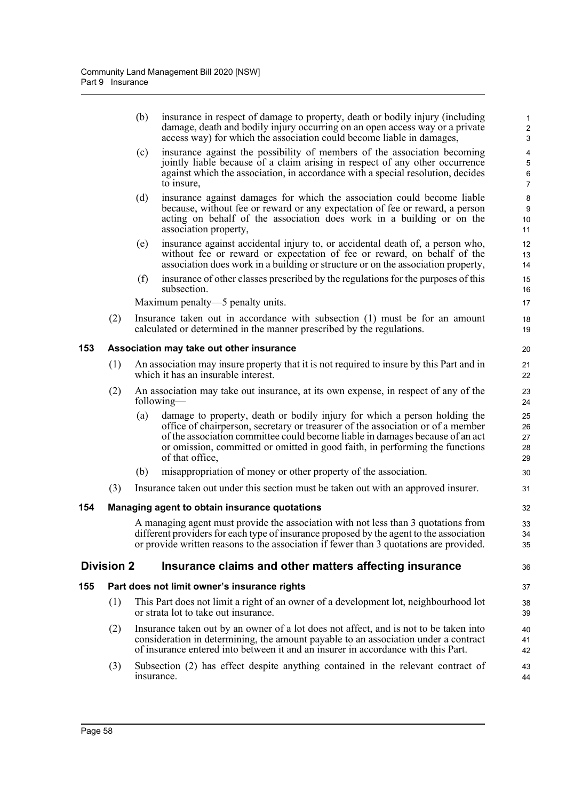|     |                   | (b)        | insurance in respect of damage to property, death or bodily injury (including<br>damage, death and bodily injury occurring on an open access way or a private<br>access way) for which the association could become liable in damages,                                                                                                           | $\mathbf{1}$<br>$\sqrt{2}$<br>3                                     |
|-----|-------------------|------------|--------------------------------------------------------------------------------------------------------------------------------------------------------------------------------------------------------------------------------------------------------------------------------------------------------------------------------------------------|---------------------------------------------------------------------|
|     |                   | (c)        | insurance against the possibility of members of the association becoming<br>jointly liable because of a claim arising in respect of any other occurrence<br>against which the association, in accordance with a special resolution, decides<br>to insure,                                                                                        | $\overline{\mathbf{4}}$<br>$\mathbf 5$<br>$\,6\,$<br>$\overline{7}$ |
|     |                   | (d)        | insurance against damages for which the association could become liable<br>because, without fee or reward or any expectation of fee or reward, a person<br>acting on behalf of the association does work in a building or on the<br>association property,                                                                                        | 8<br>$\boldsymbol{9}$<br>10<br>11                                   |
|     |                   | (e)        | insurance against accidental injury to, or accidental death of, a person who,<br>without fee or reward or expectation of fee or reward, on behalf of the<br>association does work in a building or structure or on the association property,                                                                                                     | 12<br>13<br>14                                                      |
|     |                   | (f)        | insurance of other classes prescribed by the regulations for the purposes of this<br>subsection.                                                                                                                                                                                                                                                 | 15<br>16                                                            |
|     |                   |            | Maximum penalty—5 penalty units.                                                                                                                                                                                                                                                                                                                 | 17                                                                  |
|     | (2)               |            | Insurance taken out in accordance with subsection (1) must be for an amount<br>calculated or determined in the manner prescribed by the regulations.                                                                                                                                                                                             | 18<br>19                                                            |
| 153 |                   |            | Association may take out other insurance                                                                                                                                                                                                                                                                                                         | 20                                                                  |
|     | (1)               |            | An association may insure property that it is not required to insure by this Part and in<br>which it has an insurable interest.                                                                                                                                                                                                                  | 21<br>22                                                            |
|     | (2)               |            | An association may take out insurance, at its own expense, in respect of any of the<br>following—                                                                                                                                                                                                                                                | 23<br>24                                                            |
|     |                   | (a)        | damage to property, death or bodily injury for which a person holding the<br>office of chairperson, secretary or treasurer of the association or of a member<br>of the association committee could become liable in damages because of an act<br>or omission, committed or omitted in good faith, in performing the functions<br>of that office, | 25<br>26<br>27<br>28<br>29                                          |
|     |                   | (b)        | misappropriation of money or other property of the association.                                                                                                                                                                                                                                                                                  | 30                                                                  |
|     | (3)               |            | Insurance taken out under this section must be taken out with an approved insurer.                                                                                                                                                                                                                                                               | 31                                                                  |
| 154 |                   |            | Managing agent to obtain insurance quotations                                                                                                                                                                                                                                                                                                    | 32                                                                  |
|     |                   |            | A managing agent must provide the association with not less than 3 quotations from<br>different providers for each type of insurance proposed by the agent to the association<br>or provide written reasons to the association if fewer than 3 quotations are provided.                                                                          | 33<br>34<br>35                                                      |
|     | <b>Division 2</b> |            | Insurance claims and other matters affecting insurance                                                                                                                                                                                                                                                                                           | 36                                                                  |
| 155 |                   |            | Part does not limit owner's insurance rights                                                                                                                                                                                                                                                                                                     | 37                                                                  |
|     | (1)               |            | This Part does not limit a right of an owner of a development lot, neighbourhood lot<br>or strata lot to take out insurance.                                                                                                                                                                                                                     | 38<br>39                                                            |
|     | (2)               |            | Insurance taken out by an owner of a lot does not affect, and is not to be taken into<br>consideration in determining, the amount payable to an association under a contract<br>of insurance entered into between it and an insurer in accordance with this Part.                                                                                | 40<br>41<br>42                                                      |
|     | (3)               | insurance. | Subsection (2) has effect despite anything contained in the relevant contract of                                                                                                                                                                                                                                                                 | 43<br>44                                                            |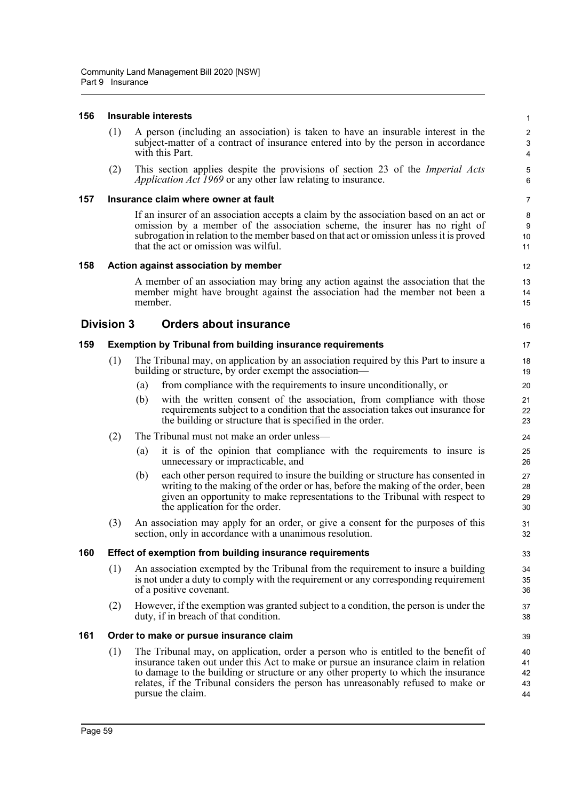#### **156 Insurable interests**

(1) A person (including an association) is taken to have an insurable interest in the subject-matter of a contract of insurance entered into by the person in accordance with this Part.

16

(2) This section applies despite the provisions of section 23 of the *Imperial Acts Application Act 1969* or any other law relating to insurance.

#### **157 Insurance claim where owner at fault**

If an insurer of an association accepts a claim by the association based on an act or omission by a member of the association scheme, the insurer has no right of subrogation in relation to the member based on that act or omission unless it is proved that the act or omission was wilful.

## **158 Action against association by member**

A member of an association may bring any action against the association that the member might have brought against the association had the member not been a member.

## **Division 3 Orders about insurance**

## **159 Exemption by Tribunal from building insurance requirements**

- (1) The Tribunal may, on application by an association required by this Part to insure a building or structure, by order exempt the association—
	- (a) from compliance with the requirements to insure unconditionally, or
	- (b) with the written consent of the association, from compliance with those requirements subject to a condition that the association takes out insurance for the building or structure that is specified in the order.
- (2) The Tribunal must not make an order unless—
	- (a) it is of the opinion that compliance with the requirements to insure is unnecessary or impracticable, and
	- (b) each other person required to insure the building or structure has consented in writing to the making of the order or has, before the making of the order, been given an opportunity to make representations to the Tribunal with respect to the application for the order.
- (3) An association may apply for an order, or give a consent for the purposes of this section, only in accordance with a unanimous resolution.

## **160 Effect of exemption from building insurance requirements**

- (1) An association exempted by the Tribunal from the requirement to insure a building is not under a duty to comply with the requirement or any corresponding requirement of a positive covenant.
- (2) However, if the exemption was granted subject to a condition, the person is under the duty, if in breach of that condition.

#### **161 Order to make or pursue insurance claim**

(1) The Tribunal may, on application, order a person who is entitled to the benefit of insurance taken out under this Act to make or pursue an insurance claim in relation to damage to the building or structure or any other property to which the insurance relates, if the Tribunal considers the person has unreasonably refused to make or pursue the claim.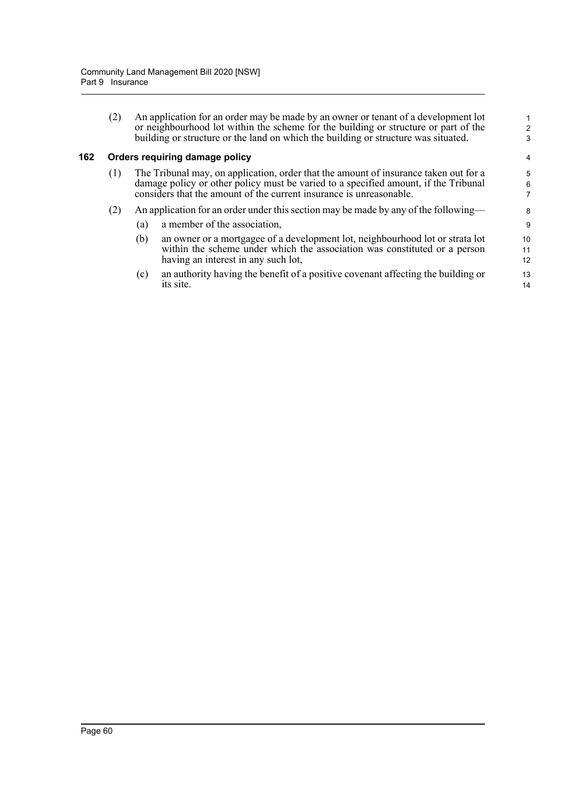| (2) | An application for an order may be made by an owner or tenant of a development lot                                                                                        |
|-----|---------------------------------------------------------------------------------------------------------------------------------------------------------------------------|
|     | or neighbourhood lot within the scheme for the building or structure or part of the<br>building or structure or the land on which the building or structure was situated. |

## **162 Orders requiring damage policy**

- (1) The Tribunal may, on application, order that the amount of insurance taken out for a damage policy or other policy must be varied to a specified amount, if the Tribunal considers that the amount of the current insurance is unreasonable.
- (2) An application for an order under this section may be made by any of the following—
	- (a) a member of the association,
	- (b) an owner or a mortgagee of a development lot, neighbourhood lot or strata lot within the scheme under which the association was constituted or a person having an interest in any such lot,
	- (c) an authority having the benefit of a positive covenant affecting the building or its site.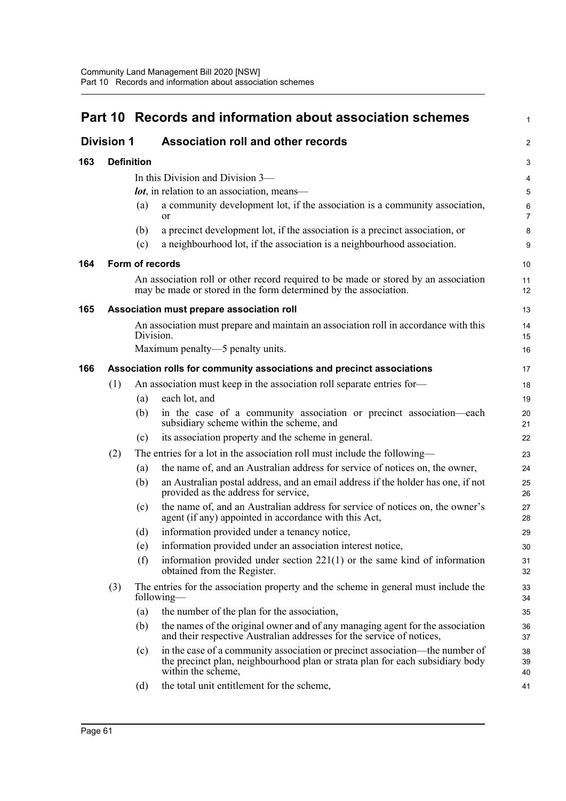|                   |                                                                        | Part 10 Records and information about association schemes |                                                                                                                                                                                     |                |  |
|-------------------|------------------------------------------------------------------------|-----------------------------------------------------------|-------------------------------------------------------------------------------------------------------------------------------------------------------------------------------------|----------------|--|
| <b>Division 1</b> |                                                                        |                                                           | <b>Association roll and other records</b>                                                                                                                                           |                |  |
| 163               | <b>Definition</b>                                                      |                                                           |                                                                                                                                                                                     | 3              |  |
|                   |                                                                        |                                                           | In this Division and Division 3-                                                                                                                                                    | 4              |  |
|                   |                                                                        |                                                           | <b><i>lot</i></b> , in relation to an association, means—                                                                                                                           | 5              |  |
|                   |                                                                        | (a)                                                       | a community development lot, if the association is a community association,<br>or                                                                                                   | 6<br>7         |  |
|                   |                                                                        | (b)                                                       | a precinct development lot, if the association is a precinct association, or                                                                                                        | 8              |  |
|                   |                                                                        | (c)                                                       | a neighbourhood lot, if the association is a neighbourhood association.                                                                                                             | 9              |  |
| 164               |                                                                        |                                                           | Form of records                                                                                                                                                                     | 10             |  |
|                   |                                                                        |                                                           | An association roll or other record required to be made or stored by an association<br>may be made or stored in the form determined by the association.                             | 11<br>12       |  |
| 165               |                                                                        |                                                           | Association must prepare association roll                                                                                                                                           | 13             |  |
|                   |                                                                        | Division.                                                 | An association must prepare and maintain an association roll in accordance with this                                                                                                | 14<br>15       |  |
|                   |                                                                        |                                                           | Maximum penalty—5 penalty units.                                                                                                                                                    | 16             |  |
| 166               | Association rolls for community associations and precinct associations |                                                           |                                                                                                                                                                                     |                |  |
|                   | (1)                                                                    |                                                           | An association must keep in the association roll separate entries for-                                                                                                              | 18             |  |
|                   |                                                                        | (a)                                                       | each lot, and                                                                                                                                                                       | 19             |  |
|                   |                                                                        | (b)                                                       | in the case of a community association or precinct association-each<br>subsidiary scheme within the scheme, and                                                                     | 20<br>21       |  |
|                   |                                                                        | (c)                                                       | its association property and the scheme in general.                                                                                                                                 | 22             |  |
|                   | (2)                                                                    |                                                           | The entries for a lot in the association roll must include the following—                                                                                                           | 23             |  |
|                   |                                                                        | (a)                                                       | the name of, and an Australian address for service of notices on, the owner,                                                                                                        | 24             |  |
|                   |                                                                        | (b)                                                       | an Australian postal address, and an email address if the holder has one, if not<br>provided as the address for service,                                                            | 25<br>26       |  |
|                   |                                                                        | (c)                                                       | the name of, and an Australian address for service of notices on, the owner's<br>agent (if any) appointed in accordance with this Act,                                              | 27<br>28       |  |
|                   |                                                                        | (d)                                                       | information provided under a tenancy notice,                                                                                                                                        | 29             |  |
|                   |                                                                        | (e)                                                       | information provided under an association interest notice,                                                                                                                          | 30             |  |
|                   |                                                                        | (f)                                                       | information provided under section $221(1)$ or the same kind of information<br>obtained from the Register.                                                                          | 31<br>32       |  |
|                   | (3)                                                                    |                                                           | The entries for the association property and the scheme in general must include the<br>following—                                                                                   | 33<br>34       |  |
|                   |                                                                        | (a)                                                       | the number of the plan for the association,                                                                                                                                         | 35             |  |
|                   |                                                                        | (b)                                                       | the names of the original owner and of any managing agent for the association<br>and their respective Australian addresses for the service of notices,                              | 36<br>37       |  |
|                   |                                                                        | (c)                                                       | in the case of a community association or precinct association—the number of<br>the precinct plan, neighbourhood plan or strata plan for each subsidiary body<br>within the scheme, | 38<br>39<br>40 |  |
|                   |                                                                        | (d)                                                       | the total unit entitlement for the scheme,                                                                                                                                          | 41             |  |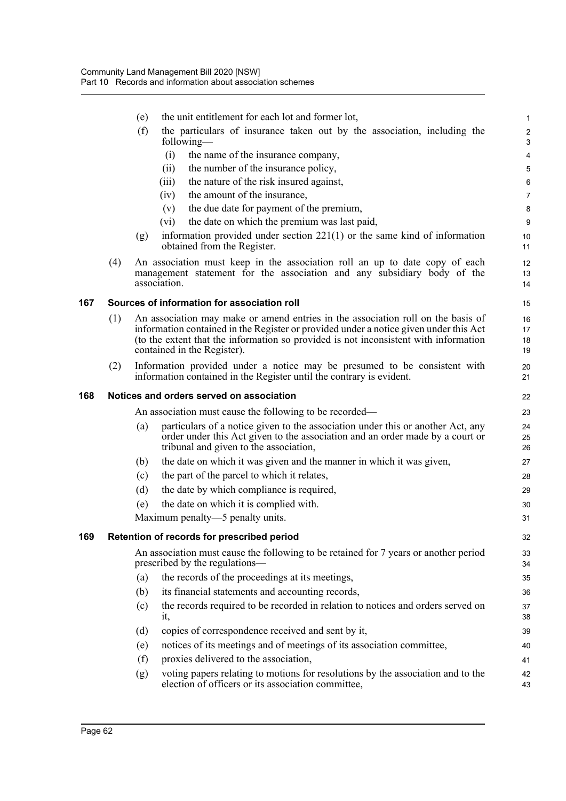|     |     | (e) | the unit entitlement for each lot and former lot,                                                                                                                                                                                                                                                | $\mathbf{1}$                  |
|-----|-----|-----|--------------------------------------------------------------------------------------------------------------------------------------------------------------------------------------------------------------------------------------------------------------------------------------------------|-------------------------------|
|     |     | (f) | the particulars of insurance taken out by the association, including the<br>following—                                                                                                                                                                                                           | 2<br>3                        |
|     |     |     | the name of the insurance company,<br>(i)                                                                                                                                                                                                                                                        | 4                             |
|     |     |     | the number of the insurance policy,<br>(ii)                                                                                                                                                                                                                                                      | 5                             |
|     |     |     | the nature of the risk insured against,<br>(iii)                                                                                                                                                                                                                                                 | 6                             |
|     |     |     | the amount of the insurance,<br>(iv)                                                                                                                                                                                                                                                             | $\overline{7}$                |
|     |     |     | the due date for payment of the premium,<br>(v)                                                                                                                                                                                                                                                  | 8                             |
|     |     |     | the date on which the premium was last paid,<br>$(v_i)$                                                                                                                                                                                                                                          | 9                             |
|     |     | (g) | information provided under section $221(1)$ or the same kind of information<br>obtained from the Register.                                                                                                                                                                                       | 10<br>11                      |
|     | (4) |     | An association must keep in the association roll an up to date copy of each<br>management statement for the association and any subsidiary body of the<br>association.                                                                                                                           | $12 \overline{ }$<br>13<br>14 |
| 167 |     |     | Sources of information for association roll                                                                                                                                                                                                                                                      | 15                            |
|     | (1) |     | An association may make or amend entries in the association roll on the basis of<br>information contained in the Register or provided under a notice given under this Act<br>(to the extent that the information so provided is not inconsistent with information<br>contained in the Register). | 16<br>17<br>18<br>19          |
|     | (2) |     | Information provided under a notice may be presumed to be consistent with<br>information contained in the Register until the contrary is evident.                                                                                                                                                | 20<br>21                      |
| 168 |     |     | Notices and orders served on association                                                                                                                                                                                                                                                         | 22                            |
|     |     |     | An association must cause the following to be recorded—                                                                                                                                                                                                                                          | 23                            |
|     |     | (a) | particulars of a notice given to the association under this or another Act, any<br>order under this Act given to the association and an order made by a court or<br>tribunal and given to the association,                                                                                       | 24<br>25<br>26                |
|     |     | (b) | the date on which it was given and the manner in which it was given,                                                                                                                                                                                                                             | 27                            |
|     |     | (c) | the part of the parcel to which it relates,                                                                                                                                                                                                                                                      | 28                            |
|     |     | (d) | the date by which compliance is required,                                                                                                                                                                                                                                                        | 29                            |
|     |     | (e) | the date on which it is complied with.                                                                                                                                                                                                                                                           | 30                            |
|     |     |     | Maximum penalty—5 penalty units.                                                                                                                                                                                                                                                                 | 31                            |
| 169 |     |     | Retention of records for prescribed period                                                                                                                                                                                                                                                       | 32                            |
|     |     |     | An association must cause the following to be retained for 7 years or another period<br>prescribed by the regulations—                                                                                                                                                                           | 33<br>34                      |
|     |     | (a) | the records of the proceedings at its meetings,                                                                                                                                                                                                                                                  | 35                            |
|     |     | (b) | its financial statements and accounting records,                                                                                                                                                                                                                                                 | 36                            |
|     |     | (c) | the records required to be recorded in relation to notices and orders served on<br>it,                                                                                                                                                                                                           | 37<br>38                      |
|     |     | (d) | copies of correspondence received and sent by it,                                                                                                                                                                                                                                                | 39                            |
|     |     | (e) | notices of its meetings and of meetings of its association committee,                                                                                                                                                                                                                            | 40                            |
|     |     | (f) | proxies delivered to the association,                                                                                                                                                                                                                                                            | 41                            |
|     |     | (g) | voting papers relating to motions for resolutions by the association and to the<br>election of officers or its association committee,                                                                                                                                                            | 42<br>43                      |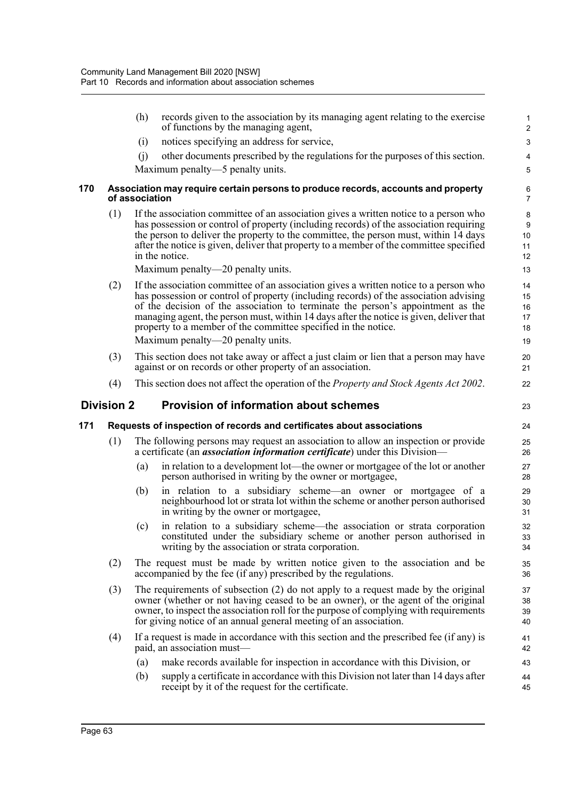|     |                   | (h)            | records given to the association by its managing agent relating to the exercise<br>of functions by the managing agent,                                                                                                                                                                                                                                                                                                                                              | 1<br>$\overline{\mathbf{c}}$     |
|-----|-------------------|----------------|---------------------------------------------------------------------------------------------------------------------------------------------------------------------------------------------------------------------------------------------------------------------------------------------------------------------------------------------------------------------------------------------------------------------------------------------------------------------|----------------------------------|
|     |                   | (i)            | notices specifying an address for service,                                                                                                                                                                                                                                                                                                                                                                                                                          | 3                                |
|     |                   | (i)            | other documents prescribed by the regulations for the purposes of this section.                                                                                                                                                                                                                                                                                                                                                                                     | 4                                |
|     |                   |                | Maximum penalty—5 penalty units.                                                                                                                                                                                                                                                                                                                                                                                                                                    | 5                                |
| 170 |                   | of association | Association may require certain persons to produce records, accounts and property                                                                                                                                                                                                                                                                                                                                                                                   | $\frac{6}{7}$                    |
|     | (1)               |                | If the association committee of an association gives a written notice to a person who<br>has possession or control of property (including records) of the association requiring<br>the person to deliver the property to the committee, the person must, within 14 days<br>after the notice is given, deliver that property to a member of the committee specified<br>in the notice.<br>Maximum penalty—20 penalty units.                                           | 8<br>9<br>10<br>11<br>12<br>13   |
|     | (2)               |                | If the association committee of an association gives a written notice to a person who<br>has possession or control of property (including records) of the association advising<br>of the decision of the association to terminate the person's appointment as the<br>managing agent, the person must, within 14 days after the notice is given, deliver that<br>property to a member of the committee specified in the notice.<br>Maximum penalty—20 penalty units. | 14<br>15<br>16<br>17<br>18<br>19 |
|     | (3)               |                | This section does not take away or affect a just claim or lien that a person may have                                                                                                                                                                                                                                                                                                                                                                               | 20                               |
|     |                   |                | against or on records or other property of an association.                                                                                                                                                                                                                                                                                                                                                                                                          | 21                               |
|     |                   |                |                                                                                                                                                                                                                                                                                                                                                                                                                                                                     |                                  |
|     | (4)               |                | This section does not affect the operation of the <i>Property and Stock Agents Act 2002</i> .                                                                                                                                                                                                                                                                                                                                                                       | 22                               |
|     | <b>Division 2</b> |                | <b>Provision of information about schemes</b>                                                                                                                                                                                                                                                                                                                                                                                                                       | 23                               |
|     |                   |                | Requests of inspection of records and certificates about associations                                                                                                                                                                                                                                                                                                                                                                                               | 24                               |
|     | (1)               |                | The following persons may request an association to allow an inspection or provide<br>a certificate (an <i>association information certificate</i> ) under this Division—                                                                                                                                                                                                                                                                                           | 25<br>26                         |
| 171 |                   | (a)            | in relation to a development lot—the owner or mortgagee of the lot or another<br>person authorised in writing by the owner or mortgagee,                                                                                                                                                                                                                                                                                                                            | 27<br>28                         |
|     |                   | (b)            | in relation to a subsidiary scheme—an owner or mortgagee of a<br>neighbourhood lot or strata lot within the scheme or another person authorised<br>in writing by the owner or mortgagee,                                                                                                                                                                                                                                                                            | 29<br>30<br>31                   |
|     |                   | (c)            | in relation to a subsidiary scheme—the association or strata corporation<br>constituted under the subsidiary scheme or another person authorised in<br>writing by the association or strata corporation.                                                                                                                                                                                                                                                            | 32<br>33<br>34                   |
|     | (2)               |                | The request must be made by written notice given to the association and be<br>accompanied by the fee (if any) prescribed by the regulations.                                                                                                                                                                                                                                                                                                                        | 35<br>36                         |
|     | (3)               |                | The requirements of subsection (2) do not apply to a request made by the original<br>owner (whether or not having ceased to be an owner), or the agent of the original<br>owner, to inspect the association roll for the purpose of complying with requirements<br>for giving notice of an annual general meeting of an association.                                                                                                                                | 37<br>38<br>39<br>40             |
|     | (4)               |                | If a request is made in accordance with this section and the prescribed fee (if any) is<br>paid, an association must—                                                                                                                                                                                                                                                                                                                                               | 41<br>42                         |
|     |                   | (a)            | make records available for inspection in accordance with this Division, or                                                                                                                                                                                                                                                                                                                                                                                          | 43                               |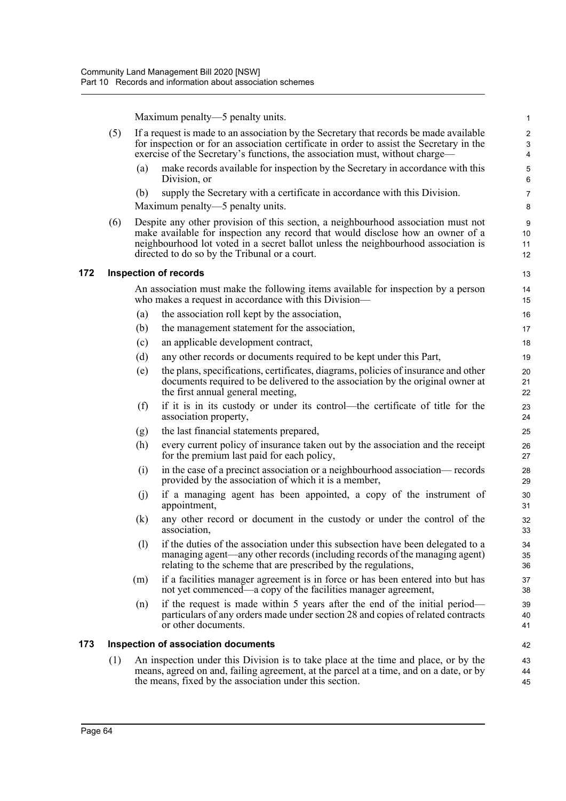Maximum penalty—5 penalty units.

|     |     |     | Maximum penalty—5 penalty units.                                                                                                                                                                                                                                                                           | $\mathbf{1}$                      |
|-----|-----|-----|------------------------------------------------------------------------------------------------------------------------------------------------------------------------------------------------------------------------------------------------------------------------------------------------------------|-----------------------------------|
|     | (5) |     | If a request is made to an association by the Secretary that records be made available<br>for inspection or for an association certificate in order to assist the Secretary in the<br>exercise of the Secretary's functions, the association must, without charge—                                         | $\sqrt{2}$<br>3<br>$\overline{4}$ |
|     |     | (a) | make records available for inspection by the Secretary in accordance with this<br>Division, or                                                                                                                                                                                                             | 5<br>$\,6\,$                      |
|     |     | (b) | supply the Secretary with a certificate in accordance with this Division.<br>Maximum penalty—5 penalty units.                                                                                                                                                                                              | $\overline{7}$<br>8               |
|     | (6) |     | Despite any other provision of this section, a neighbourhood association must not<br>make available for inspection any record that would disclose how an owner of a<br>neighbourhood lot voted in a secret ballot unless the neighbourhood association is<br>directed to do so by the Tribunal or a court. | 9<br>10<br>11<br>12               |
| 172 |     |     | <b>Inspection of records</b>                                                                                                                                                                                                                                                                               | 13                                |
|     |     |     | An association must make the following items available for inspection by a person<br>who makes a request in accordance with this Division—                                                                                                                                                                 | 14<br>15                          |
|     |     | (a) | the association roll kept by the association,                                                                                                                                                                                                                                                              | 16                                |
|     |     | (b) | the management statement for the association,                                                                                                                                                                                                                                                              | 17                                |
|     |     | (c) | an applicable development contract,                                                                                                                                                                                                                                                                        | 18                                |
|     |     | (d) | any other records or documents required to be kept under this Part,                                                                                                                                                                                                                                        | 19                                |
|     |     | (e) | the plans, specifications, certificates, diagrams, policies of insurance and other<br>documents required to be delivered to the association by the original owner at<br>the first annual general meeting,                                                                                                  | 20<br>21<br>22                    |
|     |     | (f) | if it is in its custody or under its control—the certificate of title for the<br>association property,                                                                                                                                                                                                     | 23<br>24                          |
|     |     | (g) | the last financial statements prepared,                                                                                                                                                                                                                                                                    | 25                                |
|     |     | (h) | every current policy of insurance taken out by the association and the receipt<br>for the premium last paid for each policy,                                                                                                                                                                               | 26<br>27                          |
|     |     | (i) | in the case of a precinct association or a neighbourhood association— records<br>provided by the association of which it is a member,                                                                                                                                                                      | 28<br>29                          |
|     |     | (j) | if a managing agent has been appointed, a copy of the instrument of<br>appointment,                                                                                                                                                                                                                        | 30<br>31                          |
|     |     | (k) | any other record or document in the custody or under the control of the<br>association,                                                                                                                                                                                                                    | 32<br>33                          |
|     |     | (1) | if the duties of the association under this subsection have been delegated to a<br>managing agent—any other records (including records of the managing agent)<br>relating to the scheme that are prescribed by the regulations,                                                                            | 34<br>35<br>36                    |
|     |     | (m) | if a facilities manager agreement is in force or has been entered into but has<br>not yet commenced—a copy of the facilities manager agreement,                                                                                                                                                            | 37<br>38                          |
|     |     | (n) | if the request is made within 5 years after the end of the initial period—<br>particulars of any orders made under section 28 and copies of related contracts<br>or other documents.                                                                                                                       | 39<br>40<br>41                    |
| 173 |     |     | Inspection of association documents                                                                                                                                                                                                                                                                        | 42                                |
|     | (1) |     | An inspection under this Division is to take place at the time and place, or by the<br>means, agreed on and, failing agreement, at the parcel at a time, and on a date, or by<br>the means, fixed by the association under this section.                                                                   | 43<br>44<br>45                    |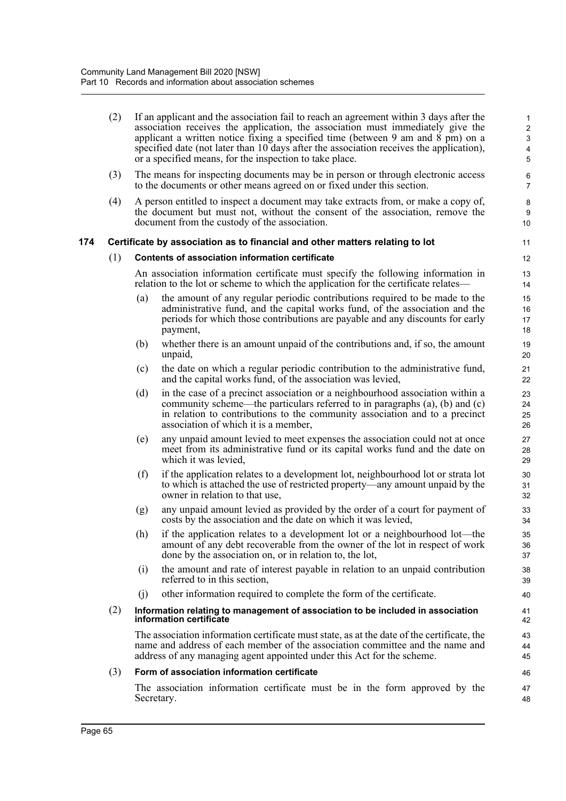|     | (2) |     | If an applicant and the association fail to reach an agreement within 3 days after the<br>association receives the application, the association must immediately give the<br>applicant a written notice fixing a specified time (between 9 am and 8 pm) on a<br>specified date (not later than 10 days after the association receives the application),<br>or a specified means, for the inspection to take place. | 1<br>$\boldsymbol{2}$<br>$\mathbf{3}$<br>4<br>5 |
|-----|-----|-----|--------------------------------------------------------------------------------------------------------------------------------------------------------------------------------------------------------------------------------------------------------------------------------------------------------------------------------------------------------------------------------------------------------------------|-------------------------------------------------|
|     | (3) |     | The means for inspecting documents may be in person or through electronic access<br>to the documents or other means agreed on or fixed under this section.                                                                                                                                                                                                                                                         | 6<br>$\overline{7}$                             |
|     | (4) |     | A person entitled to inspect a document may take extracts from, or make a copy of,<br>the document but must not, without the consent of the association, remove the<br>document from the custody of the association.                                                                                                                                                                                               | 8<br>9<br>10                                    |
| 174 |     |     | Certificate by association as to financial and other matters relating to lot                                                                                                                                                                                                                                                                                                                                       | 11                                              |
|     | (1) |     | Contents of association information certificate                                                                                                                                                                                                                                                                                                                                                                    | 12                                              |
|     |     |     | An association information certificate must specify the following information in<br>relation to the lot or scheme to which the application for the certificate relates—                                                                                                                                                                                                                                            | 13<br>14                                        |
|     |     | (a) | the amount of any regular periodic contributions required to be made to the<br>administrative fund, and the capital works fund, of the association and the<br>periods for which those contributions are payable and any discounts for early<br>payment,                                                                                                                                                            | 15<br>16<br>17<br>18                            |
|     |     | (b) | whether there is an amount unpaid of the contributions and, if so, the amount<br>unpaid,                                                                                                                                                                                                                                                                                                                           | 19<br>20                                        |
|     |     | (c) | the date on which a regular periodic contribution to the administrative fund,<br>and the capital works fund, of the association was levied,                                                                                                                                                                                                                                                                        | 21<br>22                                        |
|     |     | (d) | in the case of a precinct association or a neighbourhood association within a<br>community scheme—the particulars referred to in paragraphs $(a)$ , $(b)$ and $(c)$<br>in relation to contributions to the community association and to a precinct<br>association of which it is a member,                                                                                                                         | 23<br>24<br>25<br>26                            |
|     |     | (e) | any unpaid amount levied to meet expenses the association could not at once<br>meet from its administrative fund or its capital works fund and the date on<br>which it was levied,                                                                                                                                                                                                                                 | 27<br>28<br>29                                  |
|     |     | (f) | if the application relates to a development lot, neighbourhood lot or strata lot<br>to which is attached the use of restricted property—any amount unpaid by the<br>owner in relation to that use,                                                                                                                                                                                                                 | 30<br>31<br>32                                  |
|     |     | (g) | any unpaid amount levied as provided by the order of a court for payment of<br>costs by the association and the date on which it was levied,                                                                                                                                                                                                                                                                       | 33<br>34                                        |
|     |     | (h) | if the application relates to a development lot or a neighbourhood lot—the<br>amount of any debt recoverable from the owner of the lot in respect of work<br>done by the association on, or in relation to, the lot,                                                                                                                                                                                               | 35<br>36<br>37                                  |
|     |     | (i) | the amount and rate of interest payable in relation to an unpaid contribution<br>referred to in this section,                                                                                                                                                                                                                                                                                                      | 38<br>39                                        |
|     |     | (i) | other information required to complete the form of the certificate.                                                                                                                                                                                                                                                                                                                                                | 40                                              |
|     | (2) |     | Information relating to management of association to be included in association<br>information certificate                                                                                                                                                                                                                                                                                                         | 41<br>42                                        |
|     |     |     | The association information certificate must state, as at the date of the certificate, the<br>name and address of each member of the association committee and the name and<br>address of any managing agent appointed under this Act for the scheme.                                                                                                                                                              | 43<br>44<br>45                                  |
|     | (3) |     | Form of association information certificate                                                                                                                                                                                                                                                                                                                                                                        | 46                                              |
|     |     |     | The association information certificate must be in the form approved by the<br>Secretary.                                                                                                                                                                                                                                                                                                                          | 47<br>48                                        |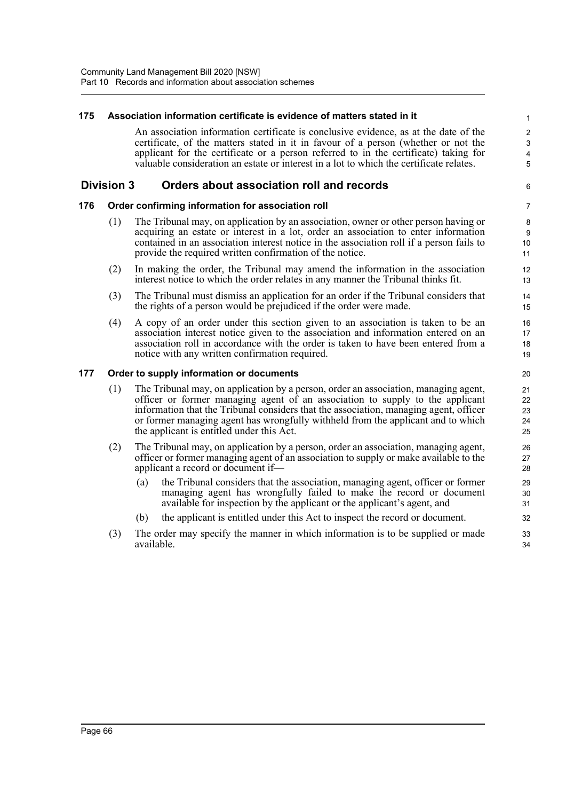## **175 Association information certificate is evidence of matters stated in it** An association information certificate is conclusive evidence, as at the date of the

certificate, of the matters stated in it in favour of a person (whether or not the applicant for the certificate or a person referred to in the certificate) taking for valuable consideration an estate or interest in a lot to which the certificate relates.

## **Division 3 Orders about association roll and records**

## **176 Order confirming information for association roll**

- (1) The Tribunal may, on application by an association, owner or other person having or acquiring an estate or interest in a lot, order an association to enter information contained in an association interest notice in the association roll if a person fails to provide the required written confirmation of the notice.
- (2) In making the order, the Tribunal may amend the information in the association interest notice to which the order relates in any manner the Tribunal thinks fit.
- (3) The Tribunal must dismiss an application for an order if the Tribunal considers that the rights of a person would be prejudiced if the order were made.
- (4) A copy of an order under this section given to an association is taken to be an association interest notice given to the association and information entered on an association roll in accordance with the order is taken to have been entered from a notice with any written confirmation required.

## **177 Order to supply information or documents**

- (1) The Tribunal may, on application by a person, order an association, managing agent, officer or former managing agent of an association to supply to the applicant information that the Tribunal considers that the association, managing agent, officer or former managing agent has wrongfully withheld from the applicant and to which the applicant is entitled under this Act.
- (2) The Tribunal may, on application by a person, order an association, managing agent, officer or former managing agent of an association to supply or make available to the applicant a record or document if—
	- (a) the Tribunal considers that the association, managing agent, officer or former managing agent has wrongfully failed to make the record or document available for inspection by the applicant or the applicant's agent, and
	- (b) the applicant is entitled under this Act to inspect the record or document.
- (3) The order may specify the manner in which information is to be supplied or made available.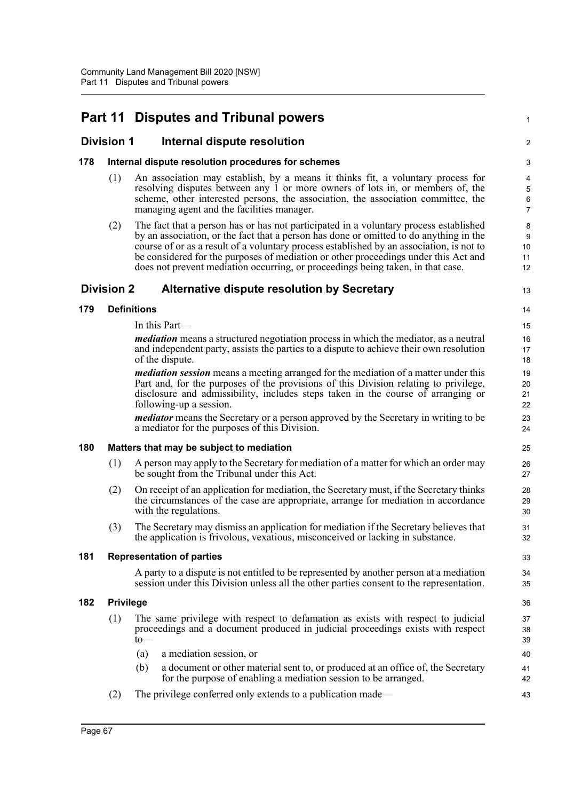# **Part 11 Disputes and Tribunal powers**

## **Division 1 Internal dispute resolution**

## **178 Internal dispute resolution procedures for schemes**

(1) An association may establish, by a means it thinks fit, a voluntary process for resolving disputes between any 1 or more owners of lots in, or members of, the scheme, other interested persons, the association, the association committee, the managing agent and the facilities manager.

1

 $\mathfrak{D}$ 

13

33 34 35

(2) The fact that a person has or has not participated in a voluntary process established by an association, or the fact that a person has done or omitted to do anything in the course of or as a result of a voluntary process established by an association, is not to be considered for the purposes of mediation or other proceedings under this Act and does not prevent mediation occurring, or proceedings being taken, in that case.

## **Division 2 Alternative dispute resolution by Secretary**

**179 Definitions**

In this Part—

*mediation* means a structured negotiation process in which the mediator, as a neutral and independent party, assists the parties to a dispute to achieve their own resolution of the dispute.

*mediation session* means a meeting arranged for the mediation of a matter under this Part and, for the purposes of the provisions of this Division relating to privilege, disclosure and admissibility, includes steps taken in the course of arranging or following-up a session.

*mediator* means the Secretary or a person approved by the Secretary in writing to be a mediator for the purposes of this Division.

## **180 Matters that may be subject to mediation**

- (1) A person may apply to the Secretary for mediation of a matter for which an order may be sought from the Tribunal under this Act.
- (2) On receipt of an application for mediation, the Secretary must, if the Secretary thinks the circumstances of the case are appropriate, arrange for mediation in accordance with the regulations.
- (3) The Secretary may dismiss an application for mediation if the Secretary believes that the application is frivolous, vexatious, misconceived or lacking in substance.

## **181 Representation of parties**

A party to a dispute is not entitled to be represented by another person at a mediation session under this Division unless all the other parties consent to the representation.

#### **182 Privilege**

- (1) The same privilege with respect to defamation as exists with respect to judicial proceedings and a document produced in judicial proceedings exists with respect to—
	- (a) a mediation session, or
	- (b) a document or other material sent to, or produced at an office of, the Secretary for the purpose of enabling a mediation session to be arranged.
- (2) The privilege conferred only extends to a publication made—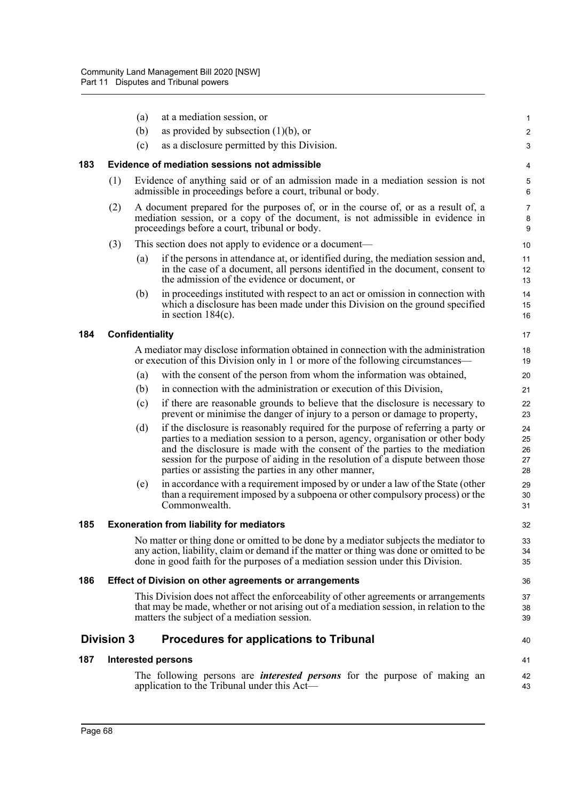|     |                   | (a)                    | at a mediation session, or                                                                                                                                                                                                                                                                                                                                                                   | 1                          |
|-----|-------------------|------------------------|----------------------------------------------------------------------------------------------------------------------------------------------------------------------------------------------------------------------------------------------------------------------------------------------------------------------------------------------------------------------------------------------|----------------------------|
|     |                   | (b)                    | as provided by subsection $(1)(b)$ , or                                                                                                                                                                                                                                                                                                                                                      | $\sqrt{2}$                 |
|     |                   | (c)                    | as a disclosure permitted by this Division.                                                                                                                                                                                                                                                                                                                                                  | 3                          |
| 183 |                   |                        | Evidence of mediation sessions not admissible                                                                                                                                                                                                                                                                                                                                                | 4                          |
|     | (1)               |                        | Evidence of anything said or of an admission made in a mediation session is not<br>admissible in proceedings before a court, tribunal or body.                                                                                                                                                                                                                                               | 5<br>$\,6\,$               |
|     | (2)               |                        | A document prepared for the purposes of, or in the course of, or as a result of, a<br>mediation session, or a copy of the document, is not admissible in evidence in<br>proceedings before a court, tribunal or body.                                                                                                                                                                        | $\overline{7}$<br>8<br>9   |
|     | (3)               |                        | This section does not apply to evidence or a document-                                                                                                                                                                                                                                                                                                                                       | 10                         |
|     |                   | (a)                    | if the persons in attendance at, or identified during, the mediation session and,<br>in the case of a document, all persons identified in the document, consent to<br>the admission of the evidence or document, or                                                                                                                                                                          | 11<br>12<br>13             |
|     |                   | (b)                    | in proceedings instituted with respect to an act or omission in connection with<br>which a disclosure has been made under this Division on the ground specified<br>in section $184(c)$ .                                                                                                                                                                                                     | 14<br>15<br>16             |
| 184 |                   | <b>Confidentiality</b> |                                                                                                                                                                                                                                                                                                                                                                                              | 17                         |
|     |                   |                        | A mediator may disclose information obtained in connection with the administration<br>or execution of this Division only in 1 or more of the following circumstances—                                                                                                                                                                                                                        | 18<br>19                   |
|     |                   | (a)                    | with the consent of the person from whom the information was obtained,                                                                                                                                                                                                                                                                                                                       | 20                         |
|     |                   | (b)                    | in connection with the administration or execution of this Division,                                                                                                                                                                                                                                                                                                                         | 21                         |
|     |                   | (c)                    | if there are reasonable grounds to believe that the disclosure is necessary to<br>prevent or minimise the danger of injury to a person or damage to property,                                                                                                                                                                                                                                | 22<br>23                   |
|     |                   | (d)                    | if the disclosure is reasonably required for the purpose of referring a party or<br>parties to a mediation session to a person, agency, organisation or other body<br>and the disclosure is made with the consent of the parties to the mediation<br>session for the purpose of aiding in the resolution of a dispute between those<br>parties or assisting the parties in any other manner, | 24<br>25<br>26<br>27<br>28 |
|     |                   | (e)                    | in accordance with a requirement imposed by or under a law of the State (other<br>than a requirement imposed by a subpoena or other compulsory process) or the<br>Commonwealth.                                                                                                                                                                                                              | 29<br>30<br>31             |
| 185 |                   |                        | <b>Exoneration from liability for mediators</b>                                                                                                                                                                                                                                                                                                                                              | 32                         |
|     |                   |                        | No matter or thing done or omitted to be done by a mediator subjects the mediator to<br>any action, liability, claim or demand if the matter or thing was done or omitted to be<br>done in good faith for the purposes of a mediation session under this Division.                                                                                                                           | 33<br>34<br>35             |
| 186 |                   |                        | Effect of Division on other agreements or arrangements                                                                                                                                                                                                                                                                                                                                       | 36                         |
|     |                   |                        | This Division does not affect the enforceability of other agreements or arrangements<br>that may be made, whether or not arising out of a mediation session, in relation to the<br>matters the subject of a mediation session.                                                                                                                                                               | 37<br>38<br>39             |
|     | <b>Division 3</b> |                        | <b>Procedures for applications to Tribunal</b>                                                                                                                                                                                                                                                                                                                                               | 40                         |
| 187 |                   |                        | <b>Interested persons</b>                                                                                                                                                                                                                                                                                                                                                                    | 41                         |
|     |                   |                        | The following persons are <i>interested persons</i> for the purpose of making an<br>application to the Tribunal under this Act—                                                                                                                                                                                                                                                              | 42<br>43                   |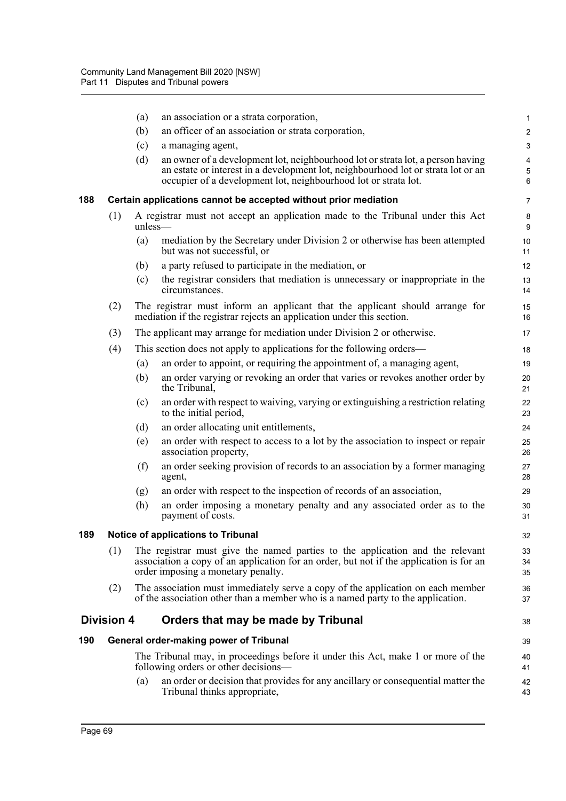|     |                   | (a)        | an association or a strata corporation,                                                                                                                                                                                                 | $\mathbf{1}$        |
|-----|-------------------|------------|-----------------------------------------------------------------------------------------------------------------------------------------------------------------------------------------------------------------------------------------|---------------------|
|     |                   | (b)        | an officer of an association or strata corporation,                                                                                                                                                                                     | $\sqrt{2}$          |
|     |                   | (c)        | a managing agent,                                                                                                                                                                                                                       | 3                   |
|     |                   | (d)        | an owner of a development lot, neighbourhood lot or strata lot, a person having<br>an estate or interest in a development lot, neighbourhood lot or strata lot or an<br>occupier of a development lot, neighbourhood lot or strata lot. | $\pmb{4}$<br>5<br>6 |
| 188 |                   |            | Certain applications cannot be accepted without prior mediation                                                                                                                                                                         | $\overline{7}$      |
|     | (1)               | $unless$ — | A registrar must not accept an application made to the Tribunal under this Act                                                                                                                                                          | 8<br>9              |
|     |                   | (a)        | mediation by the Secretary under Division 2 or otherwise has been attempted<br>but was not successful, or                                                                                                                               | $10\,$<br>11        |
|     |                   | (b)        | a party refused to participate in the mediation, or                                                                                                                                                                                     | 12                  |
|     |                   | (c)        | the registrar considers that mediation is unnecessary or inappropriate in the<br>circumstances.                                                                                                                                         | 13<br>14            |
|     | (2)               |            | The registrar must inform an applicant that the applicant should arrange for<br>mediation if the registrar rejects an application under this section.                                                                                   | 15<br>16            |
|     | (3)               |            | The applicant may arrange for mediation under Division 2 or otherwise.                                                                                                                                                                  | 17                  |
|     | (4)               |            | This section does not apply to applications for the following orders—                                                                                                                                                                   | 18                  |
|     |                   | (a)        | an order to appoint, or requiring the appointment of, a managing agent,                                                                                                                                                                 | 19                  |
|     |                   | (b)        | an order varying or revoking an order that varies or revokes another order by<br>the Tribunal,                                                                                                                                          | 20<br>21            |
|     |                   | (c)        | an order with respect to waiving, varying or extinguishing a restriction relating<br>to the initial period,                                                                                                                             | 22<br>23            |
|     |                   | (d)        | an order allocating unit entitlements,                                                                                                                                                                                                  | 24                  |
|     |                   | (e)        | an order with respect to access to a lot by the association to inspect or repair<br>association property,                                                                                                                               | 25<br>26            |
|     |                   | (f)        | an order seeking provision of records to an association by a former managing<br>agent,                                                                                                                                                  | 27<br>28            |
|     |                   | (g)        | an order with respect to the inspection of records of an association,                                                                                                                                                                   | 29                  |
|     |                   | (h)        | an order imposing a monetary penalty and any associated order as to the<br>payment of costs.                                                                                                                                            | 30<br>31            |
| 189 |                   |            | Notice of applications to Tribunal                                                                                                                                                                                                      | 32                  |
|     | (1)               |            | The registrar must give the named parties to the application and the relevant<br>association a copy of an application for an order, but not if the application is for an<br>order imposing a monetary penalty.                          | 33<br>34<br>35      |
|     | (2)               |            | The association must immediately serve a copy of the application on each member<br>of the association other than a member who is a named party to the application.                                                                      | 36<br>37            |
|     | <b>Division 4</b> |            | Orders that may be made by Tribunal                                                                                                                                                                                                     | 38                  |
| 190 |                   |            | <b>General order-making power of Tribunal</b>                                                                                                                                                                                           | 39                  |
|     |                   |            | The Tribunal may, in proceedings before it under this Act, make 1 or more of the<br>following orders or other decisions-                                                                                                                | 40<br>41            |
|     |                   | (a)        | an order or decision that provides for any ancillary or consequential matter the<br>Tribunal thinks appropriate,                                                                                                                        | 42<br>43            |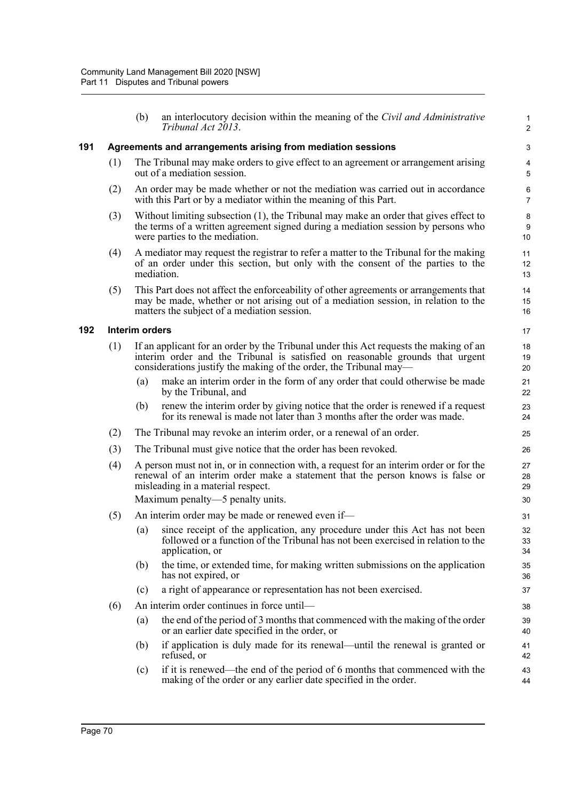|     |     | (b)            | an interlocutory decision within the meaning of the Civil and Administrative<br>Tribunal Act 2013.                                                                                                                                          | 1<br>$\overline{2}$ |
|-----|-----|----------------|---------------------------------------------------------------------------------------------------------------------------------------------------------------------------------------------------------------------------------------------|---------------------|
| 191 |     |                | Agreements and arrangements arising from mediation sessions                                                                                                                                                                                 | 3                   |
|     | (1) |                | The Tribunal may make orders to give effect to an agreement or arrangement arising<br>out of a mediation session.                                                                                                                           | 4<br>5              |
|     | (2) |                | An order may be made whether or not the mediation was carried out in accordance<br>with this Part or by a mediator within the meaning of this Part.                                                                                         | 6<br>$\overline{7}$ |
|     | (3) |                | Without limiting subsection (1), the Tribunal may make an order that gives effect to<br>the terms of a written agreement signed during a mediation session by persons who<br>were parties to the mediation.                                 | 8<br>9<br>10        |
|     | (4) |                | A mediator may request the registrar to refer a matter to the Tribunal for the making<br>of an order under this section, but only with the consent of the parties to the<br>mediation.                                                      | 11<br>12<br>13      |
|     | (5) |                | This Part does not affect the enforceability of other agreements or arrangements that<br>may be made, whether or not arising out of a mediation session, in relation to the<br>matters the subject of a mediation session.                  | 14<br>15<br>16      |
| 192 |     | Interim orders |                                                                                                                                                                                                                                             | 17                  |
|     | (1) |                | If an applicant for an order by the Tribunal under this Act requests the making of an<br>interim order and the Tribunal is satisfied on reasonable grounds that urgent<br>considerations justify the making of the order, the Tribunal may— | 18<br>19<br>20      |
|     |     | (a)            | make an interim order in the form of any order that could otherwise be made<br>by the Tribunal, and                                                                                                                                         | 21<br>22            |
|     |     | (b)            | renew the interim order by giving notice that the order is renewed if a request<br>for its renewal is made not later than 3 months after the order was made.                                                                                | 23<br>24            |
|     | (2) |                | The Tribunal may revoke an interim order, or a renewal of an order.                                                                                                                                                                         | 25                  |
|     | (3) |                | The Tribunal must give notice that the order has been revoked.                                                                                                                                                                              | 26                  |
|     | (4) |                | A person must not in, or in connection with, a request for an interim order or for the<br>renewal of an interim order make a statement that the person knows is false or<br>misleading in a material respect.                               | 27<br>28<br>29      |
|     |     |                | Maximum penalty—5 penalty units.                                                                                                                                                                                                            | 30                  |
|     | (5) |                | An interim order may be made or renewed even if—                                                                                                                                                                                            | 31                  |
|     |     | (a)            | since receipt of the application, any procedure under this Act has not been<br>followed or a function of the Tribunal has not been exercised in relation to the<br>application, or                                                          | 32<br>33<br>34      |
|     |     | (b)            | the time, or extended time, for making written submissions on the application<br>has not expired, or                                                                                                                                        | 35<br>36            |
|     |     | (c)            | a right of appearance or representation has not been exercised.                                                                                                                                                                             | 37                  |
|     | (6) |                | An interim order continues in force until-                                                                                                                                                                                                  | 38                  |
|     |     | (a)            | the end of the period of 3 months that commenced with the making of the order<br>or an earlier date specified in the order, or                                                                                                              | 39<br>40            |
|     |     | (b)            | if application is duly made for its renewal—until the renewal is granted or<br>refused, or                                                                                                                                                  | 41<br>42            |
|     |     | (c)            | if it is renewed—the end of the period of 6 months that commenced with the                                                                                                                                                                  | 43                  |

**192**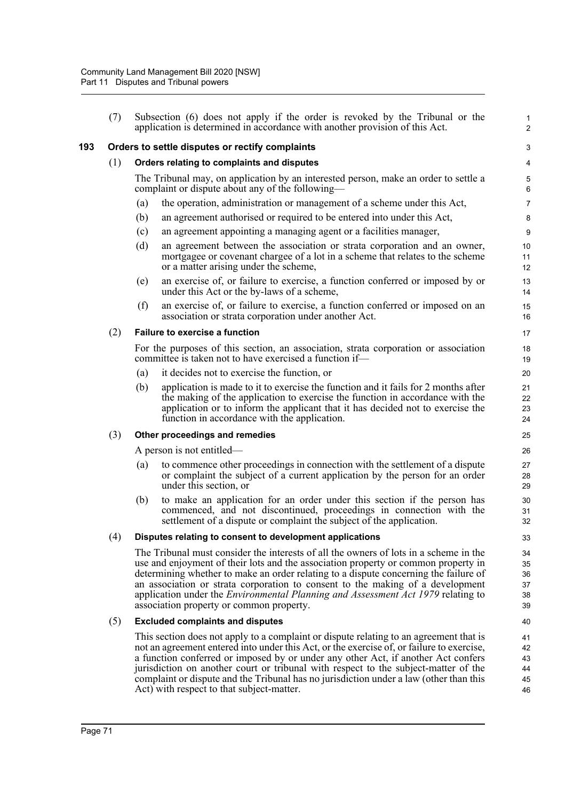|     | (7) |                                                 | Subsection (6) does not apply if the order is revoked by the Tribunal or the<br>application is determined in accordance with another provision of this Act.                                                                                                                                                                                                                                                                                                                                            | 1<br>$\overline{c}$              |  |  |  |
|-----|-----|-------------------------------------------------|--------------------------------------------------------------------------------------------------------------------------------------------------------------------------------------------------------------------------------------------------------------------------------------------------------------------------------------------------------------------------------------------------------------------------------------------------------------------------------------------------------|----------------------------------|--|--|--|
| 193 |     | Orders to settle disputes or rectify complaints |                                                                                                                                                                                                                                                                                                                                                                                                                                                                                                        |                                  |  |  |  |
|     | (1) | Orders relating to complaints and disputes      |                                                                                                                                                                                                                                                                                                                                                                                                                                                                                                        |                                  |  |  |  |
|     |     |                                                 | The Tribunal may, on application by an interested person, make an order to settle a<br>complaint or dispute about any of the following—                                                                                                                                                                                                                                                                                                                                                                | 5<br>6                           |  |  |  |
|     |     | (a)                                             | the operation, administration or management of a scheme under this Act,                                                                                                                                                                                                                                                                                                                                                                                                                                | $\overline{7}$                   |  |  |  |
|     |     | (b)                                             | an agreement authorised or required to be entered into under this Act,                                                                                                                                                                                                                                                                                                                                                                                                                                 | 8                                |  |  |  |
|     |     | (c)                                             | an agreement appointing a managing agent or a facilities manager,                                                                                                                                                                                                                                                                                                                                                                                                                                      | 9                                |  |  |  |
|     |     | (d)                                             | an agreement between the association or strata corporation and an owner,<br>mortgagee or covenant chargee of a lot in a scheme that relates to the scheme<br>or a matter arising under the scheme,                                                                                                                                                                                                                                                                                                     | 10<br>11<br>12                   |  |  |  |
|     |     | (e)                                             | an exercise of, or failure to exercise, a function conferred or imposed by or<br>under this Act or the by-laws of a scheme,                                                                                                                                                                                                                                                                                                                                                                            | 13<br>14                         |  |  |  |
|     |     | (f)                                             | an exercise of, or failure to exercise, a function conferred or imposed on an<br>association or strata corporation under another Act.                                                                                                                                                                                                                                                                                                                                                                  | 15<br>16                         |  |  |  |
|     | (2) |                                                 | <b>Failure to exercise a function</b>                                                                                                                                                                                                                                                                                                                                                                                                                                                                  | 17                               |  |  |  |
|     |     |                                                 | For the purposes of this section, an association, strata corporation or association<br>committee is taken not to have exercised a function if-                                                                                                                                                                                                                                                                                                                                                         | 18<br>19                         |  |  |  |
|     |     | (a)                                             | it decides not to exercise the function, or                                                                                                                                                                                                                                                                                                                                                                                                                                                            | 20                               |  |  |  |
|     |     | (b)                                             | application is made to it to exercise the function and it fails for 2 months after<br>the making of the application to exercise the function in accordance with the<br>application or to inform the applicant that it has decided not to exercise the<br>function in accordance with the application.                                                                                                                                                                                                  | 21<br>22<br>23<br>24             |  |  |  |
|     | (3) |                                                 | Other proceedings and remedies                                                                                                                                                                                                                                                                                                                                                                                                                                                                         | 25                               |  |  |  |
|     |     |                                                 | A person is not entitled—                                                                                                                                                                                                                                                                                                                                                                                                                                                                              | 26                               |  |  |  |
|     |     | (a)                                             | to commence other proceedings in connection with the settlement of a dispute<br>or complaint the subject of a current application by the person for an order<br>under this section, or                                                                                                                                                                                                                                                                                                                 | 27<br>28<br>29                   |  |  |  |
|     |     | (b)                                             | to make an application for an order under this section if the person has<br>commenced, and not discontinued, proceedings in connection with the<br>settlement of a dispute or complaint the subject of the application.                                                                                                                                                                                                                                                                                | 30<br>31<br>32                   |  |  |  |
|     | (4) |                                                 | Disputes relating to consent to development applications                                                                                                                                                                                                                                                                                                                                                                                                                                               | 33                               |  |  |  |
|     |     |                                                 | The Tribunal must consider the interests of all the owners of lots in a scheme in the<br>use and enjoyment of their lots and the association property or common property in<br>determining whether to make an order relating to a dispute concerning the failure of<br>an association or strata corporation to consent to the making of a development<br>application under the <i>Environmental Planning and Assessment Act 1979</i> relating to<br>association property or common property.           | 34<br>35<br>36<br>37<br>38<br>39 |  |  |  |
|     | (5) |                                                 | <b>Excluded complaints and disputes</b>                                                                                                                                                                                                                                                                                                                                                                                                                                                                | 40                               |  |  |  |
|     |     |                                                 | This section does not apply to a complaint or dispute relating to an agreement that is<br>not an agreement entered into under this Act, or the exercise of, or failure to exercise,<br>a function conferred or imposed by or under any other Act, if another Act confers<br>jurisdiction on another court or tribunal with respect to the subject-matter of the<br>complaint or dispute and the Tribunal has no jurisdiction under a law (other than this<br>Act) with respect to that subject-matter. | 41<br>42<br>43<br>44<br>45<br>46 |  |  |  |
|     |     |                                                 |                                                                                                                                                                                                                                                                                                                                                                                                                                                                                                        |                                  |  |  |  |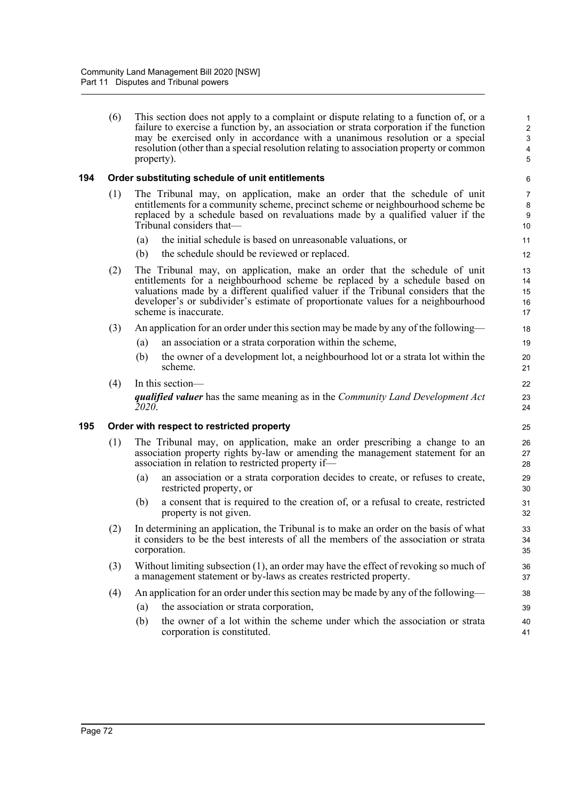(6) This section does not apply to a complaint or dispute relating to a function of, or a failure to exercise a function by, an association or strata corporation if the function may be exercised only in accordance with a unanimous resolution or a special resolution (other than a special resolution relating to association property or common property).

## **194 Order substituting schedule of unit entitlements**

- (1) The Tribunal may, on application, make an order that the schedule of unit entitlements for a community scheme, precinct scheme or neighbourhood scheme be replaced by a schedule based on revaluations made by a qualified valuer if the Tribunal considers that—
	- (a) the initial schedule is based on unreasonable valuations, or
	- (b) the schedule should be reviewed or replaced.
- (2) The Tribunal may, on application, make an order that the schedule of unit entitlements for a neighbourhood scheme be replaced by a schedule based on valuations made by a different qualified valuer if the Tribunal considers that the developer's or subdivider's estimate of proportionate values for a neighbourhood scheme is inaccurate.
- (3) An application for an order under this section may be made by any of the following—
	- (a) an association or a strata corporation within the scheme,
	- (b) the owner of a development lot, a neighbourhood lot or a strata lot within the scheme.

#### (4) In this section—

*qualified valuer* has the same meaning as in the *Community Land Development Act 2020*.

#### **195 Order with respect to restricted property**

- (1) The Tribunal may, on application, make an order prescribing a change to an association property rights by-law or amending the management statement for an association in relation to restricted property if—
	- (a) an association or a strata corporation decides to create, or refuses to create, restricted property, or
	- (b) a consent that is required to the creation of, or a refusal to create, restricted property is not given.
- (2) In determining an application, the Tribunal is to make an order on the basis of what it considers to be the best interests of all the members of the association or strata corporation.
- (3) Without limiting subsection (1), an order may have the effect of revoking so much of a management statement or by-laws as creates restricted property.
- (4) An application for an order under this section may be made by any of the following—
	- (a) the association or strata corporation,
	- (b) the owner of a lot within the scheme under which the association or strata corporation is constituted.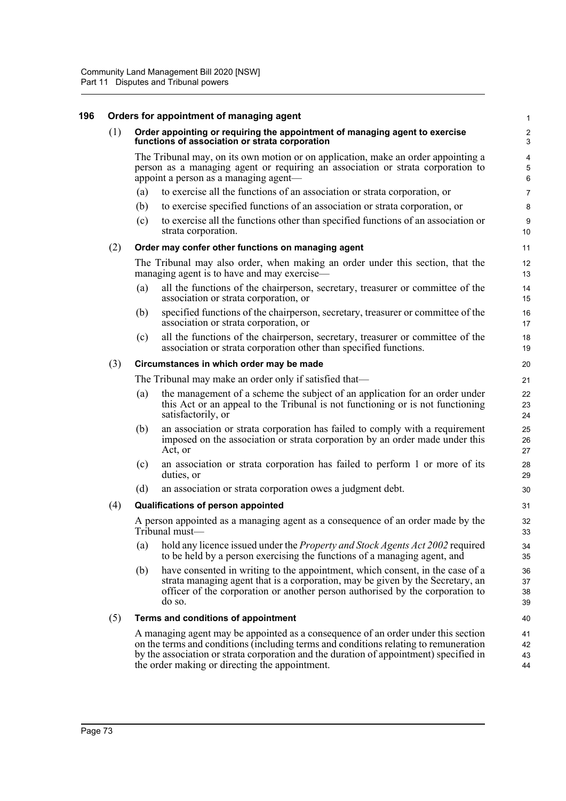| 196 |     |                                                                                                                               | Orders for appointment of managing agent                                                                                                                                                                                                                                                                              | $\mathbf{1}$             |  |  |
|-----|-----|-------------------------------------------------------------------------------------------------------------------------------|-----------------------------------------------------------------------------------------------------------------------------------------------------------------------------------------------------------------------------------------------------------------------------------------------------------------------|--------------------------|--|--|
|     | (1) | Order appointing or requiring the appointment of managing agent to exercise<br>functions of association or strata corporation |                                                                                                                                                                                                                                                                                                                       |                          |  |  |
|     |     |                                                                                                                               | The Tribunal may, on its own motion or on application, make an order appointing a<br>person as a managing agent or requiring an association or strata corporation to<br>appoint a person as a managing agent—                                                                                                         | $\overline{4}$<br>5<br>6 |  |  |
|     |     | (a)                                                                                                                           | to exercise all the functions of an association or strata corporation, or                                                                                                                                                                                                                                             | $\overline{7}$           |  |  |
|     |     | (b)                                                                                                                           | to exercise specified functions of an association or strata corporation, or                                                                                                                                                                                                                                           | 8                        |  |  |
|     |     | (c)                                                                                                                           | to exercise all the functions other than specified functions of an association or<br>strata corporation.                                                                                                                                                                                                              | $\boldsymbol{9}$<br>10   |  |  |
|     | (2) |                                                                                                                               | Order may confer other functions on managing agent                                                                                                                                                                                                                                                                    | 11                       |  |  |
|     |     |                                                                                                                               | The Tribunal may also order, when making an order under this section, that the<br>managing agent is to have and may exercise—                                                                                                                                                                                         | 12<br>13                 |  |  |
|     |     | (a)                                                                                                                           | all the functions of the chairperson, secretary, treasurer or committee of the<br>association or strata corporation, or                                                                                                                                                                                               | 14<br>15                 |  |  |
|     |     | (b)                                                                                                                           | specified functions of the chairperson, secretary, treasurer or committee of the<br>association or strata corporation, or                                                                                                                                                                                             | 16<br>17                 |  |  |
|     |     | (c)                                                                                                                           | all the functions of the chairperson, secretary, treasurer or committee of the<br>association or strata corporation other than specified functions.                                                                                                                                                                   | 18<br>19                 |  |  |
|     | (3) | Circumstances in which order may be made                                                                                      |                                                                                                                                                                                                                                                                                                                       |                          |  |  |
|     |     | The Tribunal may make an order only if satisfied that—                                                                        |                                                                                                                                                                                                                                                                                                                       |                          |  |  |
|     |     | (a)                                                                                                                           | the management of a scheme the subject of an application for an order under<br>this Act or an appeal to the Tribunal is not functioning or is not functioning<br>satisfactorily, or                                                                                                                                   | 22<br>23<br>24           |  |  |
|     |     | (b)                                                                                                                           | an association or strata corporation has failed to comply with a requirement<br>imposed on the association or strata corporation by an order made under this<br>Act, or                                                                                                                                               | 25<br>26<br>27           |  |  |
|     |     | (c)                                                                                                                           | an association or strata corporation has failed to perform 1 or more of its<br>duties, or                                                                                                                                                                                                                             | 28<br>29                 |  |  |
|     |     | (d)                                                                                                                           | an association or strata corporation owes a judgment debt.                                                                                                                                                                                                                                                            | 30                       |  |  |
|     | (4) |                                                                                                                               | Qualifications of person appointed                                                                                                                                                                                                                                                                                    | 31                       |  |  |
|     |     |                                                                                                                               | A person appointed as a managing agent as a consequence of an order made by the<br>Tribunal must-                                                                                                                                                                                                                     | 32<br>33                 |  |  |
|     |     | (a)                                                                                                                           | hold any licence issued under the <i>Property and Stock Agents Act 2002</i> required<br>to be held by a person exercising the functions of a managing agent, and                                                                                                                                                      | 34<br>35                 |  |  |
|     |     | (b)                                                                                                                           | have consented in writing to the appointment, which consent, in the case of a<br>strata managing agent that is a corporation, may be given by the Secretary, an<br>officer of the corporation or another person authorised by the corporation to<br>do so.                                                            | 36<br>37<br>38<br>39     |  |  |
|     | (5) | Terms and conditions of appointment                                                                                           |                                                                                                                                                                                                                                                                                                                       |                          |  |  |
|     |     |                                                                                                                               | A managing agent may be appointed as a consequence of an order under this section<br>on the terms and conditions (including terms and conditions relating to remuneration<br>by the association or strata corporation and the duration of appointment) specified in<br>the order making or directing the appointment. | 41<br>42<br>43<br>44     |  |  |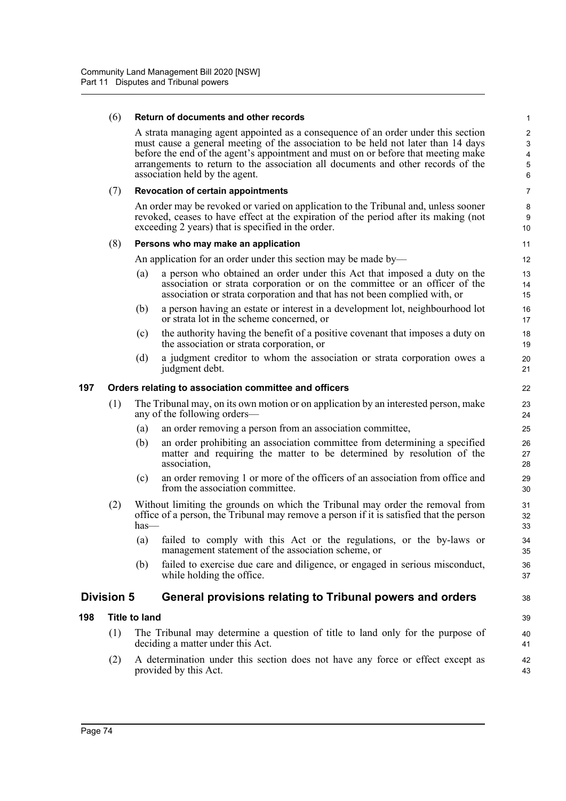#### (6) **Return of documents and other records**

A strata managing agent appointed as a consequence of an order under this section must cause a general meeting of the association to be held not later than 14 days before the end of the agent's appointment and must on or before that meeting make arrangements to return to the association all documents and other records of the association held by the agent.

#### (7) **Revocation of certain appointments**

An order may be revoked or varied on application to the Tribunal and, unless sooner revoked, ceases to have effect at the expiration of the period after its making (not exceeding 2 years) that is specified in the order.

#### (8) **Persons who may make an application**

An application for an order under this section may be made by—

- (a) a person who obtained an order under this Act that imposed a duty on the association or strata corporation or on the committee or an officer of the association or strata corporation and that has not been complied with, or
- (b) a person having an estate or interest in a development lot, neighbourhood lot or strata lot in the scheme concerned, or
- (c) the authority having the benefit of a positive covenant that imposes a duty on the association or strata corporation, or
- (d) a judgment creditor to whom the association or strata corporation owes a judgment debt.

#### **197 Orders relating to association committee and officers**

- (1) The Tribunal may, on its own motion or on application by an interested person, make any of the following orders—
	- (a) an order removing a person from an association committee,
	- (b) an order prohibiting an association committee from determining a specified matter and requiring the matter to be determined by resolution of the association,
	- (c) an order removing 1 or more of the officers of an association from office and from the association committee.
- (2) Without limiting the grounds on which the Tribunal may order the removal from office of a person, the Tribunal may remove a person if it is satisfied that the person has—
	- (a) failed to comply with this Act or the regulations, or the by-laws or management statement of the association scheme, or
	- (b) failed to exercise due care and diligence, or engaged in serious misconduct, while holding the office.

## **Division 5 General provisions relating to Tribunal powers and orders**

## **198 Title to land**

- (1) The Tribunal may determine a question of title to land only for the purpose of deciding a matter under this Act.
- (2) A determination under this section does not have any force or effect except as provided by this Act.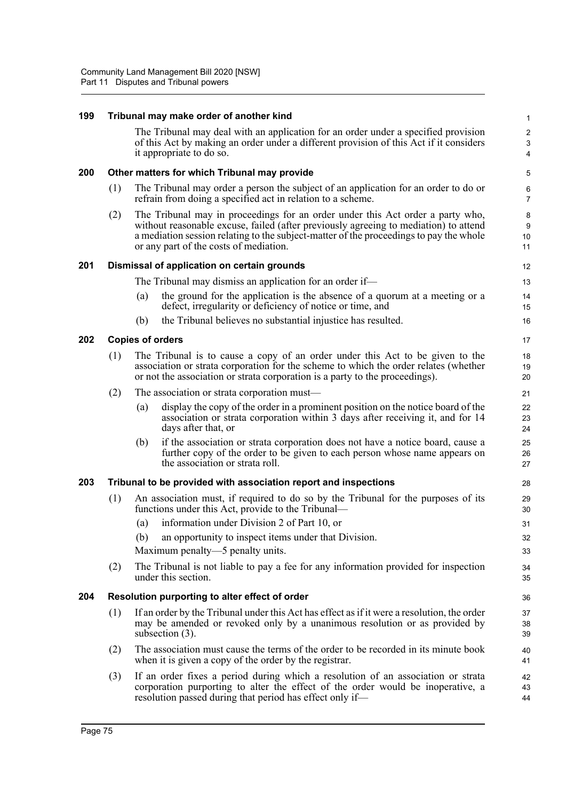| 199 |                                                                 |                                                                                                                                                                                                                                                       | Tribunal may make order of another kind                                                                                                                                                                                                                                                                    | 1                                                         |  |  |  |
|-----|-----------------------------------------------------------------|-------------------------------------------------------------------------------------------------------------------------------------------------------------------------------------------------------------------------------------------------------|------------------------------------------------------------------------------------------------------------------------------------------------------------------------------------------------------------------------------------------------------------------------------------------------------------|-----------------------------------------------------------|--|--|--|
|     |                                                                 |                                                                                                                                                                                                                                                       | The Tribunal may deal with an application for an order under a specified provision<br>of this Act by making an order under a different provision of this Act if it considers<br>it appropriate to do so.                                                                                                   | $\overline{\mathbf{c}}$<br>$\ensuremath{\mathsf{3}}$<br>4 |  |  |  |
| 200 |                                                                 |                                                                                                                                                                                                                                                       | Other matters for which Tribunal may provide                                                                                                                                                                                                                                                               | 5                                                         |  |  |  |
|     | (1)                                                             |                                                                                                                                                                                                                                                       | The Tribunal may order a person the subject of an application for an order to do or<br>refrain from doing a specified act in relation to a scheme.                                                                                                                                                         | 6<br>$\overline{7}$                                       |  |  |  |
|     | (2)                                                             |                                                                                                                                                                                                                                                       | The Tribunal may in proceedings for an order under this Act order a party who,<br>without reasonable excuse, failed (after previously agreeing to mediation) to attend<br>a mediation session relating to the subject-matter of the proceedings to pay the whole<br>or any part of the costs of mediation. | 8<br>$\boldsymbol{9}$<br>10<br>11                         |  |  |  |
| 201 |                                                                 |                                                                                                                                                                                                                                                       | Dismissal of application on certain grounds                                                                                                                                                                                                                                                                | 12                                                        |  |  |  |
|     |                                                                 |                                                                                                                                                                                                                                                       | The Tribunal may dismiss an application for an order if—                                                                                                                                                                                                                                                   | 13                                                        |  |  |  |
|     |                                                                 | (a)                                                                                                                                                                                                                                                   | the ground for the application is the absence of a quorum at a meeting or a<br>defect, irregularity or deficiency of notice or time, and                                                                                                                                                                   | 14<br>15                                                  |  |  |  |
|     |                                                                 | (b)                                                                                                                                                                                                                                                   | the Tribunal believes no substantial injustice has resulted.                                                                                                                                                                                                                                               | 16                                                        |  |  |  |
| 202 |                                                                 | <b>Copies of orders</b>                                                                                                                                                                                                                               |                                                                                                                                                                                                                                                                                                            | 17                                                        |  |  |  |
|     | (1)                                                             | The Tribunal is to cause a copy of an order under this Act to be given to the<br>association or strata corporation for the scheme to which the order relates (whether<br>or not the association or strata corporation is a party to the proceedings). |                                                                                                                                                                                                                                                                                                            |                                                           |  |  |  |
|     | (2)                                                             |                                                                                                                                                                                                                                                       | The association or strata corporation must—                                                                                                                                                                                                                                                                | 21                                                        |  |  |  |
|     |                                                                 | (a)                                                                                                                                                                                                                                                   | display the copy of the order in a prominent position on the notice board of the<br>association or strata corporation within 3 days after receiving it, and for 14<br>days after that, or                                                                                                                  | 22<br>23<br>24                                            |  |  |  |
|     |                                                                 | (b)                                                                                                                                                                                                                                                   | if the association or strata corporation does not have a notice board, cause a<br>further copy of the order to be given to each person whose name appears on<br>the association or strata roll.                                                                                                            | 25<br>26<br>27                                            |  |  |  |
| 203 | Tribunal to be provided with association report and inspections |                                                                                                                                                                                                                                                       |                                                                                                                                                                                                                                                                                                            |                                                           |  |  |  |
|     | (1)                                                             |                                                                                                                                                                                                                                                       | An association must, if required to do so by the Tribunal for the purposes of its<br>functions under this Act, provide to the Tribunal—                                                                                                                                                                    | 29<br>30                                                  |  |  |  |
|     |                                                                 | (a)                                                                                                                                                                                                                                                   | information under Division 2 of Part 10, or                                                                                                                                                                                                                                                                | 31                                                        |  |  |  |
|     |                                                                 | (b)                                                                                                                                                                                                                                                   | an opportunity to inspect items under that Division.                                                                                                                                                                                                                                                       | 32                                                        |  |  |  |
|     |                                                                 |                                                                                                                                                                                                                                                       | Maximum penalty—5 penalty units.                                                                                                                                                                                                                                                                           | 33                                                        |  |  |  |
|     | (2)                                                             |                                                                                                                                                                                                                                                       | The Tribunal is not liable to pay a fee for any information provided for inspection<br>under this section.                                                                                                                                                                                                 | 34<br>35                                                  |  |  |  |
| 204 |                                                                 | Resolution purporting to alter effect of order                                                                                                                                                                                                        |                                                                                                                                                                                                                                                                                                            |                                                           |  |  |  |
|     | (1)                                                             |                                                                                                                                                                                                                                                       | If an order by the Tribunal under this Act has effect as if it were a resolution, the order<br>may be amended or revoked only by a unanimous resolution or as provided by<br>subsection (3).                                                                                                               | 37<br>38<br>39                                            |  |  |  |
|     | (2)                                                             |                                                                                                                                                                                                                                                       | The association must cause the terms of the order to be recorded in its minute book<br>when it is given a copy of the order by the registrar.                                                                                                                                                              | 40<br>41                                                  |  |  |  |
|     | (3)                                                             |                                                                                                                                                                                                                                                       | If an order fixes a period during which a resolution of an association or strata<br>corporation purporting to alter the effect of the order would be inoperative, a                                                                                                                                        | 42<br>43                                                  |  |  |  |

44

resolution passed during that period has effect only if—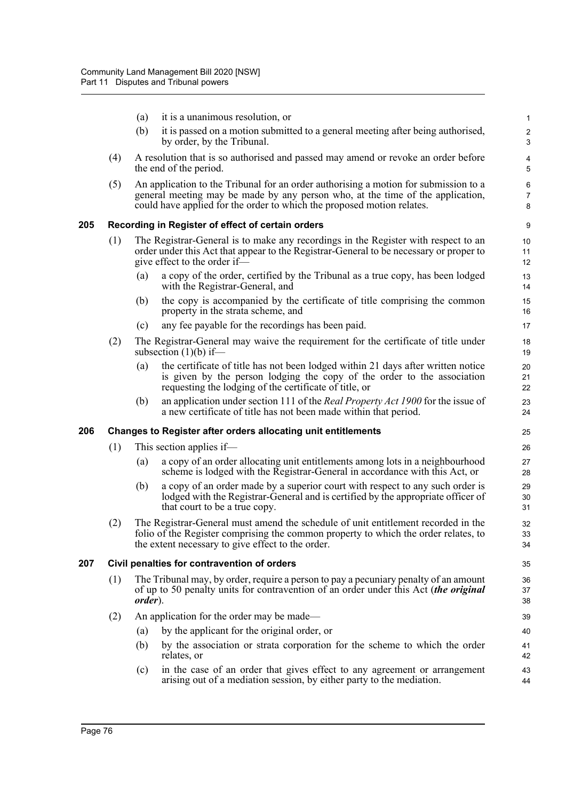- (a) it is a unanimous resolution, or
- (b) it is passed on a motion submitted to a general meeting after being authorised, by order, by the Tribunal.

- (4) A resolution that is so authorised and passed may amend or revoke an order before the end of the period.
- (5) An application to the Tribunal for an order authorising a motion for submission to a general meeting may be made by any person who, at the time of the application, could have applied for the order to which the proposed motion relates.

## **205 Recording in Register of effect of certain orders**

- (1) The Registrar-General is to make any recordings in the Register with respect to an order under this Act that appear to the Registrar-General to be necessary or proper to give effect to the order if—
	- (a) a copy of the order, certified by the Tribunal as a true copy, has been lodged with the Registrar-General, and
	- (b) the copy is accompanied by the certificate of title comprising the common property in the strata scheme, and
	- (c) any fee payable for the recordings has been paid.
- (2) The Registrar-General may waive the requirement for the certificate of title under subsection  $(1)(b)$  if-
	- (a) the certificate of title has not been lodged within 21 days after written notice is given by the person lodging the copy of the order to the association requesting the lodging of the certificate of title, or
	- (b) an application under section 111 of the *Real Property Act 1900* for the issue of a new certificate of title has not been made within that period.

## **206 Changes to Register after orders allocating unit entitlements**

- (1) This section applies if—
	- (a) a copy of an order allocating unit entitlements among lots in a neighbourhood scheme is lodged with the Registrar-General in accordance with this Act, or
	- (b) a copy of an order made by a superior court with respect to any such order is lodged with the Registrar-General and is certified by the appropriate officer of that court to be a true copy.
- (2) The Registrar-General must amend the schedule of unit entitlement recorded in the folio of the Register comprising the common property to which the order relates, to the extent necessary to give effect to the order.

#### **207 Civil penalties for contravention of orders**

- (1) The Tribunal may, by order, require a person to pay a pecuniary penalty of an amount of up to 50 penalty units for contravention of an order under this Act (*the original order*).
- (2) An application for the order may be made—
	- (a) by the applicant for the original order, or
	- (b) by the association or strata corporation for the scheme to which the order relates, or
	- (c) in the case of an order that gives effect to any agreement or arrangement arising out of a mediation session, by either party to the mediation.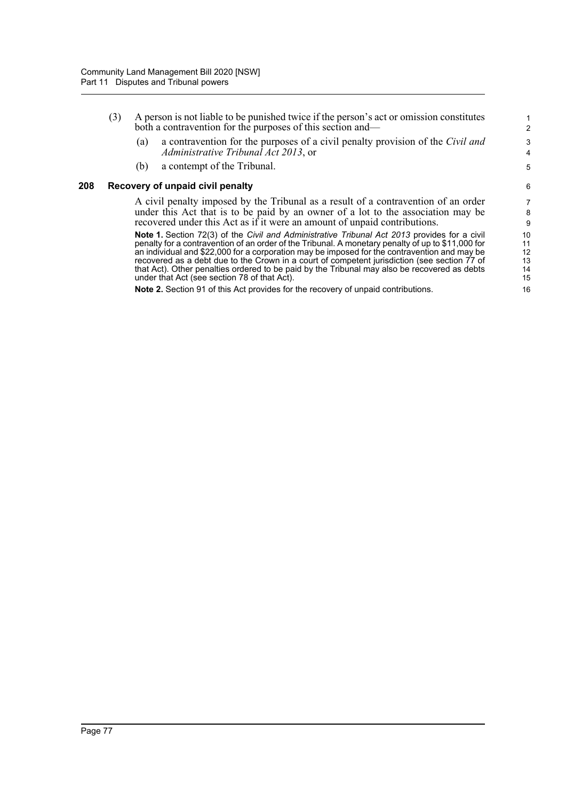- (3) A person is not liable to be punished twice if the person's act or omission constitutes both a contravention for the purposes of this section and—
	- (a) a contravention for the purposes of a civil penalty provision of the *Civil and Administrative Tribunal Act 2013*, or

(b) a contempt of the Tribunal.

## **208 Recovery of unpaid civil penalty**

A civil penalty imposed by the Tribunal as a result of a contravention of an order under this Act that is to be paid by an owner of a lot to the association may be recovered under this Act as if it were an amount of unpaid contributions.

**Note 1.** Section 72(3) of the *Civil and Administrative Tribunal Act 2013* provides for a civil penalty for a contravention of an order of the Tribunal. A monetary penalty of up to \$11,000 for an individual and \$22,000 for a corporation may be imposed for the contravention and may be imposed for the contravention and recovered as a debt due to the Crown in a court of competent jurisdiction (see section 77 of that Act). Other penalties ordered to be paid by the Tribunal may also be recovered as debts under that Act (see section 78 of that Act).

**Note 2.** Section 91 of this Act provides for the recovery of unpaid contributions.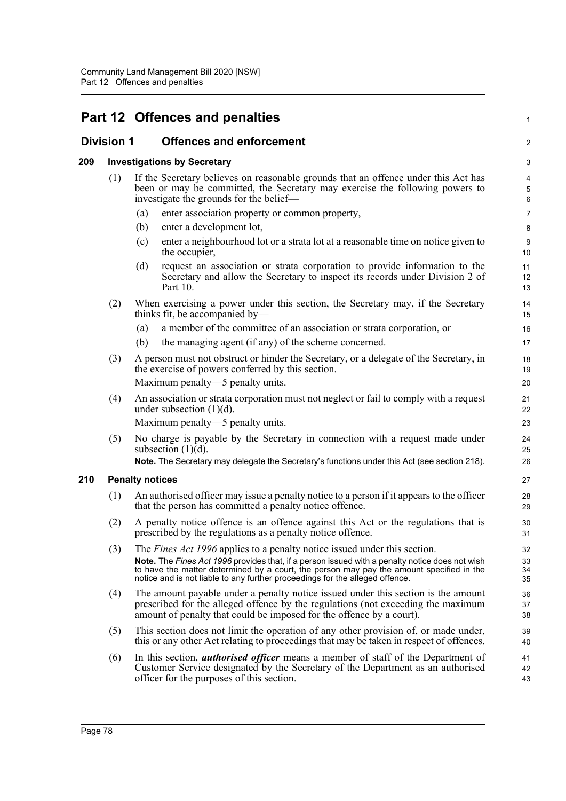|     |                        |     | Part 12 Offences and penalties                                                                                                                                                                                                                                                                                                                                 | $\mathbf{1}$         |  |  |  |
|-----|------------------------|-----|----------------------------------------------------------------------------------------------------------------------------------------------------------------------------------------------------------------------------------------------------------------------------------------------------------------------------------------------------------------|----------------------|--|--|--|
|     | <b>Division 1</b>      |     | <b>Offences and enforcement</b>                                                                                                                                                                                                                                                                                                                                | $\overline{2}$       |  |  |  |
| 209 |                        |     | <b>Investigations by Secretary</b>                                                                                                                                                                                                                                                                                                                             | 3                    |  |  |  |
|     | (1)                    |     | If the Secretary believes on reasonable grounds that an offence under this Act has<br>been or may be committed, the Secretary may exercise the following powers to<br>investigate the grounds for the belief—                                                                                                                                                  | 4<br>5<br>$\,6\,$    |  |  |  |
|     |                        | (a) | enter association property or common property,                                                                                                                                                                                                                                                                                                                 | $\overline{7}$       |  |  |  |
|     |                        | (b) | enter a development lot,                                                                                                                                                                                                                                                                                                                                       | 8                    |  |  |  |
|     |                        | (c) | enter a neighbourhood lot or a strata lot at a reasonable time on notice given to<br>the occupier,                                                                                                                                                                                                                                                             | 9<br>10              |  |  |  |
|     |                        | (d) | request an association or strata corporation to provide information to the<br>Secretary and allow the Secretary to inspect its records under Division 2 of<br>Part 10.                                                                                                                                                                                         | 11<br>12<br>13       |  |  |  |
|     | (2)                    |     | When exercising a power under this section, the Secretary may, if the Secretary<br>thinks fit, be accompanied by-                                                                                                                                                                                                                                              | 14<br>15             |  |  |  |
|     |                        | (a) | a member of the committee of an association or strata corporation, or                                                                                                                                                                                                                                                                                          | 16                   |  |  |  |
|     |                        | (b) | the managing agent (if any) of the scheme concerned.                                                                                                                                                                                                                                                                                                           | 17                   |  |  |  |
|     | (3)                    |     | A person must not obstruct or hinder the Secretary, or a delegate of the Secretary, in<br>the exercise of powers conferred by this section.<br>Maximum penalty—5 penalty units.                                                                                                                                                                                | 18<br>19<br>20       |  |  |  |
|     | (4)                    |     | An association or strata corporation must not neglect or fail to comply with a request<br>under subsection $(1)(d)$ .                                                                                                                                                                                                                                          | 21<br>22             |  |  |  |
|     |                        |     | Maximum penalty—5 penalty units.                                                                                                                                                                                                                                                                                                                               | 23                   |  |  |  |
|     | (5)                    |     | No charge is payable by the Secretary in connection with a request made under<br>subsection $(1)(d)$ .                                                                                                                                                                                                                                                         | 24<br>25             |  |  |  |
|     |                        |     | Note. The Secretary may delegate the Secretary's functions under this Act (see section 218).                                                                                                                                                                                                                                                                   | 26                   |  |  |  |
| 210 | <b>Penalty notices</b> |     |                                                                                                                                                                                                                                                                                                                                                                |                      |  |  |  |
|     | (1)                    |     | An authorised officer may issue a penalty notice to a person if it appears to the officer<br>that the person has committed a penalty notice offence.                                                                                                                                                                                                           | 28<br>29             |  |  |  |
|     | (2)                    |     | A penalty notice offence is an offence against this Act or the regulations that is<br>prescribed by the regulations as a penalty notice offence.                                                                                                                                                                                                               | 30<br>31             |  |  |  |
|     | (3)                    |     | The <i>Fines Act 1996</i> applies to a penalty notice issued under this section.<br>Note. The Fines Act 1996 provides that, if a person issued with a penalty notice does not wish<br>to have the matter determined by a court, the person may pay the amount specified in the<br>notice and is not liable to any further proceedings for the alleged offence. | 32<br>33<br>34<br>35 |  |  |  |
|     | (4)                    |     | The amount payable under a penalty notice issued under this section is the amount<br>prescribed for the alleged offence by the regulations (not exceeding the maximum<br>amount of penalty that could be imposed for the offence by a court).                                                                                                                  | 36<br>37<br>38       |  |  |  |
|     | (5)                    |     | This section does not limit the operation of any other provision of, or made under,<br>this or any other Act relating to proceedings that may be taken in respect of offences.                                                                                                                                                                                 | 39<br>40             |  |  |  |
|     | (6)                    |     | In this section, <i>authorised officer</i> means a member of staff of the Department of<br>Customer Service designated by the Secretary of the Department as an authorised<br>officer for the purposes of this section.                                                                                                                                        | 41<br>42<br>43       |  |  |  |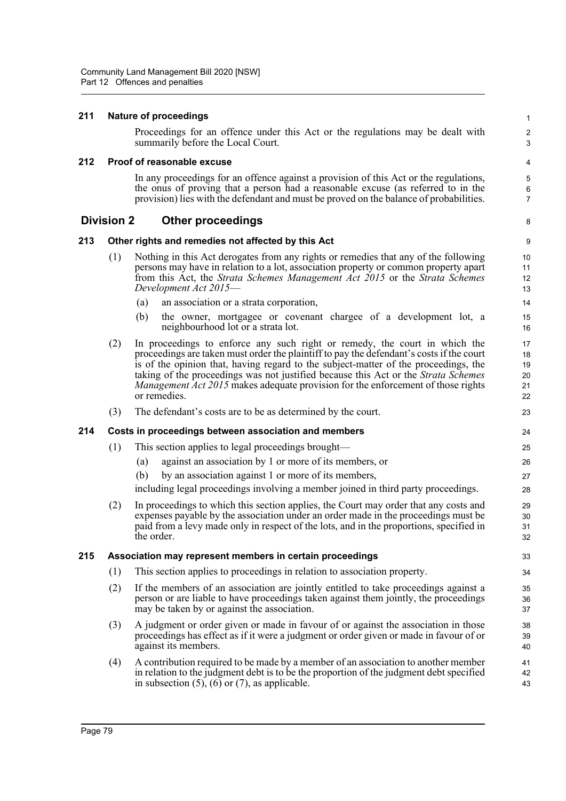## **211 Nature of proceedings**

Proceedings for an offence under this Act or the regulations may be dealt with summarily before the Local Court.

1  $\overline{2}$ 3

8

#### **212 Proof of reasonable excuse**

In any proceedings for an offence against a provision of this Act or the regulations, the onus of proving that a person had a reasonable excuse (as referred to in the provision) lies with the defendant and must be proved on the balance of probabilities.

## **Division 2 Other proceedings**

## **213 Other rights and remedies not affected by this Act**

- (1) Nothing in this Act derogates from any rights or remedies that any of the following persons may have in relation to a lot, association property or common property apart from this Act, the *Strata Schemes Management Act 2015* or the *Strata Schemes Development Act 2015*—
	- (a) an association or a strata corporation,
	- (b) the owner, mortgagee or covenant chargee of a development lot, a neighbourhood lot or a strata lot.
- (2) In proceedings to enforce any such right or remedy, the court in which the proceedings are taken must order the plaintiff to pay the defendant's costs if the court is of the opinion that, having regard to the subject-matter of the proceedings, the taking of the proceedings was not justified because this Act or the *Strata Schemes Management Act 2015* makes adequate provision for the enforcement of those rights or remedies.
- (3) The defendant's costs are to be as determined by the court.

## **214 Costs in proceedings between association and members**

- (1) This section applies to legal proceedings brought—
	- (a) against an association by 1 or more of its members, or
	- (b) by an association against 1 or more of its members,

including legal proceedings involving a member joined in third party proceedings.

(2) In proceedings to which this section applies, the Court may order that any costs and expenses payable by the association under an order made in the proceedings must be paid from a levy made only in respect of the lots, and in the proportions, specified in the order.

## **215 Association may represent members in certain proceedings**

- (1) This section applies to proceedings in relation to association property.
- (2) If the members of an association are jointly entitled to take proceedings against a person or are liable to have proceedings taken against them jointly, the proceedings may be taken by or against the association.
- (3) A judgment or order given or made in favour of or against the association in those proceedings has effect as if it were a judgment or order given or made in favour of or against its members.
- (4) A contribution required to be made by a member of an association to another member in relation to the judgment debt is to be the proportion of the judgment debt specified in subsection  $(5)$ ,  $(6)$  or  $(7)$ , as applicable. 41 42 43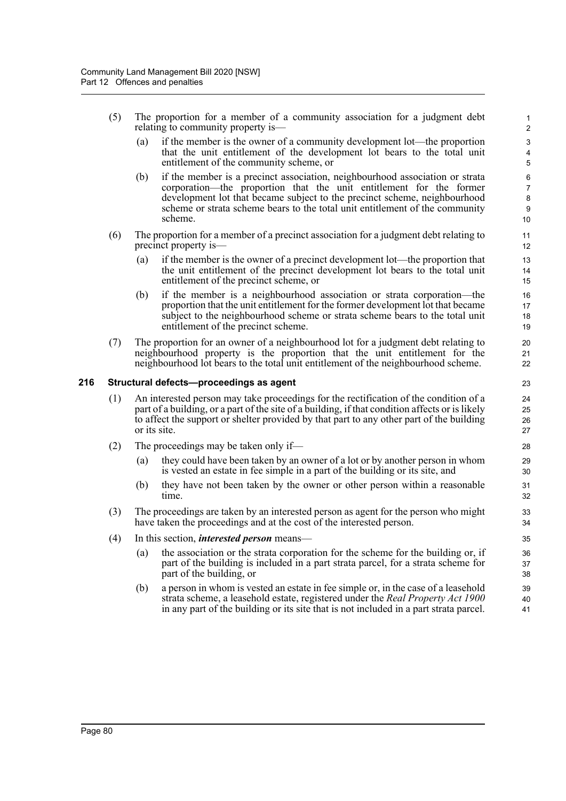- (5) The proportion for a member of a community association for a judgment debt relating to community property is—
	- (a) if the member is the owner of a community development lot—the proportion that the unit entitlement of the development lot bears to the total unit entitlement of the community scheme, or

- (b) if the member is a precinct association, neighbourhood association or strata corporation—the proportion that the unit entitlement for the former development lot that became subject to the precinct scheme, neighbourhood scheme or strata scheme bears to the total unit entitlement of the community scheme.
- (6) The proportion for a member of a precinct association for a judgment debt relating to precinct property is—
	- (a) if the member is the owner of a precinct development lot—the proportion that the unit entitlement of the precinct development lot bears to the total unit entitlement of the precinct scheme, or
	- (b) if the member is a neighbourhood association or strata corporation—the proportion that the unit entitlement for the former development lot that became subject to the neighbourhood scheme or strata scheme bears to the total unit entitlement of the precinct scheme.
- (7) The proportion for an owner of a neighbourhood lot for a judgment debt relating to neighbourhood property is the proportion that the unit entitlement for the neighbourhood lot bears to the total unit entitlement of the neighbourhood scheme.

## **216 Structural defects—proceedings as agent**

- (1) An interested person may take proceedings for the rectification of the condition of a part of a building, or a part of the site of a building, if that condition affects or is likely to affect the support or shelter provided by that part to any other part of the building or its site.
- (2) The proceedings may be taken only if—
	- (a) they could have been taken by an owner of a lot or by another person in whom is vested an estate in fee simple in a part of the building or its site, and
	- (b) they have not been taken by the owner or other person within a reasonable time.
- (3) The proceedings are taken by an interested person as agent for the person who might have taken the proceedings and at the cost of the interested person.
- (4) In this section, *interested person* means—
	- (a) the association or the strata corporation for the scheme for the building or, if part of the building is included in a part strata parcel, for a strata scheme for part of the building, or
	- (b) a person in whom is vested an estate in fee simple or, in the case of a leasehold strata scheme, a leasehold estate, registered under the *Real Property Act 1900* in any part of the building or its site that is not included in a part strata parcel.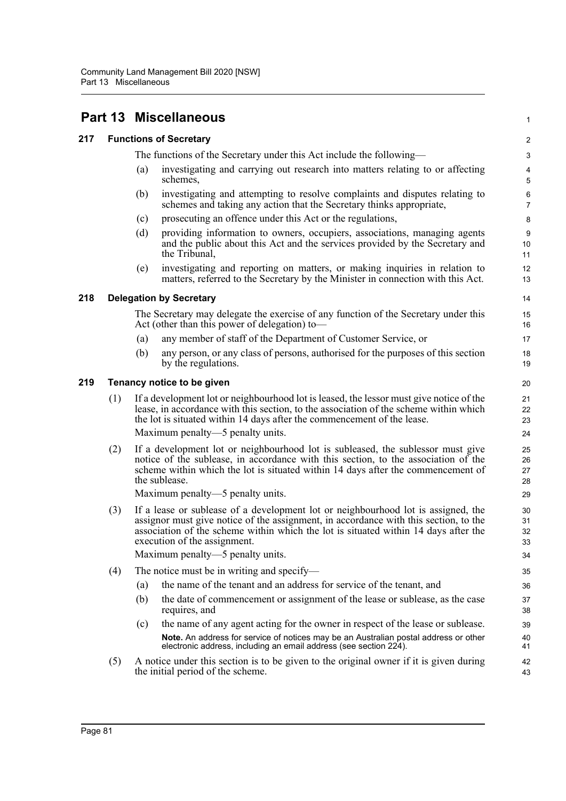|     |     | <b>Part 13 Miscellaneous</b>                                                                                                                                                                                                                                               |                                                                                                                                                                                                                                                                                                  |                           |  |  |  |
|-----|-----|----------------------------------------------------------------------------------------------------------------------------------------------------------------------------------------------------------------------------------------------------------------------------|--------------------------------------------------------------------------------------------------------------------------------------------------------------------------------------------------------------------------------------------------------------------------------------------------|---------------------------|--|--|--|
| 217 |     | <b>Functions of Secretary</b>                                                                                                                                                                                                                                              |                                                                                                                                                                                                                                                                                                  |                           |  |  |  |
|     |     |                                                                                                                                                                                                                                                                            | The functions of the Secretary under this Act include the following—                                                                                                                                                                                                                             | $\ensuremath{\mathsf{3}}$ |  |  |  |
|     |     | (a)                                                                                                                                                                                                                                                                        | investigating and carrying out research into matters relating to or affecting<br>schemes,                                                                                                                                                                                                        | 4<br>5                    |  |  |  |
|     |     | (b)                                                                                                                                                                                                                                                                        | investigating and attempting to resolve complaints and disputes relating to<br>schemes and taking any action that the Secretary thinks appropriate,                                                                                                                                              | $\,6$<br>$\overline{7}$   |  |  |  |
|     |     | (c)                                                                                                                                                                                                                                                                        | prosecuting an offence under this Act or the regulations,                                                                                                                                                                                                                                        | 8                         |  |  |  |
|     |     | (d)                                                                                                                                                                                                                                                                        | providing information to owners, occupiers, associations, managing agents<br>and the public about this Act and the services provided by the Secretary and<br>the Tribunal,                                                                                                                       | 9<br>10<br>11             |  |  |  |
|     |     | (e)                                                                                                                                                                                                                                                                        | investigating and reporting on matters, or making inquiries in relation to<br>matters, referred to the Secretary by the Minister in connection with this Act.                                                                                                                                    | 12<br>13                  |  |  |  |
| 218 |     |                                                                                                                                                                                                                                                                            | <b>Delegation by Secretary</b>                                                                                                                                                                                                                                                                   | 14                        |  |  |  |
|     |     |                                                                                                                                                                                                                                                                            | The Secretary may delegate the exercise of any function of the Secretary under this<br>Act (other than this power of delegation) to—                                                                                                                                                             | 15<br>16                  |  |  |  |
|     |     | (a)                                                                                                                                                                                                                                                                        | any member of staff of the Department of Customer Service, or                                                                                                                                                                                                                                    | 17                        |  |  |  |
|     |     | (b)                                                                                                                                                                                                                                                                        | any person, or any class of persons, authorised for the purposes of this section<br>by the regulations.                                                                                                                                                                                          | 18<br>19                  |  |  |  |
| 219 |     | Tenancy notice to be given                                                                                                                                                                                                                                                 |                                                                                                                                                                                                                                                                                                  |                           |  |  |  |
|     | (1) |                                                                                                                                                                                                                                                                            | If a development lot or neighbourhood lot is leased, the lessor must give notice of the<br>lease, in accordance with this section, to the association of the scheme within which<br>the lot is situated within 14 days after the commencement of the lease.<br>Maximum penalty—5 penalty units.  | 21<br>22<br>23<br>24      |  |  |  |
|     |     |                                                                                                                                                                                                                                                                            |                                                                                                                                                                                                                                                                                                  |                           |  |  |  |
|     | (2) | If a development lot or neighbourhood lot is subleased, the sublessor must give<br>notice of the sublease, in accordance with this section, to the association of the<br>scheme within which the lot is situated within 14 days after the commencement of<br>the sublease. |                                                                                                                                                                                                                                                                                                  | 25<br>26<br>27<br>28      |  |  |  |
|     |     |                                                                                                                                                                                                                                                                            | Maximum penalty—5 penalty units.                                                                                                                                                                                                                                                                 | 29                        |  |  |  |
|     | (3) |                                                                                                                                                                                                                                                                            | If a lease or sublease of a development lot or neighbourhood lot is assigned, the<br>assignor must give notice of the assignment, in accordance with this section, to the<br>association of the scheme within which the lot is situated within 14 days after the<br>execution of the assignment. | 30<br>31<br>32<br>33      |  |  |  |
|     |     |                                                                                                                                                                                                                                                                            | Maximum penalty—5 penalty units.                                                                                                                                                                                                                                                                 | 34                        |  |  |  |
|     | (4) |                                                                                                                                                                                                                                                                            | The notice must be in writing and specify-                                                                                                                                                                                                                                                       | 35                        |  |  |  |
|     |     | (a)                                                                                                                                                                                                                                                                        | the name of the tenant and an address for service of the tenant, and                                                                                                                                                                                                                             | 36                        |  |  |  |
|     |     | (b)                                                                                                                                                                                                                                                                        | the date of commencement or assignment of the lease or sublease, as the case<br>requires, and                                                                                                                                                                                                    | 37<br>38                  |  |  |  |
|     |     | (c)                                                                                                                                                                                                                                                                        | the name of any agent acting for the owner in respect of the lease or sublease.                                                                                                                                                                                                                  | 39                        |  |  |  |
|     |     |                                                                                                                                                                                                                                                                            | Note. An address for service of notices may be an Australian postal address or other<br>electronic address, including an email address (see section 224).                                                                                                                                        | 40<br>41                  |  |  |  |
|     | (5) |                                                                                                                                                                                                                                                                            | A notice under this section is to be given to the original owner if it is given during<br>the initial period of the scheme.                                                                                                                                                                      | 42<br>43                  |  |  |  |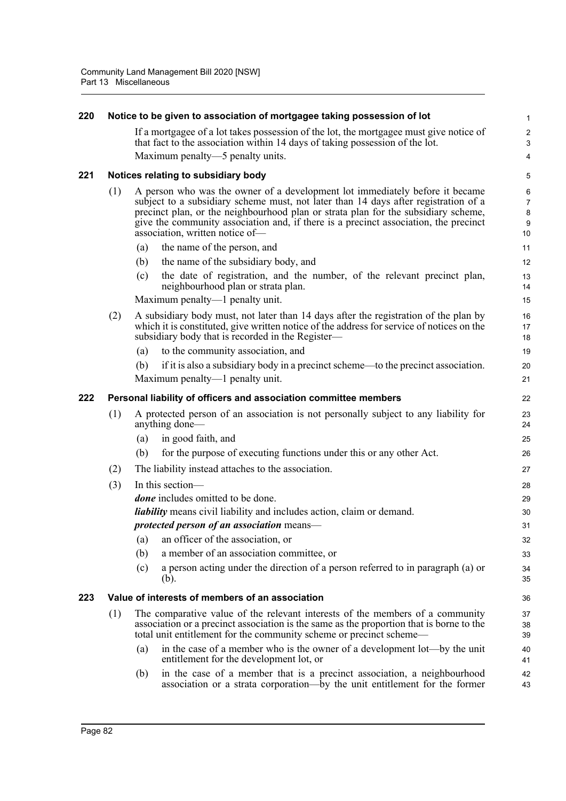| 220 |     | Notice to be given to association of mortgagee taking possession of lot                                                                                                                                                                                                                                                                                                              | 1                            |
|-----|-----|--------------------------------------------------------------------------------------------------------------------------------------------------------------------------------------------------------------------------------------------------------------------------------------------------------------------------------------------------------------------------------------|------------------------------|
|     |     | If a mortgagee of a lot takes possession of the lot, the mortgagee must give notice of<br>that fact to the association within 14 days of taking possession of the lot.                                                                                                                                                                                                               | $\overline{\mathbf{c}}$<br>3 |
|     |     | Maximum penalty—5 penalty units.                                                                                                                                                                                                                                                                                                                                                     | 4                            |
| 221 |     | Notices relating to subsidiary body                                                                                                                                                                                                                                                                                                                                                  | 5                            |
|     | (1) | A person who was the owner of a development lot immediately before it became<br>subject to a subsidiary scheme must, not later than 14 days after registration of a<br>precinct plan, or the neighbourhood plan or strata plan for the subsidiary scheme,<br>give the community association and, if there is a precinct association, the precinct<br>association, written notice of- | 6<br>7<br>8<br>9<br>10       |
|     |     | the name of the person, and<br>(a)                                                                                                                                                                                                                                                                                                                                                   | 11                           |
|     |     | the name of the subsidiary body, and<br>(b)                                                                                                                                                                                                                                                                                                                                          | 12                           |
|     |     | the date of registration, and the number, of the relevant precinct plan,<br>(c)<br>neighbourhood plan or strata plan.                                                                                                                                                                                                                                                                | 13<br>14                     |
|     |     | Maximum penalty—1 penalty unit.                                                                                                                                                                                                                                                                                                                                                      | 15                           |
|     | (2) | A subsidiary body must, not later than 14 days after the registration of the plan by<br>which it is constituted, give written notice of the address for service of notices on the<br>subsidiary body that is recorded in the Register-                                                                                                                                               | 16<br>17<br>18               |
|     |     | to the community association, and<br>(a)                                                                                                                                                                                                                                                                                                                                             | 19                           |
|     |     | if it is also a subsidiary body in a precinct scheme—to the precinct association.<br>(b)                                                                                                                                                                                                                                                                                             | 20                           |
|     |     | Maximum penalty—1 penalty unit.                                                                                                                                                                                                                                                                                                                                                      | 21                           |
| 222 |     | Personal liability of officers and association committee members                                                                                                                                                                                                                                                                                                                     | 22                           |
|     | (1) | A protected person of an association is not personally subject to any liability for<br>anything done—                                                                                                                                                                                                                                                                                | 23<br>24                     |
|     |     | (a)<br>in good faith, and                                                                                                                                                                                                                                                                                                                                                            | 25                           |
|     |     | for the purpose of executing functions under this or any other Act.<br>(b)                                                                                                                                                                                                                                                                                                           | 26                           |
|     | (2) | The liability instead attaches to the association.                                                                                                                                                                                                                                                                                                                                   | 27                           |
|     | (3) | In this section-                                                                                                                                                                                                                                                                                                                                                                     | 28                           |
|     |     | <i>done</i> includes omitted to be done.                                                                                                                                                                                                                                                                                                                                             | 29                           |
|     |     | <i>liability</i> means civil liability and includes action, claim or demand.                                                                                                                                                                                                                                                                                                         | 30                           |
|     |     | protected person of an association means-                                                                                                                                                                                                                                                                                                                                            | 31                           |
|     |     | an officer of the association, or<br>$\left( a\right)$                                                                                                                                                                                                                                                                                                                               | 32                           |
|     |     | a member of an association committee, or<br>(b)                                                                                                                                                                                                                                                                                                                                      | 33                           |
|     |     | a person acting under the direction of a person referred to in paragraph (a) or<br>(c)<br>(b).                                                                                                                                                                                                                                                                                       | 34<br>35                     |
| 223 |     | Value of interests of members of an association                                                                                                                                                                                                                                                                                                                                      | 36                           |
|     | (1) | The comparative value of the relevant interests of the members of a community<br>association or a precinct association is the same as the proportion that is borne to the<br>total unit entitlement for the community scheme or precinct scheme—                                                                                                                                     | 37<br>38<br>39               |
|     |     | in the case of a member who is the owner of a development lot—by the unit<br>(a)<br>entitlement for the development lot, or                                                                                                                                                                                                                                                          | 40<br>41                     |
|     |     | in the case of a member that is a precinct association, a neighbourhood<br>(b)<br>association or a strata corporation—by the unit entitlement for the former                                                                                                                                                                                                                         | 42<br>43                     |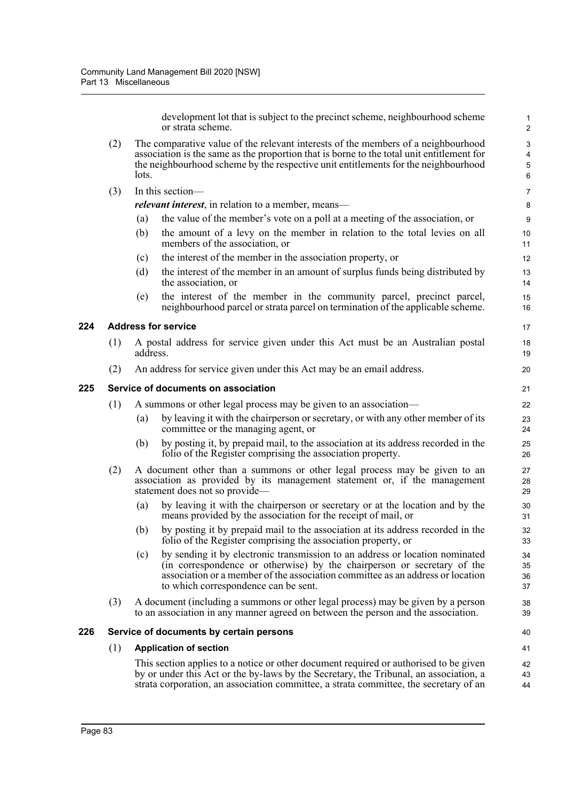development lot that is subject to the precinct scheme, neighbourhood scheme or strata scheme.

- (2) The comparative value of the relevant interests of the members of a neighbourhood association is the same as the proportion that is borne to the total unit entitlement for the neighbourhood scheme by the respective unit entitlements for the neighbourhood lots.
- (3) In this section—

*relevant interest*, in relation to a member, means—

- (a) the value of the member's vote on a poll at a meeting of the association, or
- (b) the amount of a levy on the member in relation to the total levies on all members of the association, or
- (c) the interest of the member in the association property, or
- (d) the interest of the member in an amount of surplus funds being distributed by the association, or
- (e) the interest of the member in the community parcel, precinct parcel, neighbourhood parcel or strata parcel on termination of the applicable scheme.

## **224 Address for service**

- (1) A postal address for service given under this Act must be an Australian postal address.
- (2) An address for service given under this Act may be an email address.

## **225 Service of documents on association**

- (1) A summons or other legal process may be given to an association—
	- (a) by leaving it with the chairperson or secretary, or with any other member of its committee or the managing agent, or
	- (b) by posting it, by prepaid mail, to the association at its address recorded in the folio of the Register comprising the association property.
- (2) A document other than a summons or other legal process may be given to an association as provided by its management statement or, if the management statement does not so provide—
	- (a) by leaving it with the chairperson or secretary or at the location and by the means provided by the association for the receipt of mail, or
	- (b) by posting it by prepaid mail to the association at its address recorded in the folio of the Register comprising the association property, or
	- (c) by sending it by electronic transmission to an address or location nominated (in correspondence or otherwise) by the chairperson or secretary of the association or a member of the association committee as an address or location to which correspondence can be sent.
- (3) A document (including a summons or other legal process) may be given by a person to an association in any manner agreed on between the person and the association.

#### **226 Service of documents by certain persons**

## (1) **Application of section**

This section applies to a notice or other document required or authorised to be given by or under this Act or the by-laws by the Secretary, the Tribunal, an association, a strata corporation, an association committee, a strata committee, the secretary of an  $42$ 43  $\overline{A}$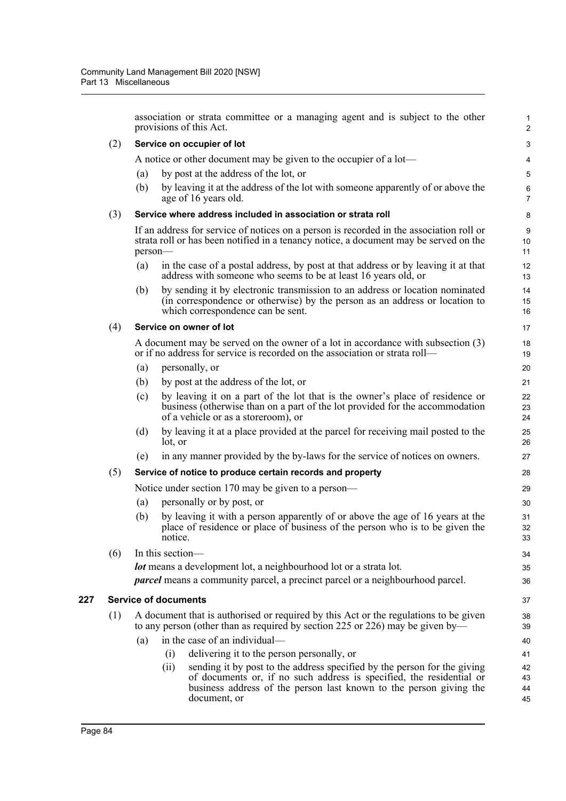association or strata committee or a managing agent and is subject to the other provisions of this Act.

#### (2) **Service on occupier of lot**

A notice or other document may be given to the occupier of a lot—

- (a) by post at the address of the lot, or
- (b) by leaving it at the address of the lot with someone apparently of or above the age of 16 years old.

## (3) **Service where address included in association or strata roll**

If an address for service of notices on a person is recorded in the association roll or strata roll or has been notified in a tenancy notice, a document may be served on the person—

- (a) in the case of a postal address, by post at that address or by leaving it at that address with someone who seems to be at least 16 years old, or
- (b) by sending it by electronic transmission to an address or location nominated (in correspondence or otherwise) by the person as an address or location to which correspondence can be sent.

#### (4) **Service on owner of lot**

A document may be served on the owner of a lot in accordance with subsection (3) or if no address for service is recorded on the association or strata roll—

- (a) personally, or
- (b) by post at the address of the lot, or
- (c) by leaving it on a part of the lot that is the owner's place of residence or business (otherwise than on a part of the lot provided for the accommodation of a vehicle or as a storeroom), or
- (d) by leaving it at a place provided at the parcel for receiving mail posted to the lot, or
- (e) in any manner provided by the by-laws for the service of notices on owners.

#### (5) **Service of notice to produce certain records and property**

Notice under section 170 may be given to a person—

- (a) personally or by post, or
- (b) by leaving it with a person apparently of or above the age of 16 years at the place of residence or place of business of the person who is to be given the notice.

(6) In this section—

*lot* means a development lot, a neighbourhood lot or a strata lot.

*parcel* means a community parcel, a precinct parcel or a neighbourhood parcel.

#### **227 Service of documents**

| (1) A document that is authorised or required by this Act or the regulations to be given |
|------------------------------------------------------------------------------------------|
| to any person (other than as required by section 225 or 226) may be given by—            |

- (a) in the case of an individual—
	- (i) delivering it to the person personally, or
	- (ii) sending it by post to the address specified by the person for the giving of documents or, if no such address is specified, the residential or business address of the person last known to the person giving the document, or 42 43 44 45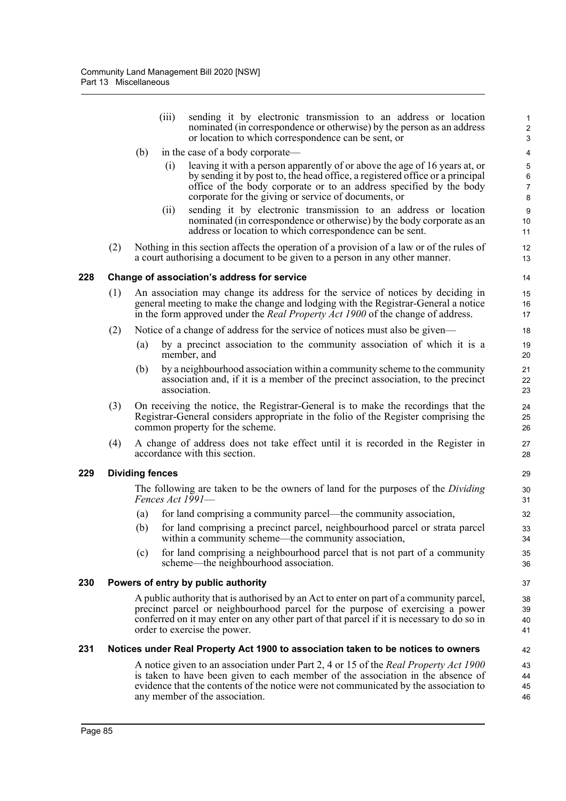|     |     |                        | (iii) | sending it by electronic transmission to an address or location<br>nominated (in correspondence or otherwise) by the person as an address<br>or location to which correspondence can be sent, or                                                                                                      | 1<br>$\overline{\mathbf{c}}$<br>3   |
|-----|-----|------------------------|-------|-------------------------------------------------------------------------------------------------------------------------------------------------------------------------------------------------------------------------------------------------------------------------------------------------------|-------------------------------------|
|     |     | (b)                    |       | in the case of a body corporate—                                                                                                                                                                                                                                                                      | $\overline{4}$                      |
|     |     |                        | (i)   | leaving it with a person apparently of or above the age of 16 years at, or<br>by sending it by post to, the head office, a registered office or a principal<br>office of the body corporate or to an address specified by the body<br>corporate for the giving or service of documents, or            | 5<br>$\,6\,$<br>$\overline{7}$<br>8 |
|     |     |                        | (ii)  | sending it by electronic transmission to an address or location<br>nominated (in correspondence or otherwise) by the body corporate as an<br>address or location to which correspondence can be sent.                                                                                                 | $\boldsymbol{9}$<br>10<br>11        |
|     | (2) |                        |       | Nothing in this section affects the operation of a provision of a law or of the rules of<br>a court authorising a document to be given to a person in any other manner.                                                                                                                               | 12<br>13                            |
| 228 |     |                        |       | Change of association's address for service                                                                                                                                                                                                                                                           | 14                                  |
|     | (1) |                        |       | An association may change its address for the service of notices by deciding in<br>general meeting to make the change and lodging with the Registrar-General a notice<br>in the form approved under the <i>Real Property Act 1900</i> of the change of address.                                       | 15<br>16<br>17                      |
|     | (2) |                        |       | Notice of a change of address for the service of notices must also be given—                                                                                                                                                                                                                          | 18                                  |
|     |     | (a)                    |       | by a precinct association to the community association of which it is a<br>member, and                                                                                                                                                                                                                | 19<br>20                            |
|     |     | (b)                    |       | by a neighbourhood association within a community scheme to the community<br>association and, if it is a member of the precinct association, to the precinct<br>association.                                                                                                                          | 21<br>22<br>23                      |
|     | (3) |                        |       | On receiving the notice, the Registrar-General is to make the recordings that the<br>Registrar-General considers appropriate in the folio of the Register comprising the<br>common property for the scheme.                                                                                           | 24<br>25<br>26                      |
|     | (4) |                        |       | A change of address does not take effect until it is recorded in the Register in<br>accordance with this section.                                                                                                                                                                                     | 27<br>28                            |
| 229 |     | <b>Dividing fences</b> |       |                                                                                                                                                                                                                                                                                                       | 29                                  |
|     |     |                        |       | The following are taken to be the owners of land for the purposes of the <i>Dividing</i><br>Fences Act 1991-                                                                                                                                                                                          | 30<br>31                            |
|     |     | $\left( a\right)$      |       | for land comprising a community parcel—the community association,                                                                                                                                                                                                                                     | 32                                  |
|     |     | (b)                    |       | for land comprising a precinct parcel, neighbourhood parcel or strata parcel<br>within a community scheme—the community association,                                                                                                                                                                  | 33<br>34                            |
|     |     | (c)                    |       | for land comprising a neighbourhood parcel that is not part of a community<br>scheme—the neighbourhood association.                                                                                                                                                                                   | 35<br>36                            |
| 230 |     |                        |       | Powers of entry by public authority                                                                                                                                                                                                                                                                   | 37                                  |
|     |     |                        |       | A public authority that is authorised by an Act to enter on part of a community parcel,<br>precinct parcel or neighbourhood parcel for the purpose of exercising a power<br>conferred on it may enter on any other part of that parcel if it is necessary to do so in<br>order to exercise the power. | 38<br>39<br>40<br>41                |
| 231 |     |                        |       | Notices under Real Property Act 1900 to association taken to be notices to owners                                                                                                                                                                                                                     | 42                                  |
|     |     |                        |       | A notice given to an association under Part 2, 4 or 15 of the Real Property Act 1900<br>is taken to have been given to each member of the association in the absence of<br>evidence that the contents of the notice were not communicated by the association to<br>any member of the association.     | 43<br>44<br>45<br>46                |
|     |     |                        |       |                                                                                                                                                                                                                                                                                                       |                                     |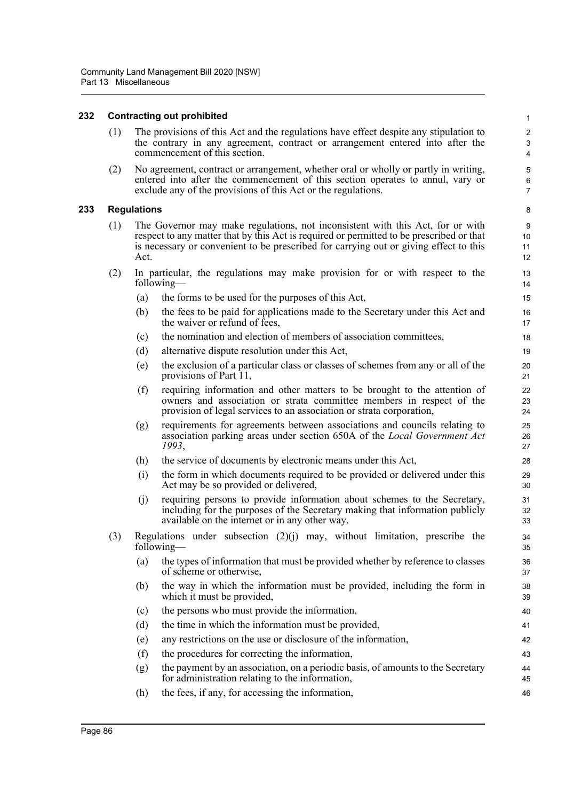## **232 Contracting out prohibited**

(1) The provisions of this Act and the regulations have effect despite any stipulation to the contrary in any agreement, contract or arrangement entered into after the commencement of this section.

(2) No agreement, contract or arrangement, whether oral or wholly or partly in writing, entered into after the commencement of this section operates to annul, vary or exclude any of the provisions of this Act or the regulations.

## **233 Regulations**

- (1) The Governor may make regulations, not inconsistent with this Act, for or with respect to any matter that by this Act is required or permitted to be prescribed or that is necessary or convenient to be prescribed for carrying out or giving effect to this Act.
- (2) In particular, the regulations may make provision for or with respect to the following—
	- (a) the forms to be used for the purposes of this Act,
	- (b) the fees to be paid for applications made to the Secretary under this Act and the waiver or refund of fees,
	- (c) the nomination and election of members of association committees,
	- (d) alternative dispute resolution under this Act,
	- (e) the exclusion of a particular class or classes of schemes from any or all of the provisions of Part 11,
	- (f) requiring information and other matters to be brought to the attention of owners and association or strata committee members in respect of the provision of legal services to an association or strata corporation,
	- (g) requirements for agreements between associations and councils relating to association parking areas under section 650A of the *Local Government Act 1993*,
	- (h) the service of documents by electronic means under this Act,
	- (i) the form in which documents required to be provided or delivered under this Act may be so provided or delivered,
	- (j) requiring persons to provide information about schemes to the Secretary, including for the purposes of the Secretary making that information publicly available on the internet or in any other way.
- (3) Regulations under subsection (2)(j) may, without limitation, prescribe the following—
	- (a) the types of information that must be provided whether by reference to classes of scheme or otherwise,
	- (b) the way in which the information must be provided, including the form in which it must be provided,
	- (c) the persons who must provide the information,
	- (d) the time in which the information must be provided,
	- (e) any restrictions on the use or disclosure of the information,
	- (f) the procedures for correcting the information,
	- (g) the payment by an association, on a periodic basis, of amounts to the Secretary for administration relating to the information,
	- (h) the fees, if any, for accessing the information,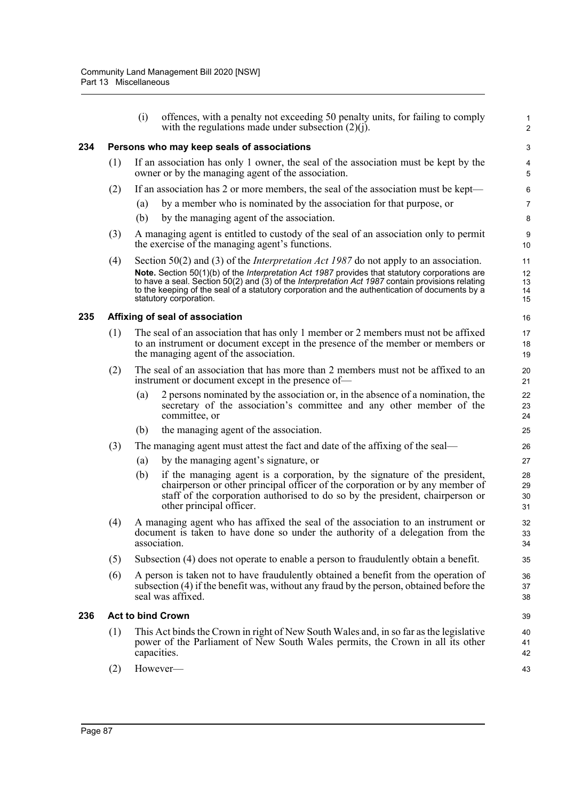|     |                                                                                                                                                                                                                                                                                                                                | (i)                                                                                                                                                                                | offences, with a penalty not exceeding 50 penalty units, for failing to comply<br>with the regulations made under subsection $(2)(j)$ .                                                                                                                                  | $\mathbf{1}$<br>$\overline{2}$ |  |  |  |  |
|-----|--------------------------------------------------------------------------------------------------------------------------------------------------------------------------------------------------------------------------------------------------------------------------------------------------------------------------------|------------------------------------------------------------------------------------------------------------------------------------------------------------------------------------|--------------------------------------------------------------------------------------------------------------------------------------------------------------------------------------------------------------------------------------------------------------------------|--------------------------------|--|--|--|--|
| 234 | Persons who may keep seals of associations                                                                                                                                                                                                                                                                                     |                                                                                                                                                                                    |                                                                                                                                                                                                                                                                          |                                |  |  |  |  |
|     | (1)                                                                                                                                                                                                                                                                                                                            | If an association has only 1 owner, the seal of the association must be kept by the<br>owner or by the managing agent of the association.                                          |                                                                                                                                                                                                                                                                          |                                |  |  |  |  |
|     | (2)                                                                                                                                                                                                                                                                                                                            |                                                                                                                                                                                    | If an association has 2 or more members, the seal of the association must be kept—                                                                                                                                                                                       | $\,6\,$                        |  |  |  |  |
|     |                                                                                                                                                                                                                                                                                                                                | (a)                                                                                                                                                                                | by a member who is nominated by the association for that purpose, or                                                                                                                                                                                                     | $\overline{7}$                 |  |  |  |  |
|     |                                                                                                                                                                                                                                                                                                                                | (b)                                                                                                                                                                                | by the managing agent of the association.                                                                                                                                                                                                                                | 8                              |  |  |  |  |
|     | (3)                                                                                                                                                                                                                                                                                                                            |                                                                                                                                                                                    | A managing agent is entitled to custody of the seal of an association only to permit<br>the exercise of the managing agent's functions.                                                                                                                                  | 9<br>10                        |  |  |  |  |
|     | (4)                                                                                                                                                                                                                                                                                                                            |                                                                                                                                                                                    | Section 50(2) and (3) of the <i>Interpretation Act 1987</i> do not apply to an association.                                                                                                                                                                              | 11                             |  |  |  |  |
|     | Note. Section 50(1)(b) of the Interpretation Act 1987 provides that statutory corporations are<br>to have a seal. Section 50(2) and (3) of the Interpretation Act 1987 contain provisions relating<br>to the keeping of the seal of a statutory corporation and the authentication of documents by a<br>statutory corporation. |                                                                                                                                                                                    |                                                                                                                                                                                                                                                                          |                                |  |  |  |  |
| 235 |                                                                                                                                                                                                                                                                                                                                |                                                                                                                                                                                    | Affixing of seal of association                                                                                                                                                                                                                                          | 16                             |  |  |  |  |
|     | (1)                                                                                                                                                                                                                                                                                                                            |                                                                                                                                                                                    | The seal of an association that has only 1 member or 2 members must not be affixed<br>to an instrument or document except in the presence of the member or members or<br>the managing agent of the association.                                                          | 17<br>18<br>19                 |  |  |  |  |
|     | (2)                                                                                                                                                                                                                                                                                                                            |                                                                                                                                                                                    | The seal of an association that has more than 2 members must not be affixed to an<br>instrument or document except in the presence of—                                                                                                                                   | 20<br>21                       |  |  |  |  |
|     |                                                                                                                                                                                                                                                                                                                                | (a)                                                                                                                                                                                | 2 persons nominated by the association or, in the absence of a nomination, the<br>secretary of the association's committee and any other member of the<br>committee, or                                                                                                  | 22<br>23<br>24                 |  |  |  |  |
|     |                                                                                                                                                                                                                                                                                                                                | (b)                                                                                                                                                                                | the managing agent of the association.                                                                                                                                                                                                                                   | 25                             |  |  |  |  |
|     | (3)                                                                                                                                                                                                                                                                                                                            |                                                                                                                                                                                    | The managing agent must attest the fact and date of the affixing of the seal—                                                                                                                                                                                            | 26                             |  |  |  |  |
|     |                                                                                                                                                                                                                                                                                                                                | (a)                                                                                                                                                                                | by the managing agent's signature, or                                                                                                                                                                                                                                    | 27                             |  |  |  |  |
|     |                                                                                                                                                                                                                                                                                                                                | (b)                                                                                                                                                                                | if the managing agent is a corporation, by the signature of the president,<br>chairperson or other principal officer of the corporation or by any member of<br>staff of the corporation authorised to do so by the president, chairperson or<br>other principal officer. | 28<br>29<br>30<br>31           |  |  |  |  |
|     | (4)                                                                                                                                                                                                                                                                                                                            | A managing agent who has affixed the seal of the association to an instrument or<br>document is taken to have done so under the authority of a delegation from the<br>association. |                                                                                                                                                                                                                                                                          | 32<br>33<br>34                 |  |  |  |  |
|     | (5)                                                                                                                                                                                                                                                                                                                            | Subsection (4) does not operate to enable a person to fraudulently obtain a benefit.                                                                                               |                                                                                                                                                                                                                                                                          |                                |  |  |  |  |
|     | (6)                                                                                                                                                                                                                                                                                                                            |                                                                                                                                                                                    | A person is taken not to have fraudulently obtained a benefit from the operation of<br>subsection (4) if the benefit was, without any fraud by the person, obtained before the<br>seal was affixed.                                                                      | 36<br>37<br>38                 |  |  |  |  |
| 236 |                                                                                                                                                                                                                                                                                                                                |                                                                                                                                                                                    | <b>Act to bind Crown</b>                                                                                                                                                                                                                                                 | 39                             |  |  |  |  |
|     | (1)                                                                                                                                                                                                                                                                                                                            |                                                                                                                                                                                    | This Act binds the Crown in right of New South Wales and, in so far as the legislative<br>power of the Parliament of New South Wales permits, the Crown in all its other<br>capacities.                                                                                  | 40<br>41<br>42                 |  |  |  |  |
|     | (2)                                                                                                                                                                                                                                                                                                                            |                                                                                                                                                                                    | However-                                                                                                                                                                                                                                                                 | 43                             |  |  |  |  |
|     |                                                                                                                                                                                                                                                                                                                                |                                                                                                                                                                                    |                                                                                                                                                                                                                                                                          |                                |  |  |  |  |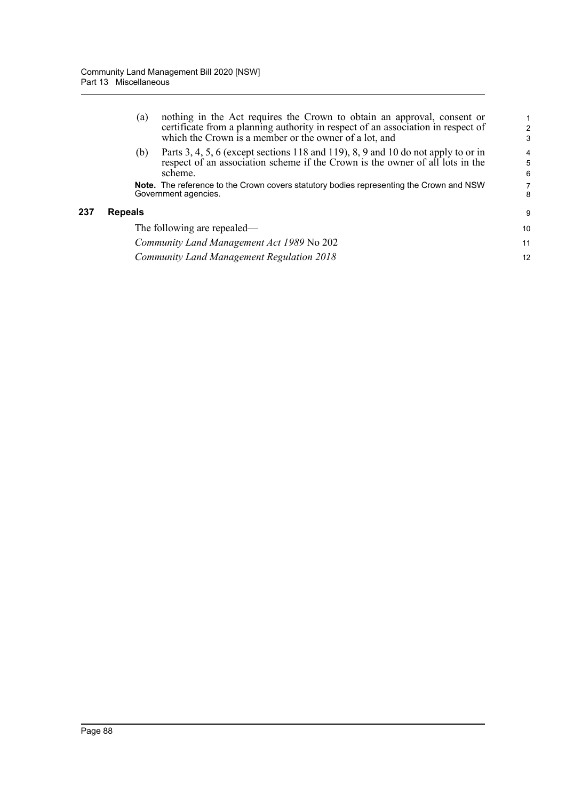|     | (a)            | nothing in the Act requires the Crown to obtain an approval, consent or<br>certificate from a planning authority in respect of an association in respect of<br>which the Crown is a member or the owner of a lot, and | $\overline{2}$<br>3      |
|-----|----------------|-----------------------------------------------------------------------------------------------------------------------------------------------------------------------------------------------------------------------|--------------------------|
|     | (b)            | Parts 3, 4, 5, 6 (except sections 118 and 119), 8, 9 and 10 do not apply to or in<br>respect of an association scheme if the Crown is the owner of all lots in the<br>scheme.                                         | $\overline{4}$<br>5<br>6 |
|     |                | <b>Note.</b> The reference to the Crown covers statutory bodies representing the Crown and NSW<br>Government agencies.                                                                                                | 7<br>8                   |
| 237 | <b>Repeals</b> |                                                                                                                                                                                                                       | 9                        |
|     |                | The following are repealed—                                                                                                                                                                                           | 10                       |
|     |                | Community Land Management Act 1989 No 202                                                                                                                                                                             | 11                       |
|     |                | Community Land Management Regulation 2018                                                                                                                                                                             | 12                       |
|     |                |                                                                                                                                                                                                                       |                          |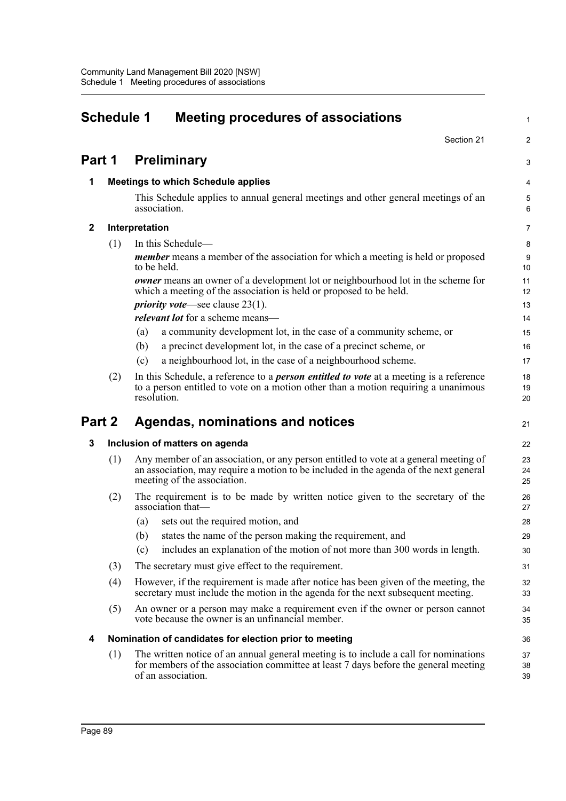| <b>Schedule 1</b><br><b>Meeting procedures of associations</b> |     |                                                                                                                                                                                                              |                |  |  |
|----------------------------------------------------------------|-----|--------------------------------------------------------------------------------------------------------------------------------------------------------------------------------------------------------------|----------------|--|--|
|                                                                |     | Section 21                                                                                                                                                                                                   | 2              |  |  |
| Part 1                                                         |     | <b>Preliminary</b>                                                                                                                                                                                           | 3              |  |  |
| 1                                                              |     | <b>Meetings to which Schedule applies</b>                                                                                                                                                                    | 4              |  |  |
|                                                                |     | This Schedule applies to annual general meetings and other general meetings of an<br>association.                                                                                                            | 5<br>6         |  |  |
| $\mathbf{2}$                                                   |     | Interpretation                                                                                                                                                                                               | $\overline{7}$ |  |  |
|                                                                | (1) | In this Schedule-                                                                                                                                                                                            | 8              |  |  |
|                                                                |     | <i>member</i> means a member of the association for which a meeting is held or proposed<br>to be held.                                                                                                       | 9<br>10        |  |  |
|                                                                |     | <b><i>owner</i></b> means an owner of a development lot or neighbourhood lot in the scheme for<br>which a meeting of the association is held or proposed to be held.                                         | 11<br>12       |  |  |
|                                                                |     | <i>priority vote</i> —see clause $23(1)$ .                                                                                                                                                                   | 13             |  |  |
|                                                                |     | <i>relevant lot</i> for a scheme means—                                                                                                                                                                      | 14             |  |  |
|                                                                |     | a community development lot, in the case of a community scheme, or<br>(a)                                                                                                                                    | 15             |  |  |
|                                                                |     | a precinct development lot, in the case of a precinct scheme, or<br>(b)                                                                                                                                      | 16             |  |  |
|                                                                |     | a neighbourhood lot, in the case of a neighbourhood scheme.<br>(c)                                                                                                                                           | 17             |  |  |
|                                                                | (2) | In this Schedule, a reference to a <i>person entitled to vote</i> at a meeting is a reference<br>to a person entitled to vote on a motion other than a motion requiring a unanimous<br>resolution.           | 18<br>19<br>20 |  |  |
| Part 2                                                         |     | Agendas, nominations and notices                                                                                                                                                                             | 21             |  |  |
| 3                                                              |     | Inclusion of matters on agenda                                                                                                                                                                               | 22             |  |  |
|                                                                | (1) | Any member of an association, or any person entitled to vote at a general meeting of<br>an association, may require a motion to be included in the agenda of the next general<br>meeting of the association. | 23<br>24<br>25 |  |  |
|                                                                | (2) | The requirement is to be made by written notice given to the secretary of the<br>association that-                                                                                                           | 26<br>27       |  |  |
|                                                                |     | sets out the required motion, and<br>(a)                                                                                                                                                                     | 28             |  |  |
|                                                                |     | (b) states the name of the person making the requirement, and                                                                                                                                                | 29             |  |  |
|                                                                |     | includes an explanation of the motion of not more than 300 words in length.<br>(c)                                                                                                                           | 30             |  |  |
|                                                                | (3) | The secretary must give effect to the requirement.                                                                                                                                                           | 31             |  |  |
|                                                                | (4) | However, if the requirement is made after notice has been given of the meeting, the<br>secretary must include the motion in the agenda for the next subsequent meeting.                                      | 32<br>33       |  |  |
|                                                                | (5) | An owner or a person may make a requirement even if the owner or person cannot<br>vote because the owner is an unfinancial member.                                                                           | 34<br>35       |  |  |
| 4                                                              |     | Nomination of candidates for election prior to meeting                                                                                                                                                       | 36             |  |  |
|                                                                | (1) | The written notice of an annual general meeting is to include a call for nominations<br>for members of the association committee at least 7 days before the general meeting<br>of an association.            | 37<br>38<br>39 |  |  |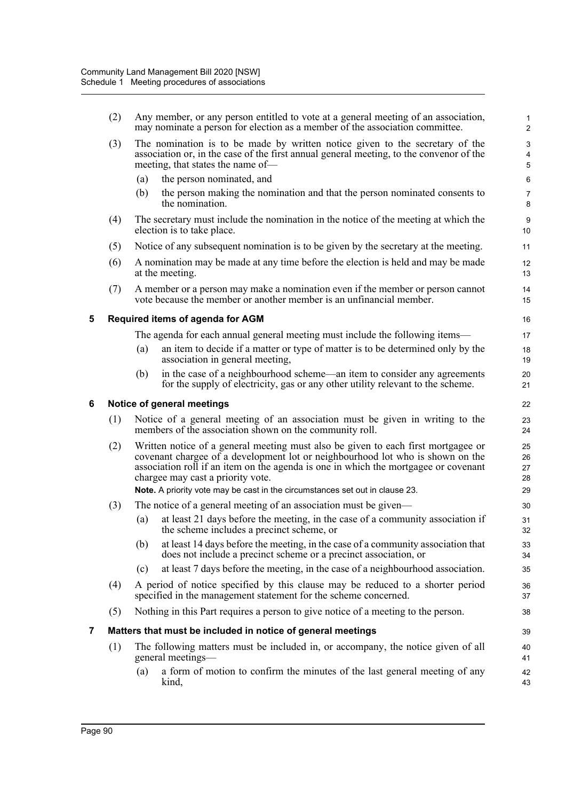|   | (2) | Any member, or any person entitled to vote at a general meeting of an association,<br>may nominate a person for election as a member of the association committee.                                                                                                                                                                                                              | $\mathbf{1}$<br>$\overline{c}$              |
|---|-----|---------------------------------------------------------------------------------------------------------------------------------------------------------------------------------------------------------------------------------------------------------------------------------------------------------------------------------------------------------------------------------|---------------------------------------------|
|   | (3) | The nomination is to be made by written notice given to the secretary of the<br>association or, in the case of the first annual general meeting, to the convenor of the<br>meeting, that states the name of-                                                                                                                                                                    | 3<br>$\overline{\mathbf{4}}$<br>$\mathbf 5$ |
|   |     | the person nominated, and<br>(a)                                                                                                                                                                                                                                                                                                                                                | 6                                           |
|   |     | the person making the nomination and that the person nominated consents to<br>(b)<br>the nomination.                                                                                                                                                                                                                                                                            | $\overline{7}$<br>8                         |
|   | (4) | The secretary must include the nomination in the notice of the meeting at which the<br>election is to take place.                                                                                                                                                                                                                                                               | 9<br>10                                     |
|   | (5) | Notice of any subsequent nomination is to be given by the secretary at the meeting.                                                                                                                                                                                                                                                                                             | 11                                          |
|   | (6) | A nomination may be made at any time before the election is held and may be made<br>at the meeting.                                                                                                                                                                                                                                                                             | 12<br>13                                    |
|   | (7) | A member or a person may make a nomination even if the member or person cannot<br>vote because the member or another member is an unfinancial member.                                                                                                                                                                                                                           | 14<br>15                                    |
| 5 |     | Required items of agenda for AGM                                                                                                                                                                                                                                                                                                                                                | 16                                          |
|   |     | The agenda for each annual general meeting must include the following items—                                                                                                                                                                                                                                                                                                    | 17                                          |
|   |     | an item to decide if a matter or type of matter is to be determined only by the<br>(a)<br>association in general meeting,                                                                                                                                                                                                                                                       | 18<br>19                                    |
|   |     | in the case of a neighbourhood scheme—an item to consider any agreements<br>(b)<br>for the supply of electricity, gas or any other utility relevant to the scheme.                                                                                                                                                                                                              | 20<br>21                                    |
| 6 |     | Notice of general meetings                                                                                                                                                                                                                                                                                                                                                      | 22                                          |
|   | (1) | Notice of a general meeting of an association must be given in writing to the<br>members of the association shown on the community roll.                                                                                                                                                                                                                                        | 23<br>24                                    |
|   | (2) | Written notice of a general meeting must also be given to each first mortgagee or<br>covenant chargee of a development lot or neighbourhood lot who is shown on the<br>association roll if an item on the agenda is one in which the mortgagee or covenant<br>chargee may cast a priority vote.<br>Note. A priority vote may be cast in the circumstances set out in clause 23. | 25<br>26<br>27<br>28<br>29                  |
|   | (3) | The notice of a general meeting of an association must be given—                                                                                                                                                                                                                                                                                                                | 30                                          |
|   |     | at least 21 days before the meeting, in the case of a community association if<br>(a)<br>the scheme includes a precinct scheme, or                                                                                                                                                                                                                                              | 31<br>32                                    |
|   |     | (b)<br>at least 14 days before the meeting, in the case of a community association that<br>does not include a precinct scheme or a precinct association, or                                                                                                                                                                                                                     | 33<br>34                                    |
|   |     | at least 7 days before the meeting, in the case of a neighbourhood association.<br>(c)                                                                                                                                                                                                                                                                                          | 35                                          |
|   | (4) | A period of notice specified by this clause may be reduced to a shorter period<br>specified in the management statement for the scheme concerned.                                                                                                                                                                                                                               | 36<br>37                                    |
|   | (5) | Nothing in this Part requires a person to give notice of a meeting to the person.                                                                                                                                                                                                                                                                                               | 38                                          |
| 7 |     | Matters that must be included in notice of general meetings                                                                                                                                                                                                                                                                                                                     | 39                                          |
|   | (1) | The following matters must be included in, or accompany, the notice given of all<br>general meetings—                                                                                                                                                                                                                                                                           | 40<br>41                                    |
|   |     | a form of motion to confirm the minutes of the last general meeting of any<br>(a)<br>kind,                                                                                                                                                                                                                                                                                      | 42<br>43                                    |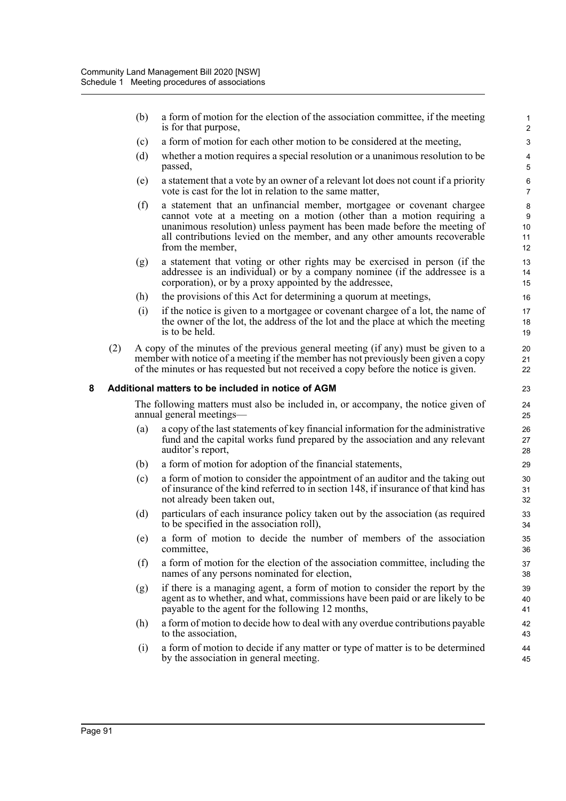(b) a form of motion for the election of the association committee, if the meeting is for that purpose,

- (c) a form of motion for each other motion to be considered at the meeting,
- (d) whether a motion requires a special resolution or a unanimous resolution to be passed,
- (e) a statement that a vote by an owner of a relevant lot does not count if a priority vote is cast for the lot in relation to the same matter,
- (f) a statement that an unfinancial member, mortgagee or covenant chargee cannot vote at a meeting on a motion (other than a motion requiring a unanimous resolution) unless payment has been made before the meeting of all contributions levied on the member, and any other amounts recoverable from the member,
- (g) a statement that voting or other rights may be exercised in person (if the addressee is an individual) or by a company nominee (if the addressee is a corporation), or by a proxy appointed by the addressee,
- (h) the provisions of this Act for determining a quorum at meetings,
- (i) if the notice is given to a mortgagee or covenant chargee of a lot, the name of the owner of the lot, the address of the lot and the place at which the meeting is to be held.
- (2) A copy of the minutes of the previous general meeting (if any) must be given to a member with notice of a meeting if the member has not previously been given a copy of the minutes or has requested but not received a copy before the notice is given.

#### **8 Additional matters to be included in notice of AGM**

The following matters must also be included in, or accompany, the notice given of annual general meetings—

- (a) a copy of the last statements of key financial information for the administrative fund and the capital works fund prepared by the association and any relevant auditor's report,
- (b) a form of motion for adoption of the financial statements,
- (c) a form of motion to consider the appointment of an auditor and the taking out of insurance of the kind referred to in section 148, if insurance of that kind has not already been taken out,
- (d) particulars of each insurance policy taken out by the association (as required to be specified in the association roll),
- (e) a form of motion to decide the number of members of the association committee,
- (f) a form of motion for the election of the association committee, including the names of any persons nominated for election,
- (g) if there is a managing agent, a form of motion to consider the report by the agent as to whether, and what, commissions have been paid or are likely to be payable to the agent for the following 12 months,
- (h) a form of motion to decide how to deal with any overdue contributions payable to the association,
- (i) a form of motion to decide if any matter or type of matter is to be determined by the association in general meeting.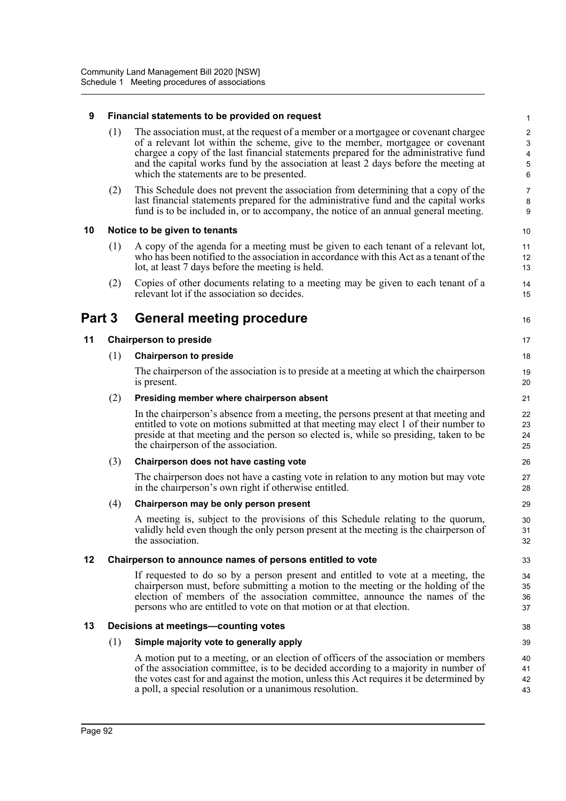## **9 Financial statements to be provided on request**

(1) The association must, at the request of a member or a mortgagee or covenant chargee of a relevant lot within the scheme, give to the member, mortgagee or covenant chargee a copy of the last financial statements prepared for the administrative fund and the capital works fund by the association at least 2 days before the meeting at which the statements are to be presented.

16

38 39

(2) This Schedule does not prevent the association from determining that a copy of the last financial statements prepared for the administrative fund and the capital works fund is to be included in, or to accompany, the notice of an annual general meeting.

#### **10 Notice to be given to tenants**

- (1) A copy of the agenda for a meeting must be given to each tenant of a relevant lot, who has been notified to the association in accordance with this Act as a tenant of the lot, at least 7 days before the meeting is held.
- (2) Copies of other documents relating to a meeting may be given to each tenant of a relevant lot if the association so decides.

# **Part 3 General meeting procedure**

### **11 Chairperson to preside**

#### (1) **Chairperson to preside**

The chairperson of the association is to preside at a meeting at which the chairperson is present.

#### (2) **Presiding member where chairperson absent**

In the chairperson's absence from a meeting, the persons present at that meeting and entitled to vote on motions submitted at that meeting may elect 1 of their number to preside at that meeting and the person so elected is, while so presiding, taken to be the chairperson of the association.

#### (3) **Chairperson does not have casting vote**

The chairperson does not have a casting vote in relation to any motion but may vote in the chairperson's own right if otherwise entitled.

#### (4) **Chairperson may be only person present**

A meeting is, subject to the provisions of this Schedule relating to the quorum, validly held even though the only person present at the meeting is the chairperson of the association.

#### **12 Chairperson to announce names of persons entitled to vote**

If requested to do so by a person present and entitled to vote at a meeting, the chairperson must, before submitting a motion to the meeting or the holding of the election of members of the association committee, announce the names of the persons who are entitled to vote on that motion or at that election.

#### **13 Decisions at meetings—counting votes**

#### (1) **Simple majority vote to generally apply**

A motion put to a meeting, or an election of officers of the association or members of the association committee, is to be decided according to a majority in number of the votes cast for and against the motion, unless this Act requires it be determined by a poll, a special resolution or a unanimous resolution. 40 41 42 43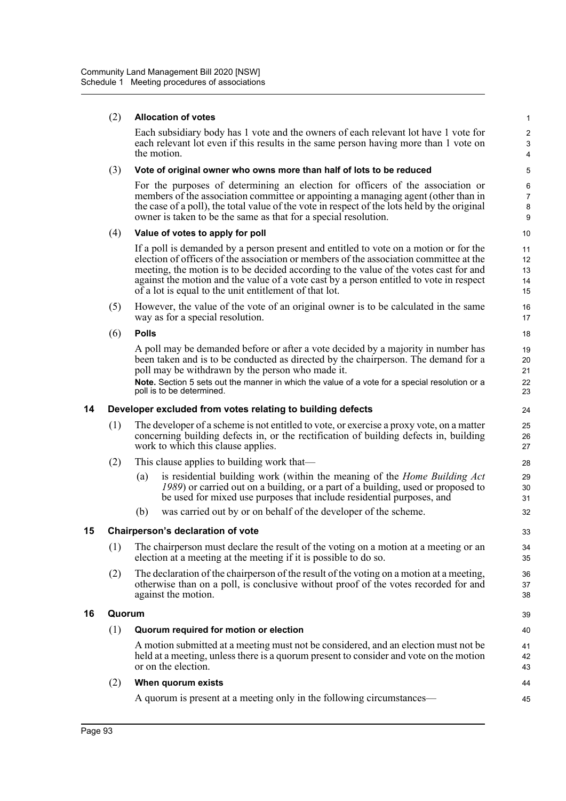|    | (2)    | <b>Allocation of votes</b>                                                                                                                                                                                                                                                                                                                                                                                                    | $\mathbf{1}$                                                       |
|----|--------|-------------------------------------------------------------------------------------------------------------------------------------------------------------------------------------------------------------------------------------------------------------------------------------------------------------------------------------------------------------------------------------------------------------------------------|--------------------------------------------------------------------|
|    |        | Each subsidiary body has 1 vote and the owners of each relevant lot have 1 vote for<br>each relevant lot even if this results in the same person having more than 1 vote on<br>the motion.                                                                                                                                                                                                                                    | $\sqrt{2}$<br>$\ensuremath{\mathsf{3}}$<br>$\overline{\mathbf{4}}$ |
|    | (3)    | Vote of original owner who owns more than half of lots to be reduced                                                                                                                                                                                                                                                                                                                                                          | 5                                                                  |
|    |        | For the purposes of determining an election for officers of the association or<br>members of the association committee or appointing a managing agent (other than in<br>the case of a poll), the total value of the vote in respect of the lots held by the original<br>owner is taken to be the same as that for a special resolution.                                                                                       | 6<br>$\overline{7}$<br>8<br>9                                      |
|    | (4)    | Value of votes to apply for poll                                                                                                                                                                                                                                                                                                                                                                                              | 10                                                                 |
|    |        | If a poll is demanded by a person present and entitled to vote on a motion or for the<br>election of officers of the association or members of the association committee at the<br>meeting, the motion is to be decided according to the value of the votes cast for and<br>against the motion and the value of a vote cast by a person entitled to vote in respect<br>of a lot is equal to the unit entitlement of that lot. | 11<br>12<br>13<br>14<br>15                                         |
|    | (5)    | However, the value of the vote of an original owner is to be calculated in the same<br>way as for a special resolution.                                                                                                                                                                                                                                                                                                       | 16<br>17                                                           |
|    | (6)    | <b>Polls</b>                                                                                                                                                                                                                                                                                                                                                                                                                  | 18                                                                 |
|    |        | A poll may be demanded before or after a vote decided by a majority in number has<br>been taken and is to be conducted as directed by the chairperson. The demand for a<br>poll may be withdrawn by the person who made it.<br>Note. Section 5 sets out the manner in which the value of a vote for a special resolution or a<br>poll is to be determined.                                                                    | 19<br>20<br>21<br>22<br>23                                         |
| 14 |        | Developer excluded from votes relating to building defects                                                                                                                                                                                                                                                                                                                                                                    | 24                                                                 |
|    | (1)    | The developer of a scheme is not entitled to vote, or exercise a proxy vote, on a matter<br>concerning building defects in, or the rectification of building defects in, building<br>work to which this clause applies.                                                                                                                                                                                                       | 25<br>26<br>27                                                     |
|    | (2)    | This clause applies to building work that-                                                                                                                                                                                                                                                                                                                                                                                    | 28                                                                 |
|    |        | is residential building work (within the meaning of the <i>Home Building Act</i><br>(a)<br>1989) or carried out on a building, or a part of a building, used or proposed to<br>be used for mixed use purposes that include residential purposes, and                                                                                                                                                                          | 29<br>30<br>31                                                     |
|    |        | was carried out by or on behalf of the developer of the scheme.<br>(b)                                                                                                                                                                                                                                                                                                                                                        | 32                                                                 |
| 15 |        | Chairperson's declaration of vote                                                                                                                                                                                                                                                                                                                                                                                             | 33                                                                 |
|    | (1)    | The chairperson must declare the result of the voting on a motion at a meeting or an<br>election at a meeting at the meeting if it is possible to do so.                                                                                                                                                                                                                                                                      | 34<br>35                                                           |
|    | (2)    | The declaration of the chairperson of the result of the voting on a motion at a meeting,<br>otherwise than on a poll, is conclusive without proof of the votes recorded for and<br>against the motion.                                                                                                                                                                                                                        | 36<br>37<br>38                                                     |
| 16 | Quorum |                                                                                                                                                                                                                                                                                                                                                                                                                               | 39                                                                 |
|    | (1)    | Quorum required for motion or election                                                                                                                                                                                                                                                                                                                                                                                        | 40                                                                 |
|    |        | A motion submitted at a meeting must not be considered, and an election must not be<br>held at a meeting, unless there is a quorum present to consider and vote on the motion<br>or on the election.                                                                                                                                                                                                                          | 41<br>42<br>43                                                     |
|    | (2)    | When quorum exists                                                                                                                                                                                                                                                                                                                                                                                                            | 44                                                                 |
|    |        | A quorum is present at a meeting only in the following circumstances—                                                                                                                                                                                                                                                                                                                                                         | 45                                                                 |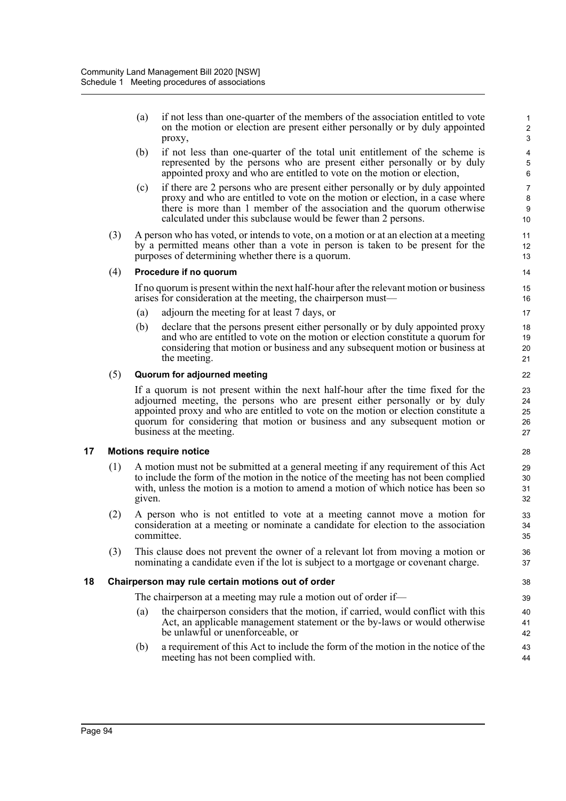(a) if not less than one-quarter of the members of the association entitled to vote on the motion or election are present either personally or by duly appointed proxy,

- (b) if not less than one-quarter of the total unit entitlement of the scheme is represented by the persons who are present either personally or by duly appointed proxy and who are entitled to vote on the motion or election,
- (c) if there are 2 persons who are present either personally or by duly appointed proxy and who are entitled to vote on the motion or election, in a case where there is more than 1 member of the association and the quorum otherwise calculated under this subclause would be fewer than 2 persons.
- (3) A person who has voted, or intends to vote, on a motion or at an election at a meeting by a permitted means other than a vote in person is taken to be present for the purposes of determining whether there is a quorum.

# (4) **Procedure if no quorum**

If no quorum is present within the next half-hour after the relevant motion or business arises for consideration at the meeting, the chairperson must—

- (a) adjourn the meeting for at least 7 days, or
- (b) declare that the persons present either personally or by duly appointed proxy and who are entitled to vote on the motion or election constitute a quorum for considering that motion or business and any subsequent motion or business at the meeting.

### (5) **Quorum for adjourned meeting**

If a quorum is not present within the next half-hour after the time fixed for the adjourned meeting, the persons who are present either personally or by duly appointed proxy and who are entitled to vote on the motion or election constitute a quorum for considering that motion or business and any subsequent motion or business at the meeting.

# **17 Motions require notice**

- (1) A motion must not be submitted at a general meeting if any requirement of this Act to include the form of the motion in the notice of the meeting has not been complied with, unless the motion is a motion to amend a motion of which notice has been so given.
- (2) A person who is not entitled to vote at a meeting cannot move a motion for consideration at a meeting or nominate a candidate for election to the association committee.
- (3) This clause does not prevent the owner of a relevant lot from moving a motion or nominating a candidate even if the lot is subject to a mortgage or covenant charge.

# **18 Chairperson may rule certain motions out of order**

The chairperson at a meeting may rule a motion out of order if—

- (a) the chairperson considers that the motion, if carried, would conflict with this Act, an applicable management statement or the by-laws or would otherwise be unlawful or unenforceable, or
- (b) a requirement of this Act to include the form of the motion in the notice of the meeting has not been complied with.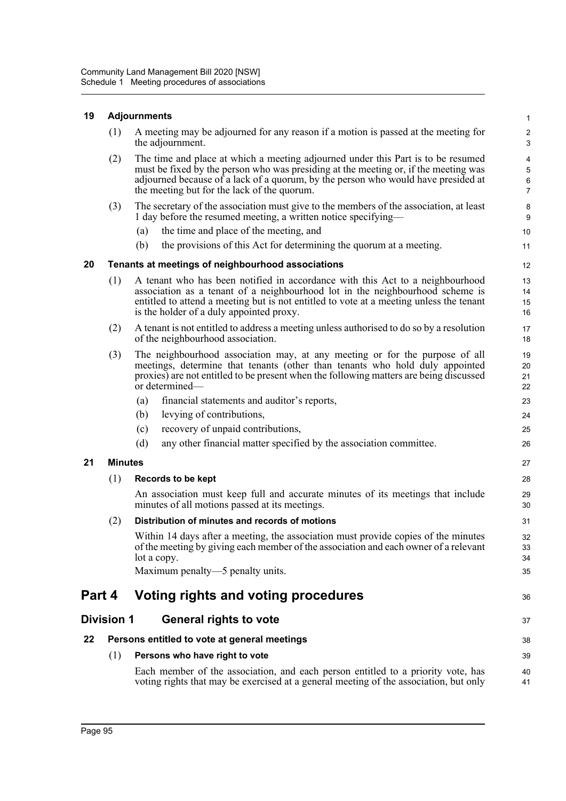# **19 Adjournments**

|        | (1)               | A meeting may be adjourned for any reason if a motion is passed at the meeting for<br>the adjournment.                                                                                                                                                                                                      | $\overline{c}$<br>$\sqrt{3}$                                       |
|--------|-------------------|-------------------------------------------------------------------------------------------------------------------------------------------------------------------------------------------------------------------------------------------------------------------------------------------------------------|--------------------------------------------------------------------|
|        | (2)               | The time and place at which a meeting adjourned under this Part is to be resumed<br>must be fixed by the person who was presiding at the meeting or, if the meeting was<br>adjourned because of a lack of a quorum, by the person who would have presided at<br>the meeting but for the lack of the quorum. | $\overline{\mathbf{4}}$<br>$\sqrt{5}$<br>$\,6\,$<br>$\overline{7}$ |
|        | (3)               | The secretary of the association must give to the members of the association, at least<br>1 day before the resumed meeting, a written notice specifying—                                                                                                                                                    | 8<br>$\boldsymbol{9}$                                              |
|        |                   | the time and place of the meeting, and<br>(a)                                                                                                                                                                                                                                                               | 10                                                                 |
|        |                   | the provisions of this Act for determining the quorum at a meeting.<br>(b)                                                                                                                                                                                                                                  | 11                                                                 |
| 20     |                   | Tenants at meetings of neighbourhood associations                                                                                                                                                                                                                                                           | 12                                                                 |
|        | (1)               | A tenant who has been notified in accordance with this Act to a neighbourhood<br>association as a tenant of a neighbourhood lot in the neighbourhood scheme is<br>entitled to attend a meeting but is not entitled to vote at a meeting unless the tenant<br>is the holder of a duly appointed proxy.       | 13<br>14<br>15<br>16                                               |
|        | (2)               | A tenant is not entitled to address a meeting unless authorised to do so by a resolution<br>of the neighbourhood association.                                                                                                                                                                               | 17<br>18                                                           |
|        | (3)               | The neighbourhood association may, at any meeting or for the purpose of all<br>meetings, determine that tenants (other than tenants who hold duly appointed<br>proxies) are not entitled to be present when the following matters are being discussed<br>or determined—                                     | 19<br>20<br>21<br>22                                               |
|        |                   | (a)<br>financial statements and auditor's reports,                                                                                                                                                                                                                                                          | 23                                                                 |
|        |                   | levying of contributions,<br>(b)                                                                                                                                                                                                                                                                            | 24                                                                 |
|        |                   | recovery of unpaid contributions,<br>(c)                                                                                                                                                                                                                                                                    | 25                                                                 |
|        |                   | (d)<br>any other financial matter specified by the association committee.                                                                                                                                                                                                                                   | 26                                                                 |
| 21     | <b>Minutes</b>    |                                                                                                                                                                                                                                                                                                             | 27                                                                 |
|        | (1)               | Records to be kept                                                                                                                                                                                                                                                                                          | 28                                                                 |
|        |                   | An association must keep full and accurate minutes of its meetings that include<br>minutes of all motions passed at its meetings.                                                                                                                                                                           | 29<br>30                                                           |
|        | (2)               | Distribution of minutes and records of motions                                                                                                                                                                                                                                                              | 31                                                                 |
|        |                   | Within 14 days after a meeting, the association must provide copies of the minutes<br>of the meeting by giving each member of the association and each owner of a relevant<br>lot a copy.                                                                                                                   | 32<br>33<br>34                                                     |
|        |                   | Maximum penalty—5 penalty units.                                                                                                                                                                                                                                                                            | 35                                                                 |
| Part 4 |                   | Voting rights and voting procedures                                                                                                                                                                                                                                                                         | 36                                                                 |
|        | <b>Division 1</b> | <b>General rights to vote</b>                                                                                                                                                                                                                                                                               | 37                                                                 |
| 22     |                   | Persons entitled to vote at general meetings                                                                                                                                                                                                                                                                | 38                                                                 |
|        | (1)               | Persons who have right to vote                                                                                                                                                                                                                                                                              | 39                                                                 |
|        |                   | Each member of the association, and each person entitled to a priority vote, has<br>voting rights that may be exercised at a general meeting of the association, but only                                                                                                                                   | 40<br>41                                                           |

1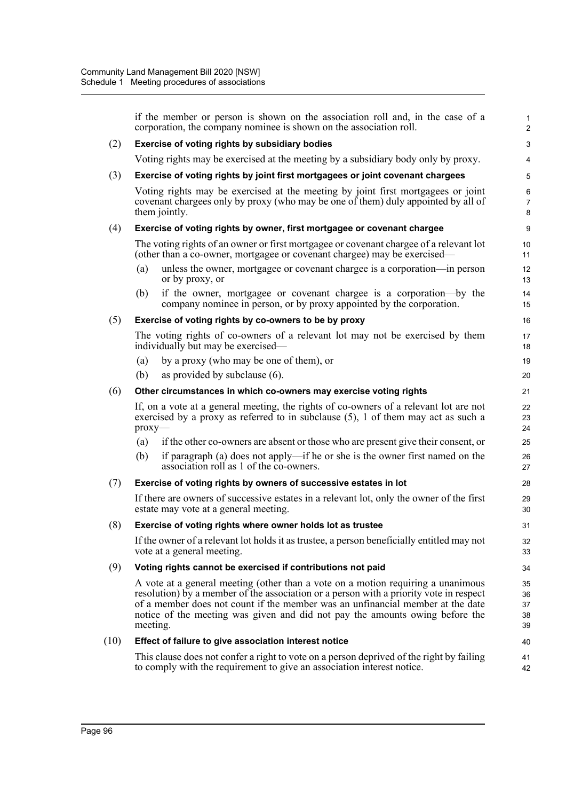|      | if the member or person is shown on the association roll and, in the case of a<br>corporation, the company nominee is shown on the association roll.                                                                                                                                                                                                     | 1<br>$\overline{c}$          |
|------|----------------------------------------------------------------------------------------------------------------------------------------------------------------------------------------------------------------------------------------------------------------------------------------------------------------------------------------------------------|------------------------------|
| (2)  | Exercise of voting rights by subsidiary bodies                                                                                                                                                                                                                                                                                                           | 3                            |
|      | Voting rights may be exercised at the meeting by a subsidiary body only by proxy.                                                                                                                                                                                                                                                                        | 4                            |
| (3)  | Exercise of voting rights by joint first mortgagees or joint covenant chargees                                                                                                                                                                                                                                                                           | 5                            |
|      | Voting rights may be exercised at the meeting by joint first mortgagees or joint<br>covenant chargees only by proxy (who may be one of them) duly appointed by all of<br>them jointly.                                                                                                                                                                   | $\,6$<br>$\overline{7}$<br>8 |
| (4)  | Exercise of voting rights by owner, first mortgagee or covenant chargee                                                                                                                                                                                                                                                                                  | 9                            |
|      | The voting rights of an owner or first mortgage or covenant chargee of a relevant lot<br>(other than a co-owner, mortgagee or covenant chargee) may be exercised—                                                                                                                                                                                        | 10<br>11                     |
|      | unless the owner, mortgagee or covenant chargee is a corporation—in person<br>(a)<br>or by proxy, or                                                                                                                                                                                                                                                     | 12<br>13                     |
|      | if the owner, mortgagee or covenant chargee is a corporation—by the<br>(b)<br>company nominee in person, or by proxy appointed by the corporation.                                                                                                                                                                                                       | 14<br>15                     |
| (5)  | Exercise of voting rights by co-owners to be by proxy                                                                                                                                                                                                                                                                                                    | 16                           |
|      | The voting rights of co-owners of a relevant lot may not be exercised by them<br>individually but may be exercised—                                                                                                                                                                                                                                      | 17<br>18                     |
|      | by a proxy (who may be one of them), or<br>(a)                                                                                                                                                                                                                                                                                                           | 19                           |
|      | as provided by subclause $(6)$ .<br>(b)                                                                                                                                                                                                                                                                                                                  | 20                           |
| (6)  | Other circumstances in which co-owners may exercise voting rights                                                                                                                                                                                                                                                                                        | 21                           |
|      | If, on a vote at a general meeting, the rights of co-owners of a relevant lot are not<br>exercised by a proxy as referred to in subclause $(5)$ , 1 of them may act as such a<br>$prox$ y—                                                                                                                                                               | 22<br>23<br>24               |
|      | if the other co-owners are absent or those who are present give their consent, or<br>(a)                                                                                                                                                                                                                                                                 | 25                           |
|      | if paragraph (a) does not apply—if he or she is the owner first named on the<br>(b)<br>association roll as 1 of the co-owners.                                                                                                                                                                                                                           | 26<br>27                     |
| (7)  | Exercise of voting rights by owners of successive estates in lot                                                                                                                                                                                                                                                                                         | 28                           |
|      | If there are owners of successive estates in a relevant lot, only the owner of the first<br>estate may vote at a general meeting.                                                                                                                                                                                                                        | 29<br>30                     |
| (8)  | Exercise of voting rights where owner holds lot as trustee                                                                                                                                                                                                                                                                                               | 31                           |
|      | If the owner of a relevant lot holds it as trustee, a person beneficially entitled may not<br>vote at a general meeting.                                                                                                                                                                                                                                 | 32<br>33                     |
| (9)  | Voting rights cannot be exercised if contributions not paid                                                                                                                                                                                                                                                                                              | 34                           |
|      | A vote at a general meeting (other than a vote on a motion requiring a unanimous<br>resolution) by a member of the association or a person with a priority vote in respect<br>of a member does not count if the member was an unfinancial member at the date<br>notice of the meeting was given and did not pay the amounts owing before the<br>meeting. | 35<br>36<br>37<br>38<br>39   |
| (10) | Effect of failure to give association interest notice                                                                                                                                                                                                                                                                                                    | 40                           |
|      | This clause does not confer a right to vote on a person deprived of the right by failing<br>to comply with the requirement to give an association interest notice.                                                                                                                                                                                       | 41<br>42                     |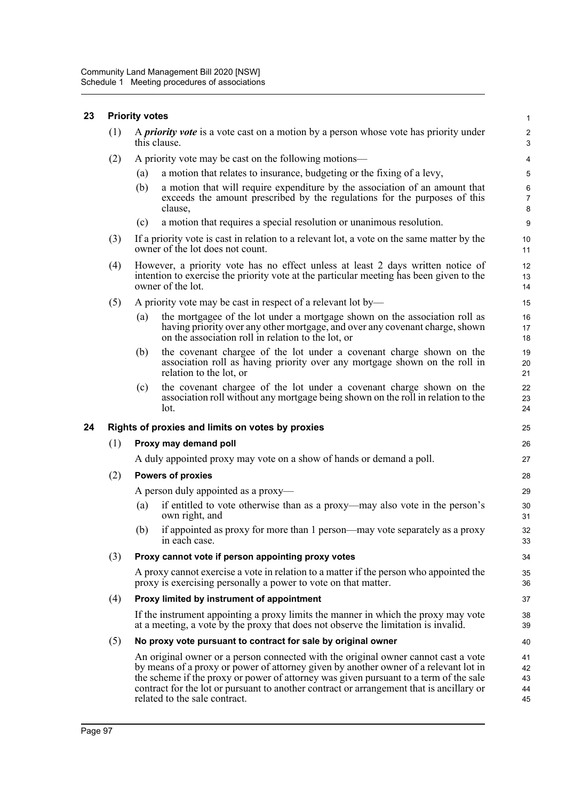# **23 Priority votes**

| $(1)$ A <i>priority vote</i> is a vote cast on a motion by a person whose vote has priority under<br>this clause. |  |
|-------------------------------------------------------------------------------------------------------------------|--|
|                                                                                                                   |  |

- (2) A priority vote may be cast on the following motions—
	- (a) a motion that relates to insurance, budgeting or the fixing of a levy,
	- (b) a motion that will require expenditure by the association of an amount that exceeds the amount prescribed by the regulations for the purposes of this clause,

- (c) a motion that requires a special resolution or unanimous resolution.
- (3) If a priority vote is cast in relation to a relevant lot, a vote on the same matter by the owner of the lot does not count.
- (4) However, a priority vote has no effect unless at least 2 days written notice of intention to exercise the priority vote at the particular meeting has been given to the owner of the lot.
- (5) A priority vote may be cast in respect of a relevant lot by—
	- (a) the mortgagee of the lot under a mortgage shown on the association roll as having priority over any other mortgage, and over any covenant charge, shown on the association roll in relation to the lot, or
	- (b) the covenant chargee of the lot under a covenant charge shown on the association roll as having priority over any mortgage shown on the roll in relation to the lot, or
	- (c) the covenant chargee of the lot under a covenant charge shown on the association roll without any mortgage being shown on the roll in relation to the lot.

#### **24 Rights of proxies and limits on votes by proxies**

#### (1) **Proxy may demand poll**

A duly appointed proxy may vote on a show of hands or demand a poll.

(2) **Powers of proxies**

A person duly appointed as a proxy—

- (a) if entitled to vote otherwise than as a proxy—may also vote in the person's own right, and
- (b) if appointed as proxy for more than 1 person—may vote separately as a proxy in each case.

#### (3) **Proxy cannot vote if person appointing proxy votes**

A proxy cannot exercise a vote in relation to a matter if the person who appointed the proxy is exercising personally a power to vote on that matter.

#### (4) **Proxy limited by instrument of appointment**

If the instrument appointing a proxy limits the manner in which the proxy may vote at a meeting, a vote by the proxy that does not observe the limitation is invalid.

#### (5) **No proxy vote pursuant to contract for sale by original owner**

An original owner or a person connected with the original owner cannot cast a vote by means of a proxy or power of attorney given by another owner of a relevant lot in the scheme if the proxy or power of attorney was given pursuant to a term of the sale contract for the lot or pursuant to another contract or arrangement that is ancillary or related to the sale contract. 41 42 43 44 45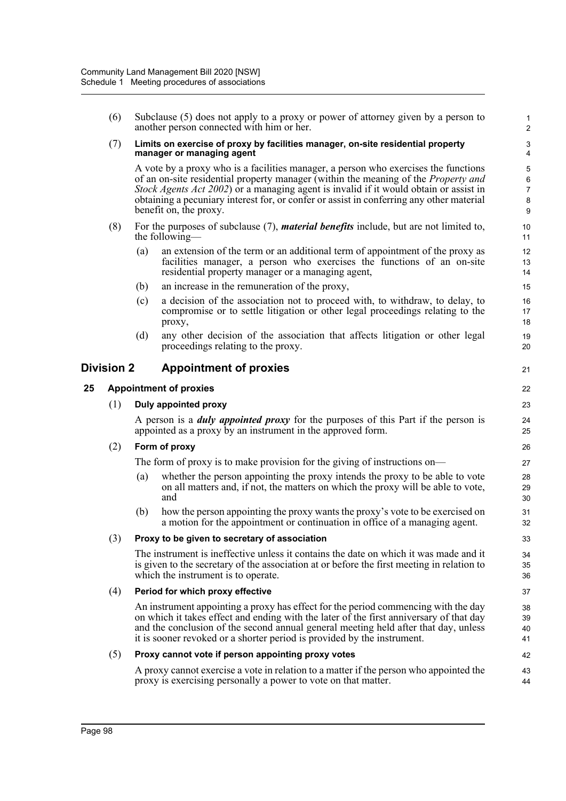| Limits on exercise of proxy by facilities manager, on-site residential property<br>A vote by a proxy who is a facilities manager, a person who exercises the functions<br>of an on-site residential property manager (within the meaning of the Property and<br>Stock Agents Act 2002) or a managing agent is invalid if it would obtain or assist in<br>obtaining a pecuniary interest for, or confer or assist in conferring any other material<br>For the purposes of subclause $(7)$ , <i>material benefits</i> include, but are not limited to,<br>an extension of the term or an additional term of appointment of the proxy as<br>facilities manager, a person who exercises the functions of an on-site<br>a decision of the association not to proceed with, to withdraw, to delay, to<br>compromise or to settle litigation or other legal proceedings relating to the<br>any other decision of the association that affects litigation or other legal | 3<br>4<br>5<br>6<br>7<br>8<br>9<br>10<br>11<br>12<br>13<br>14<br>15<br>16<br>17<br>18 |
|------------------------------------------------------------------------------------------------------------------------------------------------------------------------------------------------------------------------------------------------------------------------------------------------------------------------------------------------------------------------------------------------------------------------------------------------------------------------------------------------------------------------------------------------------------------------------------------------------------------------------------------------------------------------------------------------------------------------------------------------------------------------------------------------------------------------------------------------------------------------------------------------------------------------------------------------------------------|---------------------------------------------------------------------------------------|
|                                                                                                                                                                                                                                                                                                                                                                                                                                                                                                                                                                                                                                                                                                                                                                                                                                                                                                                                                                  |                                                                                       |
|                                                                                                                                                                                                                                                                                                                                                                                                                                                                                                                                                                                                                                                                                                                                                                                                                                                                                                                                                                  |                                                                                       |
|                                                                                                                                                                                                                                                                                                                                                                                                                                                                                                                                                                                                                                                                                                                                                                                                                                                                                                                                                                  |                                                                                       |
|                                                                                                                                                                                                                                                                                                                                                                                                                                                                                                                                                                                                                                                                                                                                                                                                                                                                                                                                                                  |                                                                                       |
|                                                                                                                                                                                                                                                                                                                                                                                                                                                                                                                                                                                                                                                                                                                                                                                                                                                                                                                                                                  |                                                                                       |
|                                                                                                                                                                                                                                                                                                                                                                                                                                                                                                                                                                                                                                                                                                                                                                                                                                                                                                                                                                  |                                                                                       |
|                                                                                                                                                                                                                                                                                                                                                                                                                                                                                                                                                                                                                                                                                                                                                                                                                                                                                                                                                                  | 19<br>20                                                                              |
| Division 2<br><b>Appointment of proxies</b>                                                                                                                                                                                                                                                                                                                                                                                                                                                                                                                                                                                                                                                                                                                                                                                                                                                                                                                      |                                                                                       |
|                                                                                                                                                                                                                                                                                                                                                                                                                                                                                                                                                                                                                                                                                                                                                                                                                                                                                                                                                                  | 22                                                                                    |
|                                                                                                                                                                                                                                                                                                                                                                                                                                                                                                                                                                                                                                                                                                                                                                                                                                                                                                                                                                  | 23                                                                                    |
| A person is a <i>duly appointed proxy</i> for the purposes of this Part if the person is<br>appointed as a proxy by an instrument in the approved form.                                                                                                                                                                                                                                                                                                                                                                                                                                                                                                                                                                                                                                                                                                                                                                                                          | 24<br>25                                                                              |
|                                                                                                                                                                                                                                                                                                                                                                                                                                                                                                                                                                                                                                                                                                                                                                                                                                                                                                                                                                  | 26                                                                                    |
| The form of proxy is to make provision for the giving of instructions on—                                                                                                                                                                                                                                                                                                                                                                                                                                                                                                                                                                                                                                                                                                                                                                                                                                                                                        | 27                                                                                    |
| whether the person appointing the proxy intends the proxy to be able to vote<br>on all matters and, if not, the matters on which the proxy will be able to vote,                                                                                                                                                                                                                                                                                                                                                                                                                                                                                                                                                                                                                                                                                                                                                                                                 | 28<br>29<br>30                                                                        |
| how the person appointing the proxy wants the proxy's vote to be exercised on<br>a motion for the appointment or continuation in office of a managing agent.                                                                                                                                                                                                                                                                                                                                                                                                                                                                                                                                                                                                                                                                                                                                                                                                     | 31<br>32                                                                              |
|                                                                                                                                                                                                                                                                                                                                                                                                                                                                                                                                                                                                                                                                                                                                                                                                                                                                                                                                                                  | 33                                                                                    |
| The instrument is ineffective unless it contains the date on which it was made and it<br>is given to the secretary of the association at or before the first meeting in relation to                                                                                                                                                                                                                                                                                                                                                                                                                                                                                                                                                                                                                                                                                                                                                                              | 34<br>35<br>36                                                                        |
|                                                                                                                                                                                                                                                                                                                                                                                                                                                                                                                                                                                                                                                                                                                                                                                                                                                                                                                                                                  |                                                                                       |
|                                                                                                                                                                                                                                                                                                                                                                                                                                                                                                                                                                                                                                                                                                                                                                                                                                                                                                                                                                  | 37                                                                                    |
| An instrument appointing a proxy has effect for the period commencing with the day<br>on which it takes effect and ending with the later of the first anniversary of that day<br>and the conclusion of the second annual general meeting held after that day, unless<br>it is sooner revoked or a shorter period is provided by the instrument.                                                                                                                                                                                                                                                                                                                                                                                                                                                                                                                                                                                                                  | 38<br>39<br>40<br>41                                                                  |
|                                                                                                                                                                                                                                                                                                                                                                                                                                                                                                                                                                                                                                                                                                                                                                                                                                                                                                                                                                  | 42                                                                                    |
|                                                                                                                                                                                                                                                                                                                                                                                                                                                                                                                                                                                                                                                                                                                                                                                                                                                                                                                                                                  |                                                                                       |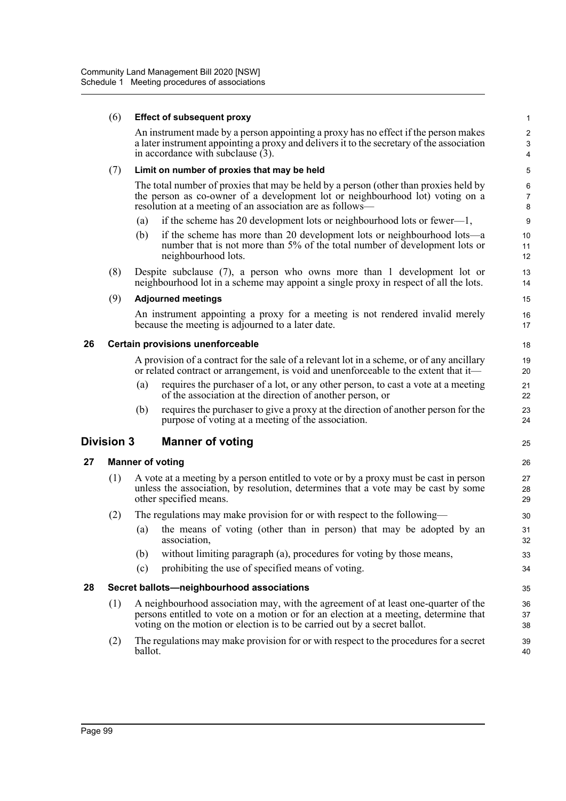|    | (6)               | <b>Effect of subsequent proxy</b>                                                                                                                                                                                                                       | $\mathbf{1}$               |
|----|-------------------|---------------------------------------------------------------------------------------------------------------------------------------------------------------------------------------------------------------------------------------------------------|----------------------------|
|    |                   | An instrument made by a person appointing a proxy has no effect if the person makes<br>a later instrument appointing a proxy and delivers it to the secretary of the association<br>in accordance with subclause (3).                                   | $\boldsymbol{2}$<br>3<br>4 |
|    | (7)               | Limit on number of proxies that may be held                                                                                                                                                                                                             | 5                          |
|    |                   | The total number of proxies that may be held by a person (other than proxies held by<br>the person as co-owner of a development lot or neighbourhood lot) voting on a<br>resolution at a meeting of an association are as follows—                      | 6<br>$\overline{7}$<br>8   |
|    |                   | if the scheme has 20 development lots or neighbourhood lots or fewer—1,<br>(a)                                                                                                                                                                          | 9                          |
|    |                   | if the scheme has more than 20 development lots or neighbourhood lots—a<br>(b)<br>number that is not more than 5% of the total number of development lots or<br>neighbourhood lots.                                                                     | 10<br>11<br>12             |
|    | (8)               | Despite subclause $(7)$ , a person who owns more than 1 development lot or<br>neighbourhood lot in a scheme may appoint a single proxy in respect of all the lots.                                                                                      | 13<br>14                   |
|    | (9)               | <b>Adjourned meetings</b>                                                                                                                                                                                                                               | 15                         |
|    |                   | An instrument appointing a proxy for a meeting is not rendered invalid merely<br>because the meeting is adjourned to a later date.                                                                                                                      | 16<br>17                   |
| 26 |                   | <b>Certain provisions unenforceable</b>                                                                                                                                                                                                                 | 18                         |
|    |                   | A provision of a contract for the sale of a relevant lot in a scheme, or of any ancillary<br>or related contract or arrangement, is void and unenforceable to the extent that it—                                                                       | 19<br>20                   |
|    |                   | requires the purchaser of a lot, or any other person, to cast a vote at a meeting<br>(a)<br>of the association at the direction of another person, or                                                                                                   | 21<br>22                   |
|    |                   | requires the purchaser to give a proxy at the direction of another person for the<br>(b)<br>purpose of voting at a meeting of the association.                                                                                                          | 23<br>24                   |
|    | <b>Division 3</b> | <b>Manner of voting</b>                                                                                                                                                                                                                                 | 25                         |
| 27 |                   | <b>Manner of voting</b>                                                                                                                                                                                                                                 | 26                         |
|    | (1)               | A vote at a meeting by a person entitled to vote or by a proxy must be cast in person<br>unless the association, by resolution, determines that a vote may be cast by some<br>other specified means.                                                    | 27<br>28<br>29             |
|    | (2)               | The regulations may make provision for or with respect to the following-                                                                                                                                                                                | 30                         |
|    |                   | the means of voting (other than in person) that may be adopted by an<br>(a)<br>association,                                                                                                                                                             | 31<br>32                   |
|    |                   | without limiting paragraph (a), procedures for voting by those means,<br>(b)                                                                                                                                                                            | 33                         |
|    |                   | prohibiting the use of specified means of voting.<br>(c)                                                                                                                                                                                                | 34                         |
| 28 |                   | Secret ballots-neighbourhood associations                                                                                                                                                                                                               | 35                         |
|    | (1)               | A neighbourhood association may, with the agreement of at least one-quarter of the<br>persons entitled to vote on a motion or for an election at a meeting, determine that<br>voting on the motion or election is to be carried out by a secret ballot. | 36<br>37<br>38             |
|    | (2)               | The regulations may make provision for or with respect to the procedures for a secret<br>ballot.                                                                                                                                                        | 39<br>40                   |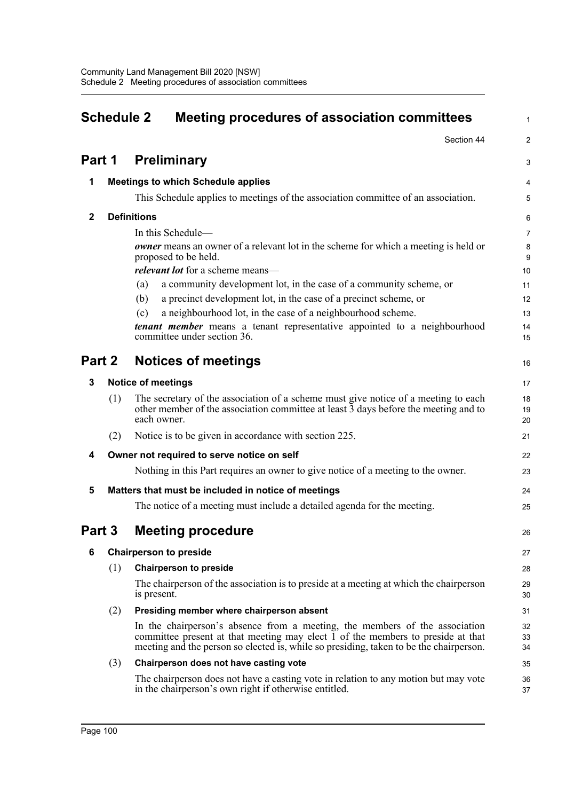| <b>Schedule 2</b> |     | <b>Meeting procedures of association committees</b>                                                                                                                                                                                                      |                |
|-------------------|-----|----------------------------------------------------------------------------------------------------------------------------------------------------------------------------------------------------------------------------------------------------------|----------------|
|                   |     | Section 44                                                                                                                                                                                                                                               | $\overline{a}$ |
| Part 1            |     | <b>Preliminary</b>                                                                                                                                                                                                                                       | 3              |
| 1                 |     | <b>Meetings to which Schedule applies</b>                                                                                                                                                                                                                | 4              |
|                   |     | This Schedule applies to meetings of the association committee of an association.                                                                                                                                                                        | 5              |
| $\mathbf{2}$      |     | <b>Definitions</b>                                                                                                                                                                                                                                       | 6              |
|                   |     | In this Schedule-                                                                                                                                                                                                                                        | 7              |
|                   |     | owner means an owner of a relevant lot in the scheme for which a meeting is held or<br>proposed to be held.                                                                                                                                              | 8<br>9         |
|                   |     | relevant lot for a scheme means-                                                                                                                                                                                                                         | 10             |
|                   |     | a community development lot, in the case of a community scheme, or<br>(a)                                                                                                                                                                                | 11             |
|                   |     | a precinct development lot, in the case of a precinct scheme, or<br>(b)                                                                                                                                                                                  | 12             |
|                   |     | a neighbourhood lot, in the case of a neighbourhood scheme.<br>(c)                                                                                                                                                                                       | 13             |
|                   |     | tenant member means a tenant representative appointed to a neighbourhood<br>committee under section 36.                                                                                                                                                  | 14<br>15       |
| Part 2            |     | <b>Notices of meetings</b>                                                                                                                                                                                                                               | 16             |
| 3                 |     | <b>Notice of meetings</b>                                                                                                                                                                                                                                | 17             |
|                   | (1) | The secretary of the association of a scheme must give notice of a meeting to each<br>other member of the association committee at least 3 days before the meeting and to<br>each owner.                                                                 | 18<br>19<br>20 |
|                   | (2) | Notice is to be given in accordance with section 225.                                                                                                                                                                                                    | 21             |
| 4                 |     | Owner not required to serve notice on self                                                                                                                                                                                                               | 22             |
|                   |     | Nothing in this Part requires an owner to give notice of a meeting to the owner.                                                                                                                                                                         | 23             |
| 5                 |     | Matters that must be included in notice of meetings                                                                                                                                                                                                      | 24             |
|                   |     | The notice of a meeting must include a detailed agenda for the meeting.                                                                                                                                                                                  | 25             |
| Part 3            |     | <b>Meeting procedure</b>                                                                                                                                                                                                                                 | 26             |
| 6                 |     | <b>Chairperson to preside</b>                                                                                                                                                                                                                            | 27             |
|                   | (1) | <b>Chairperson to preside</b>                                                                                                                                                                                                                            | 28             |
|                   |     | The chairperson of the association is to preside at a meeting at which the chairperson<br>is present.                                                                                                                                                    | 29<br>30       |
|                   | (2) | Presiding member where chairperson absent                                                                                                                                                                                                                | 31             |
|                   |     | In the chairperson's absence from a meeting, the members of the association<br>committee present at that meeting may elect 1 of the members to preside at that<br>meeting and the person so elected is, while so presiding, taken to be the chairperson. | 32<br>33<br>34 |
|                   | (3) | Chairperson does not have casting vote                                                                                                                                                                                                                   | 35             |
|                   |     | The chairperson does not have a casting vote in relation to any motion but may vote<br>in the chairperson's own right if otherwise entitled.                                                                                                             | 36<br>37       |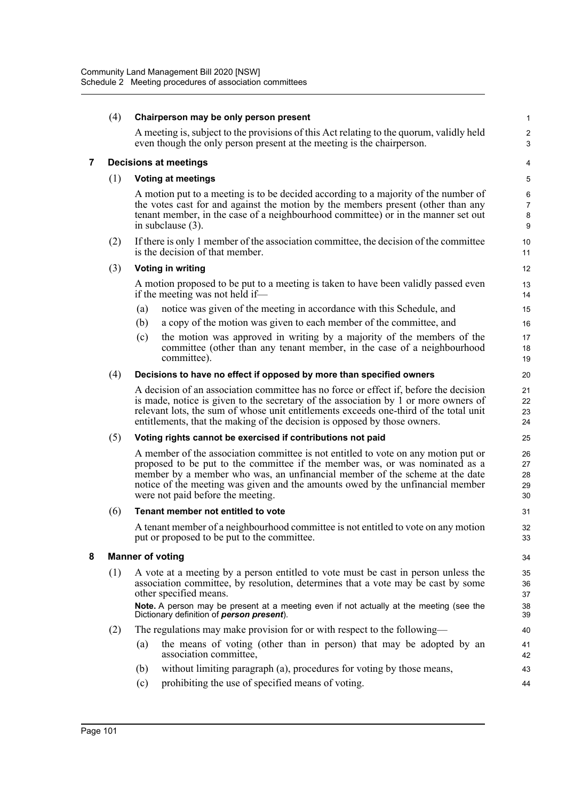|   | (4) |     | Chairperson may be only person present                                                                                                                                                                                                                                                                                                                                   | $\mathbf{1}$                        |
|---|-----|-----|--------------------------------------------------------------------------------------------------------------------------------------------------------------------------------------------------------------------------------------------------------------------------------------------------------------------------------------------------------------------------|-------------------------------------|
|   |     |     | A meeting is, subject to the provisions of this Act relating to the quorum, validly held<br>even though the only person present at the meeting is the chairperson.                                                                                                                                                                                                       | $\sqrt{2}$<br>3                     |
| 7 |     |     | <b>Decisions at meetings</b>                                                                                                                                                                                                                                                                                                                                             | 4                                   |
|   | (1) |     | <b>Voting at meetings</b>                                                                                                                                                                                                                                                                                                                                                | 5                                   |
|   |     |     | A motion put to a meeting is to be decided according to a majority of the number of<br>the votes cast for and against the motion by the members present (other than any<br>tenant member, in the case of a neighbourhood committee) or in the manner set out<br>in subclause (3).                                                                                        | 6<br>$\overline{7}$<br>$\bf 8$<br>9 |
|   | (2) |     | If there is only 1 member of the association committee, the decision of the committee<br>is the decision of that member.                                                                                                                                                                                                                                                 | 10<br>11                            |
|   | (3) |     | <b>Voting in writing</b>                                                                                                                                                                                                                                                                                                                                                 | 12                                  |
|   |     |     | A motion proposed to be put to a meeting is taken to have been validly passed even<br>if the meeting was not held if—                                                                                                                                                                                                                                                    | 13<br>14                            |
|   |     | (a) | notice was given of the meeting in accordance with this Schedule, and                                                                                                                                                                                                                                                                                                    | 15                                  |
|   |     | (b) | a copy of the motion was given to each member of the committee, and                                                                                                                                                                                                                                                                                                      | 16                                  |
|   |     | (c) | the motion was approved in writing by a majority of the members of the<br>committee (other than any tenant member, in the case of a neighbourhood<br>committee).                                                                                                                                                                                                         | 17<br>18<br>19                      |
|   | (4) |     | Decisions to have no effect if opposed by more than specified owners                                                                                                                                                                                                                                                                                                     | 20                                  |
|   |     |     | A decision of an association committee has no force or effect if, before the decision<br>is made, notice is given to the secretary of the association by 1 or more owners of<br>relevant lots, the sum of whose unit entitlements exceeds one-third of the total unit<br>entitlements, that the making of the decision is opposed by those owners.                       | 21<br>22<br>23<br>24                |
|   | (5) |     | Voting rights cannot be exercised if contributions not paid                                                                                                                                                                                                                                                                                                              | 25                                  |
|   |     |     | A member of the association committee is not entitled to vote on any motion put or<br>proposed to be put to the committee if the member was, or was nominated as a<br>member by a member who was, an unfinancial member of the scheme at the date<br>notice of the meeting was given and the amounts owed by the unfinancial member<br>were not paid before the meeting. | 26<br>27<br>28<br>29<br>30          |
|   | (6) |     | Tenant member not entitled to vote                                                                                                                                                                                                                                                                                                                                       | 31                                  |
|   |     |     | A tenant member of a neighbourhood committee is not entitled to vote on any motion<br>put or proposed to be put to the committee.                                                                                                                                                                                                                                        | 32<br>33                            |
| 8 |     |     | <b>Manner of voting</b>                                                                                                                                                                                                                                                                                                                                                  | 34                                  |
|   | (1) |     | A vote at a meeting by a person entitled to vote must be cast in person unless the<br>association committee, by resolution, determines that a vote may be cast by some<br>other specified means.                                                                                                                                                                         | 35<br>36<br>37                      |
|   |     |     | Note. A person may be present at a meeting even if not actually at the meeting (see the<br>Dictionary definition of person present).                                                                                                                                                                                                                                     | 38<br>39                            |
|   | (2) |     | The regulations may make provision for or with respect to the following—                                                                                                                                                                                                                                                                                                 | 40                                  |
|   |     | (a) | the means of voting (other than in person) that may be adopted by an<br>association committee,                                                                                                                                                                                                                                                                           | 41<br>42                            |
|   |     | (b) | without limiting paragraph (a), procedures for voting by those means,                                                                                                                                                                                                                                                                                                    | 43                                  |
|   |     | (c) | prohibiting the use of specified means of voting.                                                                                                                                                                                                                                                                                                                        | 44                                  |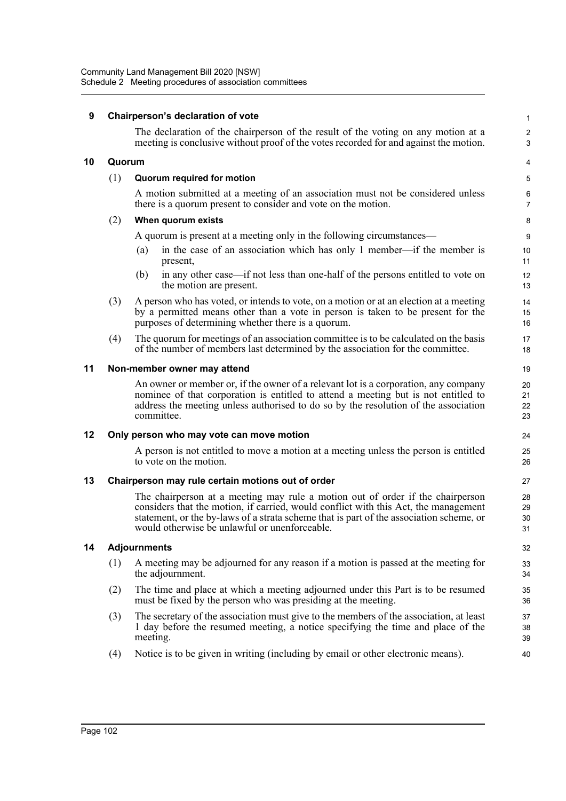### **9 Chairperson's declaration of vote**

The declaration of the chairperson of the result of the voting on any motion at a meeting is conclusive without proof of the votes recorded for and against the motion. 1  $\overline{2}$ 3

#### **10 Quorum**

#### (1) **Quorum required for motion**

A motion submitted at a meeting of an association must not be considered unless there is a quorum present to consider and vote on the motion.

#### (2) **When quorum exists**

A quorum is present at a meeting only in the following circumstances—

- (a) in the case of an association which has only 1 member—if the member is present,
- (b) in any other case—if not less than one-half of the persons entitled to vote on the motion are present.
- (3) A person who has voted, or intends to vote, on a motion or at an election at a meeting by a permitted means other than a vote in person is taken to be present for the purposes of determining whether there is a quorum.
- (4) The quorum for meetings of an association committee is to be calculated on the basis of the number of members last determined by the association for the committee.

#### **11 Non-member owner may attend**

An owner or member or, if the owner of a relevant lot is a corporation, any company nominee of that corporation is entitled to attend a meeting but is not entitled to address the meeting unless authorised to do so by the resolution of the association committee.

#### **12 Only person who may vote can move motion**

A person is not entitled to move a motion at a meeting unless the person is entitled to vote on the motion.

#### **13 Chairperson may rule certain motions out of order**

The chairperson at a meeting may rule a motion out of order if the chairperson considers that the motion, if carried, would conflict with this Act, the management statement, or the by-laws of a strata scheme that is part of the association scheme, or would otherwise be unlawful or unenforceable.

#### **14 Adjournments**

- (1) A meeting may be adjourned for any reason if a motion is passed at the meeting for the adjournment.
- (2) The time and place at which a meeting adjourned under this Part is to be resumed must be fixed by the person who was presiding at the meeting.
- (3) The secretary of the association must give to the members of the association, at least 1 day before the resumed meeting, a notice specifying the time and place of the meeting.
- (4) Notice is to be given in writing (including by email or other electronic means).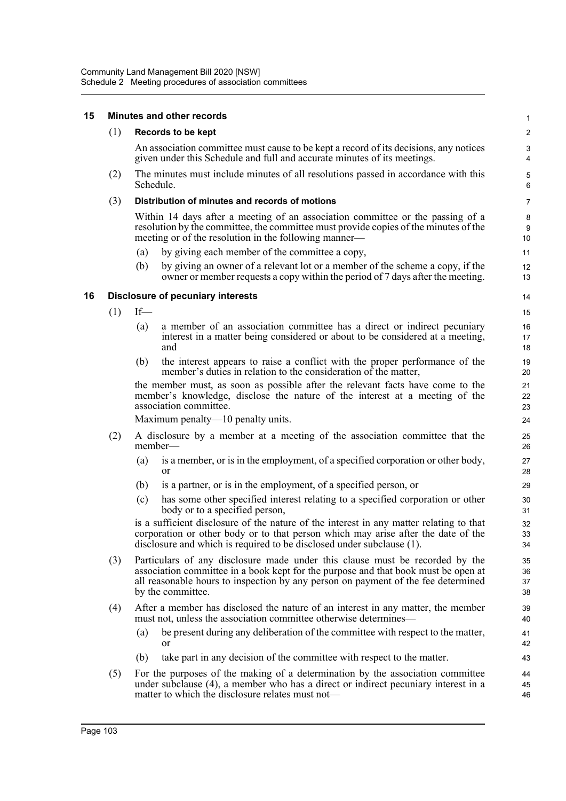#### **15 Minutes and other records** (1) **Records to be kept** An association committee must cause to be kept a record of its decisions, any notices given under this Schedule and full and accurate minutes of its meetings. (2) The minutes must include minutes of all resolutions passed in accordance with this Schedule. (3) **Distribution of minutes and records of motions** Within 14 days after a meeting of an association committee or the passing of a resolution by the committee, the committee must provide copies of the minutes of the meeting or of the resolution in the following manner— (a) by giving each member of the committee a copy, (b) by giving an owner of a relevant lot or a member of the scheme a copy, if the owner or member requests a copy within the period of 7 days after the meeting. **16 Disclosure of pecuniary interests**  $(1)$  If— (a) a member of an association committee has a direct or indirect pecuniary interest in a matter being considered or about to be considered at a meeting, and (b) the interest appears to raise a conflict with the proper performance of the member's duties in relation to the consideration of the matter, the member must, as soon as possible after the relevant facts have come to the member's knowledge, disclose the nature of the interest at a meeting of the association committee. Maximum penalty—10 penalty units. (2) A disclosure by a member at a meeting of the association committee that the member-(a) is a member, or is in the employment, of a specified corporation or other body, or (b) is a partner, or is in the employment, of a specified person, or (c) has some other specified interest relating to a specified corporation or other body or to a specified person, is a sufficient disclosure of the nature of the interest in any matter relating to that corporation or other body or to that person which may arise after the date of the disclosure and which is required to be disclosed under subclause (1). (3) Particulars of any disclosure made under this clause must be recorded by the association committee in a book kept for the purpose and that book must be open at all reasonable hours to inspection by any person on payment of the fee determined by the committee. (4) After a member has disclosed the nature of an interest in any matter, the member must not, unless the association committee otherwise determines— (a) be present during any deliberation of the committee with respect to the matter, or (b) take part in any decision of the committee with respect to the matter. (5) For the purposes of the making of a determination by the association committee under subclause (4), a member who has a direct or indirect pecuniary interest in a matter to which the disclosure relates must not— 1  $\mathfrak{p}$ 3 4 5 6 7 8 9 10 11 12 13 14 15 16 17 18 19  $20$ 21 22 23 24 25 26 27 28 29 30 31 32 33 34 35 36 37 38 39 40 41 42 43 44 45 46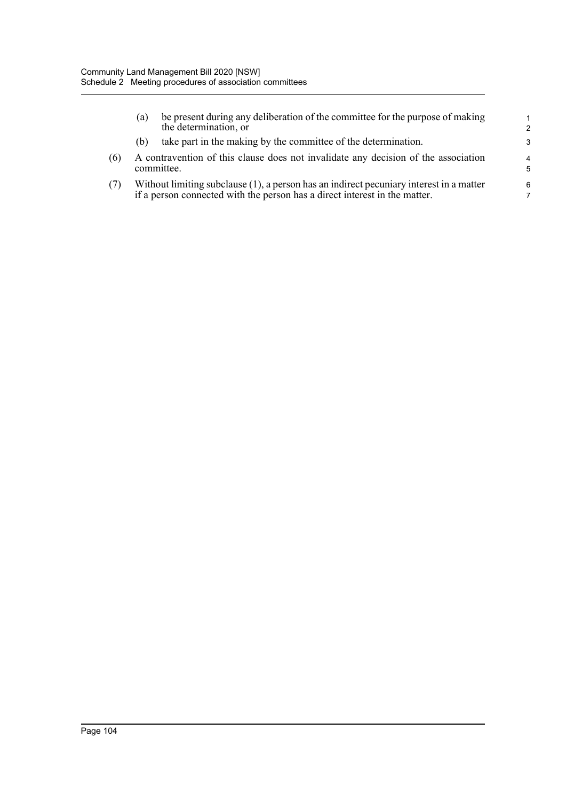|     | (a) | be present during any deliberation of the committee for the purpose of making<br>the determination, or                                                                | $\mathbf{1}$<br>$\mathcal{P}$ |
|-----|-----|-----------------------------------------------------------------------------------------------------------------------------------------------------------------------|-------------------------------|
|     | (b) | take part in the making by the committee of the determination.                                                                                                        | 3                             |
| (6) |     | A contravention of this clause does not invalidate any decision of the association<br>committee.                                                                      | $\overline{4}$<br>5           |
| (7) |     | Without limiting subclause (1), a person has an indirect pecuniary interest in a matter<br>if a person connected with the person has a direct interest in the matter. | 6                             |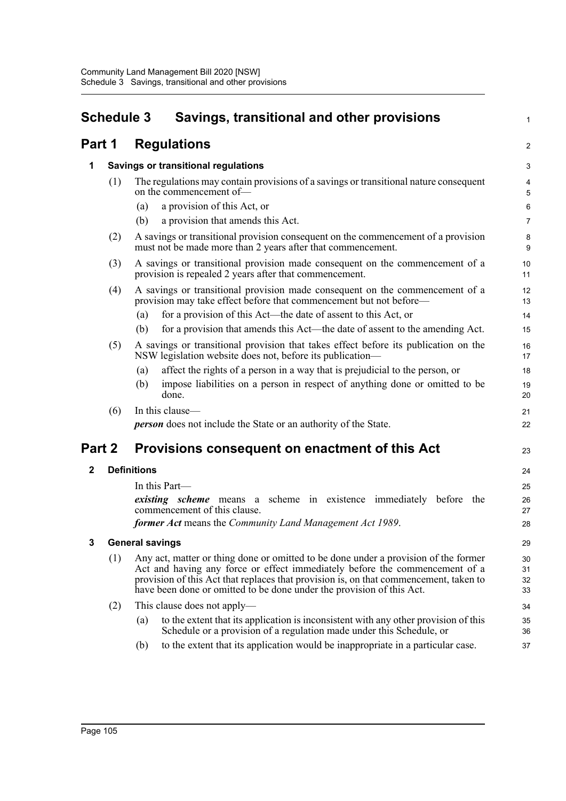|              | <b>Schedule 3</b><br>Savings, transitional and other provisions |                        | 1                                                                                                                                                                                                                                                                                                                                    |                      |
|--------------|-----------------------------------------------------------------|------------------------|--------------------------------------------------------------------------------------------------------------------------------------------------------------------------------------------------------------------------------------------------------------------------------------------------------------------------------------|----------------------|
| Part 1       |                                                                 |                        | <b>Regulations</b>                                                                                                                                                                                                                                                                                                                   | $\overline{a}$       |
| 1            |                                                                 |                        | Savings or transitional regulations                                                                                                                                                                                                                                                                                                  | 3                    |
|              | (1)                                                             |                        | The regulations may contain provisions of a savings or transitional nature consequent<br>on the commencement of-                                                                                                                                                                                                                     | 4<br>5               |
|              |                                                                 | (a)                    | a provision of this Act, or                                                                                                                                                                                                                                                                                                          | 6                    |
|              |                                                                 | (b)                    | a provision that amends this Act.                                                                                                                                                                                                                                                                                                    | 7                    |
|              | (2)                                                             |                        | A savings or transitional provision consequent on the commencement of a provision<br>must not be made more than 2 years after that commencement.                                                                                                                                                                                     | 8<br>9               |
|              | (3)                                                             |                        | A savings or transitional provision made consequent on the commencement of a<br>provision is repealed 2 years after that commencement.                                                                                                                                                                                               | 10<br>11             |
|              | (4)                                                             |                        | A savings or transitional provision made consequent on the commencement of a<br>provision may take effect before that commencement but not before—                                                                                                                                                                                   | 12<br>13             |
|              |                                                                 | (a)                    | for a provision of this Act—the date of assent to this Act, or                                                                                                                                                                                                                                                                       | 14                   |
|              |                                                                 | (b)                    | for a provision that amends this Act—the date of assent to the amending Act.                                                                                                                                                                                                                                                         | 15                   |
|              | (5)                                                             |                        | A savings or transitional provision that takes effect before its publication on the<br>NSW legislation website does not, before its publication-                                                                                                                                                                                     | 16<br>17             |
|              |                                                                 | (a)                    | affect the rights of a person in a way that is prejudicial to the person, or                                                                                                                                                                                                                                                         | 18                   |
|              |                                                                 | (b)                    | impose liabilities on a person in respect of anything done or omitted to be<br>done.                                                                                                                                                                                                                                                 | 19<br>20             |
|              | (6)                                                             |                        | In this clause-                                                                                                                                                                                                                                                                                                                      | 21                   |
|              |                                                                 |                        | <b>person</b> does not include the State or an authority of the State.                                                                                                                                                                                                                                                               | 22                   |
| Part 2       |                                                                 |                        | Provisions consequent on enactment of this Act                                                                                                                                                                                                                                                                                       | 23                   |
| $\mathbf{2}$ |                                                                 | <b>Definitions</b>     |                                                                                                                                                                                                                                                                                                                                      | 24                   |
|              |                                                                 |                        | In this Part—                                                                                                                                                                                                                                                                                                                        | 25                   |
|              |                                                                 |                        | existing scheme means a scheme in existence immediately before the<br>commencement of this clause.                                                                                                                                                                                                                                   | 26<br>27             |
|              |                                                                 |                        | former Act means the Community Land Management Act 1989.                                                                                                                                                                                                                                                                             | 28                   |
| 3            |                                                                 | <b>General savings</b> |                                                                                                                                                                                                                                                                                                                                      | 29                   |
|              | (1)                                                             |                        | Any act, matter or thing done or omitted to be done under a provision of the former<br>Act and having any force or effect immediately before the commencement of a<br>provision of this Act that replaces that provision is, on that commencement, taken to<br>have been done or omitted to be done under the provision of this Act. | 30<br>31<br>32<br>33 |
|              | (2)                                                             |                        | This clause does not apply—                                                                                                                                                                                                                                                                                                          | 34                   |
|              |                                                                 | (a)                    | to the extent that its application is inconsistent with any other provision of this<br>Schedule or a provision of a regulation made under this Schedule, or                                                                                                                                                                          | 35<br>36             |
|              |                                                                 | (b)                    | to the extent that its application would be inappropriate in a particular case.                                                                                                                                                                                                                                                      | 37                   |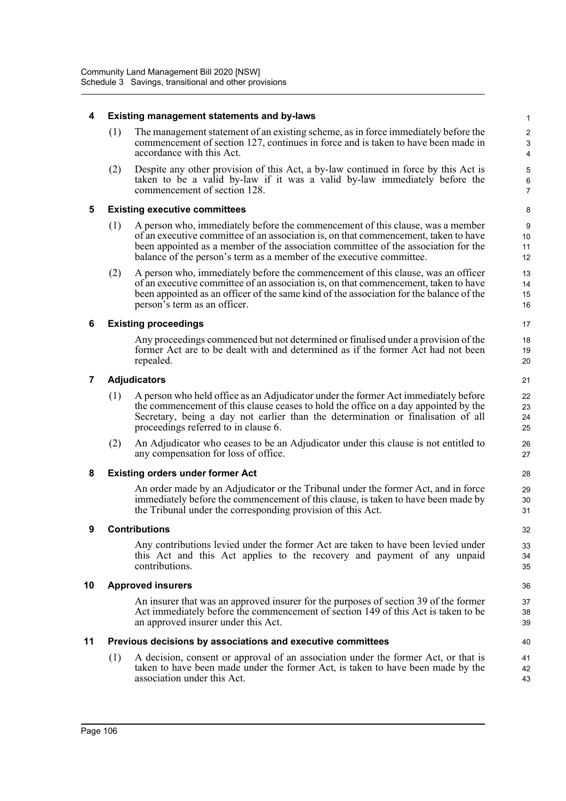### **4 Existing management statements and by-laws**

(1) The management statement of an existing scheme, as in force immediately before the commencement of section 127, continues in force and is taken to have been made in accordance with this Act.

(2) Despite any other provision of this Act, a by-law continued in force by this Act is taken to be a valid by-law if it was a valid by-law immediately before the commencement of section 128.

### **5 Existing executive committees**

- (1) A person who, immediately before the commencement of this clause, was a member of an executive committee of an association is, on that commencement, taken to have been appointed as a member of the association committee of the association for the balance of the person's term as a member of the executive committee.
- (2) A person who, immediately before the commencement of this clause, was an officer of an executive committee of an association is, on that commencement, taken to have been appointed as an officer of the same kind of the association for the balance of the person's term as an officer.

### **6 Existing proceedings**

Any proceedings commenced but not determined or finalised under a provision of the former Act are to be dealt with and determined as if the former Act had not been repealed.

#### **7 Adjudicators**

- (1) A person who held office as an Adjudicator under the former Act immediately before the commencement of this clause ceases to hold the office on a day appointed by the Secretary, being a day not earlier than the determination or finalisation of all proceedings referred to in clause 6.
- (2) An Adjudicator who ceases to be an Adjudicator under this clause is not entitled to any compensation for loss of office.

#### **8 Existing orders under former Act**

An order made by an Adjudicator or the Tribunal under the former Act, and in force immediately before the commencement of this clause, is taken to have been made by the Tribunal under the corresponding provision of this Act.

#### **9 Contributions**

Any contributions levied under the former Act are taken to have been levied under this Act and this Act applies to the recovery and payment of any unpaid contributions.

#### **10 Approved insurers**

An insurer that was an approved insurer for the purposes of section 39 of the former Act immediately before the commencement of section 149 of this Act is taken to be an approved insurer under this Act.

# **11 Previous decisions by associations and executive committees**

(1) A decision, consent or approval of an association under the former Act, or that is taken to have been made under the former Act, is taken to have been made by the association under this Act.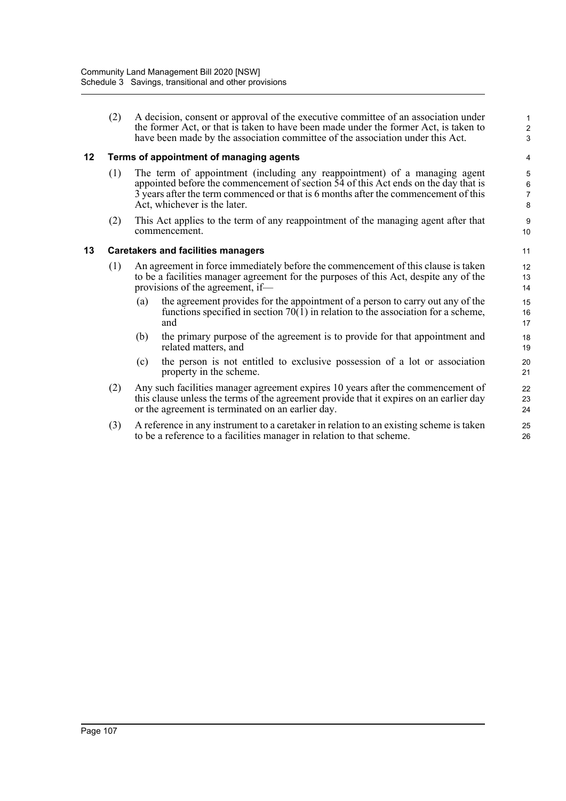(2) A decision, consent or approval of the executive committee of an association under the former Act, or that is taken to have been made under the former Act, is taken to have been made by the association committee of the association under this Act.

# **12 Terms of appointment of managing agents**

- (1) The term of appointment (including any reappointment) of a managing agent appointed before the commencement of section 54 of this Act ends on the day that is 3 years after the term commenced or that is 6 months after the commencement of this Act, whichever is the later.
- (2) This Act applies to the term of any reappointment of the managing agent after that commencement.

### **13 Caretakers and facilities managers**

- (1) An agreement in force immediately before the commencement of this clause is taken to be a facilities manager agreement for the purposes of this Act, despite any of the provisions of the agreement, if—
	- (a) the agreement provides for the appointment of a person to carry out any of the functions specified in section  $70(1)$  in relation to the association for a scheme, and
	- (b) the primary purpose of the agreement is to provide for that appointment and related matters, and
	- (c) the person is not entitled to exclusive possession of a lot or association property in the scheme.
- (2) Any such facilities manager agreement expires 10 years after the commencement of this clause unless the terms of the agreement provide that it expires on an earlier day or the agreement is terminated on an earlier day.
- (3) A reference in any instrument to a caretaker in relation to an existing scheme is taken to be a reference to a facilities manager in relation to that scheme.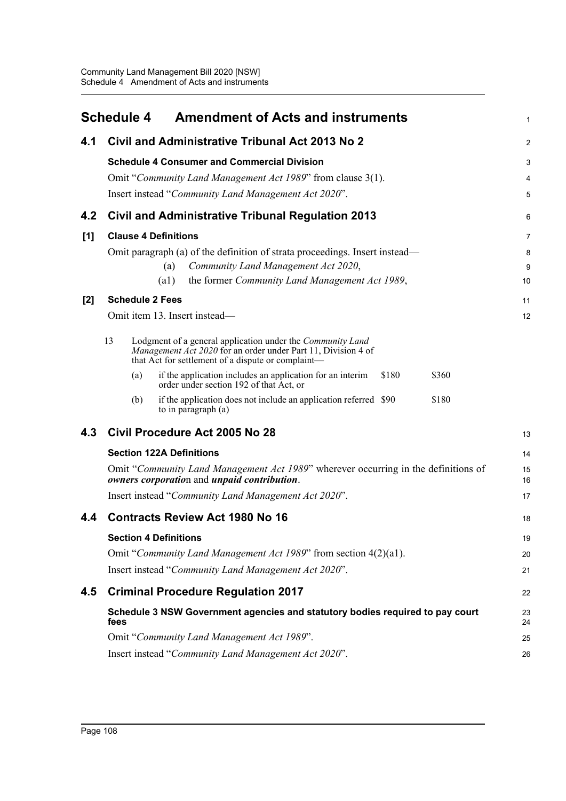|     | <b>Schedule 4</b><br><b>Amendment of Acts and instruments</b>                                                                                                                           | 1        |
|-----|-----------------------------------------------------------------------------------------------------------------------------------------------------------------------------------------|----------|
| 4.1 | Civil and Administrative Tribunal Act 2013 No 2                                                                                                                                         | 2        |
|     | <b>Schedule 4 Consumer and Commercial Division</b>                                                                                                                                      | 3        |
|     | Omit "Community Land Management Act 1989" from clause 3(1).                                                                                                                             | 4        |
|     | Insert instead "Community Land Management Act 2020".                                                                                                                                    | 5        |
| 4.2 | <b>Civil and Administrative Tribunal Regulation 2013</b>                                                                                                                                | 6        |
| [1] | <b>Clause 4 Definitions</b>                                                                                                                                                             | 7        |
|     | Omit paragraph (a) of the definition of strata proceedings. Insert instead—                                                                                                             | 8        |
|     | Community Land Management Act 2020,<br>(a)                                                                                                                                              | 9        |
|     | (a1)<br>the former Community Land Management Act 1989,                                                                                                                                  | 10       |
| [2] | <b>Schedule 2 Fees</b>                                                                                                                                                                  | 11       |
|     | Omit item 13. Insert instead-                                                                                                                                                           | 12       |
|     | 13<br>Lodgment of a general application under the Community Land<br>Management Act 2020 for an order under Part 11, Division 4 of<br>that Act for settlement of a dispute or complaint- |          |
|     | if the application includes an application for an interim<br>\$180<br>\$360<br>(a)<br>order under section 192 of that Act, or                                                           |          |
|     | (b)<br>if the application does not include an application referred \$90<br>\$180<br>to in paragraph (a)                                                                                 |          |
| 4.3 | Civil Procedure Act 2005 No 28                                                                                                                                                          | 13       |
|     | <b>Section 122A Definitions</b>                                                                                                                                                         | 14       |
|     | Omit "Community Land Management Act 1989" wherever occurring in the definitions of<br>owners corporation and unpaid contribution.                                                       | 15<br>16 |
|     | Insert instead "Community Land Management Act 2020".                                                                                                                                    | 17       |
| 4.4 | <b>Contracts Review Act 1980 No 16</b>                                                                                                                                                  | 18       |
|     | <b>Section 4 Definitions</b>                                                                                                                                                            | 19       |
|     | Omit "Community Land Management Act 1989" from section 4(2)(a1).                                                                                                                        | 20       |
|     | Insert instead "Community Land Management Act 2020".                                                                                                                                    | 21       |
| 4.5 | <b>Criminal Procedure Regulation 2017</b>                                                                                                                                               | 22       |
|     | Schedule 3 NSW Government agencies and statutory bodies required to pay court<br>fees                                                                                                   | 23<br>24 |
|     | Omit "Community Land Management Act 1989".                                                                                                                                              | 25       |
|     | Insert instead "Community Land Management Act 2020".                                                                                                                                    | 26       |
|     |                                                                                                                                                                                         |          |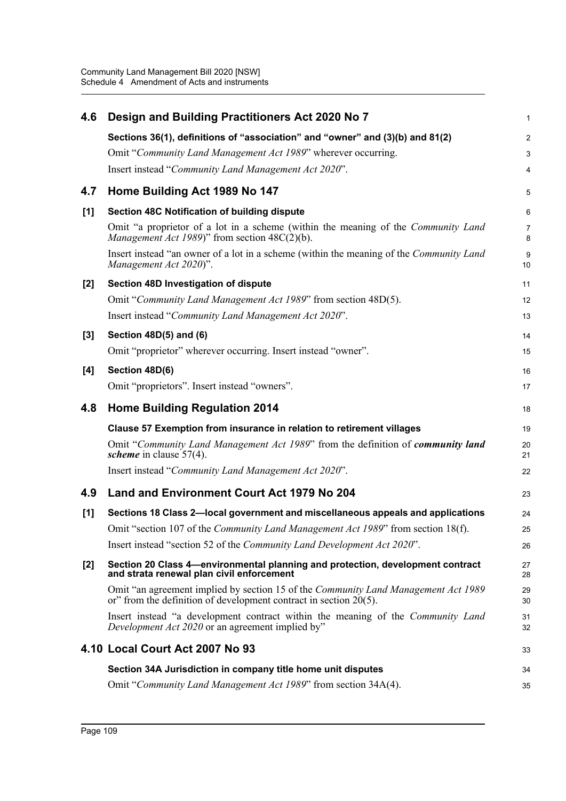| 4.6   | Design and Building Practitioners Act 2020 No 7                                                                                                                   | 1                   |
|-------|-------------------------------------------------------------------------------------------------------------------------------------------------------------------|---------------------|
|       | Sections 36(1), definitions of "association" and "owner" and (3)(b) and 81(2)                                                                                     | $\overline{2}$      |
|       | Omit "Community Land Management Act 1989" wherever occurring.                                                                                                     | 3                   |
|       | Insert instead "Community Land Management Act 2020".                                                                                                              | 4                   |
| 4.7   | Home Building Act 1989 No 147                                                                                                                                     | 5                   |
| [1]   | Section 48C Notification of building dispute                                                                                                                      | $6\phantom{1}6$     |
|       | Omit "a proprietor of a lot in a scheme (within the meaning of the Community Land<br>Management Act 1989)" from section $48C(2)(b)$ .                             | $\overline{7}$<br>8 |
|       | Insert instead "an owner of a lot in a scheme (within the meaning of the Community Land<br>Management Act 2020)".                                                 | 9<br>10             |
| $[2]$ | Section 48D Investigation of dispute                                                                                                                              | 11                  |
|       | Omit "Community Land Management Act 1989" from section 48D(5).                                                                                                    | 12                  |
|       | Insert instead "Community Land Management Act 2020".                                                                                                              | 13                  |
| $[3]$ | Section 48D(5) and (6)                                                                                                                                            | 14                  |
|       | Omit "proprietor" wherever occurring. Insert instead "owner".                                                                                                     | 15                  |
| $[4]$ | Section 48D(6)                                                                                                                                                    | 16                  |
|       | Omit "proprietors". Insert instead "owners".                                                                                                                      | 17                  |
| 4.8   | <b>Home Building Regulation 2014</b>                                                                                                                              | 18                  |
|       | Clause 57 Exemption from insurance in relation to retirement villages                                                                                             | 19                  |
|       | Omit "Community Land Management Act 1989" from the definition of community land<br>scheme in clause $57(4)$ .                                                     | 20<br>21            |
|       | Insert instead "Community Land Management Act 2020".                                                                                                              | 22                  |
| 4.9   | Land and Environment Court Act 1979 No 204                                                                                                                        | 23                  |
| [1]   | Sections 18 Class 2-local government and miscellaneous appeals and applications                                                                                   | 24                  |
|       | Omit "section 107 of the <i>Community Land Management Act 1989</i> " from section 18(f).                                                                          | 25                  |
|       | Insert instead "section 52 of the Community Land Development Act 2020".                                                                                           | 26                  |
| $[2]$ | Section 20 Class 4—environmental planning and protection, development contract<br>and strata renewal plan civil enforcement                                       | 27<br>28            |
|       |                                                                                                                                                                   |                     |
|       | Omit "an agreement implied by section 15 of the <i>Community Land Management Act 1989</i><br>or" from the definition of development contract in section $20(5)$ . | 29<br>30            |
|       | Insert instead "a development contract within the meaning of the Community Land<br>Development Act 2020 or an agreement implied by"                               | 31<br>32            |
|       | 4.10 Local Court Act 2007 No 93                                                                                                                                   | 33                  |
|       | Section 34A Jurisdiction in company title home unit disputes                                                                                                      | 34                  |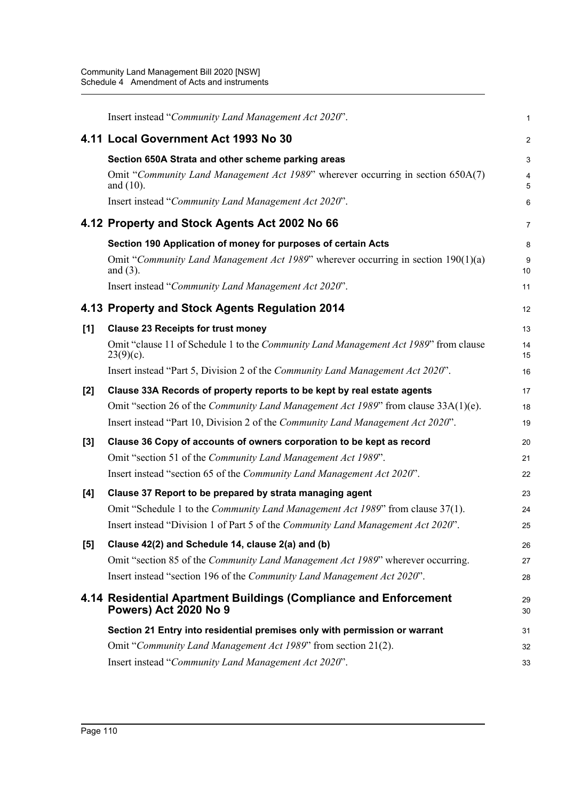|       | Insert instead "Community Land Management Act 2020".                                                 | 1               |
|-------|------------------------------------------------------------------------------------------------------|-----------------|
|       | 4.11 Local Government Act 1993 No 30                                                                 | $\overline{2}$  |
|       | Section 650A Strata and other scheme parking areas                                                   | 3               |
|       | Omit "Community Land Management Act 1989" wherever occurring in section 650A(7)<br>and $(10)$ .      | 4<br>5          |
|       | Insert instead "Community Land Management Act 2020".                                                 | $6\phantom{1}6$ |
|       | 4.12 Property and Stock Agents Act 2002 No 66                                                        | $\overline{7}$  |
|       | Section 190 Application of money for purposes of certain Acts                                        | 8               |
|       | Omit "Community Land Management Act 1989" wherever occurring in section $190(1)(a)$<br>and $(3)$ .   | 9<br>10         |
|       | Insert instead "Community Land Management Act 2020".                                                 | 11              |
|       | 4.13 Property and Stock Agents Regulation 2014                                                       | 12              |
| [1]   | <b>Clause 23 Receipts for trust money</b>                                                            | 13              |
|       | Omit "clause 11 of Schedule 1 to the Community Land Management Act 1989" from clause<br>$23(9)(c)$ . | 14<br>15        |
|       | Insert instead "Part 5, Division 2 of the Community Land Management Act 2020".                       | 16              |
| $[2]$ | Clause 33A Records of property reports to be kept by real estate agents                              | 17              |
|       | Omit "section 26 of the <i>Community Land Management Act 1989</i> " from clause 33A(1)(e).           | 18              |
|       | Insert instead "Part 10, Division 2 of the Community Land Management Act 2020".                      | 19              |
| $[3]$ | Clause 36 Copy of accounts of owners corporation to be kept as record                                | 20              |
|       | Omit "section 51 of the Community Land Management Act 1989".                                         | 21              |
|       | Insert instead "section 65 of the Community Land Management Act 2020".                               | 22              |
| [4]   | Clause 37 Report to be prepared by strata managing agent                                             | 23              |
|       | Omit "Schedule 1 to the <i>Community Land Management Act 1989</i> " from clause 37(1).               | 24              |
|       | Insert instead "Division 1 of Part 5 of the Community Land Management Act 2020".                     | 25              |
| [5]   | Clause 42(2) and Schedule 14, clause 2(a) and (b)                                                    | 26              |
|       | Omit "section 85 of the <i>Community Land Management Act 1989</i> " wherever occurring.              | 27              |
|       | Insert instead "section 196 of the Community Land Management Act 2020".                              | 28              |
|       | 4.14 Residential Apartment Buildings (Compliance and Enforcement<br>Powers) Act 2020 No 9            | 29<br>30        |
|       | Section 21 Entry into residential premises only with permission or warrant                           | 31              |
|       | Omit "Community Land Management Act 1989" from section 21(2).                                        | 32              |
|       | Insert instead "Community Land Management Act 2020".                                                 | 33              |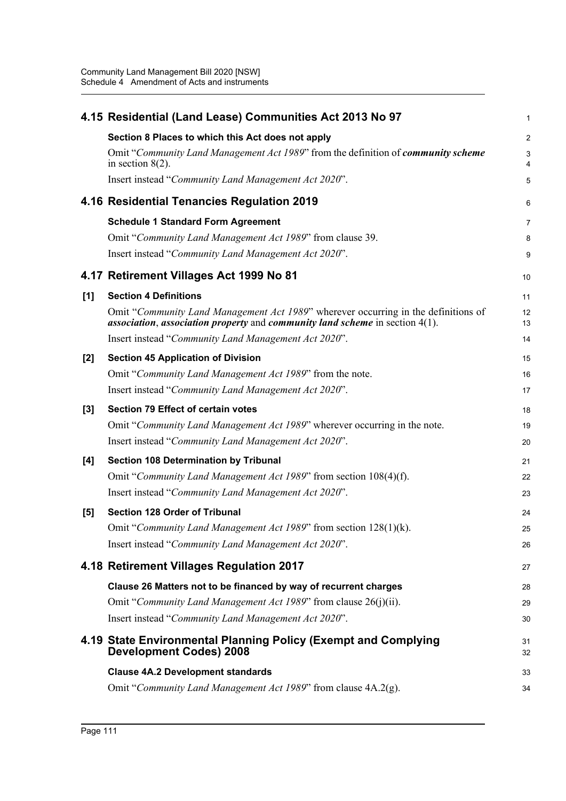|       | 4.15 Residential (Land Lease) Communities Act 2013 No 97                                                                                                              | $\mathbf 1$         |
|-------|-----------------------------------------------------------------------------------------------------------------------------------------------------------------------|---------------------|
|       | Section 8 Places to which this Act does not apply                                                                                                                     | $\overline{2}$      |
|       | Omit "Community Land Management Act 1989" from the definition of community scheme<br>in section $8(2)$ .                                                              | 3<br>$\overline{4}$ |
|       | Insert instead "Community Land Management Act 2020".                                                                                                                  | 5                   |
|       | 4.16 Residential Tenancies Regulation 2019                                                                                                                            | 6                   |
|       | <b>Schedule 1 Standard Form Agreement</b>                                                                                                                             | 7                   |
|       | Omit "Community Land Management Act 1989" from clause 39.                                                                                                             | 8                   |
|       | Insert instead "Community Land Management Act 2020".                                                                                                                  | 9                   |
|       | 4.17 Retirement Villages Act 1999 No 81                                                                                                                               | 10                  |
| [1]   | <b>Section 4 Definitions</b>                                                                                                                                          | 11                  |
|       | Omit "Community Land Management Act 1989" wherever occurring in the definitions of<br>association, association property and community land scheme in section $4(1)$ . | 12<br>13            |
|       | Insert instead "Community Land Management Act 2020".                                                                                                                  | 14                  |
| [2]   | <b>Section 45 Application of Division</b>                                                                                                                             | 15                  |
|       | Omit "Community Land Management Act 1989" from the note.                                                                                                              | 16                  |
|       | Insert instead "Community Land Management Act 2020".                                                                                                                  | 17                  |
| $[3]$ | <b>Section 79 Effect of certain votes</b>                                                                                                                             | 18                  |
|       | Omit "Community Land Management Act 1989" wherever occurring in the note.                                                                                             | 19                  |
|       | Insert instead "Community Land Management Act 2020".                                                                                                                  | 20                  |
| [4]   | <b>Section 108 Determination by Tribunal</b>                                                                                                                          | 21                  |
|       | Omit "Community Land Management Act 1989" from section 108(4)(f).                                                                                                     | 22                  |
|       | Insert instead "Community Land Management Act 2020".                                                                                                                  | 23                  |
| [5]   | <b>Section 128 Order of Tribunal</b>                                                                                                                                  | 24                  |
|       | Omit "Community Land Management Act 1989" from section 128(1)(k).                                                                                                     | 25                  |
|       | Insert instead "Community Land Management Act 2020".                                                                                                                  | 26                  |
|       | 4.18 Retirement Villages Regulation 2017                                                                                                                              | 27                  |
|       | Clause 26 Matters not to be financed by way of recurrent charges                                                                                                      | 28                  |
|       | Omit "Community Land Management Act 1989" from clause 26(j)(ii).                                                                                                      | 29                  |
|       | Insert instead "Community Land Management Act 2020".                                                                                                                  | 30                  |
|       | 4.19 State Environmental Planning Policy (Exempt and Complying<br><b>Development Codes) 2008</b>                                                                      | 31<br>32            |
|       | <b>Clause 4A.2 Development standards</b>                                                                                                                              | 33                  |
|       | Omit "Community Land Management Act 1989" from clause 4A.2(g).                                                                                                        | 34                  |
|       |                                                                                                                                                                       |                     |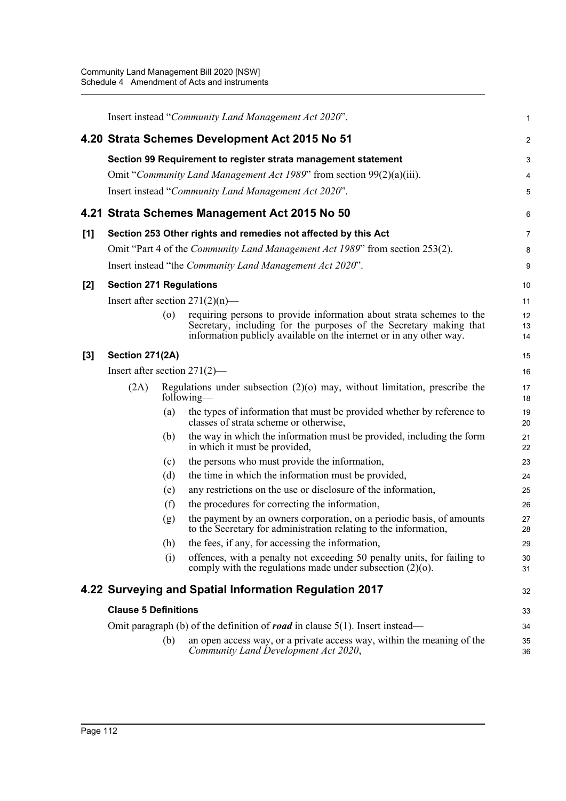|     |                                                                                        |                    | Insert instead "Community Land Management Act 2020".                                                                                                                                                              | 1              |  |
|-----|----------------------------------------------------------------------------------------|--------------------|-------------------------------------------------------------------------------------------------------------------------------------------------------------------------------------------------------------------|----------------|--|
|     |                                                                                        |                    | 4.20 Strata Schemes Development Act 2015 No 51                                                                                                                                                                    | $\overline{c}$ |  |
|     |                                                                                        |                    | Section 99 Requirement to register strata management statement                                                                                                                                                    | 3              |  |
|     |                                                                                        |                    | Omit "Community Land Management Act 1989" from section 99(2)(a)(iii).                                                                                                                                             | 4              |  |
|     |                                                                                        |                    | Insert instead "Community Land Management Act 2020".                                                                                                                                                              | 5              |  |
|     |                                                                                        |                    | 4.21 Strata Schemes Management Act 2015 No 50                                                                                                                                                                     | 6              |  |
| [1] | Section 253 Other rights and remedies not affected by this Act                         |                    |                                                                                                                                                                                                                   |                |  |
|     |                                                                                        |                    | Omit "Part 4 of the <i>Community Land Management Act 1989</i> " from section 253(2).                                                                                                                              | 8              |  |
|     |                                                                                        |                    | Insert instead "the <i>Community Land Management Act 2020"</i> .                                                                                                                                                  | 9              |  |
| [2] | <b>Section 271 Regulations</b>                                                         |                    |                                                                                                                                                                                                                   | 10             |  |
|     |                                                                                        |                    | Insert after section $271(2)(n)$ —                                                                                                                                                                                | 11             |  |
|     |                                                                                        | $\left( 0 \right)$ | requiring persons to provide information about strata schemes to the<br>Secretary, including for the purposes of the Secretary making that<br>information publicly available on the internet or in any other way. | 12<br>13<br>14 |  |
| [3] | Section 271(2A)                                                                        |                    |                                                                                                                                                                                                                   | 15             |  |
|     | Insert after section $271(2)$ —                                                        |                    |                                                                                                                                                                                                                   | 16             |  |
|     | (2A)                                                                                   |                    | Regulations under subsection $(2)(o)$ may, without limitation, prescribe the<br>following—                                                                                                                        | 17<br>18       |  |
|     |                                                                                        | (a)                | the types of information that must be provided whether by reference to<br>classes of strata scheme or otherwise,                                                                                                  | 19<br>20       |  |
|     |                                                                                        | (b)                | the way in which the information must be provided, including the form<br>in which it must be provided,                                                                                                            | 21<br>22       |  |
|     |                                                                                        | (c)                | the persons who must provide the information,                                                                                                                                                                     | 23             |  |
|     |                                                                                        | (d)                | the time in which the information must be provided,                                                                                                                                                               | 24             |  |
|     |                                                                                        | (e)                | any restrictions on the use or disclosure of the information,                                                                                                                                                     | 25             |  |
|     |                                                                                        | (f)                | the procedures for correcting the information,                                                                                                                                                                    | 26             |  |
|     |                                                                                        | (g)                | the payment by an owners corporation, on a periodic basis, of amounts<br>to the Secretary for administration relating to the information,                                                                         | 27<br>28       |  |
|     |                                                                                        | (h)                | the fees, if any, for accessing the information,                                                                                                                                                                  | 29             |  |
|     |                                                                                        | (i)                | offences, with a penalty not exceeding 50 penalty units, for failing to<br>comply with the regulations made under subsection $(2)(o)$ .                                                                           | 30<br>31       |  |
|     |                                                                                        |                    | 4.22 Surveying and Spatial Information Regulation 2017                                                                                                                                                            | 32             |  |
|     | <b>Clause 5 Definitions</b>                                                            |                    |                                                                                                                                                                                                                   |                |  |
|     | Omit paragraph (b) of the definition of <b>road</b> in clause $5(1)$ . Insert instead— |                    |                                                                                                                                                                                                                   | 34             |  |
|     |                                                                                        | (b)                | an open access way, or a private access way, within the meaning of the<br>Community Land Development Act 2020,                                                                                                    | 35<br>36       |  |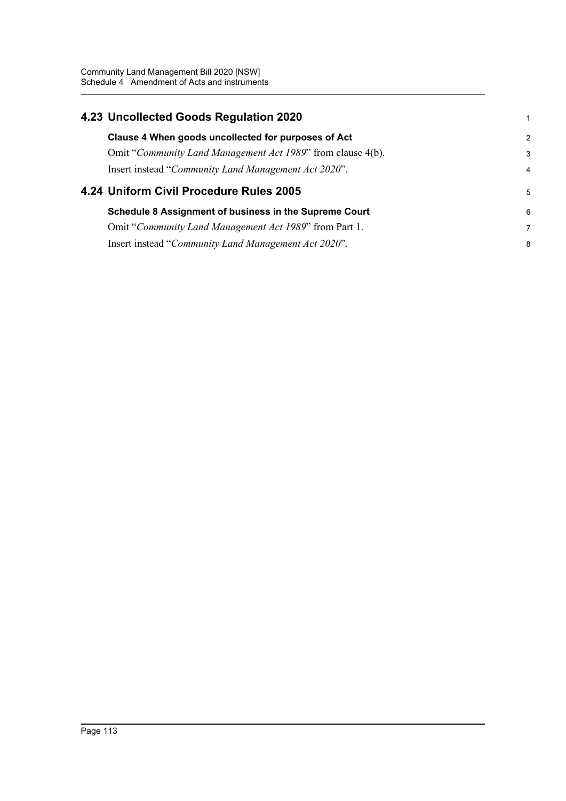|  | 4.23 Uncollected Goods Regulation 2020                      | 1              |
|--|-------------------------------------------------------------|----------------|
|  | Clause 4 When goods uncollected for purposes of Act         | $\overline{2}$ |
|  | Omit "Community Land Management Act 1989" from clause 4(b). | 3              |
|  | Insert instead "Community Land Management Act 2020".        | $\overline{4}$ |
|  |                                                             |                |
|  | 4.24 Uniform Civil Procedure Rules 2005                     | 5              |
|  | Schedule 8 Assignment of business in the Supreme Court      | 6              |
|  | Omit "Community Land Management Act 1989" from Part 1.      | $\overline{7}$ |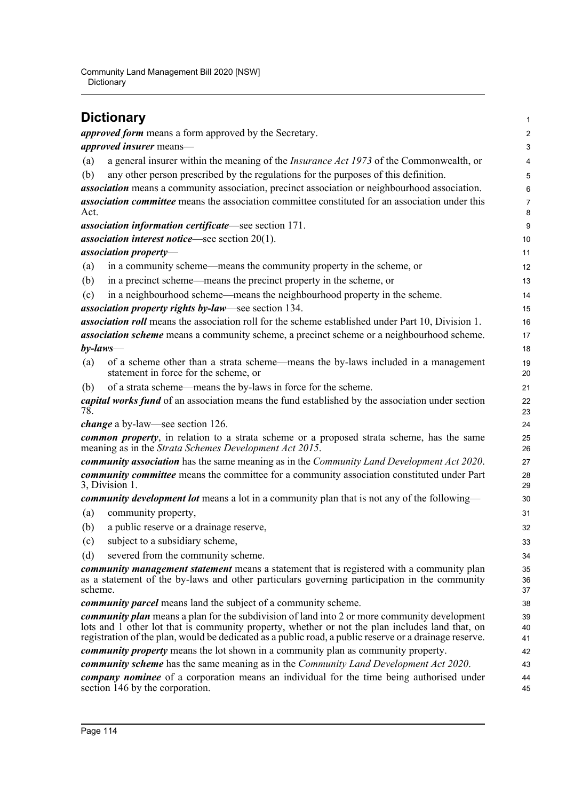Community Land Management Bill 2020 [NSW] **Dictionary** 

#### **Dictionary**  *approved form* means a form approved by the Secretary. *approved insurer* means— (a) a general insurer within the meaning of the *Insurance Act 1973* of the Commonwealth, or (b) any other person prescribed by the regulations for the purposes of this definition. *association* means a community association, precinct association or neighbourhood association. *association committee* means the association committee constituted for an association under this Act. *association information certificate*—see section 171. *association interest notice*—see section 20(1). *association property*— (a) in a community scheme—means the community property in the scheme, or (b) in a precinct scheme—means the precinct property in the scheme, or (c) in a neighbourhood scheme—means the neighbourhood property in the scheme. *association property rights by-law*—see section 134. *association roll* means the association roll for the scheme established under Part 10, Division 1. *association scheme* means a community scheme, a precinct scheme or a neighbourhood scheme. *by-laws*— (a) of a scheme other than a strata scheme—means the by-laws included in a management statement in force for the scheme, or (b) of a strata scheme—means the by-laws in force for the scheme. *capital works fund* of an association means the fund established by the association under section 78. *change* a by-law—see section 126. *common property*, in relation to a strata scheme or a proposed strata scheme, has the same meaning as in the *Strata Schemes Development Act 2015*. *community association* has the same meaning as in the *Community Land Development Act 2020*. *community committee* means the committee for a community association constituted under Part 3, Division 1. *community development lot* means a lot in a community plan that is not any of the following— (a) community property, (b) a public reserve or a drainage reserve, (c) subject to a subsidiary scheme, (d) severed from the community scheme. *community management statement* means a statement that is registered with a community plan as a statement of the by-laws and other particulars governing participation in the community scheme. *community parcel* means land the subject of a community scheme. *community plan* means a plan for the subdivision of land into 2 or more community development lots and 1 other lot that is community property, whether or not the plan includes land that, on registration of the plan, would be dedicated as a public road, a public reserve or a drainage reserve. *community property* means the lot shown in a community plan as community property. *community scheme* has the same meaning as in the *Community Land Development Act 2020*. *company nominee* of a corporation means an individual for the time being authorised under section 146 by the corporation. 1  $\mathcal{L}$ 3 4 5 6 7 8 9 10 11 12 13 14 15 16 17 18 19 20 21  $22$ 23 24 25 26 27 28 29 30 31 32 33 34 35 36 37 38 39 40 41 42 43 44 45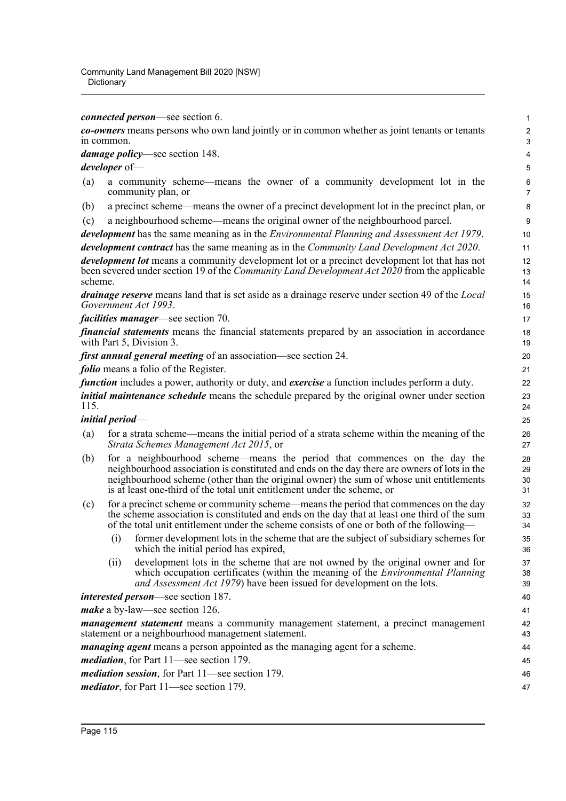*connected person*—see section 6.

*co-owners* means persons who own land jointly or in common whether as joint tenants or tenants in common.

*damage policy*—see section 148.

*developer* of—

- (a) a community scheme—means the owner of a community development lot in the community plan, or
- (b) a precinct scheme—means the owner of a precinct development lot in the precinct plan, or
- (c) a neighbourhood scheme—means the original owner of the neighbourhood parcel.

*development* has the same meaning as in the *Environmental Planning and Assessment Act 1979*. *development contract* has the same meaning as in the *Community Land Development Act 2020*. *development lot* means a community development lot or a precinct development lot that has not

been severed under section 19 of the *Community Land Development Act 2020* from the applicable scheme.

*drainage reserve* means land that is set aside as a drainage reserve under section 49 of the *Local Government Act 1993*.

*facilities manager*—see section 70.

*financial statements* means the financial statements prepared by an association in accordance with Part 5, Division 3.

*first annual general meeting* of an association—see section 24.

*folio* means a folio of the Register.

*function* includes a power, authority or duty, and *exercise* a function includes perform a duty. *initial maintenance schedule* means the schedule prepared by the original owner under section 115.

# *initial period*—

- (a) for a strata scheme—means the initial period of a strata scheme within the meaning of the *Strata Schemes Management Act 2015*, or
- (b) for a neighbourhood scheme—means the period that commences on the day the neighbourhood association is constituted and ends on the day there are owners of lots in the neighbourhood scheme (other than the original owner) the sum of whose unit entitlements is at least one-third of the total unit entitlement under the scheme, or
- (c) for a precinct scheme or community scheme—means the period that commences on the day the scheme association is constituted and ends on the day that at least one third of the sum of the total unit entitlement under the scheme consists of one or both of the following—
	- (i) former development lots in the scheme that are the subject of subsidiary schemes for which the initial period has expired,
	- (ii) development lots in the scheme that are not owned by the original owner and for which occupation certificates (within the meaning of the *Environmental Planning and Assessment Act 1979*) have been issued for development on the lots.

*interested person*—see section 187.

*make* a by-law—see section 126.

*management statement* means a community management statement, a precinct management statement or a neighbourhood management statement.

*managing agent* means a person appointed as the managing agent for a scheme.

*mediation*, for Part 11—see section 179.

*mediation session*, for Part 11—see section 179.

*mediator*, for Part 11—see section 179.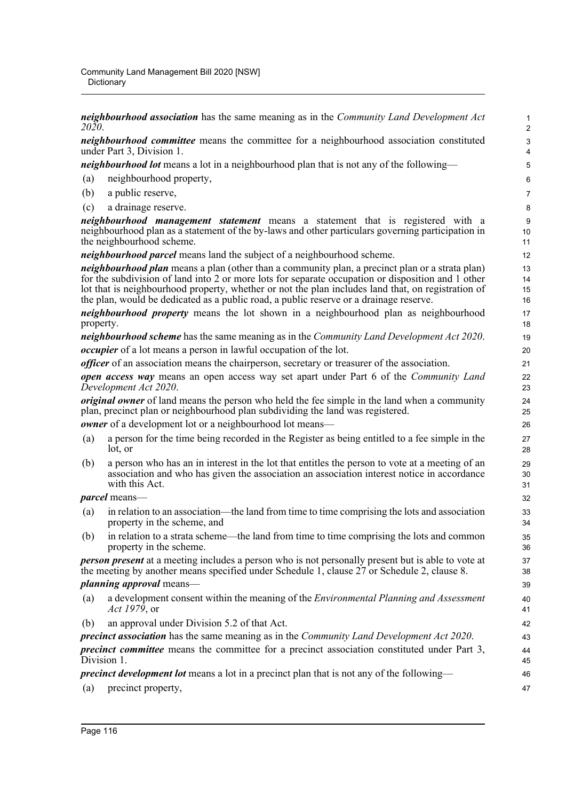*neighbourhood association* has the same meaning as in the *Community Land Development Act 2020*.

*neighbourhood committee* means the committee for a neighbourhood association constituted under Part 3, Division 1.

*neighbourhood lot* means a lot in a neighbourhood plan that is not any of the following—

- (a) neighbourhood property,
- (b) a public reserve,
- (c) a drainage reserve.

*neighbourhood management statement* means a statement that is registered with a neighbourhood plan as a statement of the by-laws and other particulars governing participation in the neighbourhood scheme.

*neighbourhood parcel* means land the subject of a neighbourhood scheme.

*neighbourhood plan* means a plan (other than a community plan, a precinct plan or a strata plan) for the subdivision of land into 2 or more lots for separate occupation or disposition and 1 other lot that is neighbourhood property, whether or not the plan includes land that, on registration of the plan, would be dedicated as a public road, a public reserve or a drainage reserve.

*neighbourhood property* means the lot shown in a neighbourhood plan as neighbourhood property.

*neighbourhood scheme* has the same meaning as in the *Community Land Development Act 2020*. *occupier* of a lot means a person in lawful occupation of the lot.

*officer* of an association means the chairperson, secretary or treasurer of the association.

*open access way* means an open access way set apart under Part 6 of the *Community Land Development Act 2020*.

*original owner* of land means the person who held the fee simple in the land when a community plan, precinct plan or neighbourhood plan subdividing the land was registered.

*owner* of a development lot or a neighbourhood lot means—

- (a) a person for the time being recorded in the Register as being entitled to a fee simple in the lot, or
- (b) a person who has an in interest in the lot that entitles the person to vote at a meeting of an association and who has given the association an association interest notice in accordance with this Act.

*parcel* means—

- (a) in relation to an association—the land from time to time comprising the lots and association property in the scheme, and
- (b) in relation to a strata scheme—the land from time to time comprising the lots and common property in the scheme.

*person present* at a meeting includes a person who is not personally present but is able to vote at the meeting by another means specified under Schedule 1, clause 27 or Schedule 2, clause 8.

#### *planning approval* means—

- (a) a development consent within the meaning of the *Environmental Planning and Assessment Act 1979*, or
- (b) an approval under Division 5.2 of that Act.

*precinct association* has the same meaning as in the *Community Land Development Act 2020*.

*precinct committee* means the committee for a precinct association constituted under Part 3, Division 1.

*precinct development lot* means a lot in a precinct plan that is not any of the following—

(a) precinct property,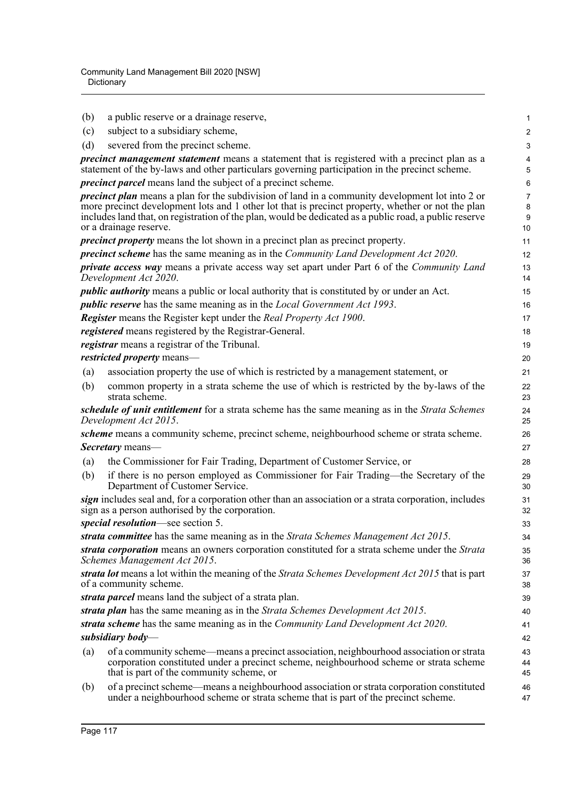| (b) | a public reserve or a drainage reserve,                                                                                                                                                                                                                                                                               | 1                        |
|-----|-----------------------------------------------------------------------------------------------------------------------------------------------------------------------------------------------------------------------------------------------------------------------------------------------------------------------|--------------------------|
| (c) | subject to a subsidiary scheme,                                                                                                                                                                                                                                                                                       | $\overline{c}$           |
| (d) | severed from the precinct scheme.                                                                                                                                                                                                                                                                                     | 3                        |
|     | <i>precinct management statement</i> means a statement that is registered with a precinct plan as a<br>statement of the by-laws and other particulars governing participation in the precinct scheme.                                                                                                                 | 4<br>5                   |
|     | <i>precinct parcel</i> means land the subject of a precinct scheme.                                                                                                                                                                                                                                                   | 6                        |
|     | <i>precinct plan</i> means a plan for the subdivision of land in a community development lot into 2 or<br>more precinct development lots and 1 other lot that is precinct property, whether or not the plan<br>includes land that, on registration of the plan, would be dedicated as a public road, a public reserve | $\overline{7}$<br>8<br>9 |
|     | or a drainage reserve.                                                                                                                                                                                                                                                                                                | 10                       |
|     | <i>precinct property</i> means the lot shown in a precinct plan as precinct property.                                                                                                                                                                                                                                 | 11                       |
|     | <i>precinct scheme</i> has the same meaning as in the <i>Community Land Development Act 2020</i> .                                                                                                                                                                                                                    | 12                       |
|     | private access way means a private access way set apart under Part 6 of the Community Land<br>Development Act 2020.                                                                                                                                                                                                   | 13<br>14                 |
|     | <i>public authority</i> means a public or local authority that is constituted by or under an Act.                                                                                                                                                                                                                     | 15                       |
|     | <i>public reserve</i> has the same meaning as in the <i>Local Government Act 1993</i> .                                                                                                                                                                                                                               | 16                       |
|     | Register means the Register kept under the Real Property Act 1900.                                                                                                                                                                                                                                                    | 17                       |
|     | registered means registered by the Registrar-General.                                                                                                                                                                                                                                                                 | 18                       |
|     | registrar means a registrar of the Tribunal.                                                                                                                                                                                                                                                                          | 19                       |
|     | restricted property means-                                                                                                                                                                                                                                                                                            | 20                       |
| (a) | association property the use of which is restricted by a management statement, or                                                                                                                                                                                                                                     | 21                       |
| (b) | common property in a strata scheme the use of which is restricted by the by-laws of the<br>strata scheme.                                                                                                                                                                                                             | 22<br>23                 |
|     | schedule of unit entitlement for a strata scheme has the same meaning as in the Strata Schemes<br>Development Act 2015.                                                                                                                                                                                               | 24<br>25                 |
|     | scheme means a community scheme, precinct scheme, neighbourhood scheme or strata scheme.                                                                                                                                                                                                                              | 26                       |
|     | <i>Secretary</i> means—                                                                                                                                                                                                                                                                                               | 27                       |
| (a) | the Commissioner for Fair Trading, Department of Customer Service, or                                                                                                                                                                                                                                                 | 28                       |
| (b) | if there is no person employed as Commissioner for Fair Trading—the Secretary of the<br>Department of Customer Service.                                                                                                                                                                                               | 29<br>30                 |
|     | sign includes seal and, for a corporation other than an association or a strata corporation, includes<br>sign as a person authorised by the corporation.                                                                                                                                                              | 31<br>32                 |
|     | special resolution—see section 5.                                                                                                                                                                                                                                                                                     | 33                       |
|     | strata committee has the same meaning as in the Strata Schemes Management Act 2015.<br>strata corporation means an owners corporation constituted for a strata scheme under the Strata                                                                                                                                | 34                       |
|     | Schemes Management Act 2015.                                                                                                                                                                                                                                                                                          | 35<br>36                 |
|     | strata lot means a lot within the meaning of the Strata Schemes Development Act 2015 that is part<br>of a community scheme.                                                                                                                                                                                           | 37<br>38                 |
|     | strata parcel means land the subject of a strata plan.                                                                                                                                                                                                                                                                | 39                       |
|     | strata plan has the same meaning as in the Strata Schemes Development Act 2015.                                                                                                                                                                                                                                       | 40                       |
|     | strata scheme has the same meaning as in the Community Land Development Act 2020.<br>subsidiary body—                                                                                                                                                                                                                 | 41<br>42                 |
| (a) | of a community scheme—means a precinct association, neighbourhood association or strata<br>corporation constituted under a precinct scheme, neighbourhood scheme or strata scheme<br>that is part of the community scheme, or                                                                                         | 43<br>44<br>45           |
| (b) | of a precinct scheme—means a neighbourhood association or strata corporation constituted<br>under a neighbourhood scheme or strata scheme that is part of the precinct scheme.                                                                                                                                        | 46<br>47                 |
|     |                                                                                                                                                                                                                                                                                                                       |                          |